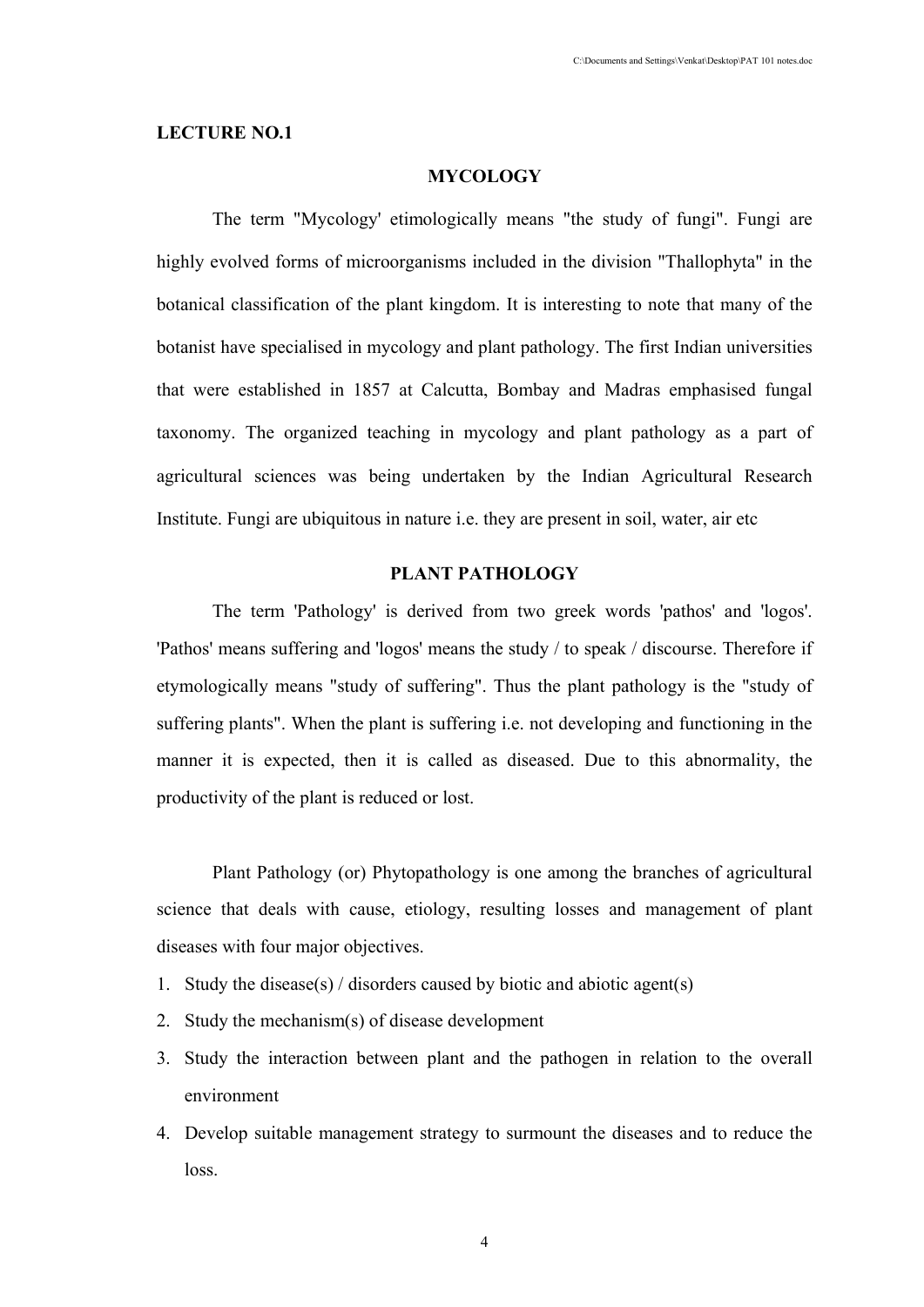### LECTURE NO.1

### **MYCOLOGY**

The term "Mycology' etimologically means "the study of fungi". Fungi are highly evolved forms of microorganisms included in the division "Thallophyta" in the botanical classification of the plant kingdom. It is interesting to note that many of the botanist have specialised in mycology and plant pathology. The first Indian universities that were established in 1857 at Calcutta, Bombay and Madras emphasised fungal taxonomy. The organized teaching in mycology and plant pathology as a part of agricultural sciences was being undertaken by the Indian Agricultural Research Institute. Fungi are ubiquitous in nature i.e. they are present in soil, water, air etc The term "Mycology' etimologically means "the study of fungi". Fungi are<br>evolved forms of microorganisms included in the division "Thallophyta" in the<br>al classification of the plant kingdom. It is interesting to note that

### PLANT PATHOLOGY

'Pathos' means suffering and 'logos' means the study / to speak / discourse. Therefore if etymologically means "study of suffering". Thus the plant pathology is the "study of suffering plants". When the plant is suffering i.e. not developing and functioning in the manner it is expected, then it is called as diseased. Due to this abnormality, the productivity of the plant is reduced or lost. The term 'Pathology' is derived from two greek words 'pathos' and 'logos'.<br>
"Pathos' means suffering and 'logos' means the study / to speak / discourse. Therefore if<br>
etymologically means "study of suffering". Thus the pla Pathos' means suffering and 'logos' means the study / to speak / discouretymologically means "study of suffering". Thus the plant pathology suffering plants". When the plant is suffering i.e. not developing and furtherm i (atymologically means "study of suffering". Thus the plant pathology is the "study of suffering plants". When the plant is suffering i.e. not developing and functioning in the manner it is expected, then it is called as di

Plant Pathology (or) Phytopathology is one among the branches of agricultural science that deals with cause, etiology, resulting losses and management of plant diseases with four major objectives. 4. Develop suitable management strategy to surmount the diseases and to reduce the disease and to reduce that deals with cause, etiology, resulting losses and management of plant diseases with four major objectives.<br>
1. St

- 
- 
- environment
- loss.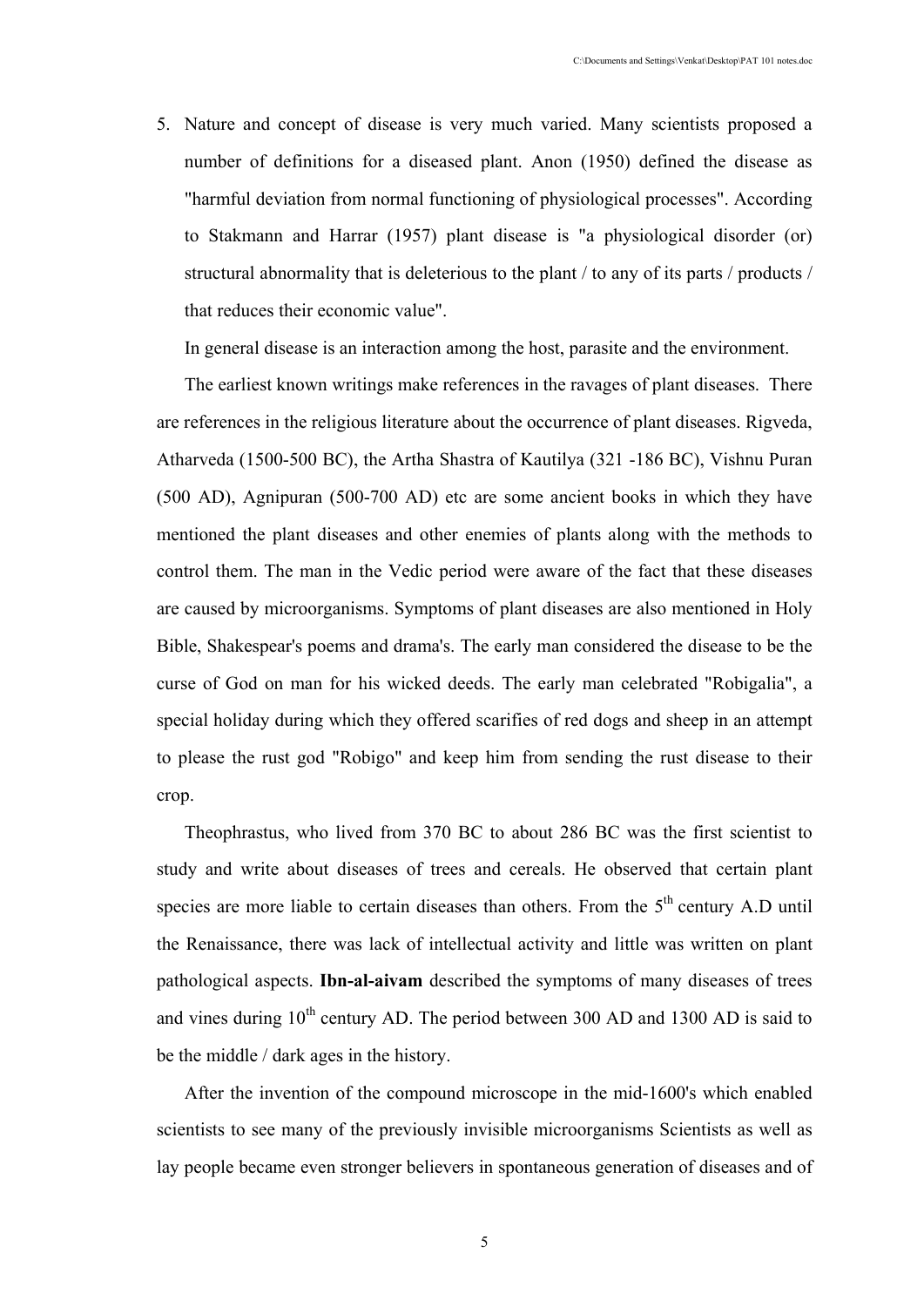CADocuments and Settings\Verkat\Desktop\PAT 101 notes.doc 5.<br>5. Nature and concept of disease is very much varied. Many scientists proposed a<br>number of definitions for a diseased plant. Anon (1950) defined the disease as<br>" number of definitions for a diseased plant. Anon (1950) defined the disease as "harmful deviation from normal functioning of physiological processes". According to Stakmann and Harrar (1957) plant disease is "a physiological disorder (or) structural abnormality that is deleterious to the plant / to any of its parts / products / that reduces their economic value".

In general disease is an interaction among the host, parasite and the environment.

The earliest known writings make references in the ravages of plant diseases. There are references in the religious literature about the occurrence of plant diseases. Rigveda, Atharveda (1500-500 BC), the Artha Shastra of Kautilya (321 -186 BC), Vishnu Puran (500 AD), Agnipuran (500-700 AD) etc are some ancient books in which they have mentioned the plant diseases and other enemies of plants along with the methods to control them. The man in the Vedic period were aware of the fact that these diseases are caused by microorganisms. Symptoms of plant diseases are also mentioned in Holy Bible, Shakespear's poems and drama's. The early man considered the disease to be the curse of God on man for his wicked deeds. The early man celebrated "Robigalia", a special holiday during which they offered scarifies of red dogs and sheep in an attempt to please the rust god "Robigo" and keep him from sending the rust disease to their crop.

Theophrastus, who lived from 370 BC to about 286 BC was the first scientist to study and write about diseases of trees and cereals. He observed that certain plant species are more liable to certain diseases than others. From the  $5<sup>th</sup>$  century A.D until the Renaissance, there was lack of intellectual activity and little was written on plant pathological aspects. Ibn-al-aivam described the symptoms of many diseases of trees and vines during 10<sup>th</sup> century AD. The period between 300 AD and 1300 AD is said to be the middle / dark ages in the history.

After the invention of the compound microscope in the mid-1600's which enabled scientists to see many of the previously invisible microorganisms Scientists as well as lay people became even stronger believers in spontaneous generation of diseases and of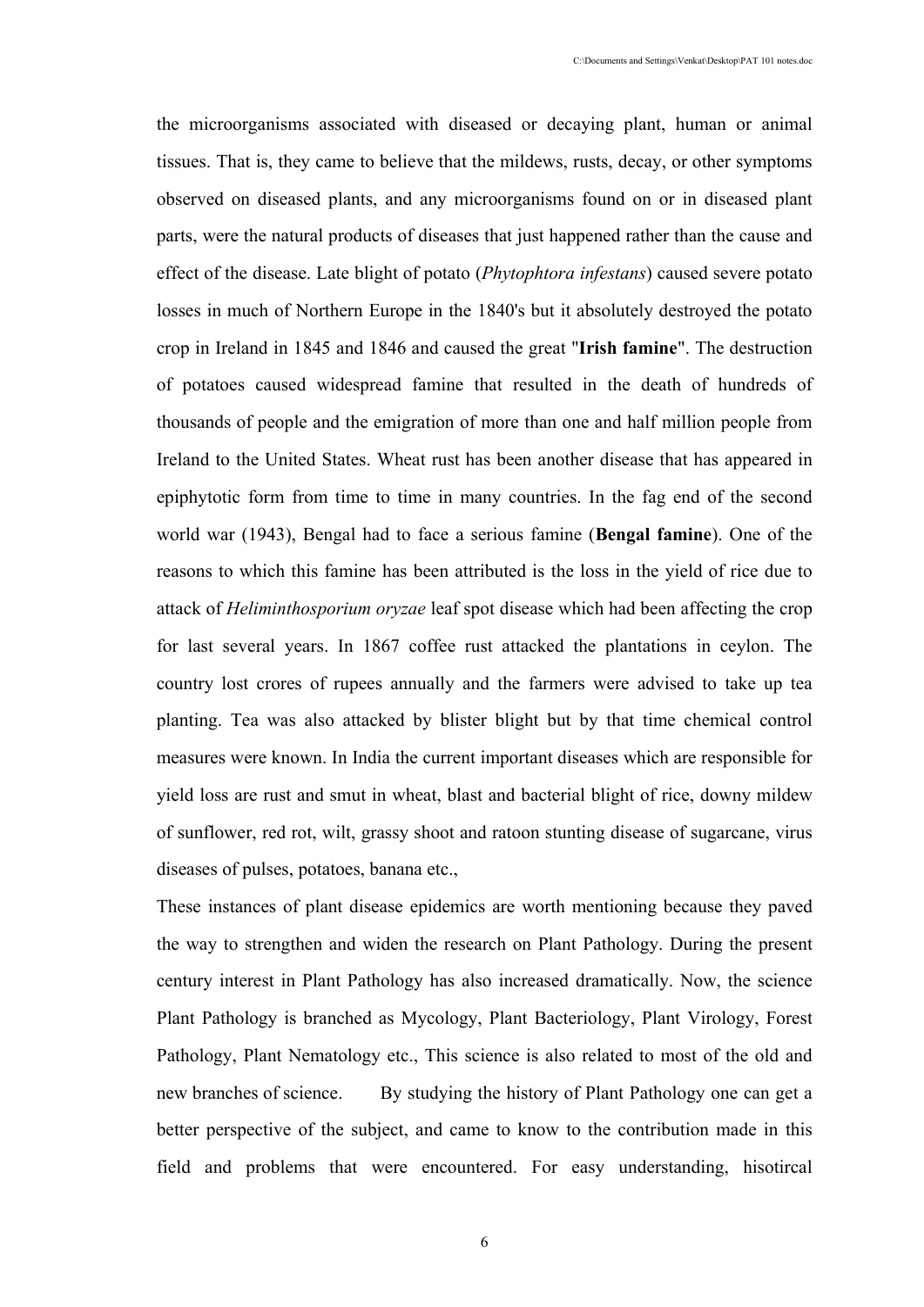the microorganisms associated with diseased or decaying plant, human or animal tissues. That is, they came to believe that the mildews, rusts, decay, or other symptoms observed on diseased plants, and any microorganisms found on or in diseased plant parts, were the natural products of diseases that just happened rather than the cause and effect of the disease. Late blight of potato (*Phytophtora infestans*) caused severe potato losses in much of Northern Europe in the 1840's but it absolutely destroyed the potato crop in Ireland in 1845 and 1846 and caused the great "Irish famine". The destruction of potatoes caused widespread famine that resulted in the death of hundreds of thousands of people and the emigration of more than one and half million people from Ireland to the United States. Wheat rust has been another disease that has appeared in epiphytotic form from time to time in many countries. In the fag end of the second world war (1943), Bengal had to face a serious famine (Bengal famine). One of the reasons to which this famine has been attributed is the loss in the yield of rice due to attack of Heliminthosporium oryzae leaf spot disease which had been affecting the crop for last several years. In 1867 coffee rust attacked the plantations in ceylon. The country lost crores of rupees annually and the farmers were advised to take up tea planting. Tea was also attacked by blister blight but by that time chemical control measures were known. In India the current important diseases which are responsible for yield loss are rust and smut in wheat, blast and bacterial blight of rice, downy mildew of sunflower, red rot, wilt, grassy shoot and ratoon stunting disease of sugarcane, virus diseases of pulses, potatoes, banana etc.,

These instances of plant disease epidemics are worth mentioning because they paved the way to strengthen and widen the research on Plant Pathology. During the present century interest in Plant Pathology has also increased dramatically. Now, the science Plant Pathology is branched as Mycology, Plant Bacteriology, Plant Virology, Forest Pathology, Plant Nematology etc., This science is also related to most of the old and planting. Tca was also attacked by blister blight but by that time chemical control<br>measures were known. In India the current important diseases which are responsible for<br>yield loss are rust and smut in wheat, blast and ba better perspective of the subject, and came to know to the contribution made in this field and problems that were encountered. For easy understanding, hisotircal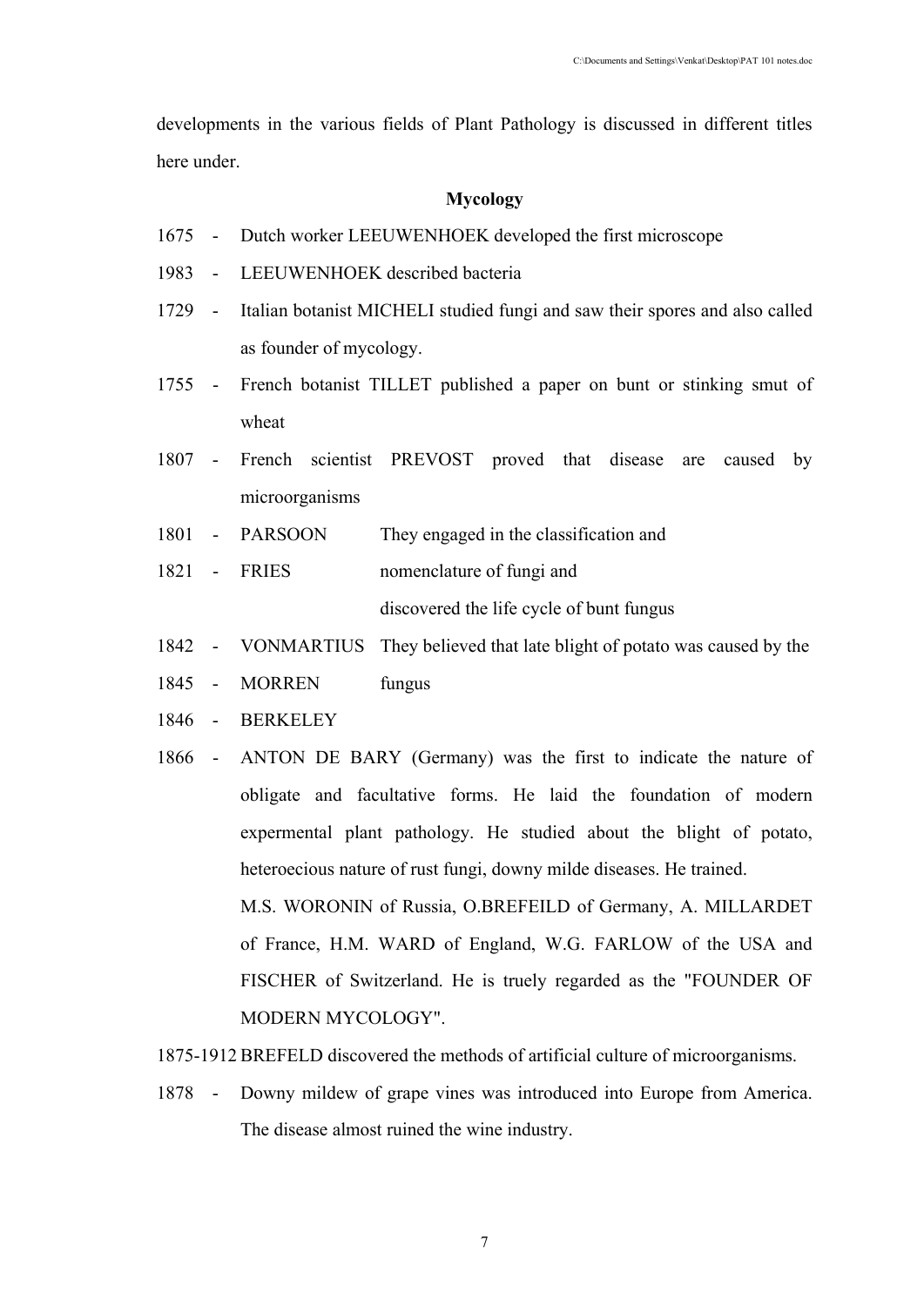developments in the various fields of Plant Pathology is discussed in different titles here under. Calbertaines and Settings (Venkat DecktopPAT 101 notes dec<br>
developments in the various fields of Plant Pathology is discussed in different titles<br>
here under.<br> **Mycology**<br>
1675 - Dutch worker LEEUWENHOEK developed the fir

### Mycology

- 
- 
- C:Documents and Settings\VenkatDesktop<sup>0</sup>?<br>
1983 Dutch worker LEEUWENHOEK developed the first microscope<br>
1983 LEEUWENHOEK described bacteria<br>
1729 Italian botanist MICHELI studied fungi and saw their spores and al<br> CDocuments and Sentago/VenlautDestaup PAT 101 nutecology<br>
1672 - Italian botanist MICHELI studied fungi and saw their spores and also called<br>
1729 - Italian botanist MICHELI studied fungi and saw their spores and also call as founder of mycology. 1755 - French scientist PREVOST proved that disease are caused by<br>
1755 - French scientist PREUWENHOEK developed the first microscope<br>
1755 - LEEUWENHOEK described bacteria<br>
1799 - LEEUWENHOEK described bacteria<br>
1799 - It
- wheat
- CONSUMERT SIGN CONSULTERT CONSULTERT INTERNATION CONSULTERT INTERNATION CONSULTERT INTERNATION CONSULTERT INTERNATION CONSULTERT INTERNATION CONSULTERT INTERNATION CONSULTERT INTERNATION CONSULTERT INTERNATION CONSULTER TH microorganisms 1801 - THEND Mycology<br>
1803 - Dutch worker LEEUWENHOEK developed the first microscope<br>
1983 - LEEUWENHOEK described bacteria<br>
1993 - Italian botanist MICHELI studied fungi and saw their spores and also called<br>
1801 - Frenc Mycology<br>
1823 - Dutch worker LEEUWENHOEK developed the first microscope<br>
1983 - LEEUWENHOEK described bacteria<br>
1729 - Italian botanist MICHELI studied fungi and saw their spores and also called<br>
1821 - French botanist TI 1983 - LEEUWENHOEK described bacteria<br>
1729 - Italian botanist MICHELI studied fungi and saw their spores and also called<br>
1875 - French botanist TILLET published a paper on bunt or stinking smut of<br>
1877 - French socienti 1729 - Italian botanist MICHELI studied fungi and saw their spores and also called<br>
as founder of mycology.<br>
1755 - French botanist TILLET published a paper on bunt or stinking smut of<br>
1807 - French scientist PREVOST prov
- 
- discovered the life cycle of bunt fungus
- 
- 
- 1846 BERKELEY
- 1755 French botanist TILLET published a paper on bunt or stinking smut of<br>
1807 French scientist PREVOST proved that disease are caused by<br>
microorganisms<br>
1801 PARSOON They engaged in the classification and<br>
1821 French scientist PREVOST proved that disease are caused by<br>microorganisms<br>PARSOON They engaged in the classification and<br>FRIES nomenclature of fungi and<br>discovered the life cycle of bunt fungus<br>VONMARTIUS They believed tha expermental plant pathology. He studied about the blight of potato, heteroecious nature of rust fungi, downy milde diseases. He trained. M.S. WORONIN of Russia, O.BREFEILD of Germany, A. MILLARDET of France, H.M. WARD of England, W.G. FARLOW of the USA and FISCHER of Switzerland. He is truely regarded as the "FOUNDER OF MODERN MYCOLOGY". 1845 - MORREN fungus<br>
1846 - BERKELEY<br>
1866 - ANTON DE BARY (Germany) was the first to indicate the nature of<br>
1866 - ANTON DE BARY (Germany) was the first to indicate the nature of<br>
1866 - ANTON DE BARY (Germany) was the 1846 - BERKELEY<br>
1866 - ANTON DE BARY (Germany) was the first to indicate the nature of<br>
1866 - ANTON DE BARY (Germany) was the first to indicate the nature of<br>
1896 - ANTON DE BARY (Germany). He studied about the blight o

The disease almost ruined the wine industry.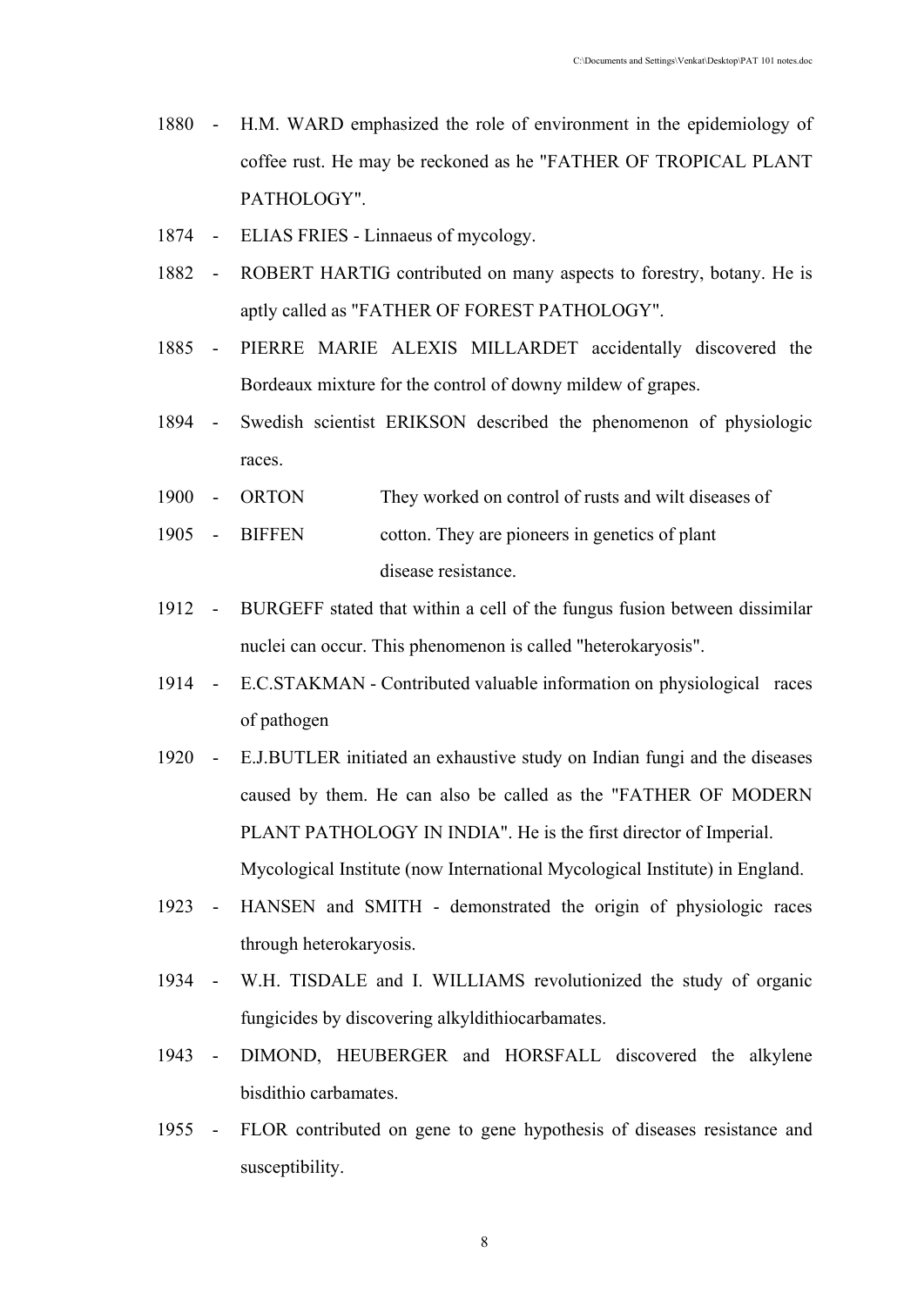- C:Documents and Settings\Verkat\Desktop\PAT 101 notes.doc <br>1880 H.M. WARD emphasized the role of environment in the epidemiology of<br>coffee rust. He may be reckoned as he "FATHER OF TROPICAL PLANT<br>PATHOLOGY". coffee rust. He may be reckoned as he "FATHER OF TROPICAL PLANT PATHOLOGY". C:Documents and Settings\Venkat:Desktop\P.<br>
1880 - H.M. WARD emphasized the role of environment in the epidemi<br>
coffee rust. He may be reckoned as he "FATHER OF TROPICAL<br>
PATHOLOGY".<br>
1874 - ELIAS FRIES - Linnaeus of mycol CiDecuments and StringsiVendar(Dealtop<sup>p</sup>PAT101 notes does<br>
1880 - H.M. WARD emphasized the role of environment in the epidemiology of<br>
1874 - ELIAS FRIES - Linnaeus of mycology.<br>
1882 - ROBERT HARTIG contributed on many a CONCERTER IN M. WARD emphasized the role of environment in the epidemiology of<br>coffee rust. He may be reckoned as he "FATHER OF TROPICAL PLANT<br>PATHOLOGY".<br>1874 - ELIAS FRIES - Linnaeus of mycology.<br>1882 - ROBERT HARTIG con CONGINION CONGINUES CONGINUES CONSULTER CHANGED OF CONSULTER SPACE THE PROPICAL PLANT PATHOLOGY".<br>
1874 - ELIAS FRIES - Linnaeus of mycology.<br>
1892 - ROBERT HARTIG contributed on many aspects to forestry, botany. He is<br>
18 1900 - H.M. WARD emphasized the role of environment in the epidemiology of<br>
1900 coffee rust. He may be reckoned as he "FATHER OF TROPICAL PLANT<br>
1921 - ELIAS FRIES - Linnaeus of mycology.<br>
1922 - ROBERT HARTIG contributed 2007<br>
1913 - ELIAS FRIES - Linnaeus of mycology.<br>
1924 - ELIAS FRIES - Linnaeus of mycology.<br>
1924 - ROBERT HARTIG contributed on many aspects to forestry, botany. He is<br>
1905 - ROBERT HARTIG contributed on many aspects to
- 
- aptly called as "FATHER OF FOREST PATHOLOGY".
- Bordeaux mixture for the control of downy mildew of grapes.
- races.
- 
- 
- maeus of mycology.<br>
G contributed on many aspects to forestry, botany. He is<br>
THER OF FOREST PATHOLOGY".<br>
ALEXIS MILLARDET accidentally discovered the<br>
for the control of downy mildew of grapes.<br>
ERIKSON described the phen 1874 - ELIAS FRIES - Linnacus of mycology.<br>
1882 - ROBERT HARTIG contributed on many aspects to forestry, botany. He is<br>
1892 - RIERRE MARIE ALEXIS MILLARDET accidentally discovered the<br>
1893 - PIERRE MARIE ALEXIS MILLARDE nuclei can occur. This phenomenon is called "heterokaryosis".
- 2014 as "FATHER OF FOREST PATHOLOGY".<br>
2014 PIERRE MARIE ALEXIS MILLARDET accidentally discovered the<br>
2014 Swedish scientist ERIKSON described the phenomenon of physiologic<br>
2014 Swedish scientist ERIKSON described of pathogen
- 1920 BJRUTLER initiated an exhaustive study on Indian fungi and the diseases<br>
1900 ORTON They worked on control of rusts and wilt diseases of<br>
1905 BIFFEN cotton. They are pioneers in genetics of plant<br>
1922 BURGEF caused by them. He can also be called as the "FATHER OF MODERN PLANT PATHOLOGY IN INDIA". He is the first director of Imperial. Mycological Institute (now International Mycological Institute) in England. 1905 - BIFFEN cotton. They are pioneers in genetics of plant<br>
discase resistance.<br>
1912 - BURGEFF stated that within a cell of the fungus fusion between dissimilar<br>
1914 - E.C.STAKMAN - Contributed valuable information on 1912 - BURGEFF stated that within a coll of the fungus fusion between dissimilar<br>
1914 - E.C.STAKMAN - Contributed valuable information on physiological races<br>
1920 - E.J.BUTLER initiated an exhaustive study on Indian fung 1914 - E.C.STAKMAN - Contributed valuable information on physiological races<br>of pathogen<br>1920 - E.J.BUTLER initiated an exhaustive study on Indian fungi and the diseases<br>caused by them. He can also be called as the "FATHER 1920 - E.J.BUTLER initiated an exhaustive study on Indian fungi and the diseases<br>
caused by them. He can also be called as the "FATHER OF MODERN<br>
PLANT PATHOLOGY IN INDIA". He is the first director of Imperial.<br>
Mycologica
- through heterokaryosis.
- fungicides by discovering alkyldithiocarbamates.
- bisdithio carbamates.
- susceptibility.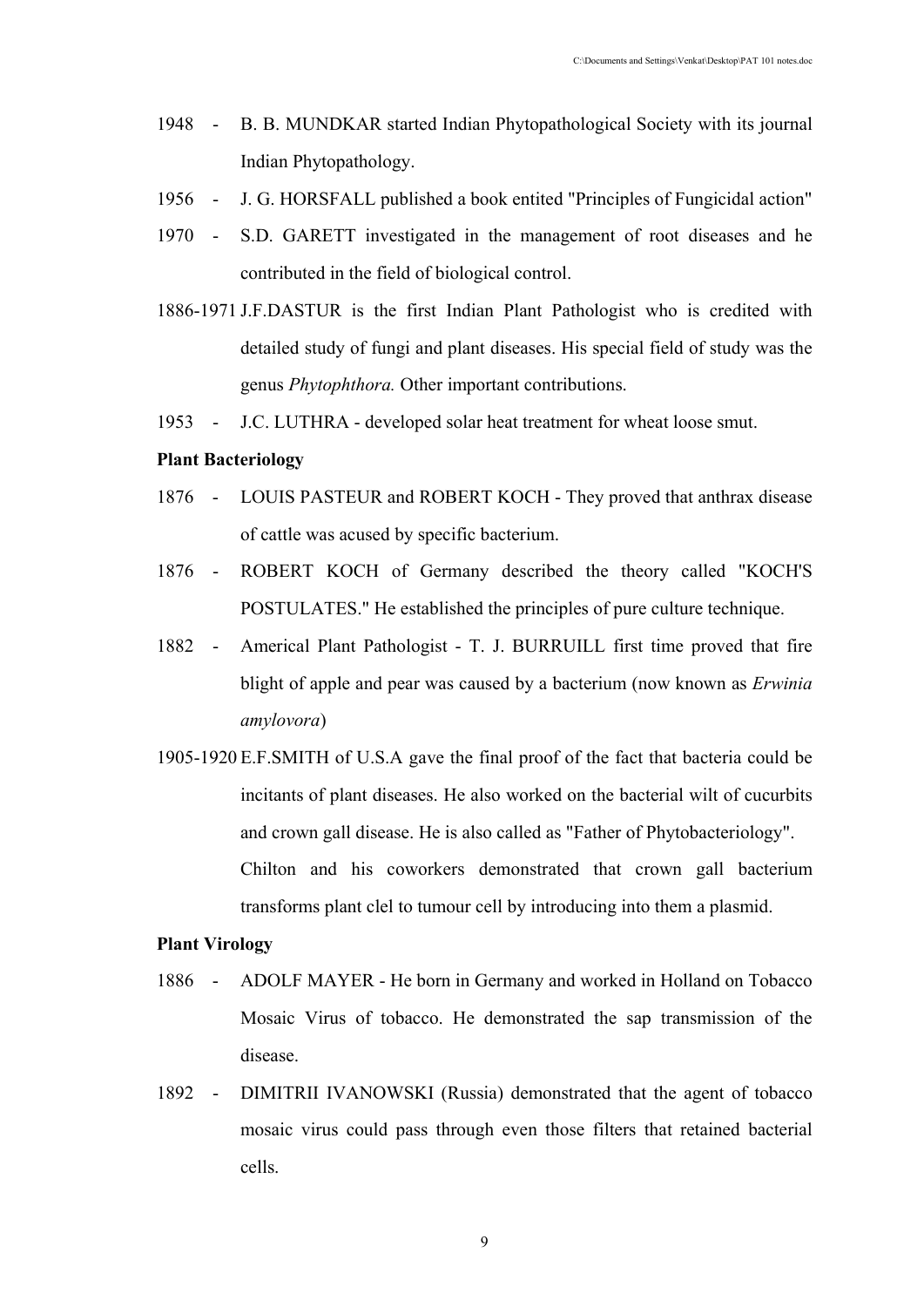- CADocuments and Settings\Verkat\Desktop\PAT 101 notes.doc 1948 B. B. MUNDKAR started Indian Phytopathological Society with its journal<br>1956 J. G. HORSFALL published a book entited "Principles of Fungicidal action" Indian Phytopathology.
- 
- C:Documents and Settings (Venkarl Desktop PAT 101 nots:doce)<br>
1948 B. B. MUNDKAR started Indian Phytopathological Society with its journal<br>
1956 J. G. HORSFALL published a book entited "Principles of Fungicidal action" Calesiments and Settings (Venkat DecktopPAT 101 notes dec<br>
1948 - B. B. MUNDKAR started Indian Phytopathological Society with its journal<br>
1966 - J. G. HORSFALL published a book entited "Principles of Fungicidal action"<br>
1 contributed in the field of biological control.
- <sup>C:Documents and Sentago/Venlat/Detatop/P/AT (01 nutes docs)<br>
1948 B. B. MUNDKAR started Indian Phytopathological Society with its journal<br>
1966 J. G. HORSFALL published a book entited "Principles of Fungicidal action"</sup> detailed study of fungi and plant diseases. His special field of study was the genus Phytophthora. Other important contributions. CONNET CONSERVANTANT CONSERVANTANT UNITED ASSEMBLE TO A UNITED A SUPER SOLAR STATE INTO A DAMBLE 1953 - J.G. HORSEALL published a book entited "Principles of Fungicidal action"<br>1970 - S.D. GARETT investigated in the manage 1948 - B. B. MUNDKAR started Indian Phytopathological Society with its journal<br>
1976 - J. G. HORSFALL published a book entited "Principles of Fungicidal action"<br>
1970 - S.D. GARETT investigated in the management of root di 1956 - J. G. HORSFALL published a book entited "Principles of Fungicidal action"<br>
1970 - S.D. GARETT investigated in the management of root diseases and he<br>
contributed in the field of biological control.<br>
1886-1971 J.F.DA contributed in the field of biological control.<br>
1886-1971 J.F.DASTUR is the first Indian Plant Pathologist who is credited with<br>
detailed study of fungi and plant diseases. His special field of study was the<br>
genus *Phyt*
- 

### Plant Bacteriology

- of cattle was acused by specific bacterium.
- POSTULATES." He established the principles of pure culture technique.
- blight of apple and pear was caused by a bacterium (now known as *Erwinia* amylovora)
- 1905 I.C. LUTHRA developed solar heat treatment for wheat loose smut.<br>
1953 J.C. LUTHRA developed solar heat treatment for wheat loose smut.<br>
1911 Bacteriology<br>
1976 LOUIS PASTEUR and ROBERT KOCH They proved th incitants of plant diseases. He also worked on the bacterial wilt of cucurbits and crown gall disease. He is also called as "Father of Phytobacteriology". Chilton and his coworkers demonstrated that crown gall bacterium transforms plant clel to tumour cell by introducing into them a plasmid. 1882 - Americal Plant Pathologist - T. J. BURRUILL first time proved that fire<br>
1882 - Americal Plant Pathologist - T. J. BURRUILL first time proved that fire<br>
1995-1920 E.F.SMITH of U.S.A gave the final proof of the fact 2008–1920 E.F.SMITH of U.S.A gave the final proof of the fact that bacteria could be<br>
incitants of plant diseases. He also worked on the bacterial wilt of cucurbits<br>
and crown gall disease. He is also called as "Father of

### Plant Virology

- Mosaic Virus of tobacco. He demonstrated the sap transmission of the disease.
- mosaic virus could pass through even those filters that retained bacterial cells.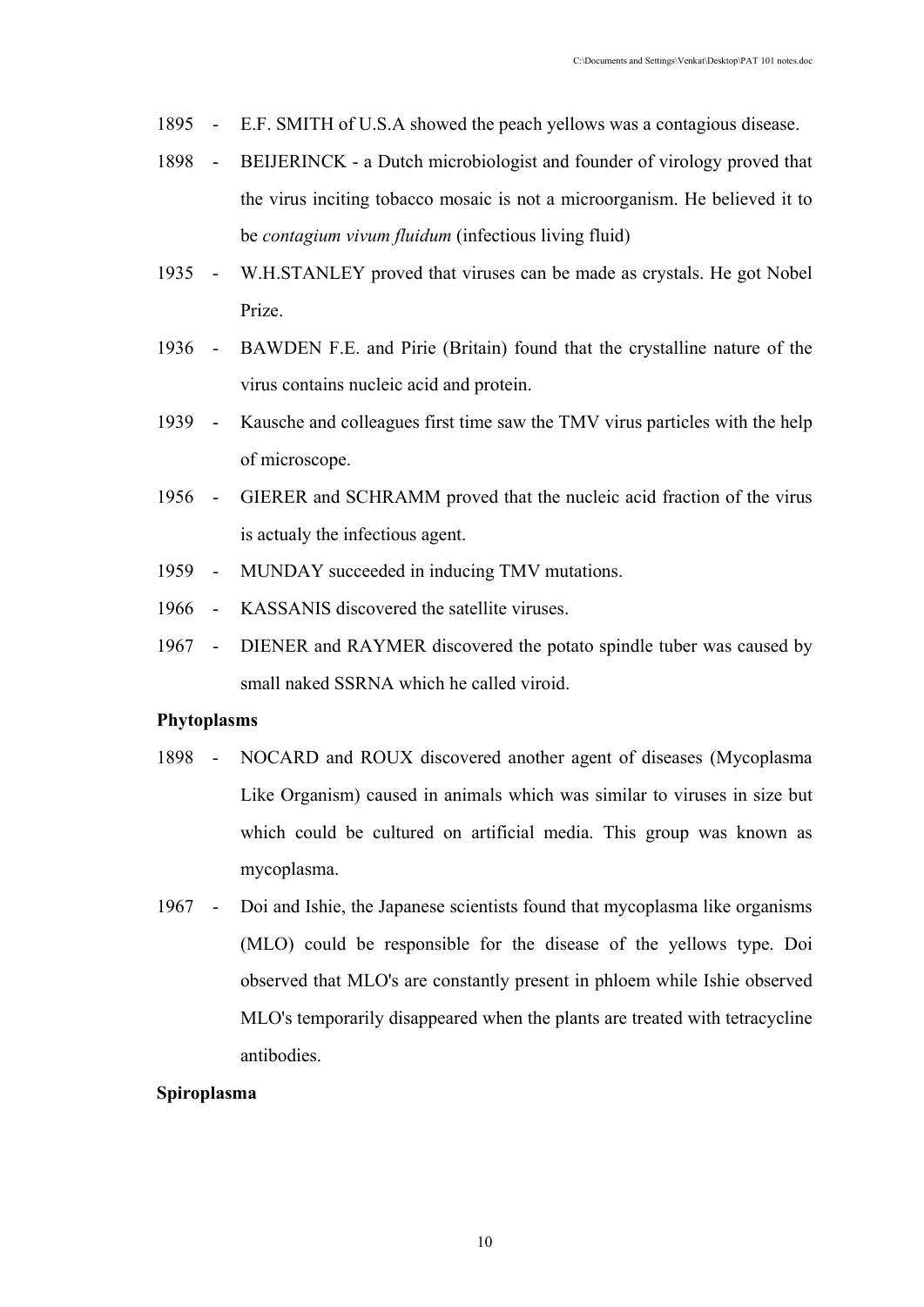- 
- CADocuments and Settings\Verkat\Desktop\PAT 101 notes.doc 1895 E.F. SMITH of U.S.A showed the peach yellows was a contagious disease.<br>1898 BEIJERINCK a Dutch microbiologist and founder of virology proved that the vir CoDocuments and Settings\VenkatDesktop\PAT 101 notes.doc 1895 - E.F. SMITH of U.S.A showed the peach yellows was a contagious disease.<br>1898 - BEIJERINCK - a Dutch microbiologist and founder of virology proved that the viru the virus inciting tobacco mosaic is not a microorganism. He believed it to be contagium vivum fluidum (infectious living fluid) CiDecuments and SettingsiVendarDeadtop PAT 101 notes does<br>
1895 - E.F. SMITH of U.S.A showed the peach yellows was a contagious disease.<br>
1898 - BEUERINCK - a Dutch microbiologist and founder of virology proved that<br>
the v CONCIMENT FOR CONCIDENT SURFACT IN 1988 - R.F. SMITH of U.S.A showed the peach yellows was a contagious disease.<br>
1936 - BEUERINCK - a Dutch microbiologist and founder of virology proved that<br>
the virus inciting tobacco mo CONNUMBERT CO. THE SMITH OF U.S. A showed the peach yellows was a contagious discase.<br>
1939 - BEIJERINCK - a Dutch microbiologist and founder of virology proved that<br>
the virus inciting tobacco mosaic is not a microorganis 1895 - E.F. SMITH of U.S.A showed the peach yellows was a contagious disease.<br>
1898 - BEIJERINCK - a Dutch microbiologist and founder of virology proved that<br>
the virus inciting tobacco mosaic is not a microorganism. He be 1959 - MUNDAY succeeded in inducing TMV mutations.<br>
1959 - DENER and RAYMEN (infectious living fluid)<br>
1935 - BAWDEN F.E. and Pirie (Britain) found that the crystalls. He g<br>
1936 - BAWDEN F.E. and Pirie (Britain) found tha
- Prize.
- virus contains nucleic acid and protein.
- of microscope. be *contagium* vivum fluidum (infectious living fluid)<br>
1935 - W.H.STANLEY proved that viruses can be made as crystals. He g<br>
Prize.<br>
1936 - BAWDEN F.E. and Pirie (Britain) found that the crystalline nature<br>
1939 - Kausche 1935 - W.H.STANLEY proved that viruses can be made as crystals. He got Nobel<br>
Prizc.<br>
1936 - BAWDEN F.E. and Pirie (Britain) found that the crystalline nature of the<br>
1939 - Kausche and colleagues first time saw the TMV vi
- is actualy the infectious agent.
- 
- 
- small naked SSRNA which he called viroid.

### Phytoplasms

- virus contains nucleic acid and protein.<br>
1939 Kausche and colleagues first time saw the TMV virus particles with the help<br>
1956 GIERER and SCHRAMM proved that the nucleic acid fraction of the virus<br>
1969 MUNDAY succ Like Organism) caused in animals which was similar to viruses in size but which could be cultured on artificial media. This group was known as mycoplasma. 1969 - MUNDAY succeeded in inducing TMV mutations.<br>
1966 - KASSANIS discovered the satellite viruses.<br>
1967 - DIENER and RAYMER discovered the potato spindle tuber was caused by<br>
1967 - DIENER and RAYMER discovered the pot
- (MLO) could be responsible for the disease of the yellows type. Doi observed that MLO's are constantly present in phloem while Ishie observed MLO's temporarily disappeared when the plants are treated with tetracycline antibodies.

#### Spiroplasma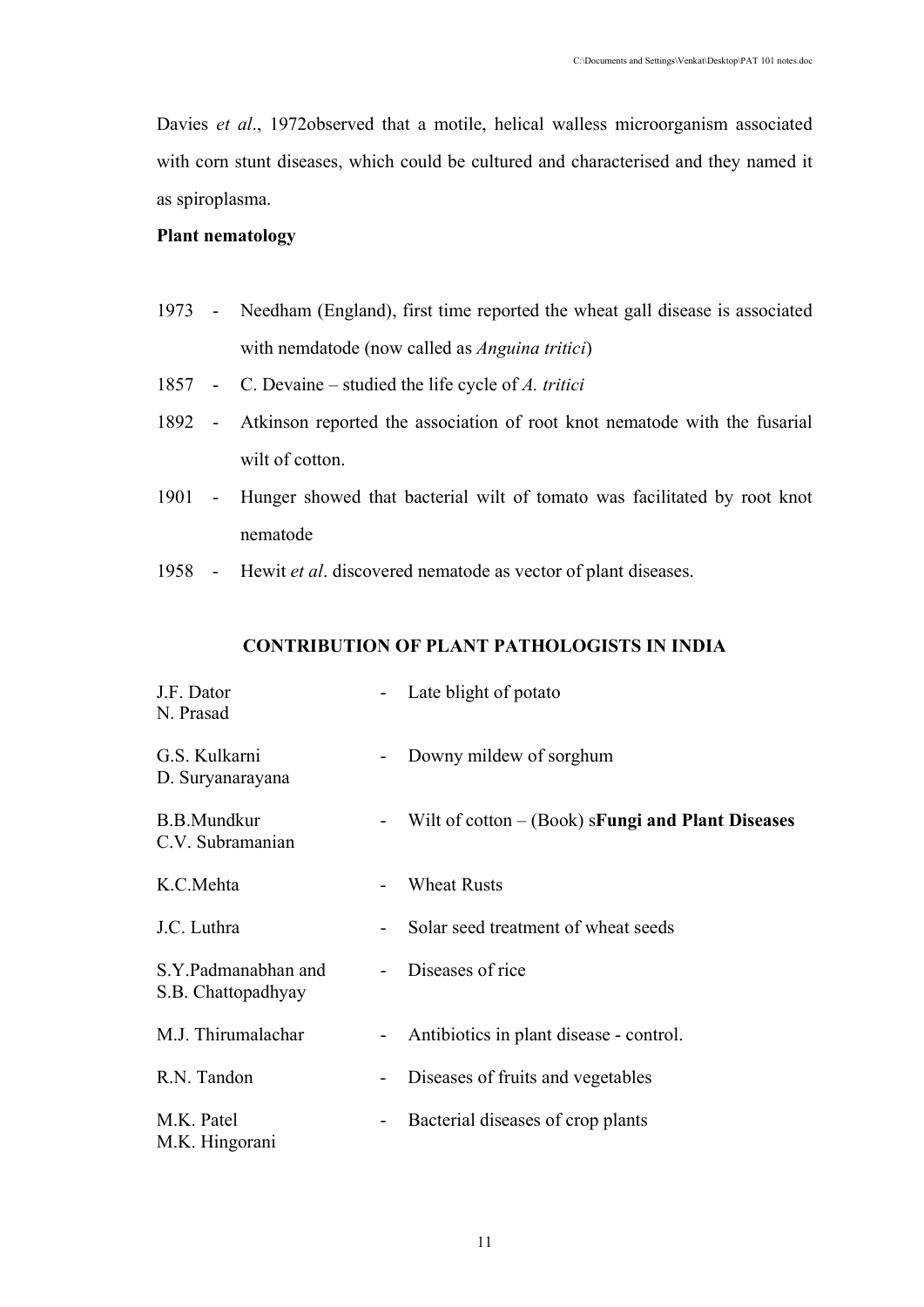Davies et al., 1972observed that a motile, helical walless microorganism associated with corn stunt diseases, which could be cultured and characterised and they named it as spiroplasma. <sup>C:Documents and Sentago/Venlant/Detatop/P/AT (01 nutes does<br>
20 Davies *et al.*, 1972<br>
observed that a motile, helical walless microorganism associated<br>
with com stunt diseases, which could be cultured and characterised a</sup> CODECUTERENTIAL CONSERVING THE CONSERVING THE CONSERVING THE SWITE AND NOTE AND NOTE AND NOTE AND NOTE AND ALLET AT A THE SPIN OF ALLET AT A THE SPIN AND A THE SPIN ALLET ALLET ALLET ALLET ALLET ALLET ALLET USE A. THE SPIN <sup>199</sup>2 - Atkinson reported the association of root knot nematode with end as spiroplasma.<br> **Plant nematology**<br>
1973 - Needham (England), first time reported the wheat gall disease is associated<br>
1973 - Needham (England), f Davics *et al.*, 1972<br>observed that a motile, helical walless microorganism associated<br>with com stunt diseases, which could be cultured and characterised and they named it<br>as spiroplasma.<br>**Plant nematology**<br>1973 - Necdham

### Plant nematology

- with nemdatode (now called as *Anguina tritici*)
- 
- wilt of cotton.
- nematode
- 1958 Hewit et al. discovered nematode as vector of plant diseases.

### CONTRIBUTION OF PLANT PATHOLOGISTS IN INDIA

|                                           | 1973 - Needham (England), first time reported the wheat gall disease is associated |                                                                          |                                                                           |  |  |  |
|-------------------------------------------|------------------------------------------------------------------------------------|--------------------------------------------------------------------------|---------------------------------------------------------------------------|--|--|--|
|                                           |                                                                                    |                                                                          |                                                                           |  |  |  |
|                                           |                                                                                    |                                                                          | with nemdatode (now called as <i>Anguina tritici</i> )                    |  |  |  |
| 1857<br>$\sim$                            |                                                                                    |                                                                          | C. Devaine – studied the life cycle of $A$ . tritici                      |  |  |  |
| 1892<br>$\Box$                            |                                                                                    |                                                                          | Atkinson reported the association of root knot nematode with the fusarial |  |  |  |
|                                           | wilt of cotton.                                                                    |                                                                          |                                                                           |  |  |  |
| 1901<br>$\mathbb{L}$                      |                                                                                    | Hunger showed that bacterial wilt of tomato was facilitated by root knot |                                                                           |  |  |  |
|                                           | nematode                                                                           |                                                                          |                                                                           |  |  |  |
| 1958                                      |                                                                                    |                                                                          | - Hewit et al. discovered nematode as vector of plant diseases.           |  |  |  |
|                                           |                                                                                    |                                                                          |                                                                           |  |  |  |
|                                           |                                                                                    |                                                                          | <b>CONTRIBUTION OF PLANT PATHOLOGISTS IN INDIA</b>                        |  |  |  |
| J.F. Dator                                |                                                                                    |                                                                          | Late blight of potato                                                     |  |  |  |
| N. Prasad                                 |                                                                                    |                                                                          |                                                                           |  |  |  |
| G.S. Kulkarni                             |                                                                                    |                                                                          | Downy mildew of sorghum                                                   |  |  |  |
| D. Suryanarayana                          |                                                                                    |                                                                          |                                                                           |  |  |  |
| <b>B.B.Mundkur</b><br>C.V. Subramanian    |                                                                                    |                                                                          | Wilt of $\text{cotton} - (\text{Book})$ s <b>Fungi and Plant Diseases</b> |  |  |  |
| K.C.Mehta                                 |                                                                                    |                                                                          | <b>Wheat Rusts</b>                                                        |  |  |  |
| J.C. Luthra                               |                                                                                    |                                                                          | Solar seed treatment of wheat seeds                                       |  |  |  |
| S.Y.Padmanabhan and<br>S.B. Chattopadhyay |                                                                                    | $\overline{\phantom{a}}$                                                 | Diseases of rice                                                          |  |  |  |
| M.J. Thirumalachar                        |                                                                                    |                                                                          | Antibiotics in plant disease - control.                                   |  |  |  |
| R.N. Tandon                               |                                                                                    | -                                                                        | Diseases of fruits and vegetables                                         |  |  |  |
| M.K. Patel<br>M.K. Hingorani              |                                                                                    |                                                                          | Bacterial diseases of crop plants                                         |  |  |  |
|                                           |                                                                                    |                                                                          |                                                                           |  |  |  |
|                                           |                                                                                    |                                                                          |                                                                           |  |  |  |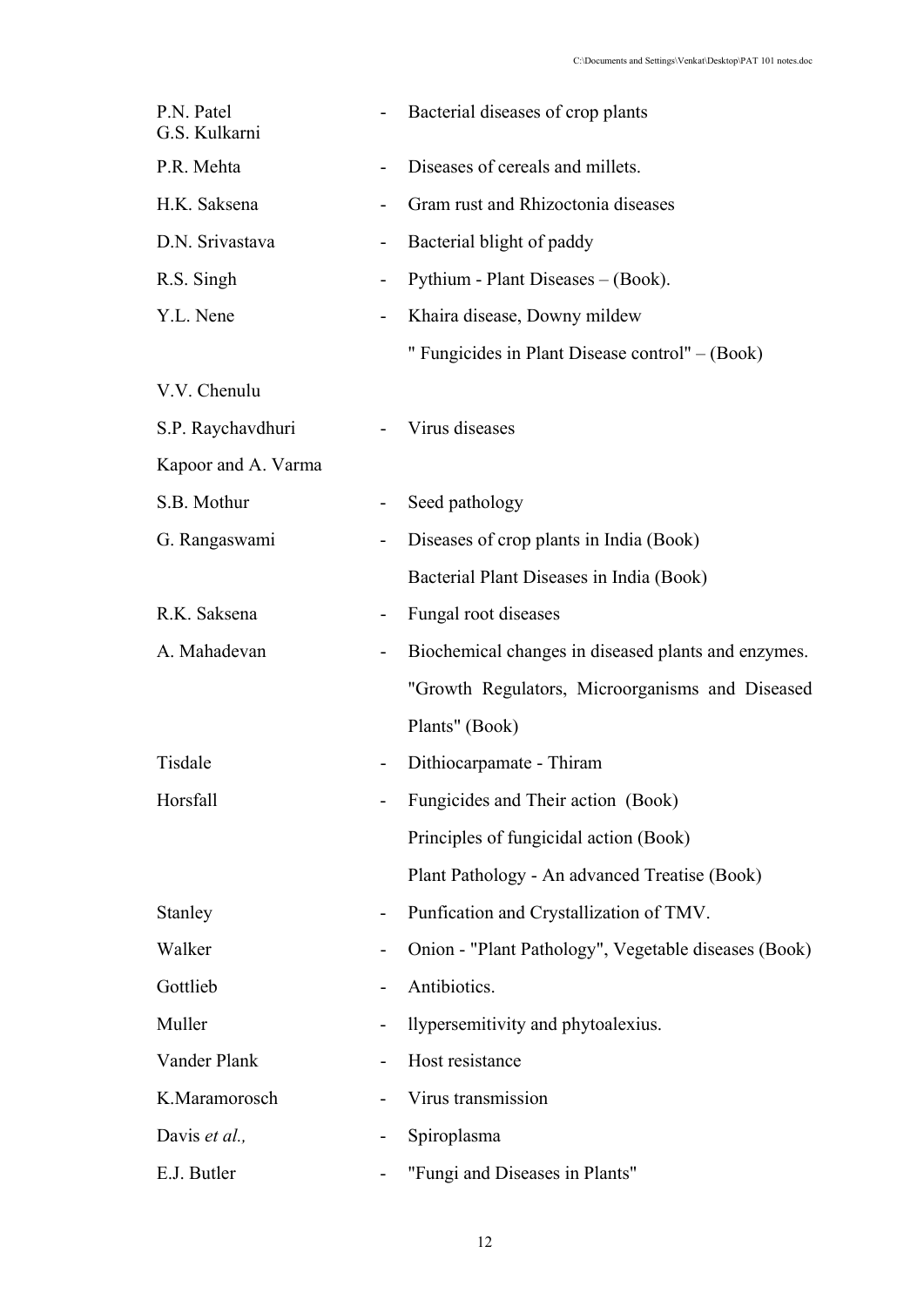|                             |                          | C:\Documents and Settings\Venkat\Desktop\PAT 101 notes.doc |  |
|-----------------------------|--------------------------|------------------------------------------------------------|--|
| P.N. Patel<br>G.S. Kulkarni |                          | Bacterial diseases of crop plants                          |  |
| P.R. Mehta                  |                          | Diseases of cereals and millets.                           |  |
| H.K. Saksena                |                          | Gram rust and Rhizoctonia diseases                         |  |
| D.N. Srivastava<br>۰        |                          | Bacterial blight of paddy                                  |  |
| R.S. Singh                  | $\overline{\phantom{a}}$ | Pythium - Plant Diseases - (Book).                         |  |
| Y.L. Nene                   | $\overline{\phantom{a}}$ | Khaira disease, Downy mildew                               |  |
|                             |                          | " Fungicides in Plant Disease control" - (Book)            |  |
| V.V. Chenulu                |                          |                                                            |  |
| S.P. Raychavdhuri           |                          | Virus diseases                                             |  |
| Kapoor and A. Varma         |                          |                                                            |  |
| S.B. Mothur                 |                          | Seed pathology                                             |  |
| G. Rangaswami               |                          | Diseases of crop plants in India (Book)                    |  |
|                             |                          | Bacterial Plant Diseases in India (Book)                   |  |
| R.K. Saksena                | -                        | Fungal root diseases                                       |  |
| A. Mahadevan                | -                        | Biochemical changes in diseased plants and enzymes.        |  |
|                             |                          | "Growth Regulators, Microorganisms and Diseased            |  |
|                             |                          | Plants" (Book)                                             |  |
| Tisdale                     |                          | Dithiocarpamate - Thiram                                   |  |
| Horsfall                    |                          | Fungicides and Their action (Book)                         |  |
|                             |                          | Principles of fungicidal action (Book)                     |  |
|                             |                          | Plant Pathology - An advanced Treatise (Book)              |  |
| Stanley                     |                          | Punfication and Crystallization of TMV.                    |  |
| Walker                      |                          | Onion - "Plant Pathology", Vegetable diseases (Book)       |  |
| Gottlieb                    | -                        | Antibiotics.                                               |  |
| Muller                      |                          | llypersemitivity and phytoalexius.                         |  |
| Vander Plank                | -                        | Host resistance                                            |  |
| K.Maramorosch               | -                        | Virus transmission                                         |  |
| Davis et al.,               |                          | Spiroplasma                                                |  |
| E.J. Butler                 |                          | "Fungi and Diseases in Plants"                             |  |
|                             |                          | 12                                                         |  |
|                             |                          |                                                            |  |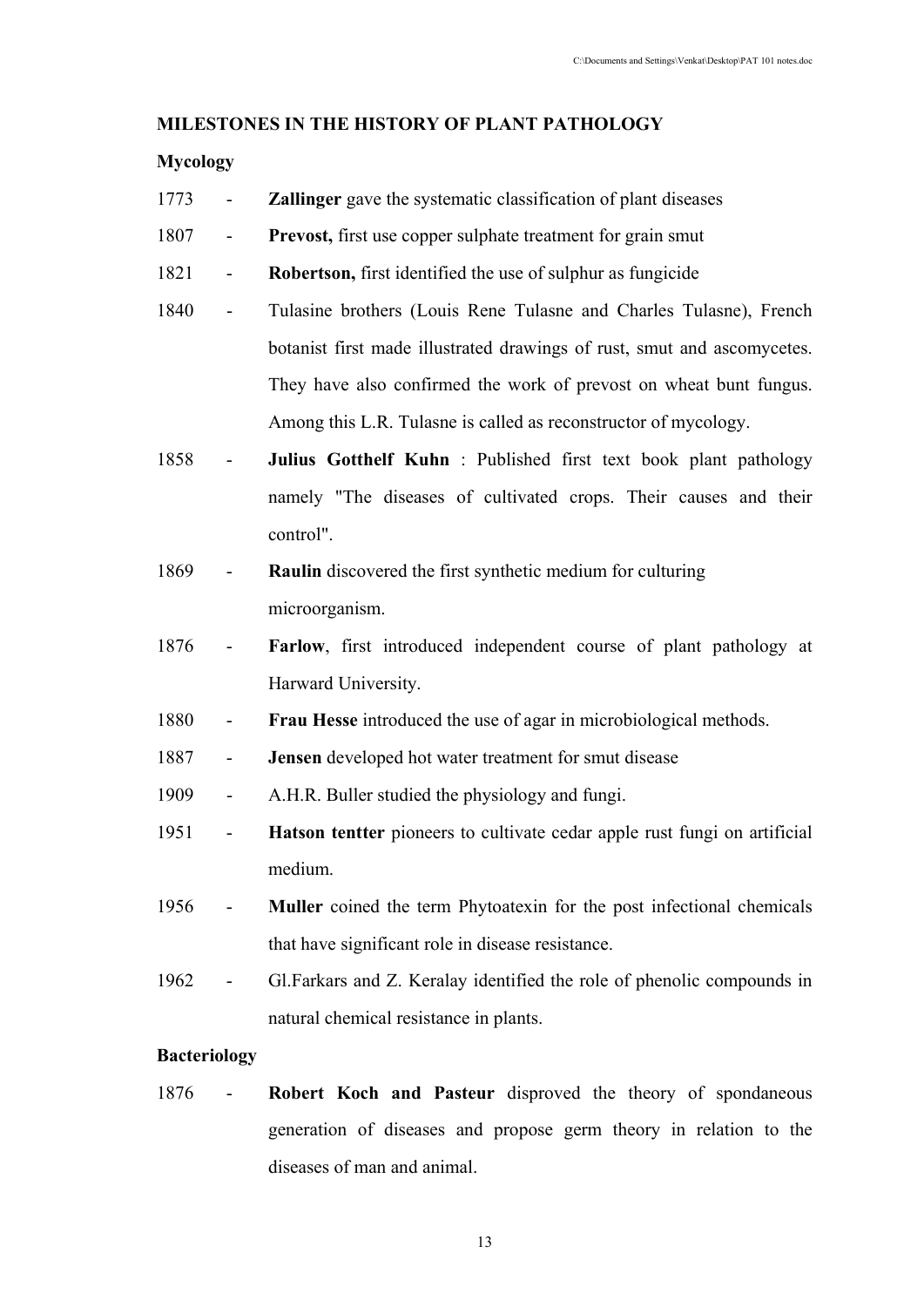### MILESTONES IN THE HISTORY OF PLANT PATHOLOGY

### Mycology

- 1773 Zallinger gave the systematic classification of plant diseases
- 1807 Prevost, first use copper sulphate treatment for grain smut
- 1821 Robertson, first identified the use of sulphur as fungicide
- CDocuments and Settings/Venlat/Detatop<sup>p</sup>AT 101 nutes docs<br> **Mycology**<br> **1973 Zallinger** gave the systematic classification of plant diseases<br> **1807 Robertson,** first use copper sulphate treatment for grain smut<br> botanist first made illustrated drawings of rust, smut and ascomycetes. They have also confirmed the work of prevost on wheat bunt fungus. Among this L.R. Tulasne is called as reconstructor of mycology.
- 1858 Julius Gotthelf Kuhn : Published first text book plant pathology namely "The diseases of cultivated crops. Their causes and their control". Among this L.R. Tulasne is called as reconstructor of mycology.<br>
1909 - **Julius Gotthelf Kuhn**: Published first text book plant pather<br>
1909 - **Raulin** discovered the first synthetic medium for culturing<br>
1909 - **Raulin** d
- 1869 Raulin discovered the first synthetic medium for culturing microorganism.
- 1876 Farlow, first introduced independent course of plant pathology at Harward University. microorganism.<br>
1876 - **Farlow**, first introduced independent course of plant pathology at<br>
1880 - **Frau Hesse** introduced the use of agar in microbiological methods.<br>
1887 - **Jensen** developed hot water treatment for smut
- 1880 Frau Hesse introduced the use of agar in microbiological methods.
- 1887 Jensen developed hot water treatment for smut disease
- 
- 1951 Hatson tentter pioneers to cultivate cedar apple rust fungi on artificial medium.
- 1956 Muller coined the term Phytoatexin for the post infectional chemicals that have significant role in disease resistance.
- natural chemical resistance in plants.

### Bacteriology

1876 - Robert Koch and Pasteur disproved the theory of spondaneous generation of diseases and propose germ theory in relation to the diseases of man and animal.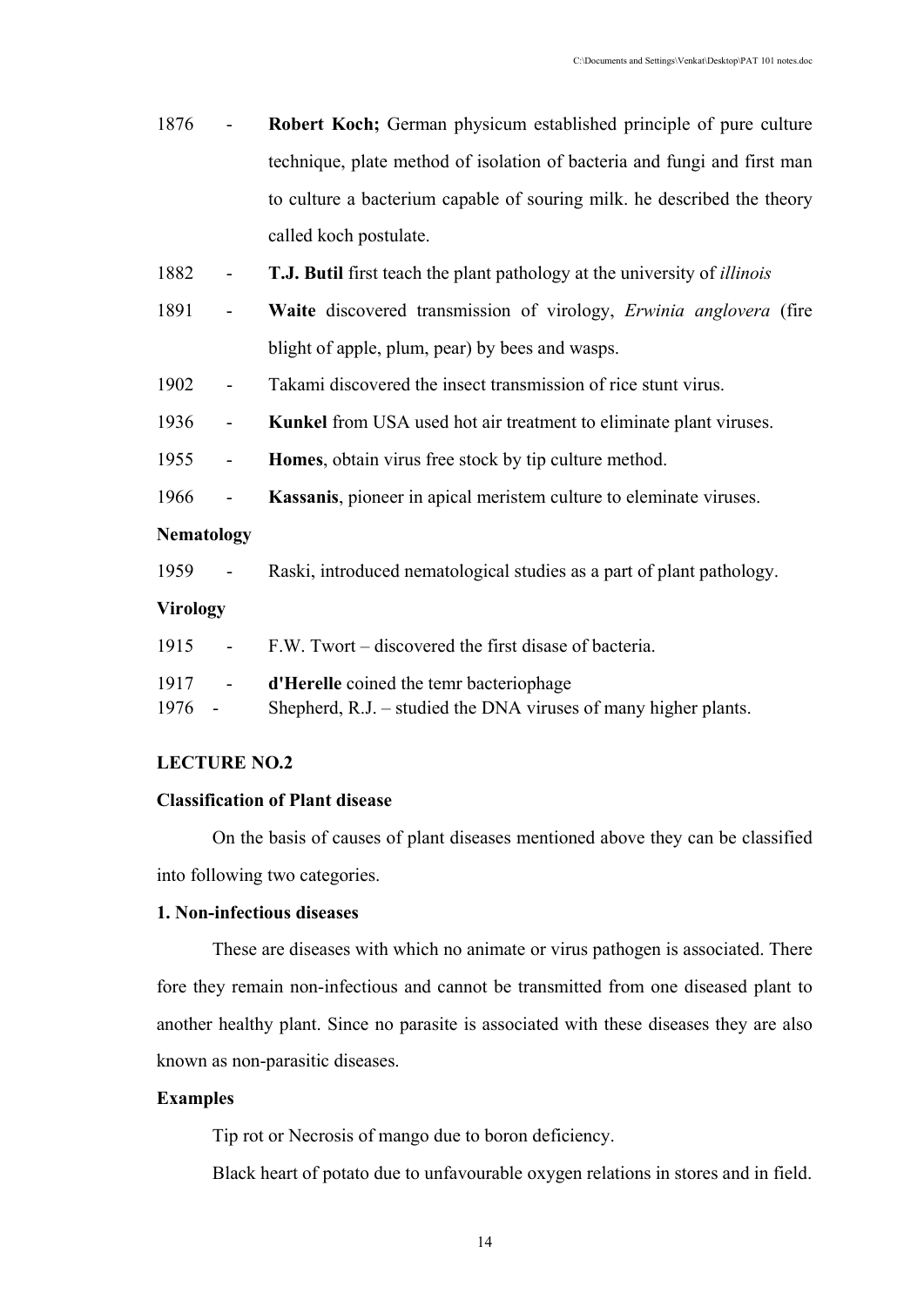|                   |                          | C:\Documents and Settings\Venkat\Desktop\PAT 101 notes.doc                             |
|-------------------|--------------------------|----------------------------------------------------------------------------------------|
|                   |                          |                                                                                        |
| 1876              | $\overline{\phantom{a}}$ | Robert Koch; German physicum established principle of pure culture                     |
|                   |                          | technique, plate method of isolation of bacteria and fungi and first man               |
|                   |                          | to culture a bacterium capable of souring milk. he described the theory                |
|                   |                          | called koch postulate.                                                                 |
| 1882              | $\overline{\phantom{a}}$ | <b>T.J. Butil</b> first teach the plant pathology at the university of <i>illinois</i> |
| 1891              | $\overline{\phantom{a}}$ | Waite discovered transmission of virology, Erwinia anglovera (fire                     |
|                   |                          | blight of apple, plum, pear) by bees and wasps.                                        |
| 1902              | $\overline{\phantom{0}}$ | Takami discovered the insect transmission of rice stunt virus.                         |
| 1936              | $\overline{\phantom{a}}$ | Kunkel from USA used hot air treatment to eliminate plant viruses.                     |
| 1955              | $\overline{a}$           | Homes, obtain virus free stock by tip culture method.                                  |
| 1966              |                          | Kassanis, pioneer in apical meristem culture to eleminate viruses.                     |
| <b>Nematology</b> |                          |                                                                                        |
| 1959              |                          | Raski, introduced nematological studies as a part of plant pathology.                  |
| <b>Virology</b>   |                          |                                                                                        |
| 1915              |                          | F.W. Twort – discovered the first disase of bacteria.                                  |
|                   |                          |                                                                                        |

- 1882 T.J. Butil first teach the plant pathology at the university of *illinois*
- 1891 Waite discovered transmission of virology, Erwinia anglovera (fire blight of apple, plum, pear) by bees and wasps.
- 
- 1936 Kunkel from USA used hot air treatment to eliminate plant viruses.
- 1955 Homes, obtain virus free stock by tip culture method.
- 

#### Nematology

### Virology

| 1882<br>$\overline{\phantom{a}}$       | <b>T.J. Butil</b> first teach the plant pathology at the university of <i>illinois</i> |  |  |  |  |
|----------------------------------------|----------------------------------------------------------------------------------------|--|--|--|--|
| 1891                                   | Waite discovered transmission of virology, Erwinia anglovera (fire                     |  |  |  |  |
|                                        | blight of apple, plum, pear) by bees and wasps.                                        |  |  |  |  |
| 1902<br>$\overline{\phantom{m}}$       | Takami discovered the insect transmission of rice stunt virus.                         |  |  |  |  |
| 1936<br>$\overline{\phantom{0}}$       | <b>Kunkel</b> from USA used hot air treatment to eliminate plant viruses.              |  |  |  |  |
| 1955<br>$\blacksquare$                 | Homes, obtain virus free stock by tip culture method.                                  |  |  |  |  |
| 1966<br>$\blacksquare$                 | Kassanis, pioneer in apical meristem culture to eleminate viruses.                     |  |  |  |  |
| <b>Nematology</b>                      |                                                                                        |  |  |  |  |
| 1959<br>$\blacksquare$                 | Raski, introduced nematological studies as a part of plant pathology.                  |  |  |  |  |
| <b>Virology</b>                        |                                                                                        |  |  |  |  |
| 1915<br>$\overline{\phantom{a}}$       | F.W. Twort – discovered the first disase of bacteria.                                  |  |  |  |  |
| 1917                                   | d'Herelle coined the temr bacteriophage                                                |  |  |  |  |
| 1976 -                                 | Shepherd, R.J. – studied the DNA viruses of many higher plants.                        |  |  |  |  |
| <b>LECTURE NO.2</b>                    |                                                                                        |  |  |  |  |
| <b>Classification of Plant disease</b> |                                                                                        |  |  |  |  |

#### LECTURE NO.2

### Classification of Plant disease

On the basis of causes of plant diseases mentioned above they can be classified into following two categories.

### 1. Non-infectious diseases

These are diseases with which no animate or virus pathogen is associated. There fore they remain non-infectious and cannot be transmitted from one diseased plant to another healthy plant. Since no parasite is associated with these diseases they are also known as non-parasitic diseases.

### Examples

Tip rot or Necrosis of mango due to boron deficiency.

Black heart of potato due to unfavourable oxygen relations in stores and in field.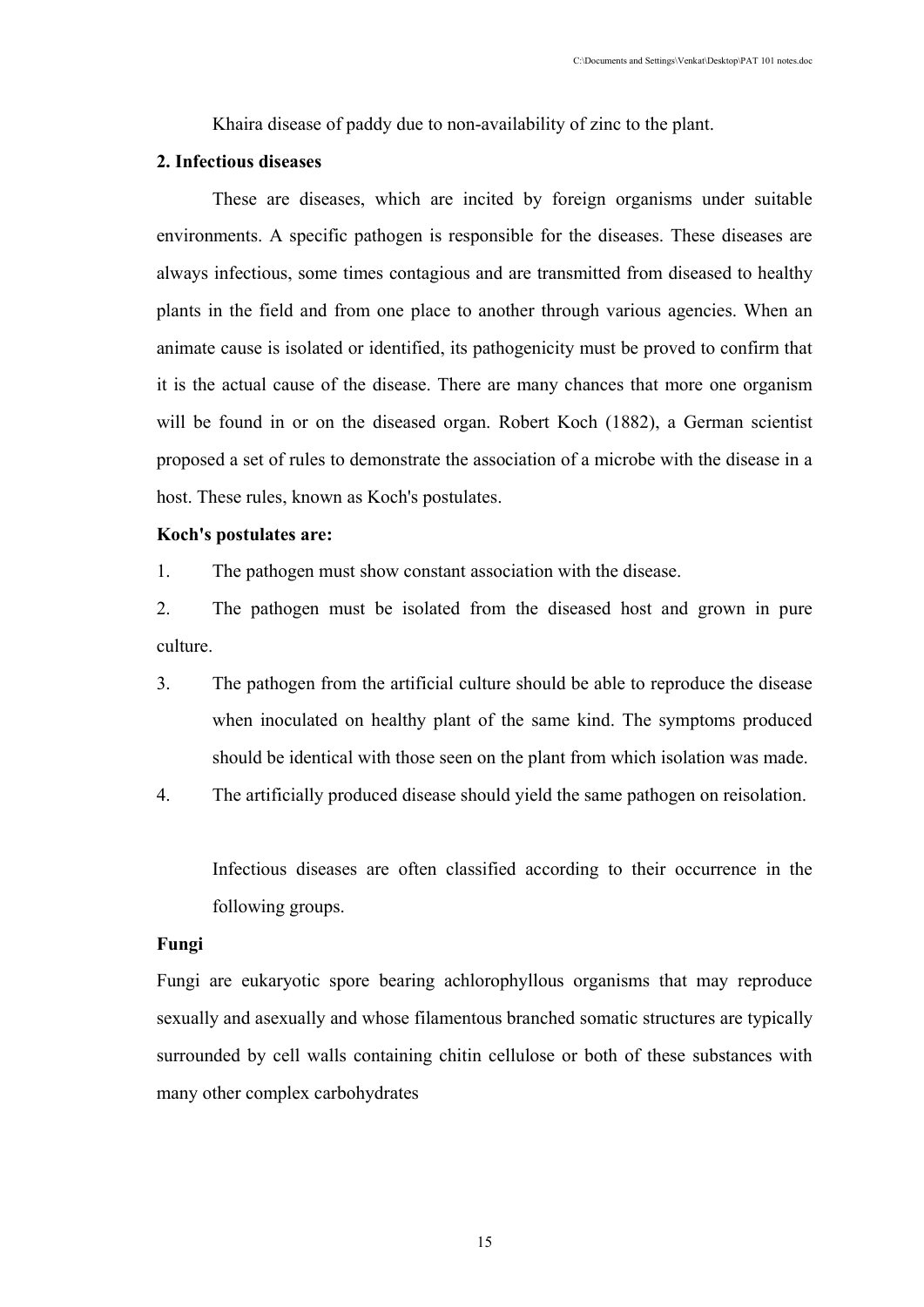Khaira disease of paddy due to non-availability of zinc to the plant.

### 2. Infectious diseases

These are diseases, which are incited by foreign organisms under suitable environments. A specific pathogen is responsible for the diseases. These diseases are always infectious, some times contagious and are transmitted from diseased to healthy plants in the field and from one place to another through various agencies. When an animate cause is isolated or identified, its pathogenicity must be proved to confirm that it is the actual cause of the disease. There are many chances that more one organism will be found in or on the diseased organ. Robert Koch (1882), a German scientist proposed a set of rules to demonstrate the association of a microbe with the disease in a host. These rules, known as Koch's postulates. These are diseases, which are incited by foreign organisms under suitable<br>environments. A specific pathogen is responsible for the diseases. These diseases are<br>always infectious, some times contagious and are transmitted f convironments. A specific pathogen is responsible for the diseases. These diseases are<br>always infectious, some times contagious and are transmitted from diseased to healthy<br>plants in the field and from one place to another 1. The pathogen must be isolated from the should be able to reproduce the small culture should be identified, its pathogenicity must be proved to confirm that it is the actual cause of the disease. There are many chances t will be found in or on the diseased organ. Robert Koch (1882), a German scientist<br>proposed a set of rules to demonstrate the association of a microbe with the disease in a<br>host. These rules, known as Koch's postulates.<br>**Ko** 

#### Koch's postulates are:

culture.

- when inoculated on healthy plant of the same kind. The symptoms produced should be identical with those seen on the plant from which isolation was made.
- 

Infectious diseases are often classified according to their occurrence in the following groups.

### Fungi

Fungi are eukaryotic spore bearing achlorophyllous organisms that may reproduce sexually and asexually and whose filamentous branched some files assembland who incollated on healthy plant of the same kind. The symptoms produced should be identical with those seen on the plant from which isolation was surrounded by cell walls containing chitin cellulose or both of these substances with many other complex carbohydrates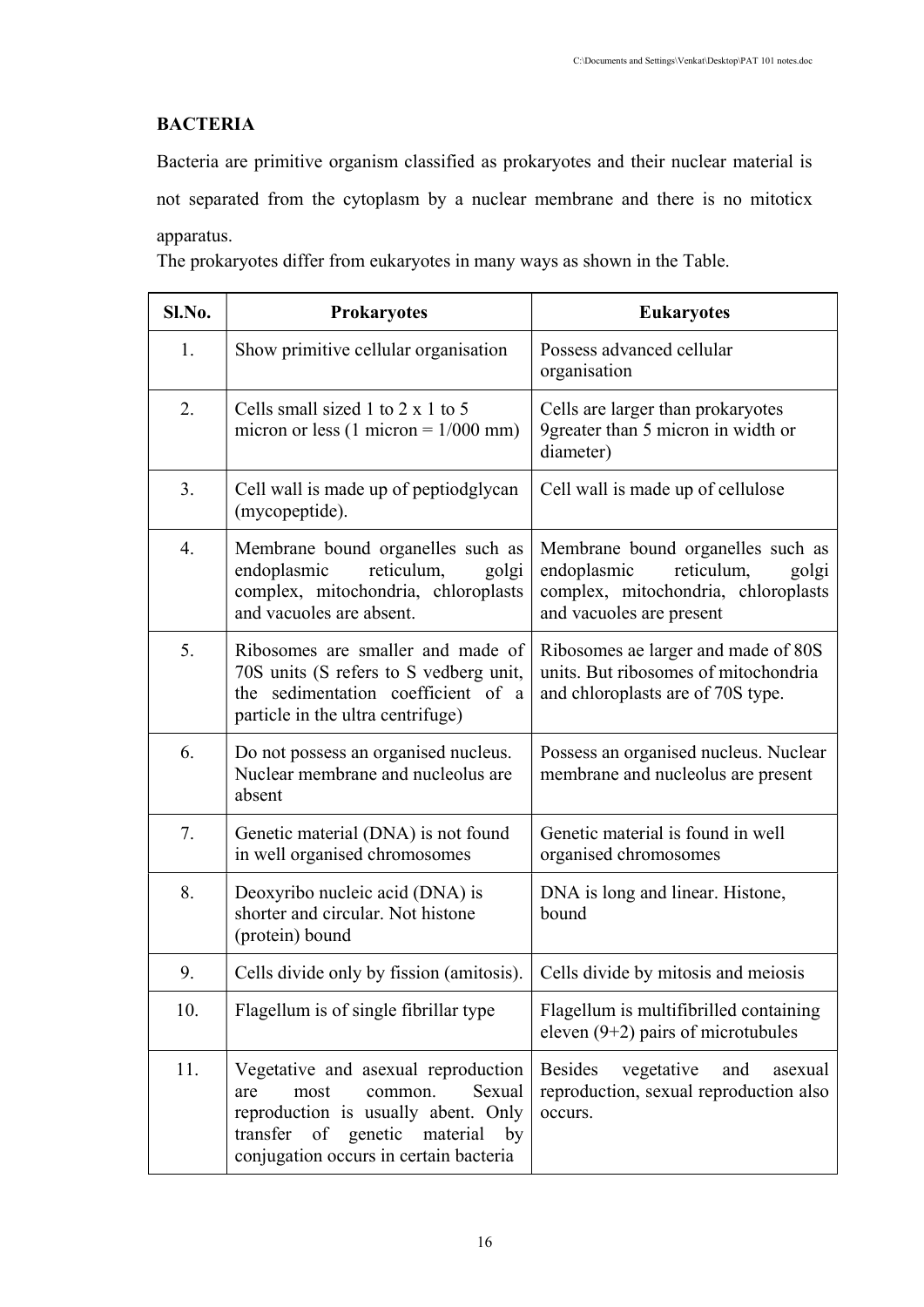## BACTERIA

|                 |                                                                                                                                                                                             | C:\Documents and Settings\Venkat\Desktop\PAT 101 notes.doc                                                                                 |
|-----------------|---------------------------------------------------------------------------------------------------------------------------------------------------------------------------------------------|--------------------------------------------------------------------------------------------------------------------------------------------|
| <b>BACTERIA</b> |                                                                                                                                                                                             |                                                                                                                                            |
|                 | Bacteria are primitive organism classified as prokaryotes and their nuclear material is                                                                                                     |                                                                                                                                            |
|                 | not separated from the cytoplasm by a nuclear membrane and there is no mitoticx                                                                                                             |                                                                                                                                            |
| apparatus.      | The prokaryotes differ from eukaryotes in many ways as shown in the Table.                                                                                                                  |                                                                                                                                            |
| Sl.No.          | <b>Prokaryotes</b>                                                                                                                                                                          | <b>Eukaryotes</b>                                                                                                                          |
| 1.              | Show primitive cellular organisation                                                                                                                                                        | Possess advanced cellular<br>organisation                                                                                                  |
| 2.              | Cells small sized 1 to $2 \times 1$ to $5$<br>micron or less $(1 \text{ micron} = 1/000 \text{ mm})$                                                                                        | Cells are larger than prokaryotes<br>9 greater than 5 micron in width or<br>diameter)                                                      |
| 3.              | Cell wall is made up of peptiodglycan<br>(mycopeptide).                                                                                                                                     | Cell wall is made up of cellulose                                                                                                          |
| 4.              | Membrane bound organelles such as<br>endoplasmic<br>reticulum,<br>golgi<br>complex, mitochondria, chloroplasts<br>and vacuoles are absent.                                                  | Membrane bound organelles such as<br>endoplasmic<br>reticulum,<br>golgi<br>complex, mitochondria, chloroplasts<br>and vacuoles are present |
| 5.              | Ribosomes are smaller and made of<br>70S units (S refers to S vedberg unit,<br>the sedimentation coefficient of a<br>particle in the ultra centrifuge)                                      | Ribosomes ae larger and made of 80S<br>units. But ribosomes of mitochondria<br>and chloroplasts are of 70S type.                           |
| 6.              | Do not possess an organised nucleus.<br>Nuclear membrane and nucleolus are<br>absent                                                                                                        | Possess an organised nucleus. Nuclear<br>membrane and nucleolus are present                                                                |
| 7.              | Genetic material (DNA) is not found<br>in well organised chromosomes                                                                                                                        | Genetic material is found in well<br>organised chromosomes                                                                                 |
| 8.              | Deoxyribo nucleic acid (DNA) is<br>shorter and circular. Not histone<br>(protein) bound                                                                                                     | DNA is long and linear. Histone,<br>bound                                                                                                  |
| 9.              | Cells divide only by fission (amitosis).                                                                                                                                                    | Cells divide by mitosis and meiosis                                                                                                        |
| 10.             | Flagellum is of single fibrillar type                                                                                                                                                       | Flagellum is multifibrilled containing<br>eleven $(9+2)$ pairs of microtubules                                                             |
| 11.             | Vegetative and asexual reproduction<br>Sexual<br>most<br>common.<br>are<br>reproduction is usually abent. Only<br>transfer of genetic material by<br>conjugation occurs in certain bacteria | <b>Besides</b><br>vegetative<br>and<br>asexual<br>reproduction, sexual reproduction also<br>occurs.                                        |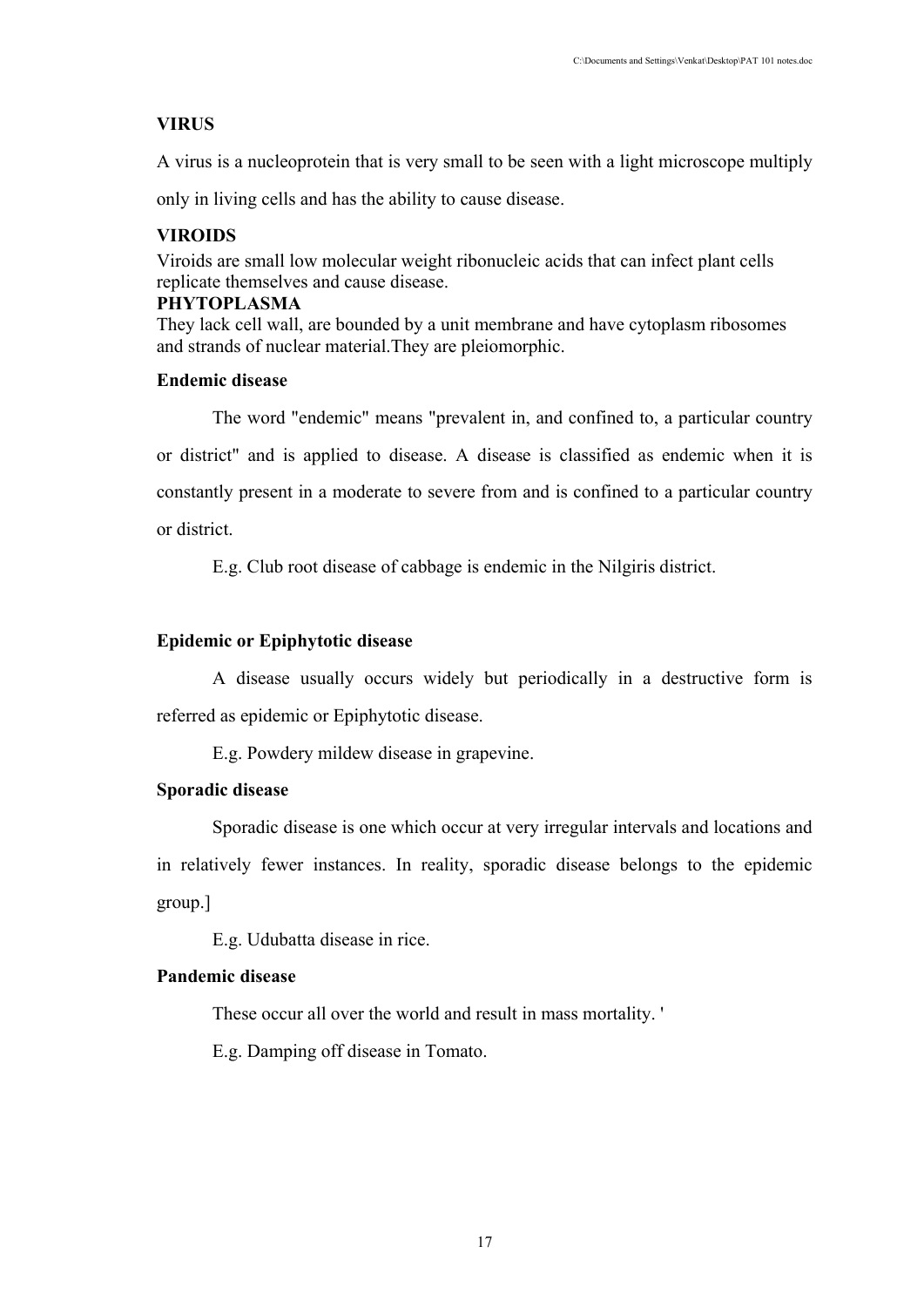#### VIRUS

CADocuments and Settings\Venkat\Desktop\PAT 101 notes.doc<br>A virus is a nucleoprotein that is very small to be seen with a light microscope multiply<br>only in living cells and has the ability to cause disease.<br>VIROIDS<br>Viroids

only in living cells and has the ability to cause disease.

#### VIROIDS

Viroids are small low molecular weight ribonucleic acids that can infect plant cells replicate themselves and cause disease.

### PHYTOPLASMA

They lack cell wall, are bounded by a unit membrane and have cytoplasm ribosomes and strands of nuclear material.They are pleiomorphic.

#### Endemic disease

The word "endemic" means "prevalent in, and confined to, a particular country or district" and is applied to disease. A disease is classified as endemic when it is constantly present in a moderate to severe from and is confined to a particular country or district.

E.g. Club root disease of cabbage is endemic in the Nilgiris district.

#### Epidemic or Epiphytotic disease

A disease usually occurs widely but periodically in a destructive form is referred as epidemic or Epiphytotic disease.

E.g. Powdery mildew disease in grapevine.

### Sporadic disease

Sporadic disease is one which occur at very irregular intervals and locations and in relatively fewer instances. In reality, sporadic disease belongs to the epidemic group.]

E.g. Udubatta disease in rice.

### Pandemic disease

These occur all over the world and result in mass mortality. '

E.g. Damping off disease in Tomato.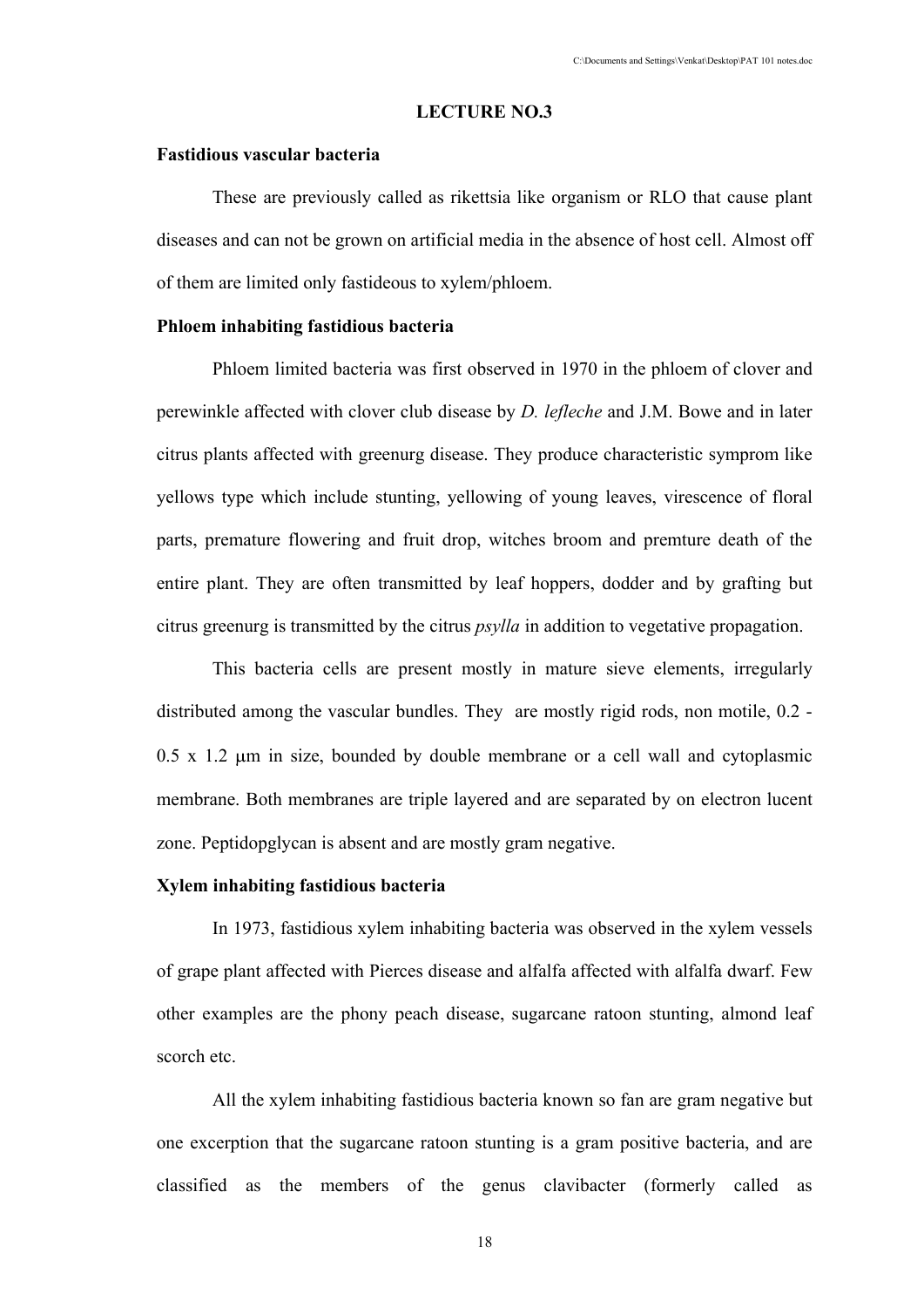### LECTURE NO.3

#### Fastidious vascular bacteria

These are previously called as rikettsia like organism or RLO that cause plant diseases and can not be grown on artificial media in the absence of host cell. Almost off of them are limited only fastideous to xylem/phloem.

#### Phloem inhabiting fastidious bacteria

Phloem limited bacteria was first observed in 1970 in the phloem of clover and perewinkle affected with clover club disease by D. lefleche and J.M. Bowe and in later citrus plants affected with greenurg disease. They produce characteristic symprom like yellows type which include stunting, yellowing of young leaves, virescence of floral parts, premature flowering and fruit drop, witches broom and premture death of the entire plant. They are often transmitted by leaf hoppers, dodder and by grafting but citrus greenurg is transmitted by the citrus psylla in addition to vegetative propagation.

This bacteria cells are present mostly in mature sieve elements, irregularly distributed among the vascular bundles. They are mostly rigid rods, non motile, 0.2 -  $0.5 \times 1.2$  µm in size, bounded by double membrane or a cell wall and cytoplasmic membrane. Both membranes are triple layered and are separated by on electron lucent zone. Peptidopglycan is absent and are mostly gram negative.

#### Xylem inhabiting fastidious bacteria

In 1973, fastidious xylem inhabiting bacteria was observed in the xylem vessels of grape plant affected with Pierces disease and alfalfa affected with alfalfa dwarf. Few other examples are the phony peach disease, sugarcane ratoon stunting, almond leaf scorch etc.

All the xylem inhabiting fastidious bacteria known so fan are gram negative but one excerption that the sugarcane ratoon stunting is a gram positive bacteria, and are classified as the members of the genus clavibacter (formerly called as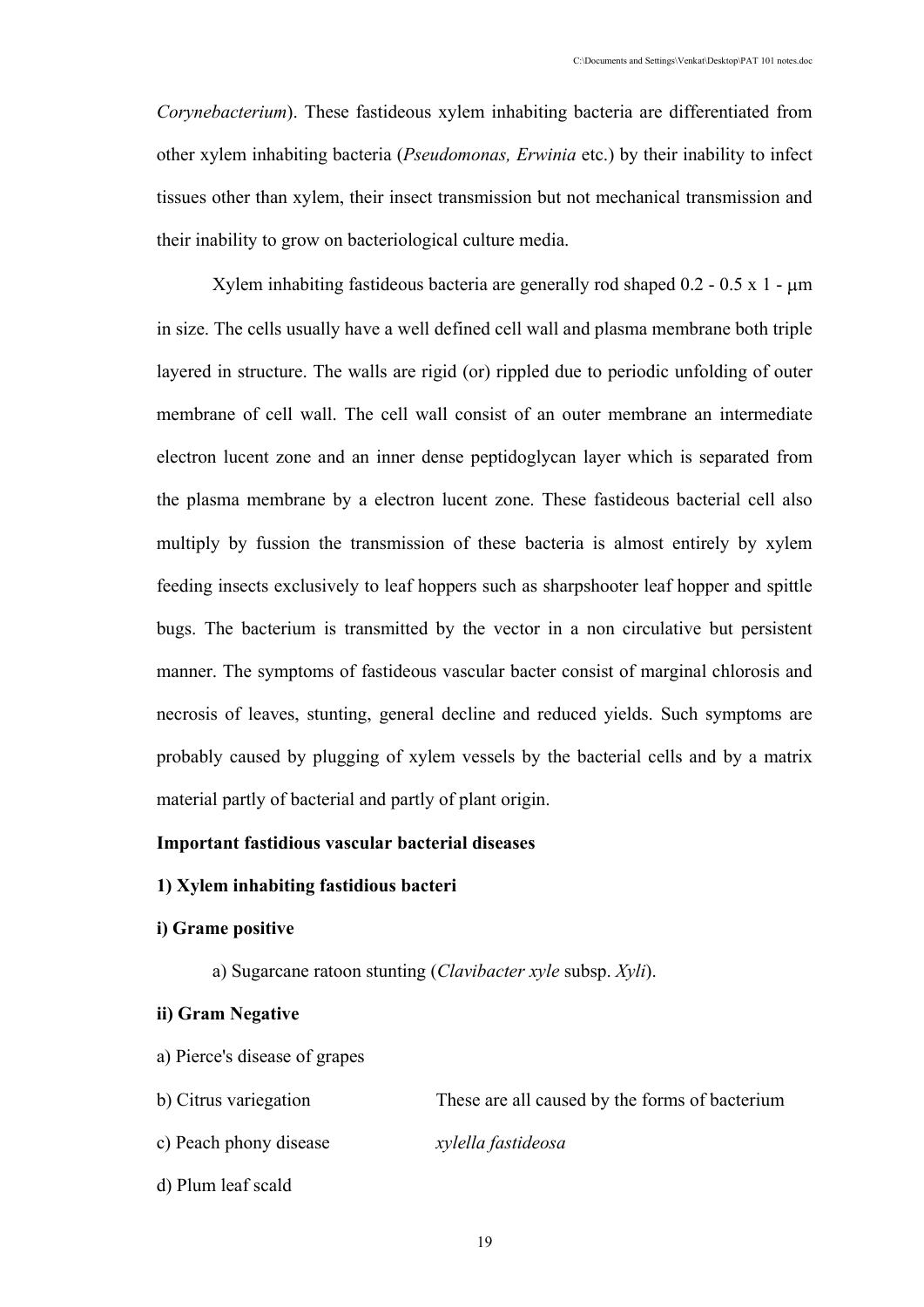Corynebacterium). These fastideous xylem inhabiting bacteria are differentiated from other xylem inhabiting bacteria (Pseudomonas, Erwinia etc.) by their inability to infect tissues other than xylem, their insect transmission but not mechanical transmission and their inability to grow on bacteriological culture media.

Xylem inhabiting fastideous bacteria are generally rod shaped  $0.2 - 0.5 \times 1 - \mu m$ in size. The cells usually have a well defined cell wall and plasma membrane both triple layered in structure. The walls are rigid (or) rippled due to periodic unfolding of outer membrane of cell wall. The cell wall consist of an outer membrane an intermediate electron lucent zone and an inner dense peptidoglycan layer which is separated from the plasma membrane by a electron lucent zone. These fastideous bacterial cell also multiply by fussion the transmission of these bacteria is almost entirely by xylem feeding insects exclusively to leaf hoppers such as sharpshooter leaf hopper and spittle bugs. The bacterium is transmitted by the vector in a non circulative but persistent manner. The symptoms of fastideous vascular bacter consist of marginal chlorosis and necrosis of leaves, stunting, general decline and reduced yields. Such symptoms are probably caused by plugging of xylem vessels by the bacterial cells and by a matrix material partly of bacterial and partly of plant origin. necrosis of leaves, stunting, general decline and reduced yields. Such symptoms are<br>probably caused by plugging of xylem vessels by the bacterial cells and by a matrix<br>material partly of bacterial and partly of plant origi

### Important fastidious vascular bacterial diseases

### 1) Xylem inhabiting fastidious bacteri

### i) Grame positive

a) Sugarcane ratoon stunting (Clavibacter xyle subsp. Xyli).

### ii) Gram Negative

a) Pierce's disease of grapes

| b) Citrus variegation  | These are all caused by the forms of bacterium |
|------------------------|------------------------------------------------|
| c) Peach phony disease | xylella fastideosa                             |
| d) Plum leaf scald     |                                                |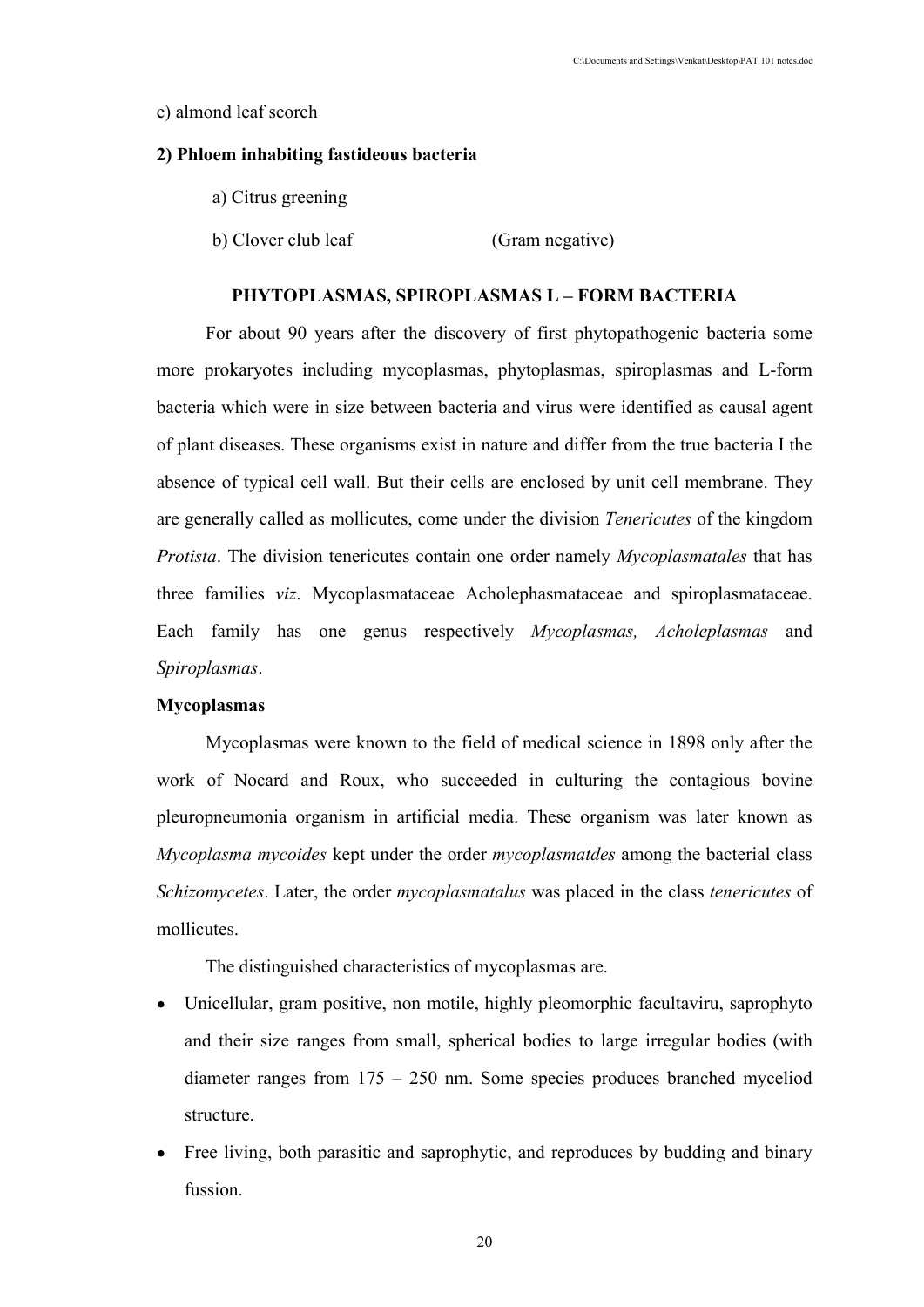#### e) almond leaf scorch

### 2) Phloem inhabiting fastideous bacteria

- a) Citrus greening
- b) Clover club leaf (Gram negative)

#### PHYTOPLASMAS, SPIROPLASMAS L – FORM BACTERIA

For about 90 years after the discovery of first phytopathogenic bacteria some more prokaryotes including mycoplasmas, phytoplasmas, spiroplasmas and L-form bacteria which were in size between bacteria and virus were identified as causal agent of plant diseases. These organisms exist in nature and differ from the true bacteria I the absence of typical cell wall. But their cells are enclosed by unit cell membrane. They are generally called as mollicutes, come under the division Tenericutes of the kingdom Protista. The division tenericutes contain one order namely Mycoplasmatales that has three families viz. Mycoplasmataceae Acholephasmataceae and spiroplasmataceae. Each family has one genus respectively Mycoplasmas, Acholeplasmas and Spiroplasmas.

### Mycoplasmas

Mycoplasmas were known to the field of medical science in 1898 only after the work of Nocard and Roux, who succeeded in culturing the contagious bovine pleuropneumonia organism in artificial media. These organism was later known as Mycoplasma mycoides kept under the order mycoplasmatdes among the bacterial class Schizomycetes. Later, the order mycoplasmatalus was placed in the class tenericutes of mollicutes.

The distinguished characteristics of mycoplasmas are.

- Unicellular, gram positive, non motile, highly pleomorphic facultaviru, saprophyto and their size ranges from small, spherical bodies to large irregular bodies (with diameter ranges from 175 – 250 nm. Some species produces branched myceliod structure.
- Free living, both parasitic and saprophytic, and reproduces by budding and binary  $\bullet$ fussion.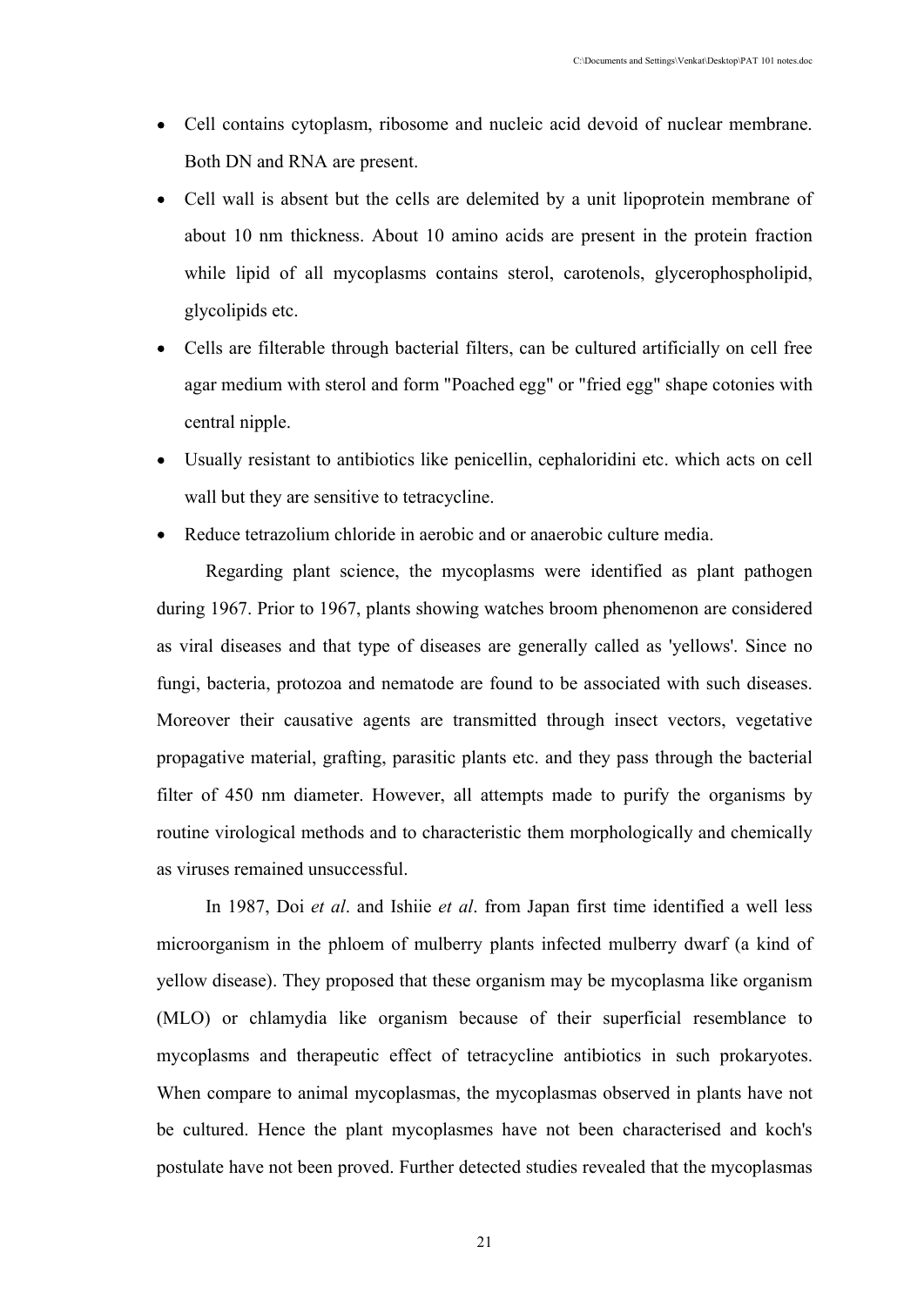- Cell contains cytoplasm, ribosome and nucleic acid devoid of nuclear membrane.  $\bullet$ Both DN and RNA are present.
- Cell contains cytoplasm, ribosome and nucleic acid devoid of nuclear membrane.<br>Both DN and RNA are present.<br>Cell wall is absent but the cells are delemited by a unit lipoprotein membrane of<br>about 10 nm thickness. About 10 Cell contains cytoplasm, ribosome and nucleic acid devoid of nuclear membrane.<br>Both DN and RNA are present.<br>Cell wall is absent but the cells are delemited by a unit lipoprotein membrane of<br>about 10 nm thickness. About 10 Cell wall is absent but the cells are delemited by a unit lipoprotein membrane of  $\bullet$ about 10 nm thickness. About 10 amino acids are present in the protein fraction while lipid of all mycoplasms contains sterol, carotenols, glycerophospholipid, glycolipids etc.
- central nipple.
- Usually resistant to antibiotics like penicellin, cephaloridini etc. which acts on cell  $\bullet$ wall but they are sensitive to tetracycline.
- Reduce tetrazolium chloride in aerobic and or anaerobic culture media.  $\bullet$

Regarding plant science, the mycoplasms were identified as plant pathogen during 1967. Prior to 1967, plants showing watches broom phenomenon are considered as viral diseases and that type of diseases are generally called as 'yellows'. Since no fungi, bacteria, protozoa and nematode are found to be associated with such diseases. Moreover their causative agents are transmitted through insect vectors, vegetative propagative material, grafting, parasitic plants etc. and they pass through the bacterial filter of 450 nm diameter. However, all attempts made to purify the organisms by routine virological methods and to characteristic them morphologically and chemically as viruses remained unsuccessful.

In 1987, Doi et al. and Ishiie et al. from Japan first time identified a well less microorganism in the phloem of mulberry plants infected mulberry dwarf (a kind of yellow disease). They proposed that these organism may be mycoplasma like organism (MLO) or chlamydia like organism because of their superficial resemblance to mycoplasms and therapeutic effect of tetracycline antibiotics in such prokaryotes. When compare to animal mycoplasmas, the mycoplasmas observed in plants have not be cultured. Hence the plant mycoplasmes have not been characterised and koch's postulate have not been proved. Further detected studies revealed that the mycoplasmas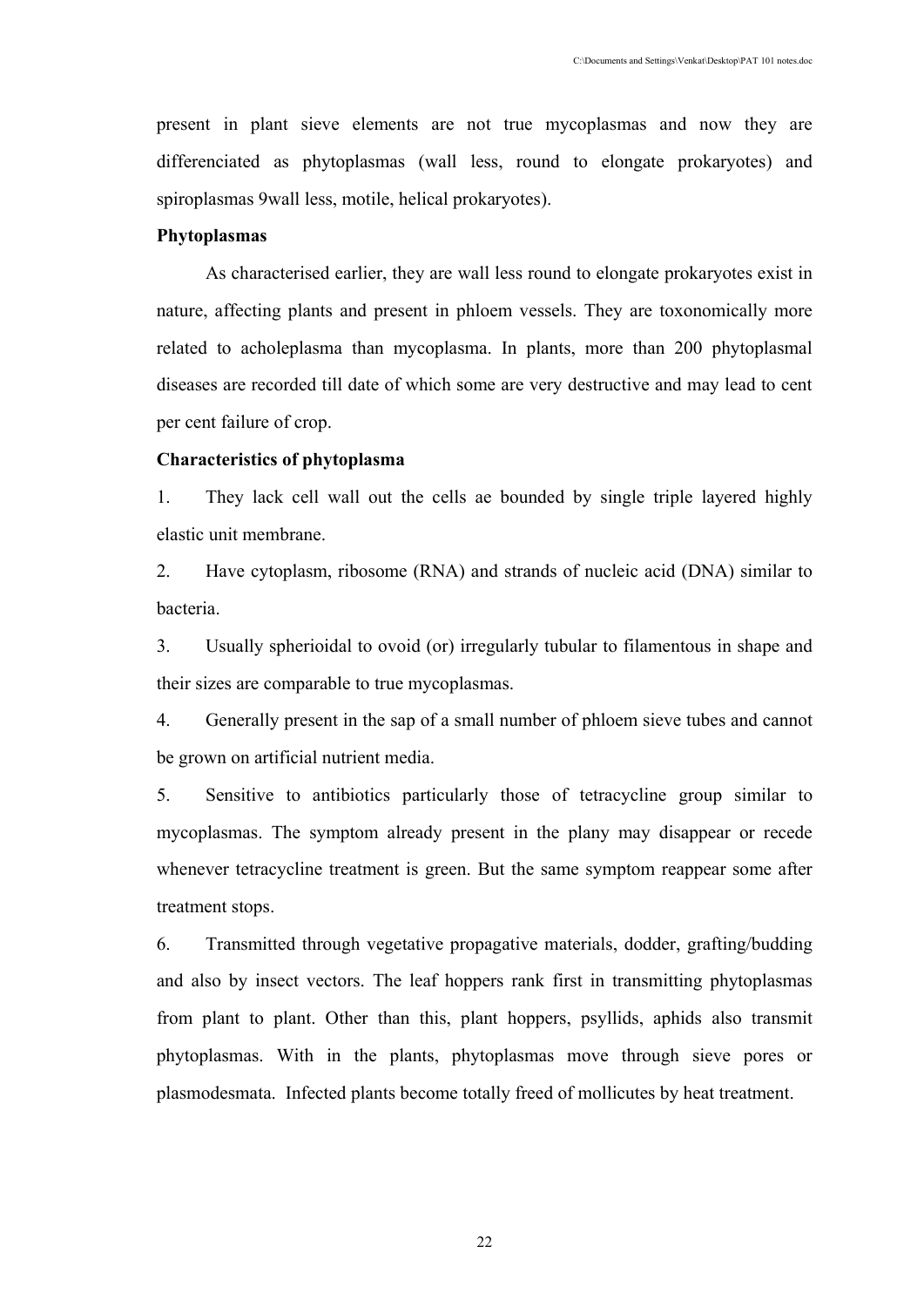present in plant sieve elements are not true mycoplasmas and now they are differenciated as phytoplasmas (wall less, round to elongate prokaryotes) and spiroplasmas 9wall less, motile, helical prokaryotes).

### Phytoplasmas

As characterised earlier, they are wall less round to elongate prokaryotes exist in nature, affecting plants and present in phloem vessels. They are toxonomically more related to acholeplasma than mycoplasma. In plants, more than 200 phytoplasmal diseases are recorded till date of which some are very destructive and may lead to cent per cent failure of crop. present in plant sieve elements are not true mycoplasmas and now they are<br>differenciated as phytoplasmas (wall less, round to elongate prokaryotes) and<br>spiroplasmas 9wall less, motile, helical prokaryotes).<br>**Phytoplasmas**<br> 2. **Phytoplasmas 9** wall less, motile, helical prokaryotes).<br> **Phytoplasmas**<br>
As characterised earlier, they are wall less round to elongate prokaryotes exist in<br>
nature, affecting plants and present in phloem vessels. The 3. As characterised earlier, they are wall less round to elongate prokaryotes exist in mature, affecting plants and present in phlocm vessels. They are toxonomically more related to acholeplasma than mycoplasma. In plants, related to acholeplasma than mycoplasma. In plants, more than 200 phytoplasmal discases are recorded till date of which some are very destructive and may lead to cent per cent failure of crop.<br>Characteristics of phytoplasm

### Characteristics of phytoplasma

elastic unit membrane.

bacteria.

their sizes are comparable to true mycoplasmas.

be grown on artificial nutrient media.

Fried Comparator and their states of phytoplasma<br>
1. They lack cell wall out the cells ae bounded by single triple layered highly<br>
1. They lack cell wall out the cells ae bounded by single triple layered highly<br>
2. Have cy **Characteristics of phytoplasma**<br>
1. They lack cell wall out the cells ac bounded by single triple layered highly<br>
elastic unit membrane.<br>
2. Have cytoplasm, ribosome (RNA) and strands of nucleic acid (DNA) similar to<br>
bac whenever tetracycline treatment is green. But the same symptom reappear some after treatment stops. 2. Have cytoplasm, ribosome (RNA) and strands of nucleic acid (DNA) similar to bacteria.<br>
3. Usually spherioidal to ovoid (or) irregularly tubular to filamentous in shape and<br>
their sizes are comparable to true mycoplasmas

and also by insect vectors. The leaf hoppers rank first in transmitting phytoplasmas from plant to plant. Other than this, plant hoppers, psyllids, aphids also transmit phytoplasmas. With in the plants, phytoplasmas move through sieve pores or plasmodesmata. Infected plants become totally freed of mollicutes by heat treatment.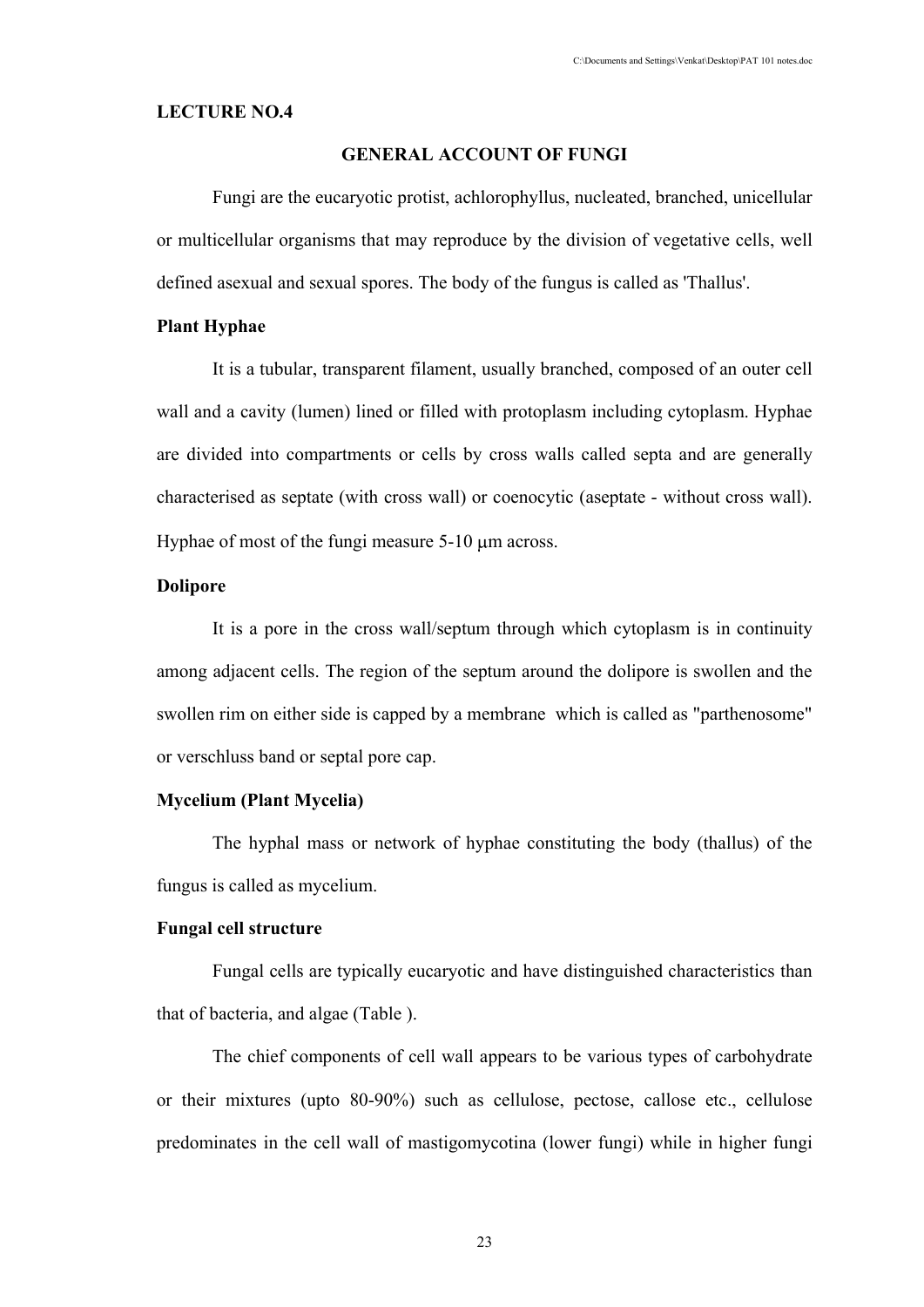### LECTURE NO.4

#### GENERAL ACCOUNT OF FUNGI

Fungi are the eucaryotic protist, achlorophyllus, nucleated, branched, unicellular or multicellular organisms that may reproduce by the division of vegetative cells, well defined asexual and sexual spores. The body of the fungus is called as 'Thallus'.

#### Plant Hyphae

It is a tubular, transparent filament, usually branched, composed of an outer cell CONSUMENT CONSUMED CONSUMED CONSUMED CONSUMERT UP: NOTE FUNCI<br>
Fungi are the eucaryotic protist, achlorophyllus, nucleated, branched, unicellular<br>
or multicellular organisms that may reproduce by the division of vegetative are divided into compartments or cells by cross walls called septa and are generally characterised as septate (with cross wall) or coenocytic (aseptate - without cross wall). Hyphae of most of the fungi measure  $5-10 \mu m$  across.

#### Dolipore

It is a pore in the cross wall/septum through which cytoplasm is in continuity among adjacent cells. The region of the septum around the dolipore is swollen and the swollen rim on either side is capped by a membrane which is called as "parthenosome" or verschluss band or septal pore cap.

### Mycelium (Plant Mycelia)

The hyphal mass or network of hyphae constituting the body (thallus) of the fungus is called as mycelium.

#### Fungal cell structure

Fungal cells are typically eucaryotic and have distinguished characteristics than that of bacteria, and algae (Table ).

The chief components of cell wall appears to be various types of carbohydrate or their mixtures (upto 80-90%) such as cellulose, pectose, callose etc., cellulose predominates in the cell wall of mastigomycotina (lower fungi) while in higher fungi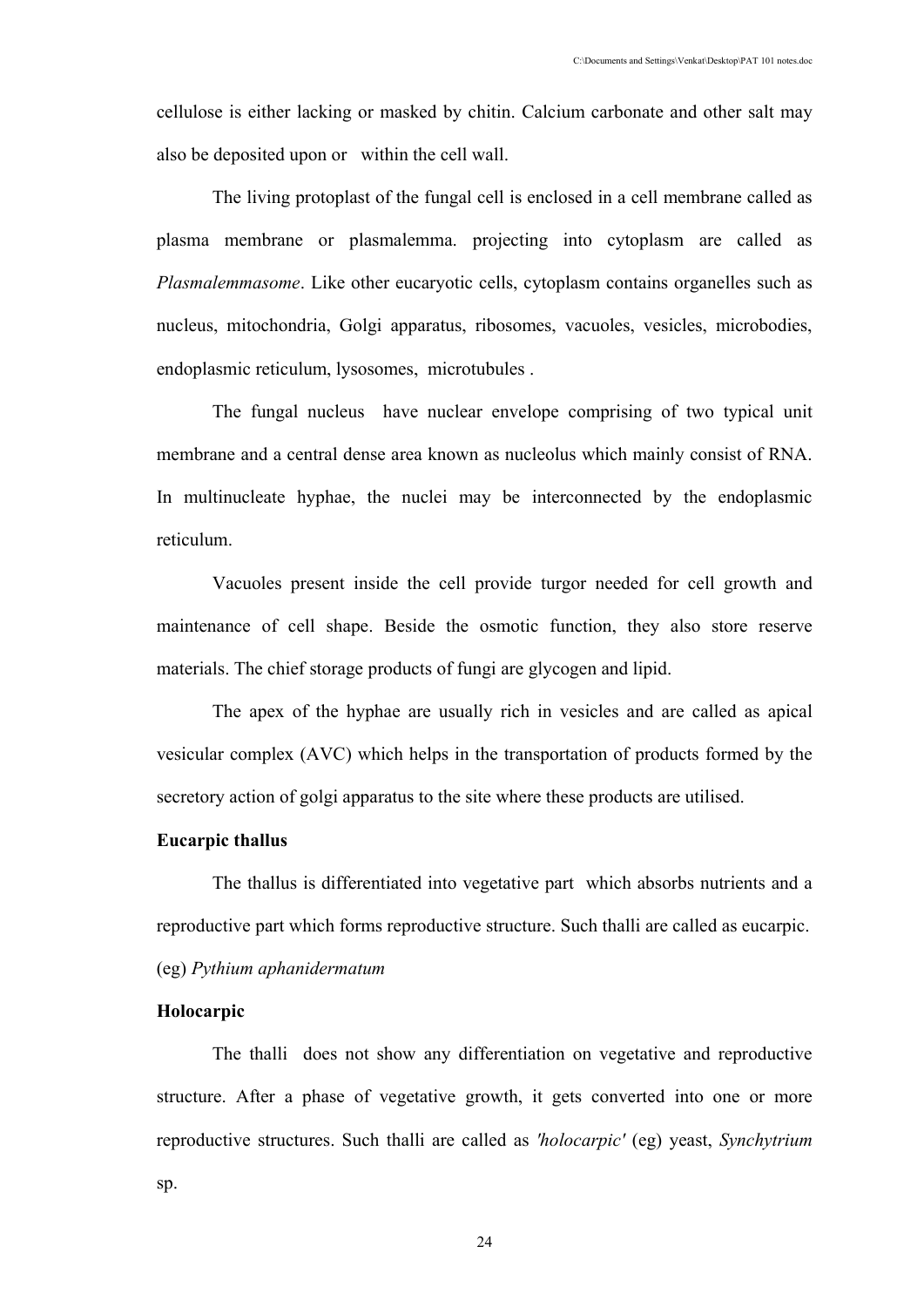cellulose is either lacking or masked by chitin. Calcium carbonate and other salt may also be deposited upon or within the cell wall.

The living protoplast of the fungal cell is enclosed in a cell membrane called as plasma membrane or plasmalemma. projecting into cytoplasm are called as Plasmalemmasome. Like other eucaryotic cells, cytoplasm contains organelles such as nucleus, mitochondria, Golgi apparatus, ribosomes, vacuoles, vesicles, microbodies, endoplasmic reticulum, lysosomes, microtubules . cellulosc is cither lacking or masked by chitin. Calcium carbonate and other salt may<br>also be deposited upon or within the cell wall.<br>The living protoplast of the fungal cell is enclosed in a cell membrane called as<br>plasma The living protoplast of the fungal cell is enclosed in a cell membrane called as<br>membrane or plasmalemma. projecting into cytoplasm are called as<br>*lemmasome*. Like other eucaryotic cells, cytoplasm contains organelles suc

The fungal nucleus have nuclear envelope comprising of two typical unit membrane and a central dense area known as nucleolus which mainly consist of RNA. reticulum.

maintenance of cell shape. Beside the osmotic function, they also store reserve materials. The chief storage products of fungi are glycogen and lipid.

The apex of the hyphae are usually rich in vesicles and are called as apical vesicular complex (AVC) which helps in the transportation of products formed by the secretory action of golgi apparatus to the site where these products are utilised.

#### Eucarpic thallus

The thallus is differentiated into vegetative part which absorbs nutrients and a reproductive part which forms reproductive structure. Such thalli are called as eucarpic.

(eg) Pythium aphanidermatum

### Holocarpic

The thalli does not show any differentiation on vegetative and reproductive structure. After a phase of vegetative growth, it gets converted into one or more reproductive structures. Such thalli are called as 'holocarpic' (eg) yeast, Synchytrium sp.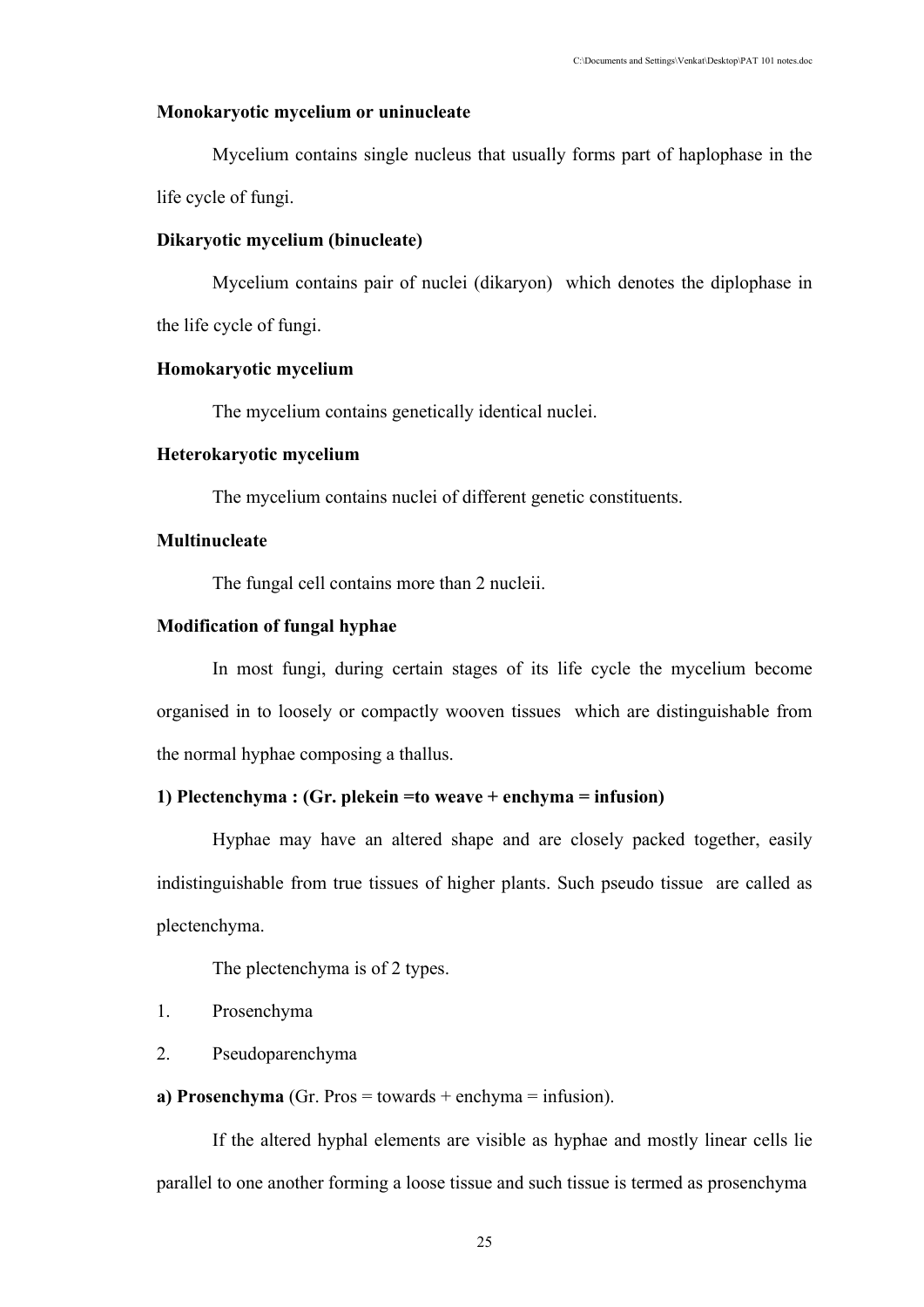### Monokaryotic mycelium or uninucleate

C:\Documents and Settings\Venkat\Desktop\PAT 101 notes.doc<br>Aryotic mycelium or uninucleate<br>Mycelium contains single nucleus that usually forms part of haplophase in the<br>le of fungi.<br>otic mycelium (binucleate) life cycle of fungi.

#### Dikaryotic mycelium (binucleate)

Mycelium contains pair of nuclei (dikaryon) which denotes the diplophase in the life cycle of fungi.

### Homokaryotic mycelium

The mycelium contains genetically identical nuclei.

### Heterokaryotic mycelium

The mycelium contains nuclei of different genetic constituents.

### Multinucleate

The fungal cell contains more than 2 nucleii.

### Modification of fungal hyphae

In most fungi, during certain stages of its life cycle the mycelium become organised in to loosely or compactly wooven tissues which are distinguishable from the normal hyphae composing a thallus. The mycelium contains genetically identical nuclei.<br> **Heterokaryotic mycelium**<br>
The mycelium contains nuclei of different genetic constituents.<br> **Multinucleate**<br>
The fungal cell contains more than 2 nucleii.<br> **Modification** 

Hyphae may have an altered shape and are closely packed together, easily indistinguishable from true tissues of higher plants. Such pseudo tissue are called as plectenchyma.

The plectenchyma is of 2 types.

- 1. Prosenchyma
- 2. Pseudoparenchyma

a) Prosenchyma (Gr. Pros = towards + enchyma = infusion).

If the altered hyphal elements are visible as hyphae and mostly linear cells lie parallel to one another forming a loose tissue and such tissue is termed as prosenchyma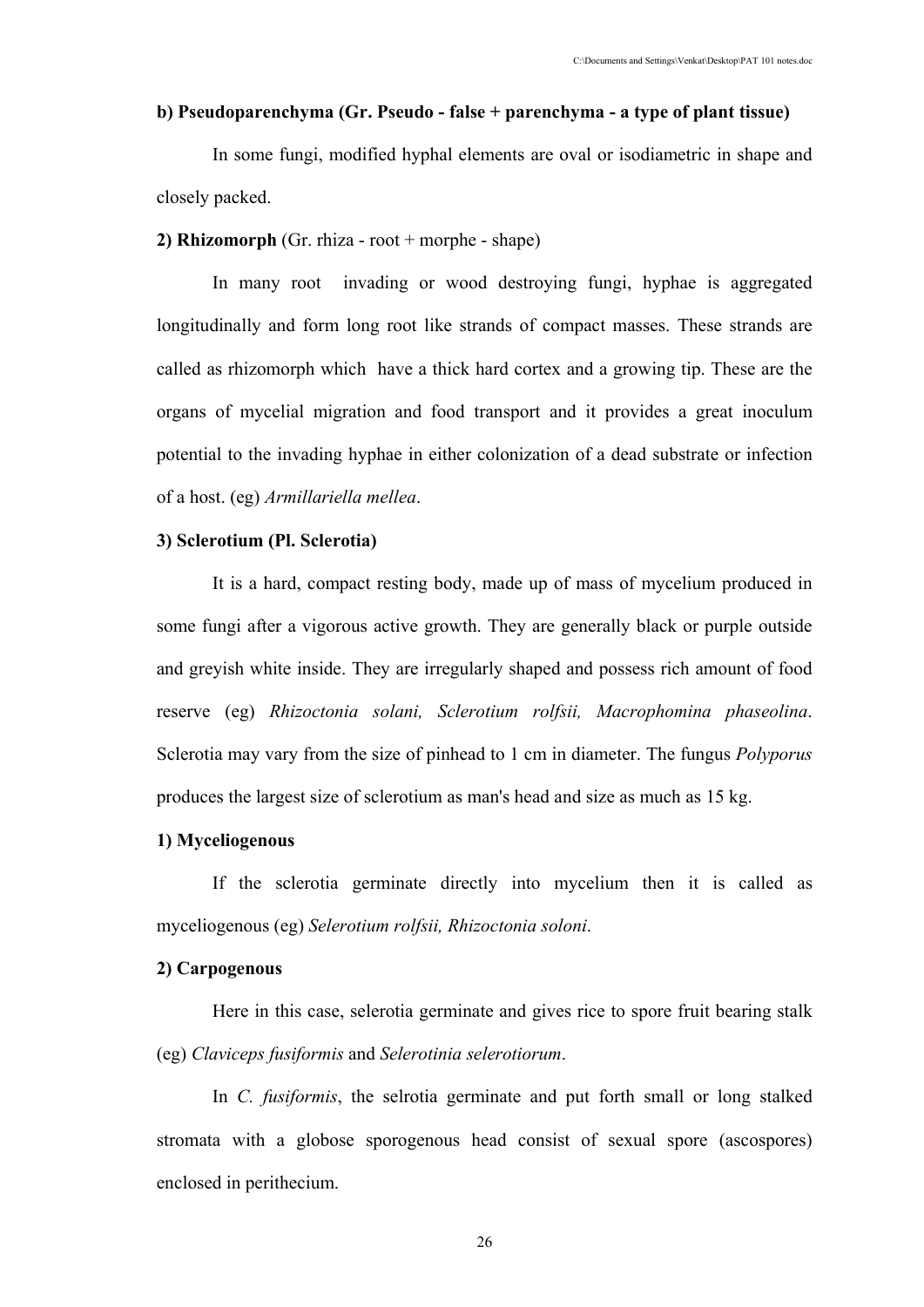## b) Pseudoparenchyma (Gr. Pseudo - false + parenchyma - a type of plant tissue)

C:Documents and SettingsiVenkat:DesktopPAT 101 notes.doc<br> **In some fungi, modified hyphal elements are oval or isodiametric in shape and**<br>
packed.<br> **COMOTPh** (Gr. rhiza - root + morphe - shape) closely packed.

### 2) Rhizomorph (Gr. rhiza - root + morphe - shape)

In many root invading or wood destroying fungi, hyphae is aggregated longitudinally and form long root like strands of compact masses. These strands are called as rhizomorph which have a thick hard cortex and a growing tip. These are the organs of mycelial migration and food transport and it provides a great inoculum potential to the invading hyphae in either colonization of a dead substrate or infection of a host. (eg) Armillariella mellea.

### 3) Sclerotium (Pl. Sclerotia)

It is a hard, compact resting body, made up of mass of mycelium produced in some fungi after a vigorous active growth. They are generally black or purple outside and greyish white inside. They are irregularly shaped and possess rich amount of food reserve (eg) Rhizoctonia solani, Sclerotium rolfsii, Macrophomina phaseolina. Sclerotia may vary from the size of pinhead to 1 cm in diameter. The fungus Polyporus produces the largest size of sclerotium as man's head and size as much as 15 kg. ingli after a vigorous active growth. They are generally black or purple outside<br>yish white inside. They are irregularly shaped and possess rich amount of food<br>(eg) *Rhizoctonia solani*, *Sclerotium rolfsii*, *Macrophomina* 

### 1) Myceliogenous

If the sclerotia germinate directly into mycelium then it is called as myceliogenous (eg) Selerotium rolfsii, Rhizoctonia soloni.

### 2) Carpogenous

(eg) Claviceps fusiformis and Selerotinia selerotiorum.

In C. *fusiformis*, the selrotia germinate and put forth small or long stalked stromata with a globose sporogenous head consist of sexual spore (ascospores) enclosed in perithecium.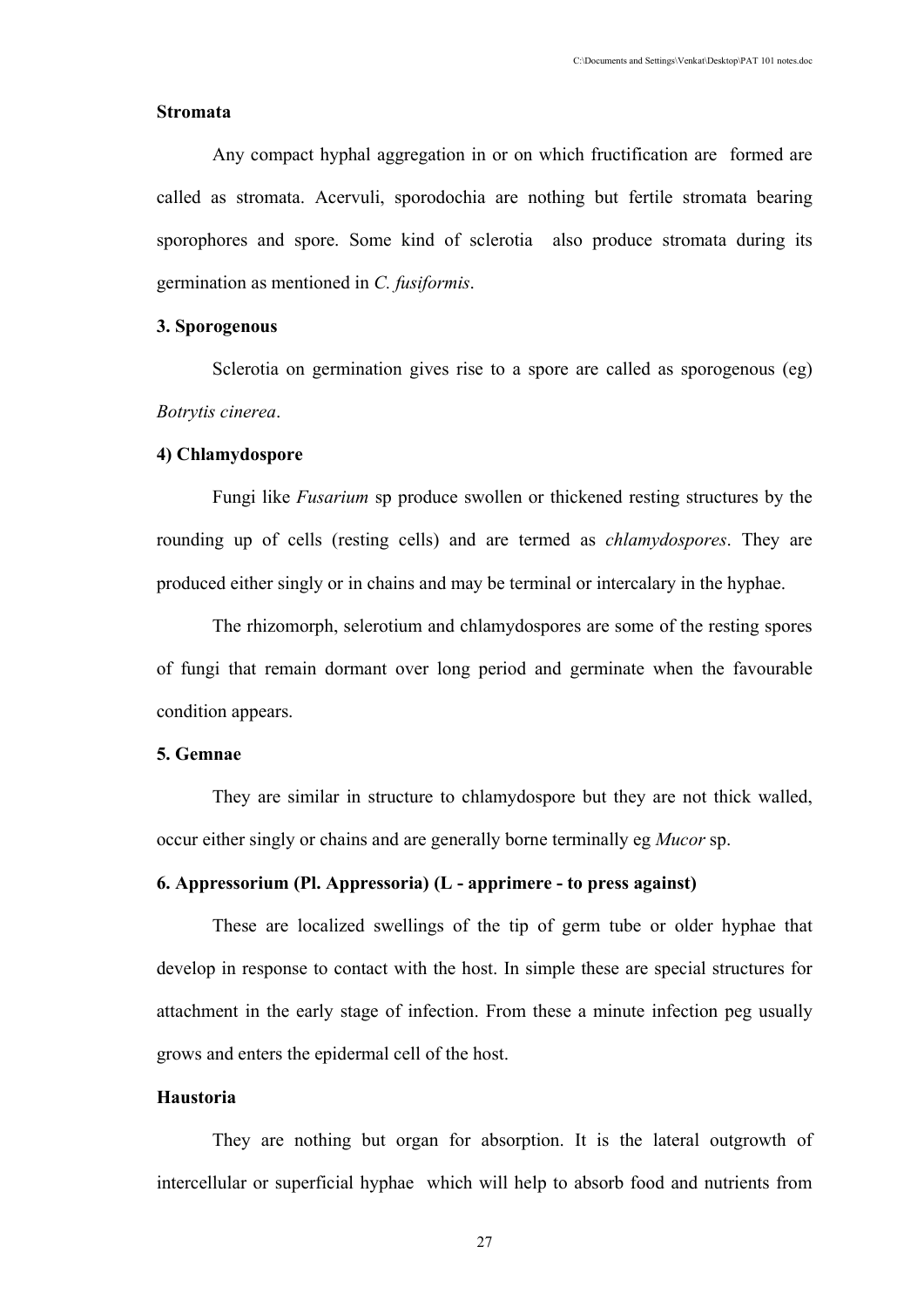### Stromata

Any compact hyphal aggregation in or on which fructification are formed are called as stromata. Acervuli, sporodochia are nothing but fertile stromata bearing sporophores and spore. Some kind of sclerotia also produce stromata during its germination as mentioned in C. fusiformis.

### 3. Sporogenous

Sclerotia on germination gives rise to a spore are called as sporogenous (eg) Botrytis cinerea.

#### 4) Chlamydospore

 Fungi like Fusarium sp produce swollen or thickened resting structures by the rounding up of cells (resting cells) and are termed as chlamydospores. They are produced either singly or in chains and may be terminal or intercalary in the hyphae.

The rhizomorph, selerotium and chlamydospores are some of the resting spores of fungi that remain dormant over long period and germinate when the favourable condition appears.

### 5. Gemnae

They are similar in structure to chlamydospore but they are not thick walled, occur either singly or chains and are generally borne terminally eg Mucor sp.

### 6. Appressorium (Pl. Appressoria) (L - apprimere - to press against)

These are localized swellings of the tip of germ tube or older hyphae that develop in response to contact with the host. In simple these are special structures for attachment in the early stage of infection. From these a minute infection peg usually grows and enters the epidermal cell of the host.

### Haustoria

They are nothing but organ for absorption. It is the lateral outgrowth of intercellular or superficial hyphae which will help to absorb food and nutrients from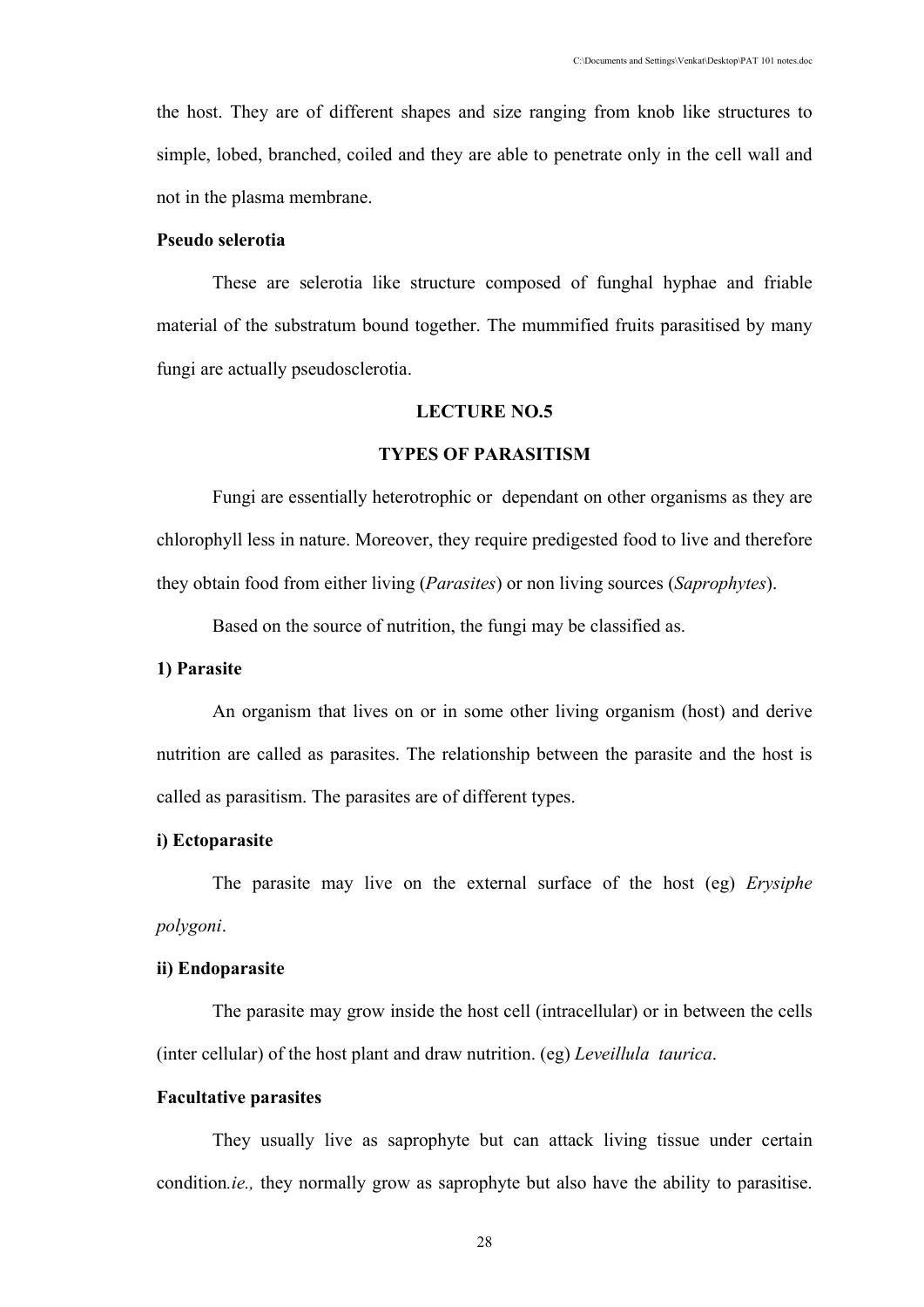the host. They are of different shapes and size ranging from knob like structures to simple, lobed, branched, coiled and they are able to penetrate only in the cell wall and not in the plasma membrane.

#### Pseudo selerotia

These are selerotia like structure composed of funghal hyphae and friable material of the substratum bound together. The mummified fruits parasitised by many fungi are actually pseudosclerotia.

### LECTURE NO.5

### TYPES OF PARASITISM

Fungi are essentially heterotrophic or dependant on other organisms as they are chlorophyll less in nature. Moreover, they require predigested food to live and therefore they obtain food from either living (Parasites) or non living sources (Saprophytes). 1 of the substratum bound together. The mummified fruits parasitised by many<br>
2 actually pseudosclerotia.<br>
2 LECTURE NO.5<br>
TYPES OF PARASITISM<br>
Fungi are essentially heterotrophic or dependant on other organisms as they ar

Based on the source of nutrition, the fungi may be classified as.

### 1) Parasite

nutrition are called as parasites. The relationship between the parasite and the host is called as parasitism. The parasites are of different types.

### i) Ectoparasite

The parasite may live on the external surface of the host (eg) *Erysiphe* polygoni.

### ii) Endoparasite

The parasite may grow inside the host cell (intracellular) or in between the cells (inter cellular) of the host plant and draw nutrition. (eg) Leveillula taurica.

### Facultative parasites

They usually live as saprophyte but can attack living tissue under certain condition.ie., they normally grow as saprophyte but also have the ability to parasitise.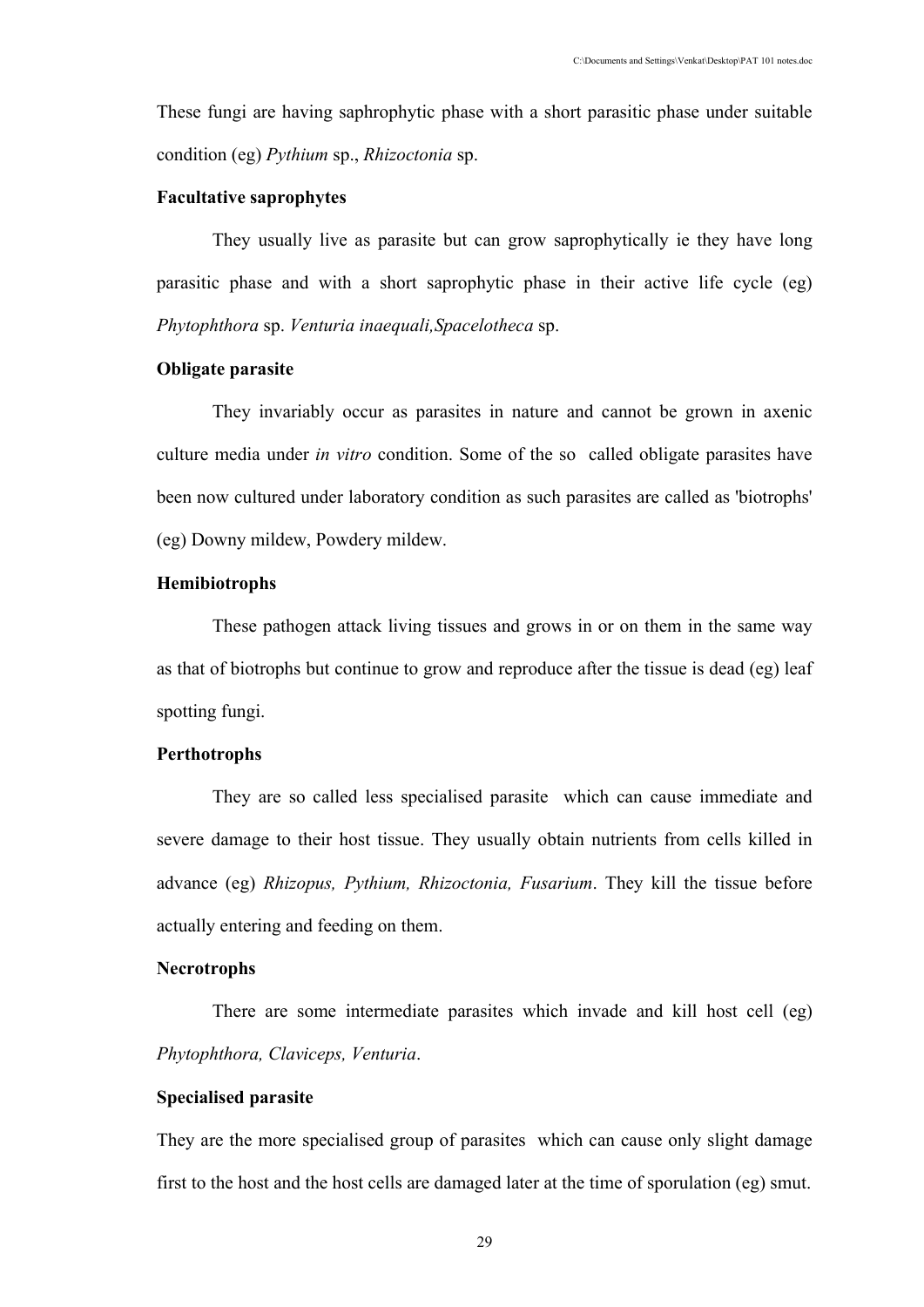These fungi are having saphrophytic phase with a short parasitic phase under suitable condition (eg) Pythium sp., Rhizoctonia sp.

### Facultative saprophytes

They usually live as parasite but can grow saprophytically ie they have long parasitic phase and with a short saprophytic phase in their active life cycle (eg) Phytophthora sp. Venturia inaequali,Spacelotheca sp.

### Obligate parasite

They invariably occur as parasites in nature and cannot be grown in axenic culture media under *in vitro* condition. Some of the so called obligate parasites have been now cultured under laboratory condition as such parasites are called as 'biotrophs' (eg) Downy mildew, Powdery mildew.

#### Hemibiotrophs

These pathogen attack living tissues and grows in or on them in the same way as that of biotrophs but continue to grow and reproduce after the tissue is dead (eg) leaf spotting fungi.

### Perthotrophs

They are so called less specialised parasite which can cause immediate and severe damage to their host tissue. They usually obtain nutrients from cells killed in advance (eg) Rhizopus, Pythium, Rhizoctonia, Fusarium. They kill the tissue before actually entering and feeding on them. They are so called less specialised parasite which can cause immediate and<br>severe damage to their host tissue. They usually obtain nutrients from cells killed in<br>advance (eg) *Rhizopus. Pythium, Rhizoctonia, Fusarium*. The

### **Necrotrophs**

There are some intermediate parasites which invade and kill host cell (eg) Phytophthora, Claviceps, Venturia.

### Specialised parasite

They are the more specialised group of parasites which can cause only slight damage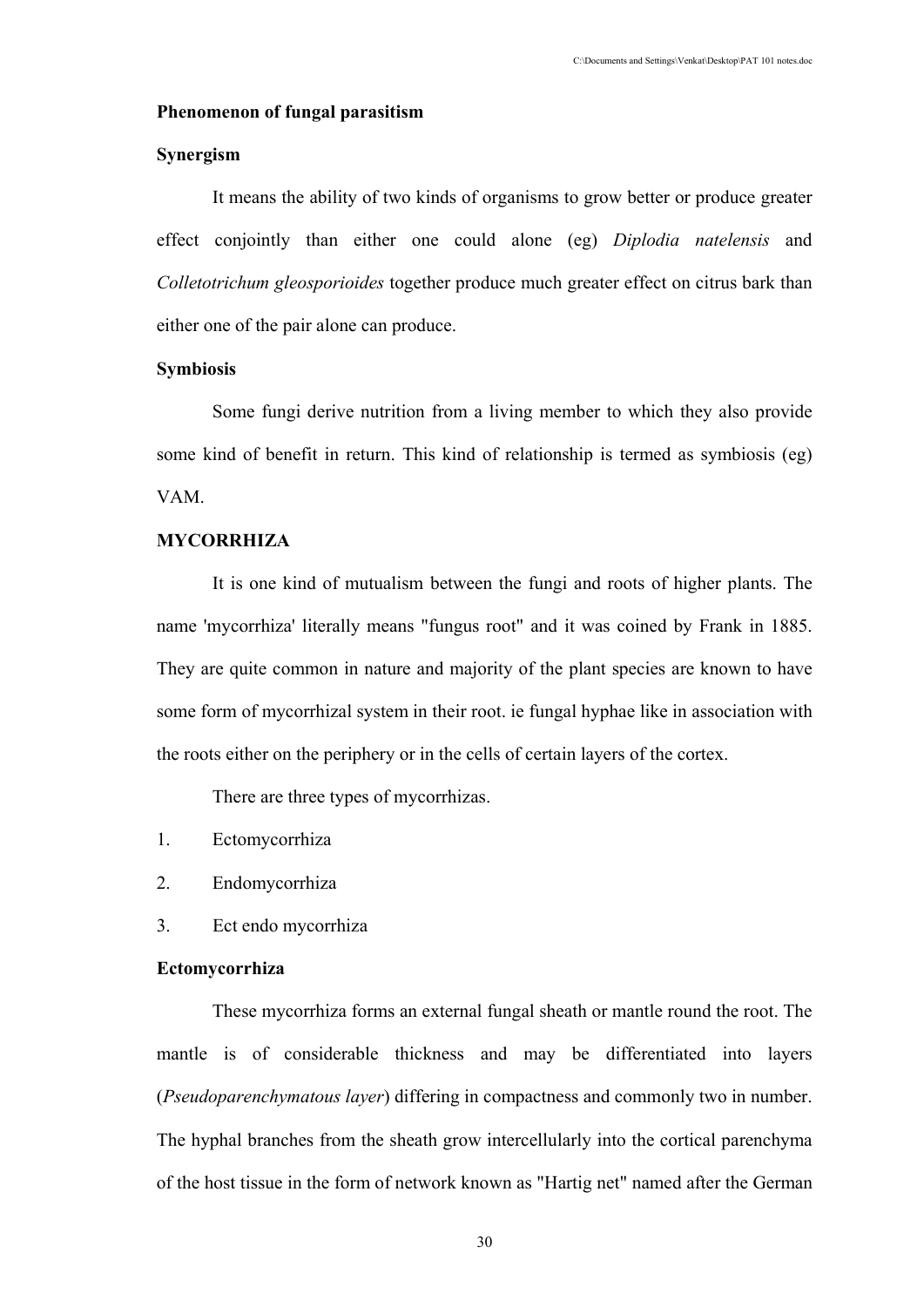### Phenomenon of fungal parasitism

### Synergism

It means the ability of two kinds of organisms to grow better or produce greater effect conjointly than either one could alone (eg) Diplodia natelensis and Colletotrichum gleosporioides together produce much greater effect on citrus bark than either one of the pair alone can produce.

### Symbiosis

Some fungi derive nutrition from a living member to which they also provide some kind of benefit in return. This kind of relationship is termed as symbiosis (eg) VAM.

### **MYCORRHIZA**

It is one kind of mutualism between the fungi and roots of higher plants. The name 'mycorrhiza' literally means "fungus root" and it was coined by Frank in 1885. They are quite common in nature and majority of the plant species are known to have some form of mycorrhizal system in their root. ie fungal hyphae like in association with the roots either on the periphery or in the cells of certain layers of the cortex. MYCORRHIZA<br>
It is one kind of mutualism between the fungi and roots of higher<br>
name 'mycorrhiza' literally means "fungus root" and it was coined by Fr<br>
They are quite common in nature and majority of the plant species are

There are three types of mycorrhizas.

- 1. Ectomycorrhiza
- 2. Endomycorrhiza
- 

### Ectomycorrhiza

These mycorrhiza forms an external fungal sheath or mantle round the root. The mantle is of considerable thickness and may be differentiated into layers (Pseudoparenchymatous layer) differing in compactness and commonly two in number. The hyphal branches from the sheath grow intercellularly into the cortical parenchyma of the host tissue in the form of network known as "Hartig net" named after the German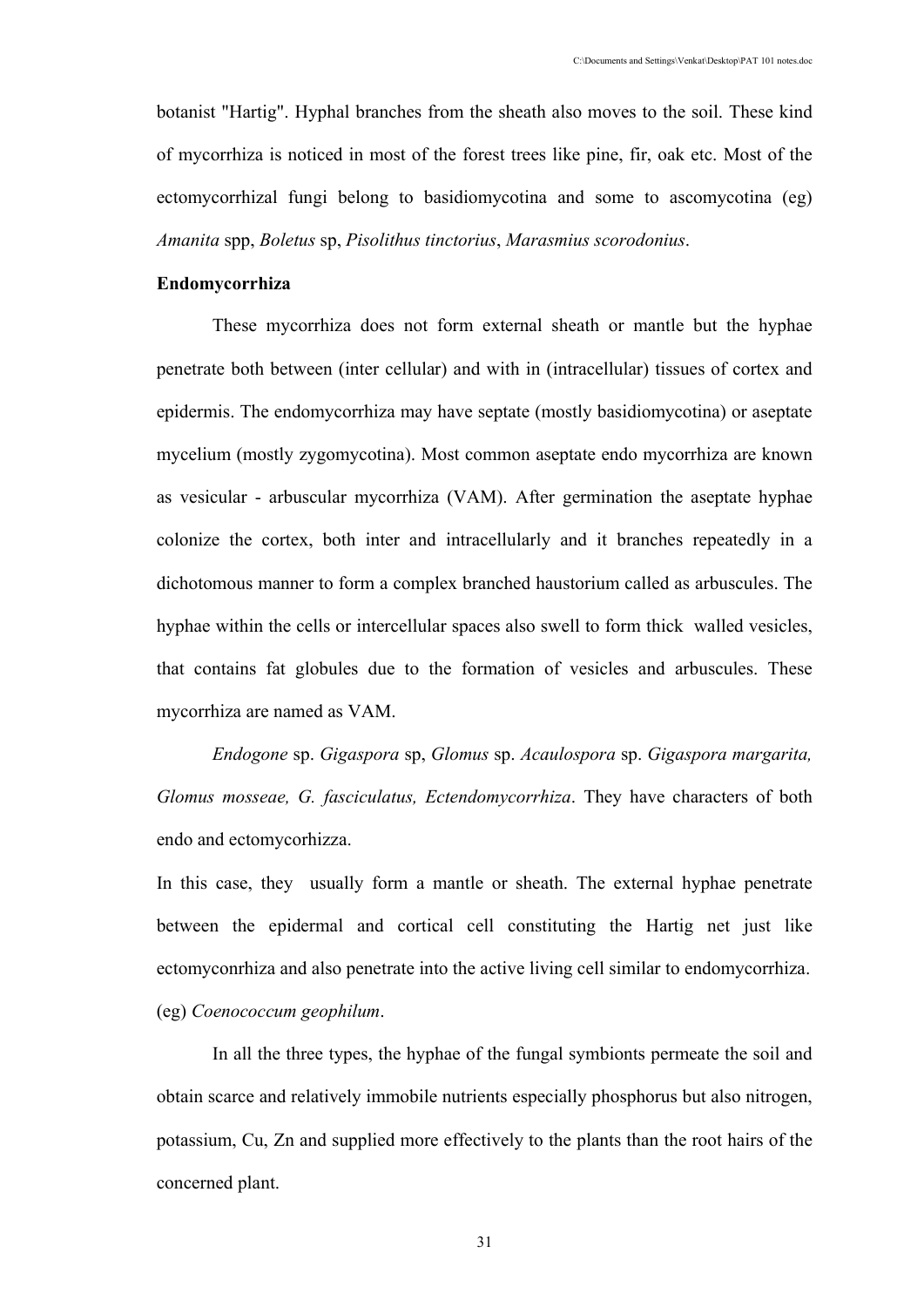botanist "Hartig". Hyphal branches from the sheath also moves to the soil. These kind of mycorrhiza is noticed in most of the forest trees like pine, fir, oak etc. Most of the ectomycorrhizal fungi belong to basidiomycotina and some to ascomycotina (eg) Amanita spp, Boletus sp,Pisolithus tinctorius, Marasmius scorodonius.

#### Endomycorrhiza

These mycorrhiza does not form external sheath or mantle but the hyphae penetrate both between (inter cellular) and with in (intracellular) tissues of cortex and epidermis. The endomycorrhiza may have septate (mostly basidiomycotina) or aseptate mycelium (mostly zygomycotina). Most common aseptate endo mycorrhiza are known as vesicular - arbuscular mycorrhiza (VAM). After germination the aseptate hyphae colonize the cortex, both inter and intracellularly and it branches repeatedly in a dichotomous manner to form a complex branched haustorium called as arbuscules. The hyphae within the cells or intercellular spaces also swell to form thick walled vesicles, that contains fat globules due to the formation of vesicles and arbuscules. These mycorrhiza are named as VAM.

 Endogone sp. Gigaspora sp, Glomus sp. Acaulospora sp. Gigaspora margarita, Glomus mosseae, G. fasciculatus, Ectendomycorrhiza. They have characters of both endo and ectomycorhizza.

In this case, they usually form a mantle or sheath. The external hyphae penetrate between the epidermal and cortical cell constituting the Hartig net just like ectomyconrhiza and also penetrate into the active living cell similar to endomycorrhiza. (eg) Coenococcum geophilum.

In all the three types, the hyphae of the fungal symbionts permeate the soil and obtain scarce and relatively immobile nutrients especially phosphorus but also nitrogen, potassium, Cu, Zn and supplied more effectively to the plants than the root hairs of the concerned plant.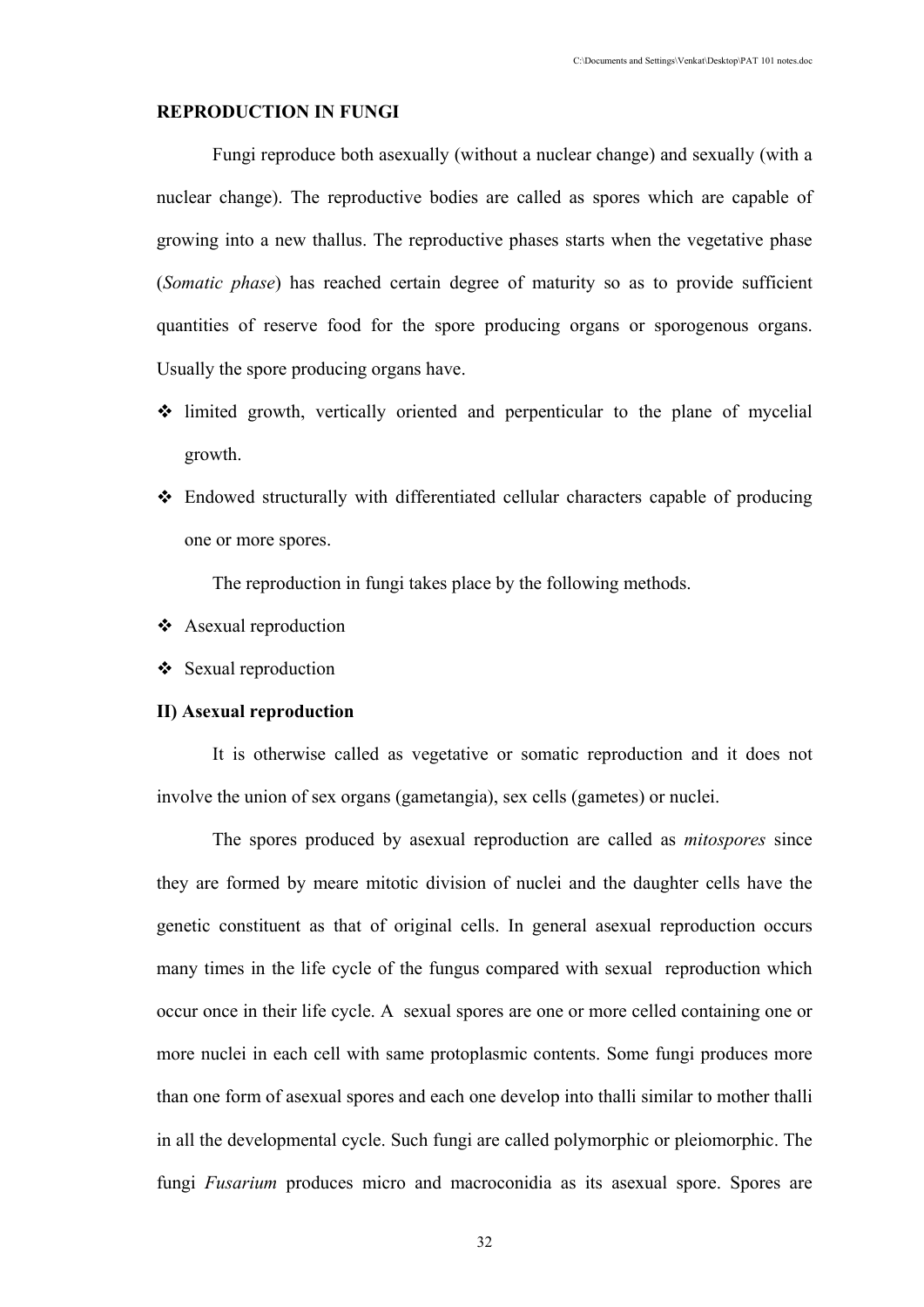### REPRODUCTION IN FUNGI

Fungi reproduce both asexually (without a nuclear change) and sexually (with a nuclear change). The reproductive bodies are called as spores which are capable of growing into a new thallus. The reproductive phases starts when the vegetative phase (Somatic phase) has reached certain degree of maturity so as to provide sufficient quantities of reserve food for the spore producing organs or sporogenous organs. Usually the spore producing organs have.

- $\cdot$  limited growth, vertically oriented and perpenticular to the plane of mycelial growth.
- Endowed structurally with differentiated cellular characters capable of producing one or more spores. The spore producing organs have.<br>
It is growth, vertically oriented and perpenticular to the plane of mycelial<br>
Whiter with the spore structurally with differentiated cellular characters capable of producing<br>
or more spore

The reproduction in fungi takes place by the following methods.

- Asexual reproduction
- Sexual reproduction

#### II) Asexual reproduction

involve the union of sex organs (gametangia), sex cells (gametes) or nuclei.

The spores produced by asexual reproduction are called as mitospores since they are formed by meare mitotic division of nuclei and the daughter cells have the genetic constituent as that of original cells. In general asexual reproduction occurs many times in the life cycle of the fungus compared with sexual reproduction which occur once in their life cycle. A sexual spores are one or more celled containing one or more nuclei in each cell with same protoplasmic contents. Some fungi produces more than one form of asexual spores and each one develop into thalli similar to mother thalli in all the developmental cycle. Such fungi are called polymorphic or pleiomorphic. The fungi *Fusarium* produces micro and macroconidia as its asexual spore. Spores are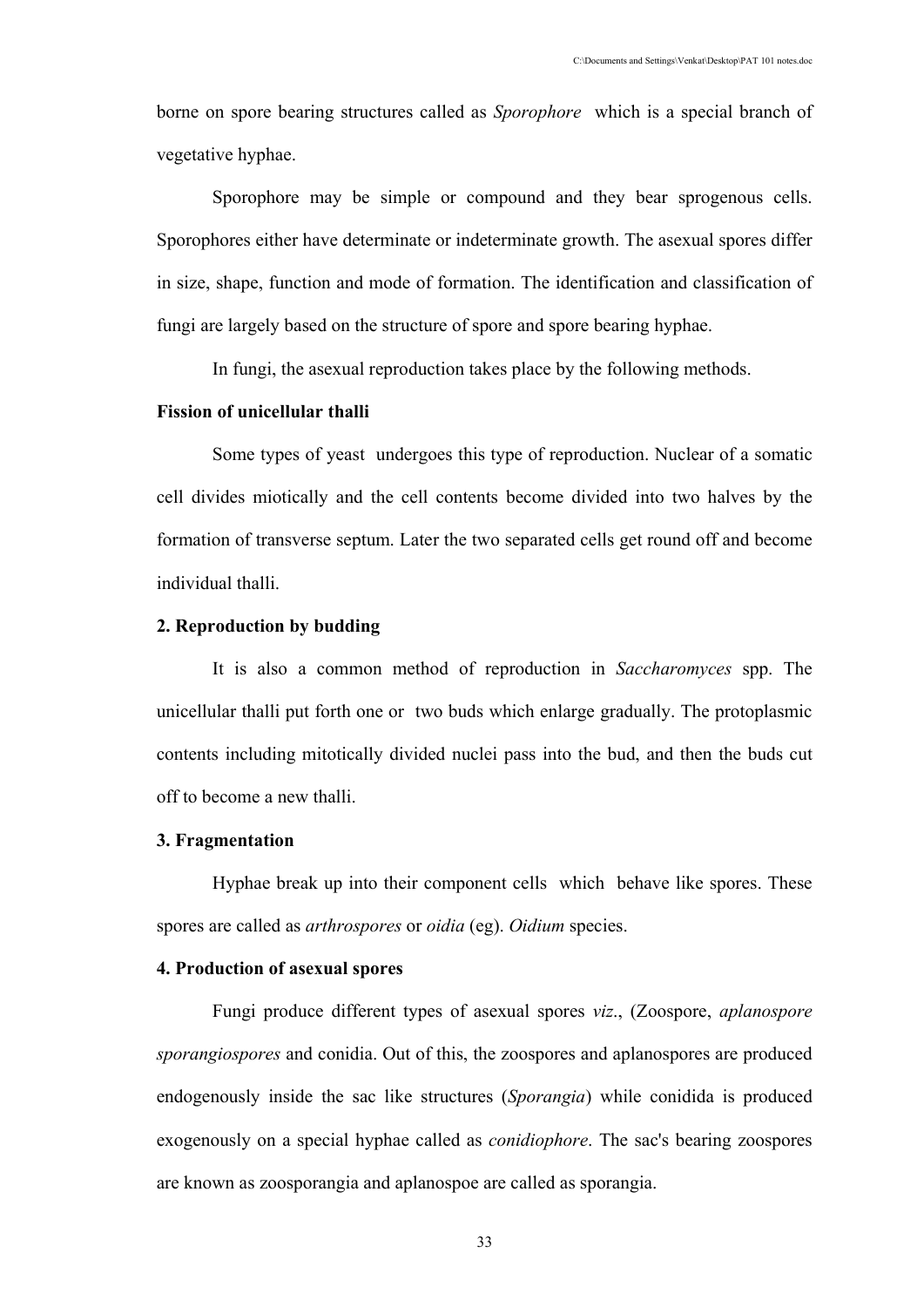borne on spore bearing structures called as Sporophore which is a special branch of vegetative hyphae.

Sporophore may be simple or compound and they bear sprogenous cells. Sporophores either have determinate or indeterminate growth. The asexual spores differ in size, shape, function and mode of formation. The identification and classification of fungi are largely based on the structure of spore and spore bearing hyphae.

In fungi, the asexual reproduction takes place by the following methods.

#### Fission of unicellular thalli

Some types of yeast undergoes this type of reproduction. Nuclear of a somatic cell divides miotically and the cell contents become divided into two halves by the formation of transverse septum. Later the two separated cells get round off and become individual thalli.

### 2. Reproduction by budding

It is also a common method of reproduction in Saccharomyces spp. The unicellular thalli put forth one or two buds which enlarge gradually. The protoplasmic contents including mitotically divided nuclei pass into the bud, and then the buds cut off to become a new thalli.

#### 3. Fragmentation

Hyphae break up into their component cells which behave like spores. These spores are called as *arthrospores* or *oidia* (eg). *Oidium* species.

### 4. Production of asexual spores

Fungi produce different types of asexual spores viz., (Zoospore, aplanospore sporangiospores and conidia. Out of this, the zoospores and aplanospores are produced endogenously inside the sac like structures (Sporangia) while conidida is produced exogenously on a special hyphae called as *conidiophore*. The sac's bearing zoospores are known as zoosporangia and aplanospoe are called as sporangia.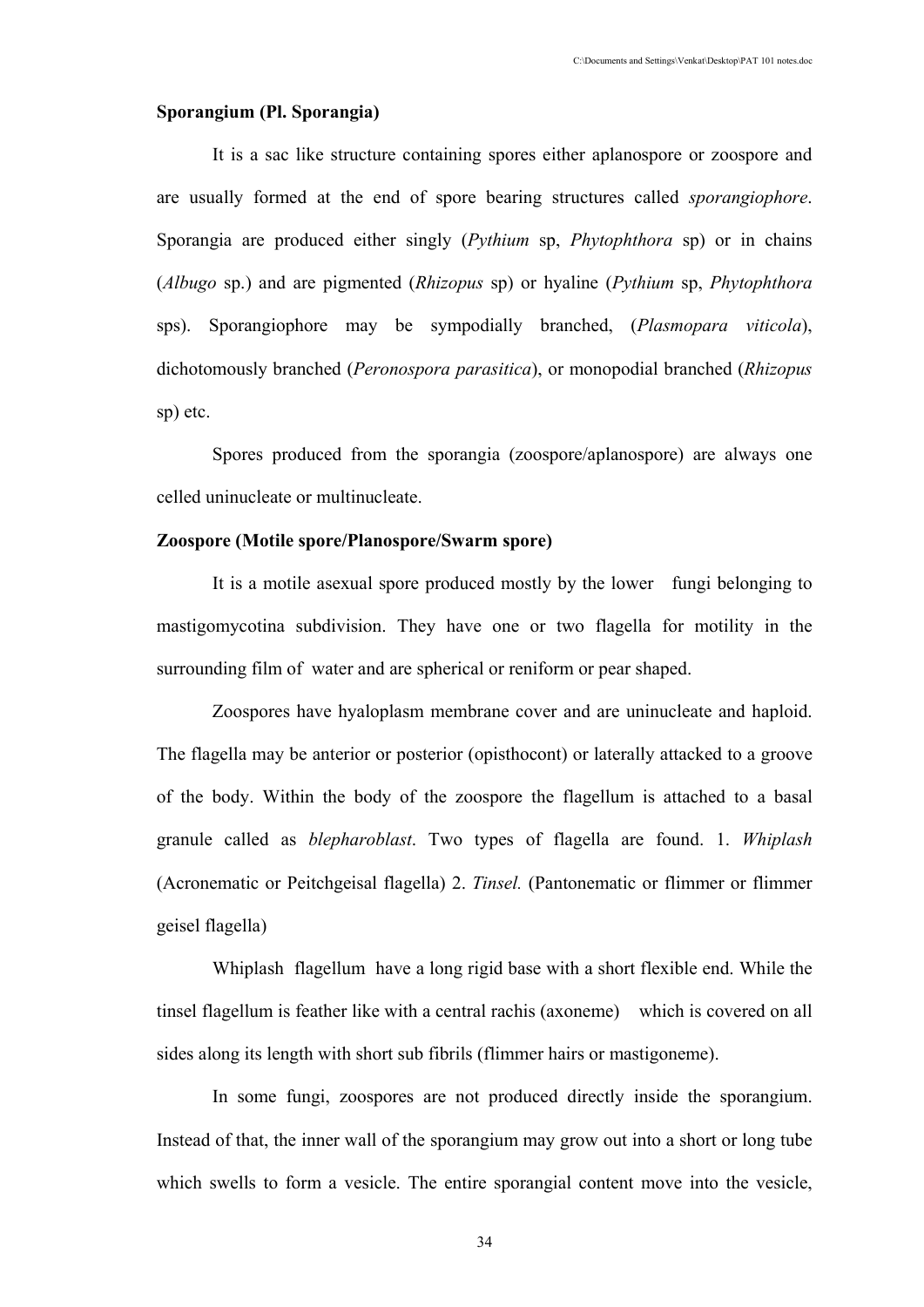### Sporangium (Pl. Sporangia)

It is a sac like structure containing spores either aplanospore or zoospore and are usually formed at the end of spore bearing structures called sporangiophore. Sporangia are produced either singly (Pythium sp, Phytophthora sp) or in chains (Albugo sp.) and are pigmented (Rhizopus sp) or hyaline (Pythium sp, Phytophthora sps). Sporangiophore may be sympodially branched, (Plasmopara viticola), dichotomously branched (Peronospora parasitica), or monopodial branched (Rhizopus sp) etc. It is a motion as the end of spore bearing structures called *sporangiophore*.<br>
In a me pigmented (*Rhizopus* sp) or hyaline (*Pythium* sp, *Phytophthora*<br>
Sporangiophore may be sympodially branched, (*Plasmopara viticola* 

Spores produced from the sporangia (zoospore/aplanospore) are always one celled uninucleate or multinucleate.

### Zoospore (Motile spore/Planospore/Swarm spore)

mastigomycotina subdivision. They have one or two flagella for motility in the surrounding film of water and are spherical or reniform or pear shaped.

Zoospores have hyaloplasm membrane cover and are uninucleate and haploid. The flagella may be anterior or posterior (opisthocont) or laterally attacked to a groove of the body. Within the body of the zoospore the flagellum is attached to a basal granule called as blepharoblast. Two types of flagella are found. 1. Whiplash (Acronematic or Peitchgeisal flagella) 2. Tinsel. (Pantonematic or flimmer or flimmer geisel flagella)

Whiplash flagellum have a long rigid base with a short flexible end. While the tinsel flagellum is feather like with a central rachis (axoneme) which is covered on all sides along its length with short sub fibrils (flimmer hairs or mastigoneme).

In some fungi, zoospores are not produced directly inside the sporangium. Instead of that, the inner wall of the sporangium may grow out into a short or long tube which swells to form a vesicle. The entire sporangial content move into the vesicle,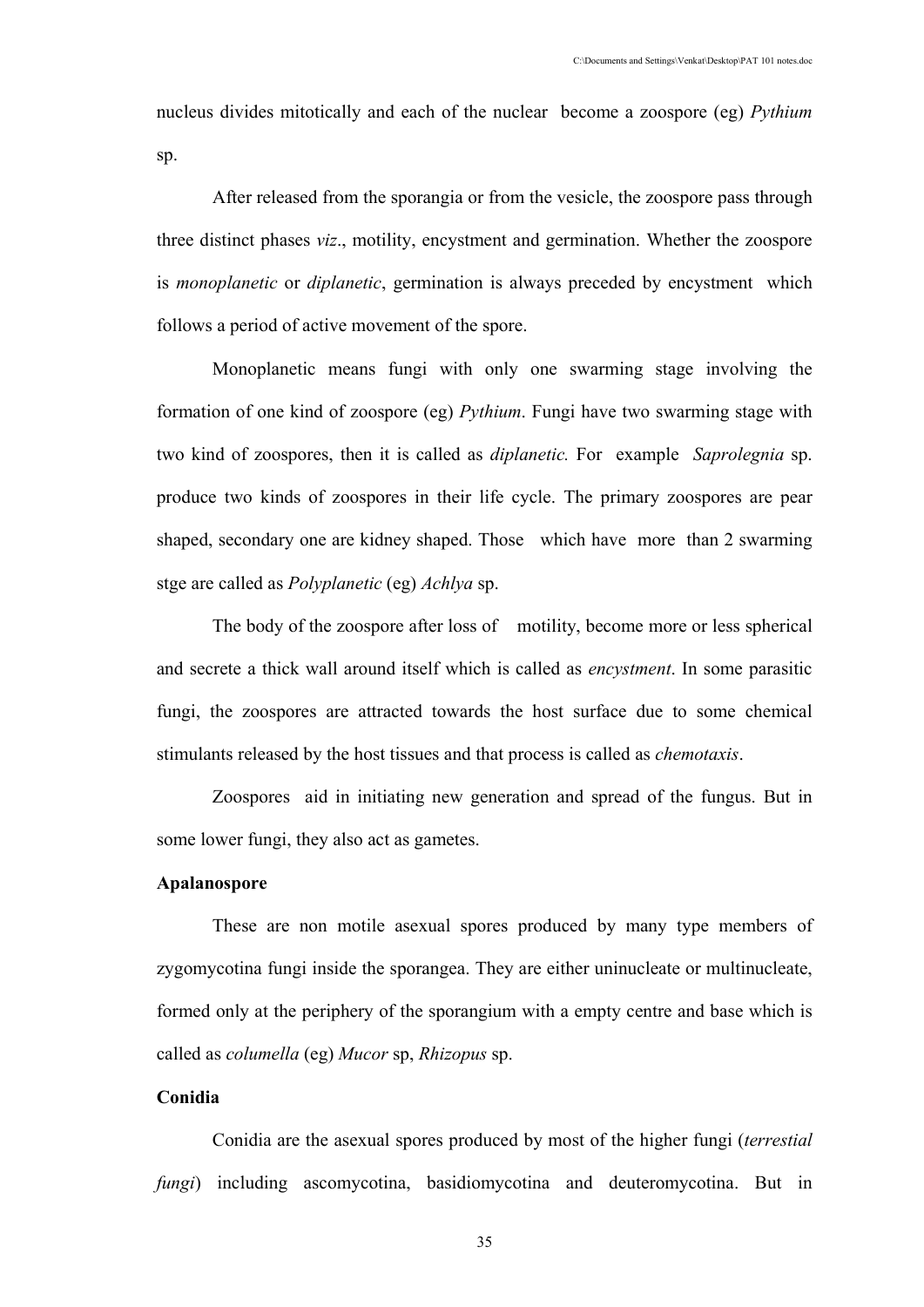nucleus divides mitotically and each of the nuclear become a zoospore (eg) *Pythium* sp.

After released from the sporangia or from the vesicle, the zoospore pass through three distinct phases viz., motility, encystment and germination. Whether the zoospore is monoplanetic or diplanetic, germination is always preceded by encystment which follows a period of active movement of the spore.

Monoplanetic means fungi with only one swarming stage involving the formation of one kind of zoospore (eg) Pythium. Fungi have two swarming stage with two kind of zoospores, then it is called as diplanetic. For example Saprolegnia sp. produce two kinds of zoospores in their life cycle. The primary zoospores are pear shaped, secondary one are kidney shaped. Those which have more than 2 swarming stge are called as Polyplanetic (eg) Achlya sp. istinct phases *viz.*, motility, encystment and germination. Whether the zoospore<br>pplanetic or diplanetic, germination is always preceded by encystment which<br>a period of active movement of the spore.<br>Monoplanetic means fun

and secrete a thick wall around itself which is called as encystment. In some parasitic fungi, the zoospores are attracted towards the host surface due to some chemical stimulants released by the host tissues and that process is called as chemotaxis. secondary one are kidney shaped. Those which have more than 2 swarming<br>called as *Polyplanetic* (eg) *Achlya* sp.<br>The body of the zoospore after loss of motility, become more or less spherical<br>rete a thick wall around itse

Zoospores aid in initiating new generation and spread of the fungus. But in some lower fungi, they also act as gametes.

### Apalanospore

zygomycotina fungi inside the sporangea. They are either uninucleate or multinucleate, formed only at the periphery of the sporangium with a empty centre and base which is called as columella (eg) Mucor sp, Rhizopus sp.

### Conidia

Conidia are the asexual spores produced by most of the higher fungi (terrestial fungi) including ascomycotina, basidiomycotina and deuteromycotina. But in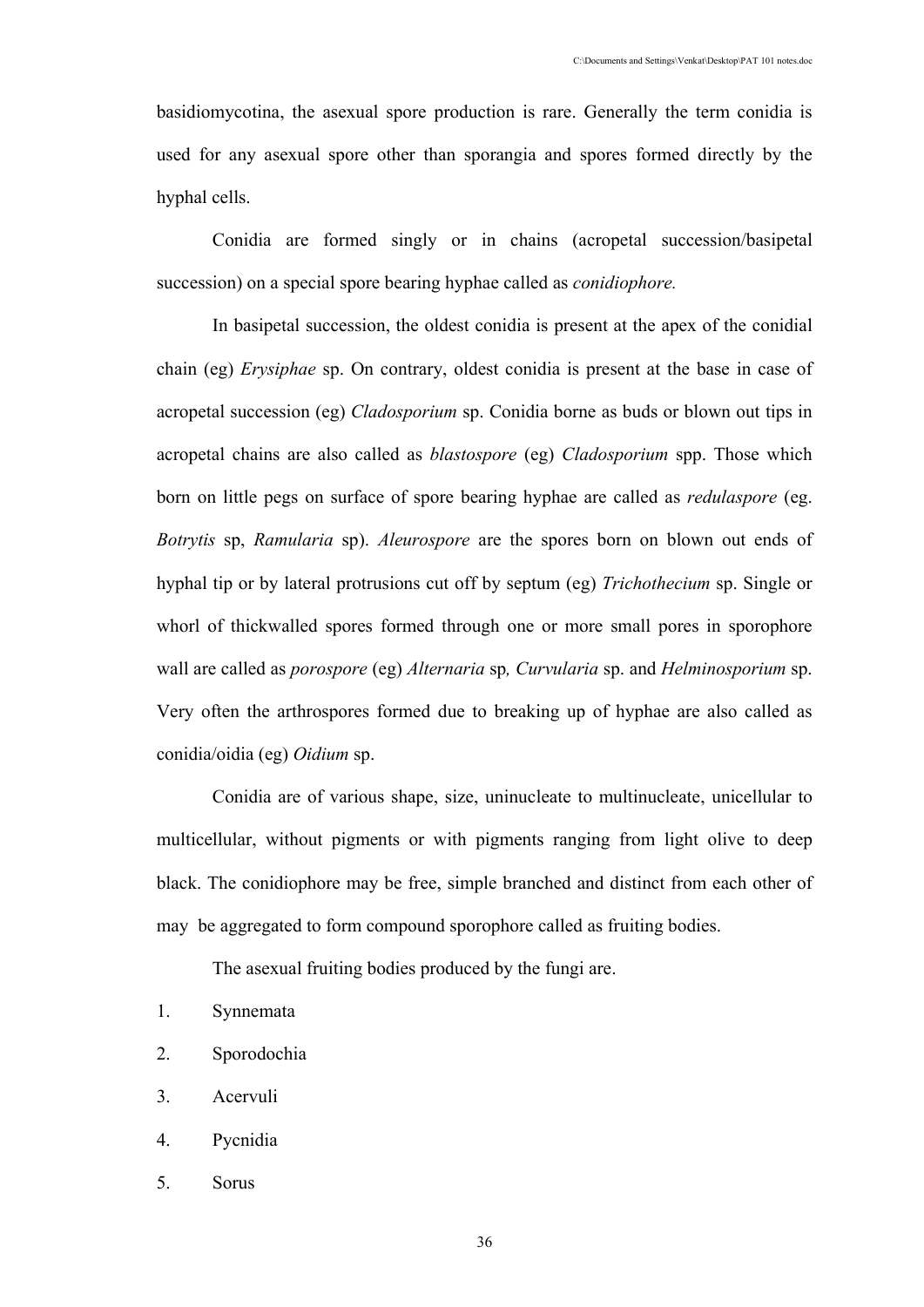basidiomycotina, the asexual spore production is rare. Generally the term conidia is used for any asexual spore other than sporangia and spores formed directly by the hyphal cells.

Conidia are formed singly or in chains (acropetal succession/basipetal succession) on a special spore bearing hyphae called as *conidiophore*.

In basipetal succession, the oldest conidia is present at the apex of the conidial chain (eg) Erysiphae sp. On contrary, oldest conidia is present at the base in case of acropetal succession (eg) Cladosporium sp. Conidia borne as buds or blown out tips in acropetal chains are also called as blastospore (eg) Cladosporium spp. Those which born on little pegs on surface of spore bearing hyphae are called as redulaspore (eg. Botrytis sp, Ramularia sp). Aleurospore are the spores born on blown out ends of hyphal tip or by lateral protrusions cut off by septum (eg) Trichothecium sp. Single or whorl of thickwalled spores formed through one or more small pores in sporophore wall are called as *porospore* (eg) Alternaria sp, Curvularia sp. and Helminosporium sp. Very often the arthrospores formed due to breaking up of hyphae are also called as conidia/oidia (eg) Oidium sp.

Conidia are of various shape, size, uninucleate to multinucleate, unicellular to multicellular, without pigments or with pigments ranging from light olive to deep black. The conidiophore may be free, simple branched and distinct from each other of may be aggregated to form compound sporophore called as fruiting bodies.

The asexual fruiting bodies produced by the fungi are.

- 1. Synnemata
- 2. Sporodochia
- 3. Acervuli
- 4. Pycnidia
- 5. Sorus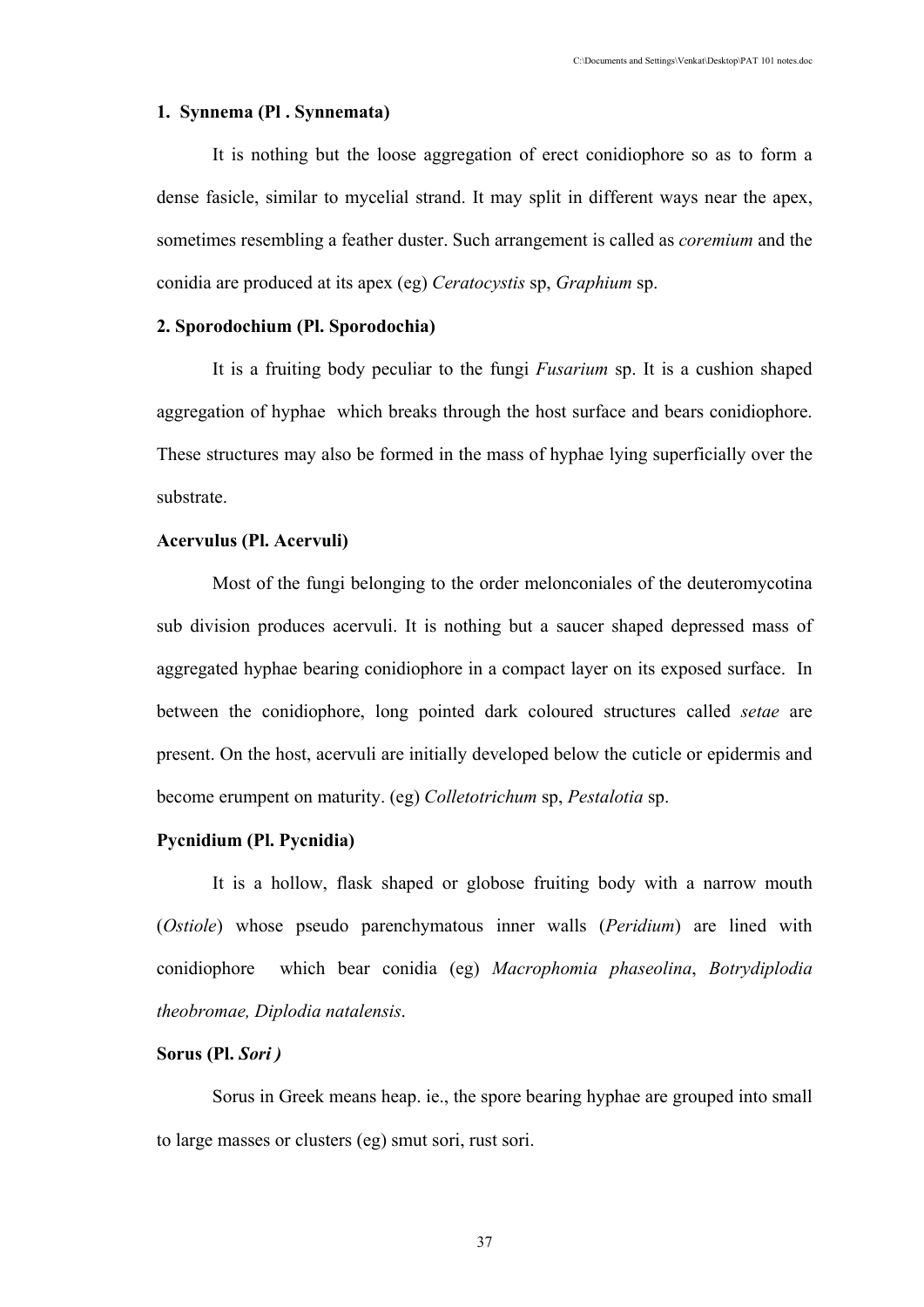### 1. Synnema (Pl . Synnemata)

It is nothing but the loose aggregation of erect conidiophore so as to form a dense fasicle, similar to mycelial strand. It may split in different ways near the apex, sometimes resembling a feather duster. Such arrangement is called as *coremium* and the conidia are produced at its apex (eg) Ceratocystis sp, Graphium sp.

#### 2. Sporodochium (Pl. Sporodochia)

It is a fruiting body peculiar to the fungi Fusarium sp. It is a cushion shaped aggregation of hyphae which breaks through the host surface and bears conidiophore. These structures may also be formed in the mass of hyphae lying superficially over the substrate.

### Acervulus (Pl. Acervuli)

Most of the fungi belonging to the order melonconiales of the deuteromycotina sub division produces acervuli. It is nothing but a saucer shaped depressed mass of aggregated hyphae bearing conidiophore in a compact layer on its exposed surface. In between the conidiophore, long pointed dark coloured structures called setae are present. On the host, acervuli are initially developed below the cuticle or epidermis and become erumpent on maturity. (eg) Colletotrichum sp, Pestalotia sp. Sub division produces acervuli. It is nothing but a saucer shaped depressed maggregated hyphae bearing conidiophore in a compact layer on its exposed surfabetween the conidiophore, long pointed dark coloured structures cal

### Pycnidium (Pl. Pycnidia)

It is a hollow, flask shaped or globose fruiting body with a narrow mouth (Ostiole) whose pseudo parenchymatous inner walls (Peridium) are lined with conidiophore which bear conidia (eg) Macrophomia phaseolina, Botrydiplodia

Sorus in Greek means heap. ie., the spore bearing hyphae are grouped into small to large masses or clusters (eg) smut sori, rust sori.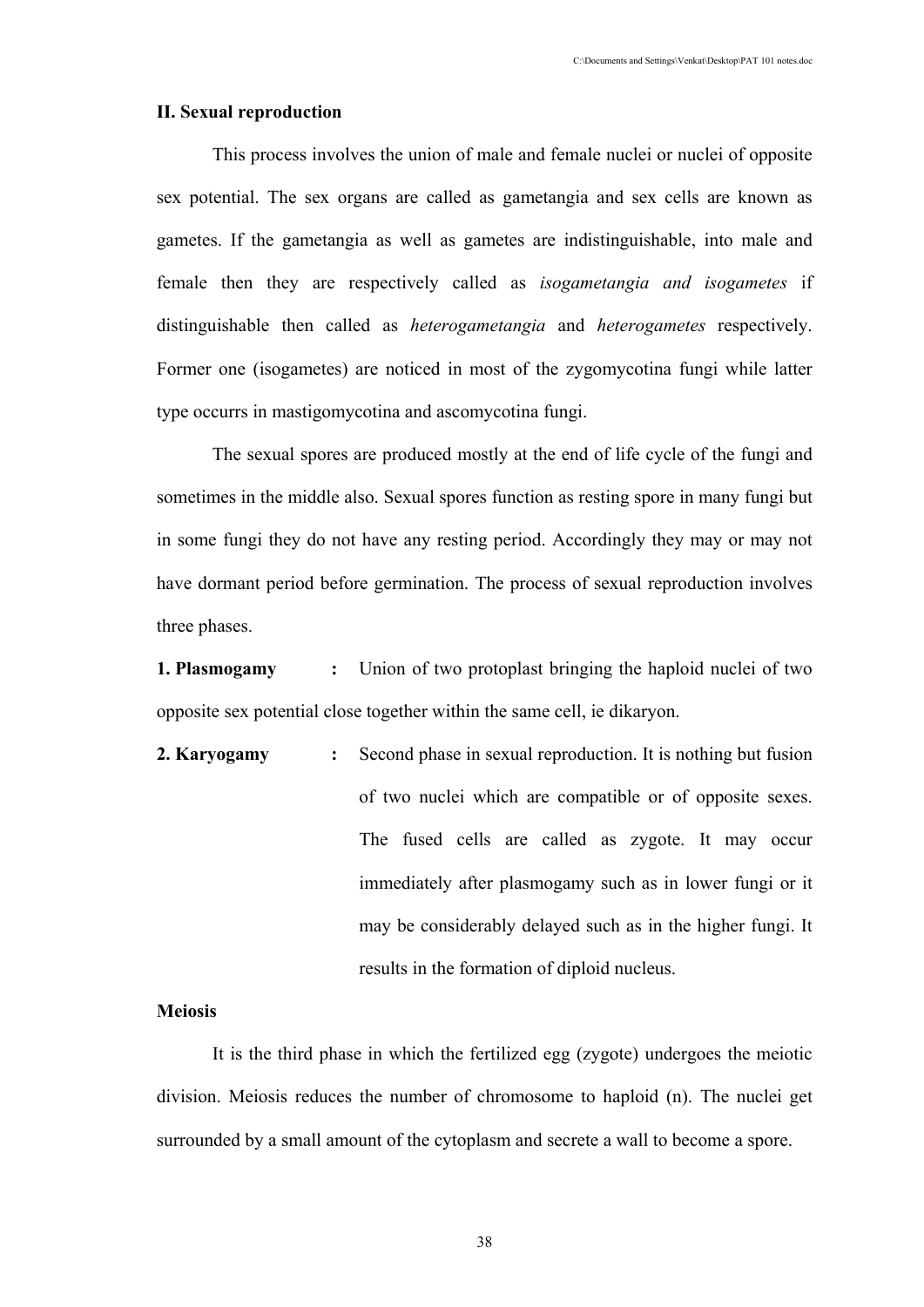### II. Sexual reproduction

C:Documents and Settingsi Venkat:DesktopPAT 101 notes.doc<br>This process involves the union of male and female nuclei or nuclei of opposite<br>ential. The sex organs are called as gametangia and sex cells are known as<br>s. If the sex potential. The sex organs are called as gametangia and sex cells are known as gametes. If the gametangia as well as gametes are indistinguishable, into male and female then they are respectively called as isogametangia and isogametes if distinguishable then called as *heterogametangia* and *heterogametes* respectively. Former one (isogametes) are noticed in most of the zygomycotina fungi while latter type occurrs in mastigomycotina and ascomycotina fungi.

The sexual spores are produced mostly at the end of life cycle of the fungi and sometimes in the middle also. Sexual spores function as resting spore in many fungi but in some fungi they do not have any resting period. Accordingly they may or may not have dormant period before germination. The process of sexual reproduction involves three phases.

**1. Plasmogamy** : Union of two protoplast bringing the haploid nuclei of two opposite sex potential close together within the same cell, ie dikaryon.

2. Karyogamy : Second phase in sexual reproduction. It is nothing but fusion of two nuclei which are compatible or of opposite sexes. The fused cells are called as zygote. It may occur immediately after plasmogamy such as in lower fungi or it may be considerably delayed such as in the higher fungi. It results in the formation of diploid nucleus. **Example 19 Second phase in sexual reproduction. It is nothing but fusion** of two nuclei which are compatible or of opposite sexes.<br>The fused cells are called as zygote. It may occur immediately after plasmogamy such as in

### **Meiosis**

It is the third phase in which the fertilized egg (zygote) undergoes the meiotic division. Meiosis reduces the number of chromosome to haploid (n). The nuclei get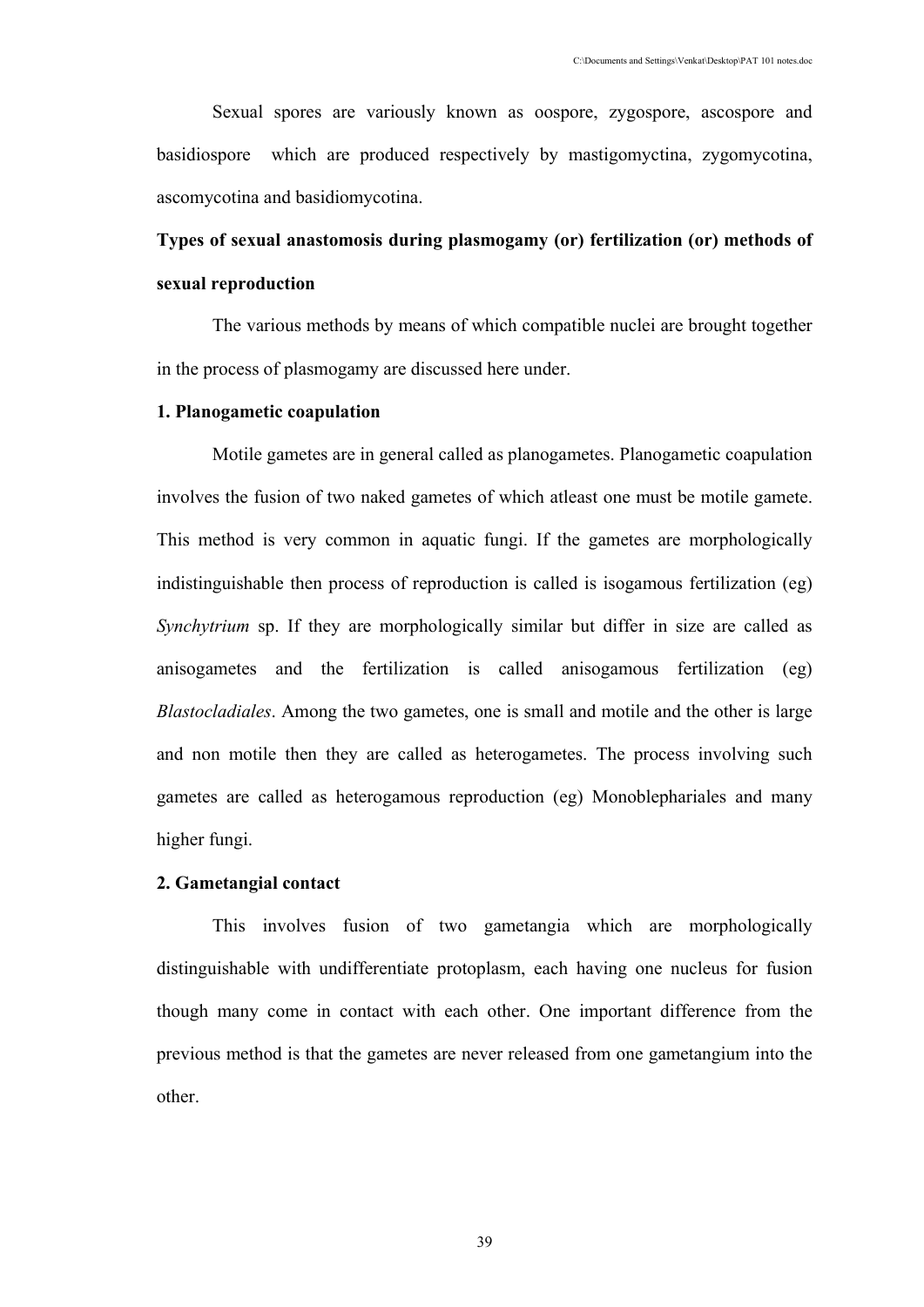Sexual spores are variously known as oospore, zygospore, ascospore and basidiospore which are produced respectively by mastigomyctina, zygomycotina, ascomycotina and basidiomycotina.

# Types of sexual anastomosis during plasmogamy (or) fertilization (or) methods of sexual reproduction

The various methods by means of which compatible nuclei are brought together in the process of plasmogamy are discussed here under.

### 1. Planogametic coapulation

Motile gametes are in general called as planogametes. Planogametic coapulation involves the fusion of two naked gametes of which atleast one must be motile gamete. This method is very common in aquatic fungi. If the gametes are morphologically indistinguishable then process of reproduction is called is isogamous fertilization (eg) Synchytrium sp. If they are morphologically similar but differ in size are called as anisogametes and the fertilization is called anisogamous fertilization (eg) Blastocladiales. Among the two gametes, one is small and motile and the other is large and non motile then they are called as heterogametes. The process involving such gametes are called as heterogamous reproduction (eg) Monoblephariales and many higher fungi.

### 2. Gametangial contact

This involves fusion of two gametangia which are morphologically distinguishable with undifferentiate protoplasm, each having one nucleus for fusion though many come in contact with each other. One important difference from the previous method is that the gametes are never released from one gametangium into the other.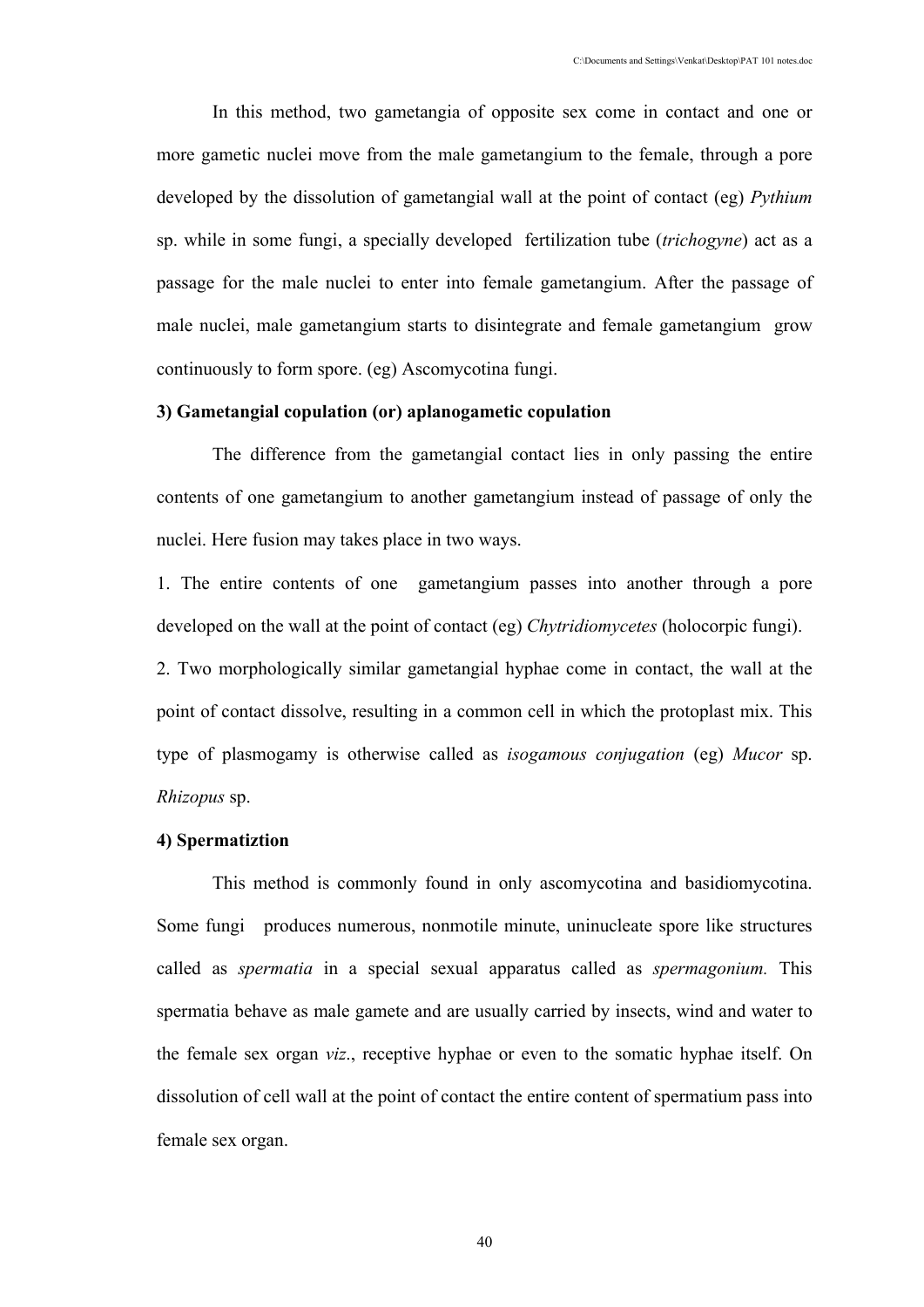In this method, two gametangia of opposite sex come in contact and one or more gametic nuclei move from the male gametangium to the female, through a pore developed by the dissolution of gametangial wall at the point of contact (eg) *Pythium* sp. while in some fungi, a specially developed fertilization tube *(trichogyne)* act as a passage for the male nuclei to enter into female gametangium. After the passage of male nuclei, male gametangium starts to disintegrate and female gametangium grow continuously to form spore. (eg) Ascomycotina fungi. CONDET SOMET THE CONDET CONDET CONDETERT CONDETERT CONDETERT IN DEFINITION INTERFERENCE SERVIPTED IN A DOTED THE GAME CONTINUOUS AND THE UP ON THE DESISTENT UP INTERFERENCE (Spin A pore of educid by the dissolution of game

#### 3) Gametangial copulation (or) aplanogametic copulation

contents of one gametangium to another gametangium instead of passage of only the nuclei. Here fusion may takes place in two ways.

1. The entire contents of one gametangium passes into another through a pore developed on the wall at the point of contact (eg) *Chytridiomycetes* (holocorpic fungi).

passage for the male nuclei to enter into female gametangium. After the passage of<br>male nuclei, male gametangium starts to disintegrate and female gametangium grow<br>continuously to form spore. (eg) Ascomycotina fungi.<br>3) Ga point of contact dissolve, resulting in a common cell in which the protoplast mix. This type of plasmogamy is otherwise called as isogamous conjugation (eg) Mucor sp. Rhizopus sp.

#### 4) Spermatiztion

This method is commonly found in only ascomycotina and basidiomycotina. nuclei. Here fusion may takes place in two ways.<br>
1. The entire contents of one gametangium passes into another through a pore<br>
developed on the wall at the point of contact (eg) *Chytridiomycetes* (holocorpic fungi).<br>
2. called as spermatia in a special sexual apparatus called as spermagonium. This spermatia behave as male gamete and are usually carried by insects, wind and water to the female sex organ viz., receptive hyphae or even to the somatic hyphae itself. On dissolution of cell wall at the point of contact the entire content of spermatium pass into female sex organ.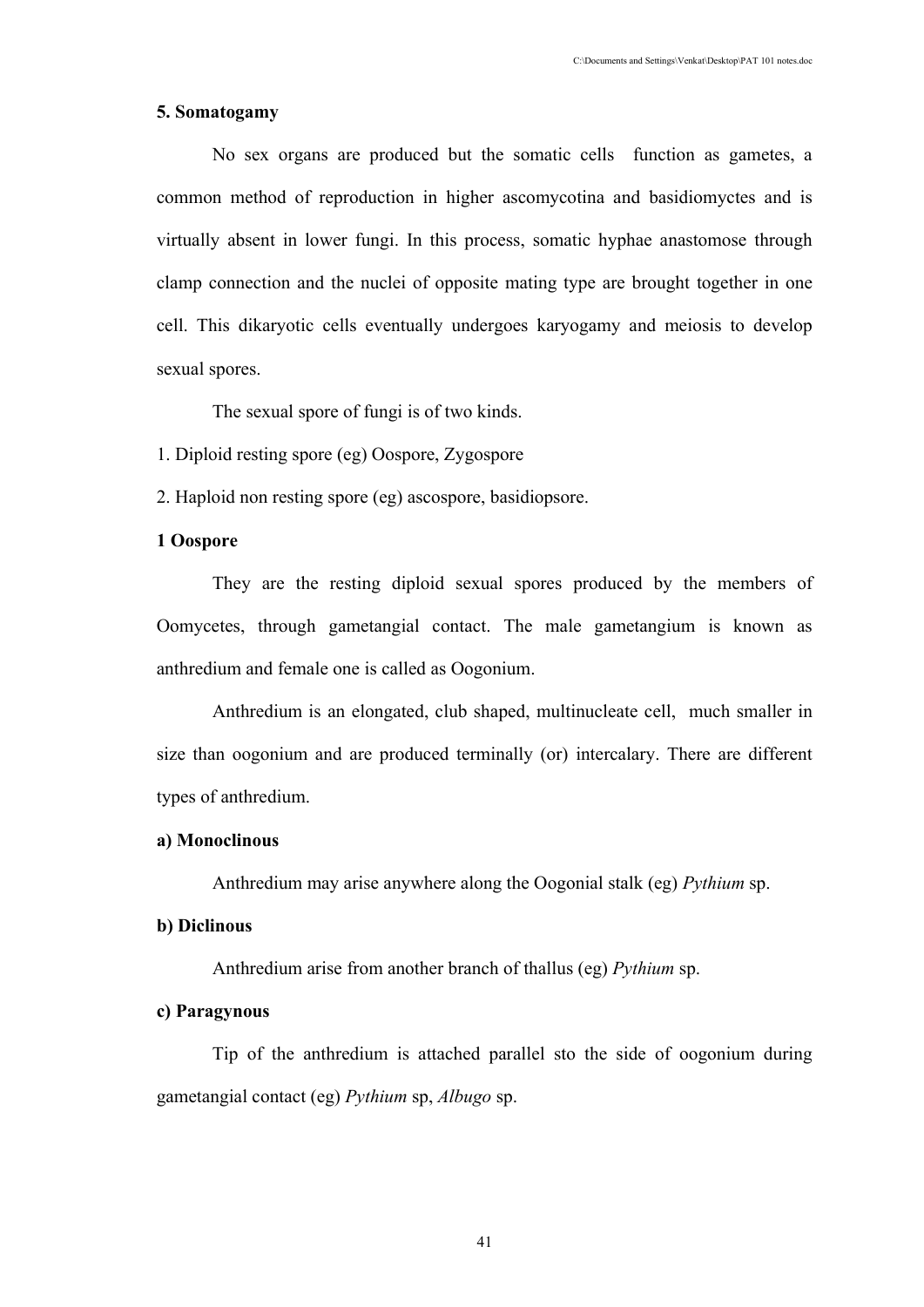# 5. Somatogamy

No sex organs are produced but the somatic cells function as gametes, a common method of reproduction in higher ascomycotina and basidiomyctes and is virtually absent in lower fungi. In this process, somatic hyphae anastomose through clamp connection and the nuclei of opposite mating type are brought together in one cell. This dikaryotic cells eventually undergoes karyogamy and meiosis to develop sexual spores.

The sexual spore of fungi is of two kinds.

- 1. Diploid resting spore (eg) Oospore, Zygospore
- 2. Haploid non resting spore (eg) ascospore, basidiopsore.

# 1 Oospore

They are the resting diploid sexual spores produced by the members of Oomycetes, through gametangial contact. The male gametangium is known as anthredium and female one is called as Oogonium.

Anthredium is an elongated, club shaped, multinucleate cell, much smaller in size than oogonium and are produced terminally (or) intercalary. There are different types of anthredium.

## a) Monoclinous

Anthredium may arise anywhere along the Oogonial stalk (eg) Pythium sp.

# b) Diclinous

Anthredium arise from another branch of thallus (eg) Pythium sp.

## c) Paragynous

Tip of the anthredium is attached parallel sto the side of oogonium during gametangial contact (eg) Pythium sp, Albugo sp.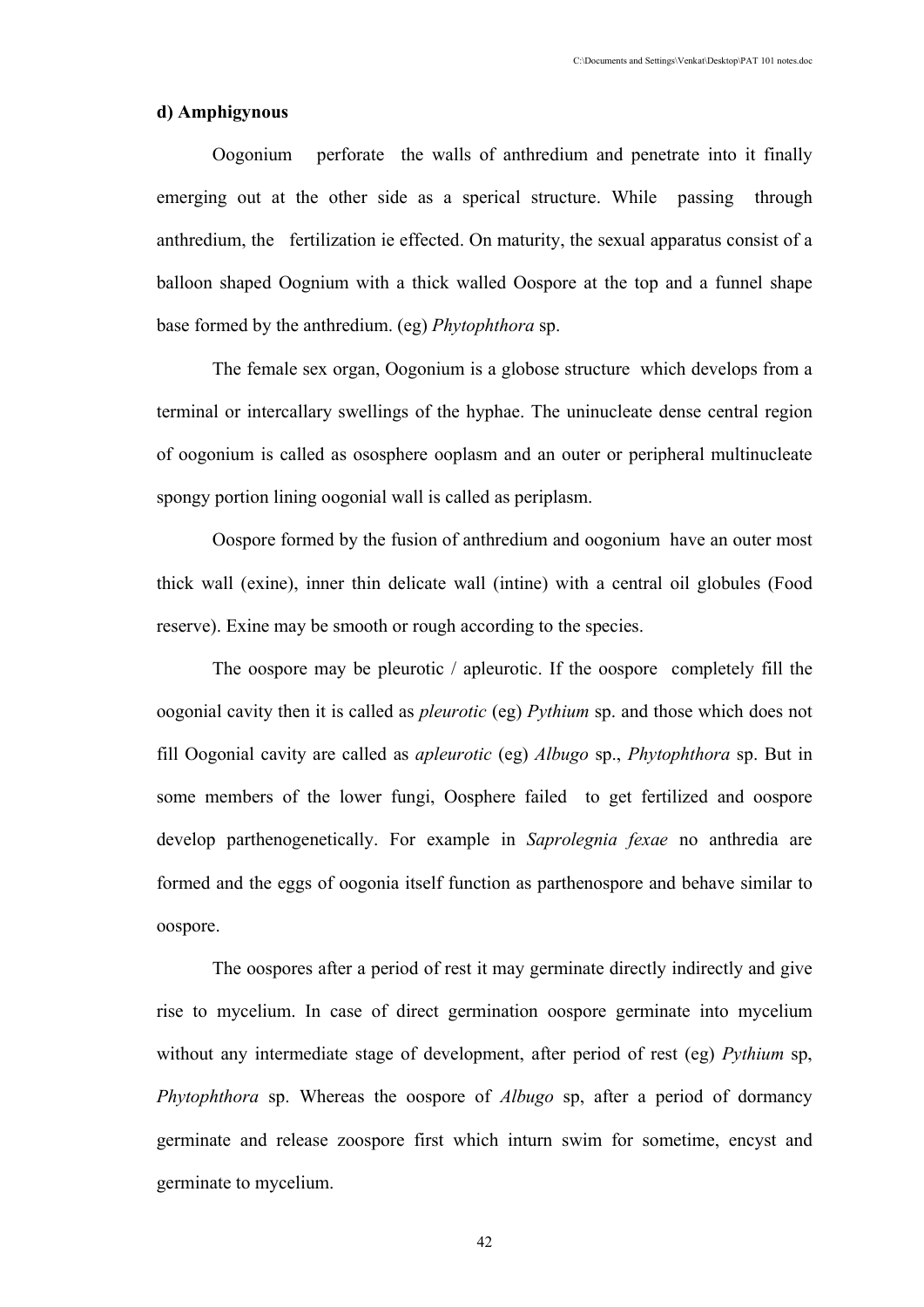# d) Amphigynous

Oogonium perforate the walls of anthredium and penetrate into it finally emerging out at the other side as a sperical structure. While passing through **anthredium** energing out at the other side as a sperical structure. While passing through anthredium, the fertilization ie effected. On maturity, the sexual apparatus consist of a balloon shaped Oognium with a thick walle balloon shaped Oognium with a thick walled Oospore at the top and a funnel shape base formed by the anthredium. (eg) Phytophthora sp. **of observe and sensure on the computer of the computer of the computer of the computer of the computer of the computer of the space of anthredium, the fertilization is effected. On maturity, the sexual apparatus consist o** 

The female sex organ, Oogonium is a globose structure which develops from a terminal or intercallary swellings of the hyphae. The uninucleate dense central region spongy portion lining oogonial wall is called as periplasm.

Oospore formed by the fusion of anthredium and oogonium have an outer most thick wall (exine), inner thin delicate wall (intine) with a central oil globules (Food reserve). Exine may be smooth or rough according to the species.

The oospore may be pleurotic / apleurotic. If the oospore completely fill the oogonial cavity then it is called as pleurotic (eg) Pythium sp. and those which does not fill Oogonial cavity are called as apleurotic (eg) Albugo sp., Phytophthora sp. But in some members of the lower fungi, Oosphere failed to get fertilized and oospore develop parthenogenetically. For example in Saprolegnia fexae no anthredia are formed and the eggs of oogonia itself function as parthenospore and behave similar to oospore. rall (exine), inner thin delicate wall (intine) with a central oil globules (Food<br>
). Exine may be smooth or rough according to the species.<br>
The oospore may be pleurotic / apleurotic. If the oospore completely fill the<br>
a

rise to mycelium. In case of direct germination oospore germinate into mycelium without any intermediate stage of development, after period of rest (eg) *Pythium* sp, Phytophthora sp. Whereas the oospore of *Albugo* sp, after a period of dormancy germinate and release zoospore first which inturn swim for sometime, encyst and germinate to mycelium.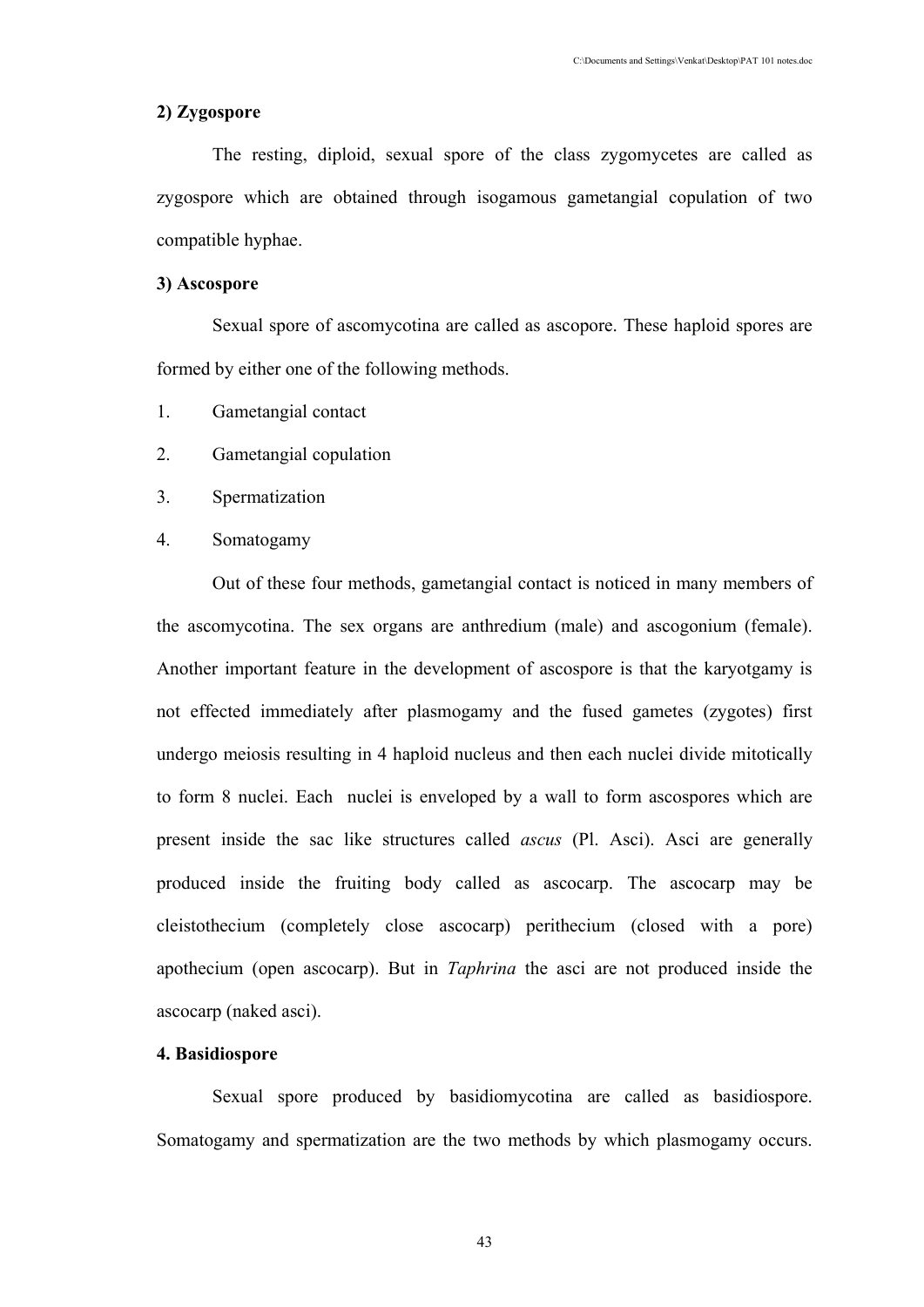# 2) Zygospore

The resting, diploid, sexual spore of the class zygomycetes are called as zygospore which are obtained through isogamous gametangial copulation of two compatible hyphae. Cohemana at SanagoVestarDesita pop 21<br>
2. The resting, diploid, sexual spore of the class zygomycetes are called as<br>
2. The resting of acompaction of two compatible hyphae.<br>
3. Ascospore<br>
Sexual spore of ascomycotina are c 2. **Example and Scribscare and Scribscare and Scribscare Conduct Section 2.1**<br>2. Gametangial copulation of two<br>2. approximation are obtained through isogamous gametangial copulation of two<br>2. **3.** Ascospore<br>5. Sexual spore

### 3) Ascospore

Sexual spore of ascomycotina are called as ascopore. These haploid spores are formed by either one of the following methods.

- 
- 
- 3. Spermatization

# 4. Somatogamy

Out of these four methods, gametangial contact is noticed in many members of the ascomycotina. The sex organs are anthredium (male) and ascogonium (female). **Another important feature in the development of ascopore.** These haploid spores are<br>formed by either one of the following methods.<br>
1. Cametangial contact<br>
2. Gametangial copulation<br>
3. Spermatization<br>
4. Somatogamy<br>
Out not effected immediately after plasmogamy and the fused gametes (zygotes) first undergo meiosis resulting in 4 haploid nucleus and then each nuclei divide mitotically to form 8 nuclei. Each nuclei is enveloped by a wall to form ascospores which are present inside the sac like structures called ascus (Pl. Asci). Asci are generally produced inside the fruiting body called as ascocarp. The ascocarp may be cleistothecium (completely close ascocarp) perithecium (closed with a pore) apothecium (open ascocarp). But in Taphrina the asci are not produced inside the ascocarp (naked asci).

## 4. Basidiospore

Sexual spore produced by basidiomycotina are called as basidiospore. Somatogamy and spermatization are the two methods by which plasmogamy occurs.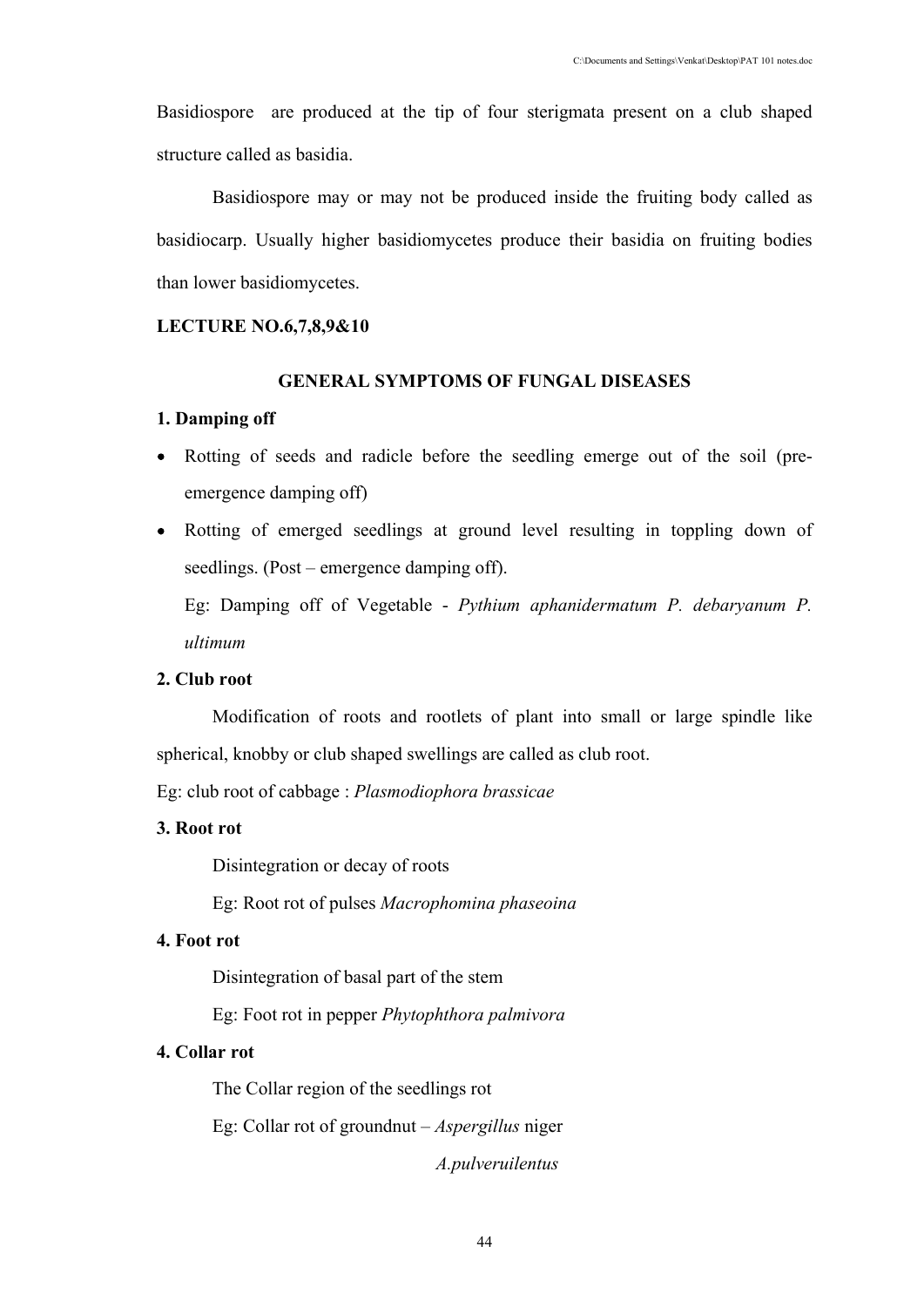Basidiospore are produced at the tip of four sterigmata present on a club shaped structure called as basidia.

Basidiospore may or may not be produced inside the fruiting body called as basidiocarp. Usually higher basidiomycetes produce their basidia on fruiting bodies than lower basidiomycetes.

## LECTURE NO.6,7,8,9&10

# GENERAL SYMPTOMS OF FUNGAL DISEASES

### 1. Damping off

- Rotting of seeds and radicle before the seedling emerge out of the soil (preemergence damping off)
- Rotting of emerged seedlings at ground level resulting in toppling down of seedlings. (Post – emergence damping off).

Eg: Damping off of Vegetable - Pythium aphanidermatum P. debaryanum P. ultimum

# 2. Club root

Modification of roots and rootlets of plant into small or large spindle like spherical, knobby or club shaped swellings are called as club root.

Eg: club root of cabbage : Plasmodiophora brassicae

# 3. Root rot

Disintegration or decay of roots

Eg: Root rot of pulses Macrophomina phaseoina

# 4. Foot rot

Disintegration of basal part of the stem

Eg: Foot rot in pepper Phytophthora palmivora

# 4. Collar rot

The Collar region of the seedlings rot

Eg: Collar rot of groundnut  $-$  Aspergillus niger

A.pulveruilentus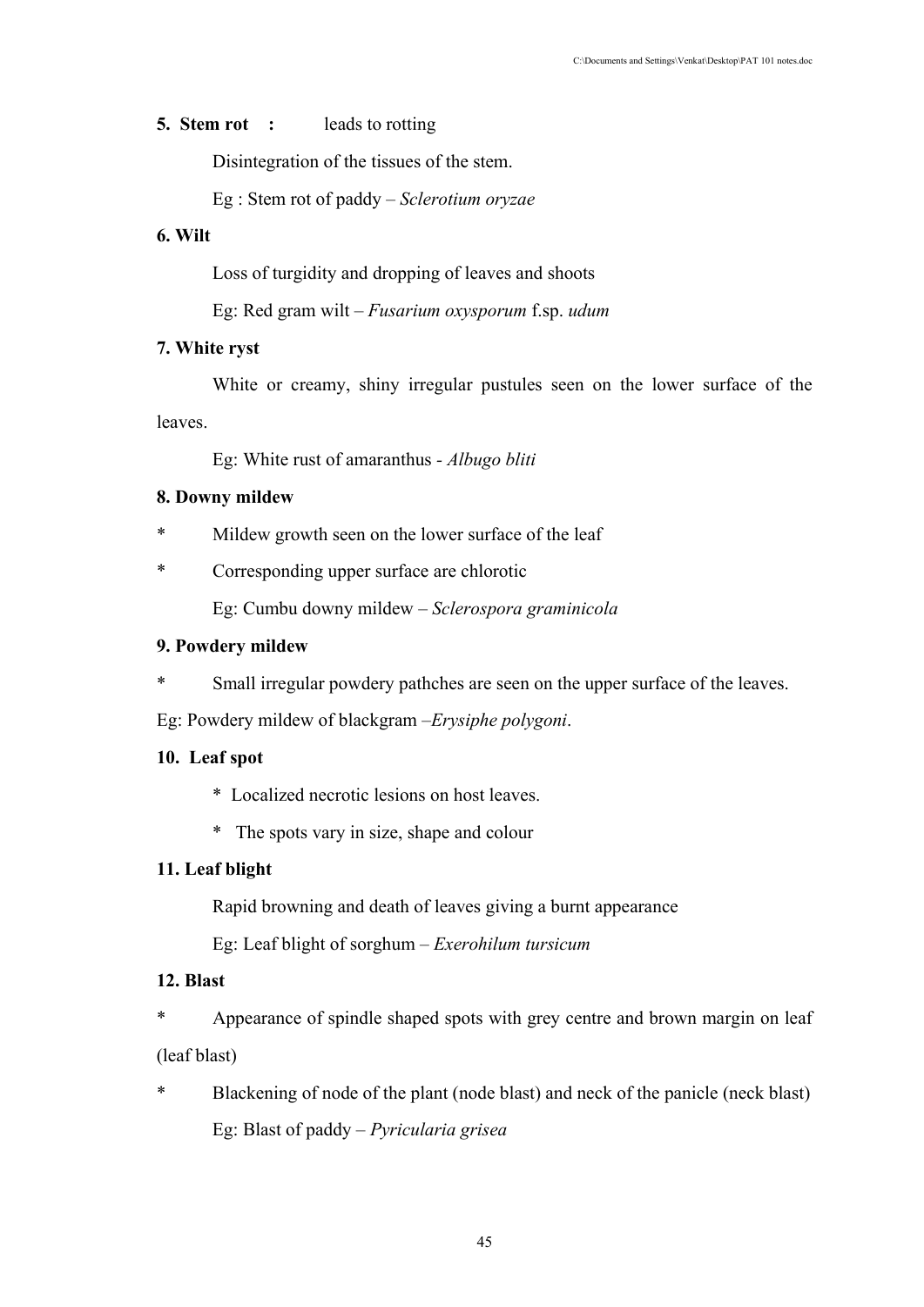Disintegration of the tissues of the stem.

C:\Documents and Settings\Venkat\Desktop\PAT 101 notes.doc<br>
5. Stem rot : leads to rotting<br>
Disintegration of the tissues of the stem.<br>
Eg : Stem rot of paddy – *Sclerotium oryzae* Eg : Stem rot of paddy – Sclerotium oryzae

# 6. Wilt

Loss of turgidity and dropping of leaves and shoots

Eg: Red gram wilt – Fusarium oxysporum f.sp. udum

# 7. White ryst

White or creamy, shiny irregular pustules seen on the lower surface of the leaves. Example 19<br>
Disintegration of the tissues of the stem.<br>
Eg : Stem rot of paddy – *Sclerotium oryzae*<br>
6. Wilt<br>
Loss of turgidity and dropping of leaves and shoots<br>
Eg: Red gram wilt – *Fusarium oxysporum* f.sp. *udum*<br>
7. Eg : Stem rot of paddy – *Sclerotium oryzae*<br>
6. Wilt<br>
Loss of turgidity and dropping of leaves and shoots<br>
Eg: Red gram wilt – *Fusarium oxysporum* f.sp. *udum*<br>
7. White ryst<br>
White or creamy, shiny irregular pustules se Eg: Red gram wilt – *Fusarium oxysporum* f.sp. *udum*<br> **7. White ryst**<br>
White or creamy, shiny irregular pustules seen on the lower surface of the<br>
leaves.<br>
Eg: White rust of amaranthus - *Albugo bliti*<br> **8. Downy mildew** 

Eg: White rust of amaranthus - Albugo bliti

## 8. Downy mildew

- 
- 

Eg: Cumbu downy mildew – Sclerospora graminicola

# 9. Powdery mildew

Eg: Powdery mildew of blackgram –Erysiphe polygoni.

# 10. Leaf spot

- \* Localized necrotic lesions on host leaves.
- \* The spots vary in size, shape and colour

## 11. Leaf blight

Rapid browning and death of leaves giving a burnt appearance

Eg: Leaf blight of sorghum – Exerohilum tursicum

# 12. Blast

9. Powdery mildew<br>
\* Small irregular powdery pathches are seen on the upper surface of the leaves.<br>
Eg: Powdery mildew of blackgram  $-Erysiphe polygoni$ .<br>
10. Leaf spot<br>
\* Localized necrotic lesions on host leaves.<br>
\* The spots var (leaf blast)

Eg: Powdcry mildew of blackgram *-Erysiphe polygoni*.<br>
10. Leaf spot<br>
\* Localized necrotic lesions on host leaves.<br>
\* The spots vary in size, shape and colour<br>
11. Leaf blight<br>
Rapid browning and death of leaves giving a b Eg: Blast of paddy –  $P$ yricularia grisea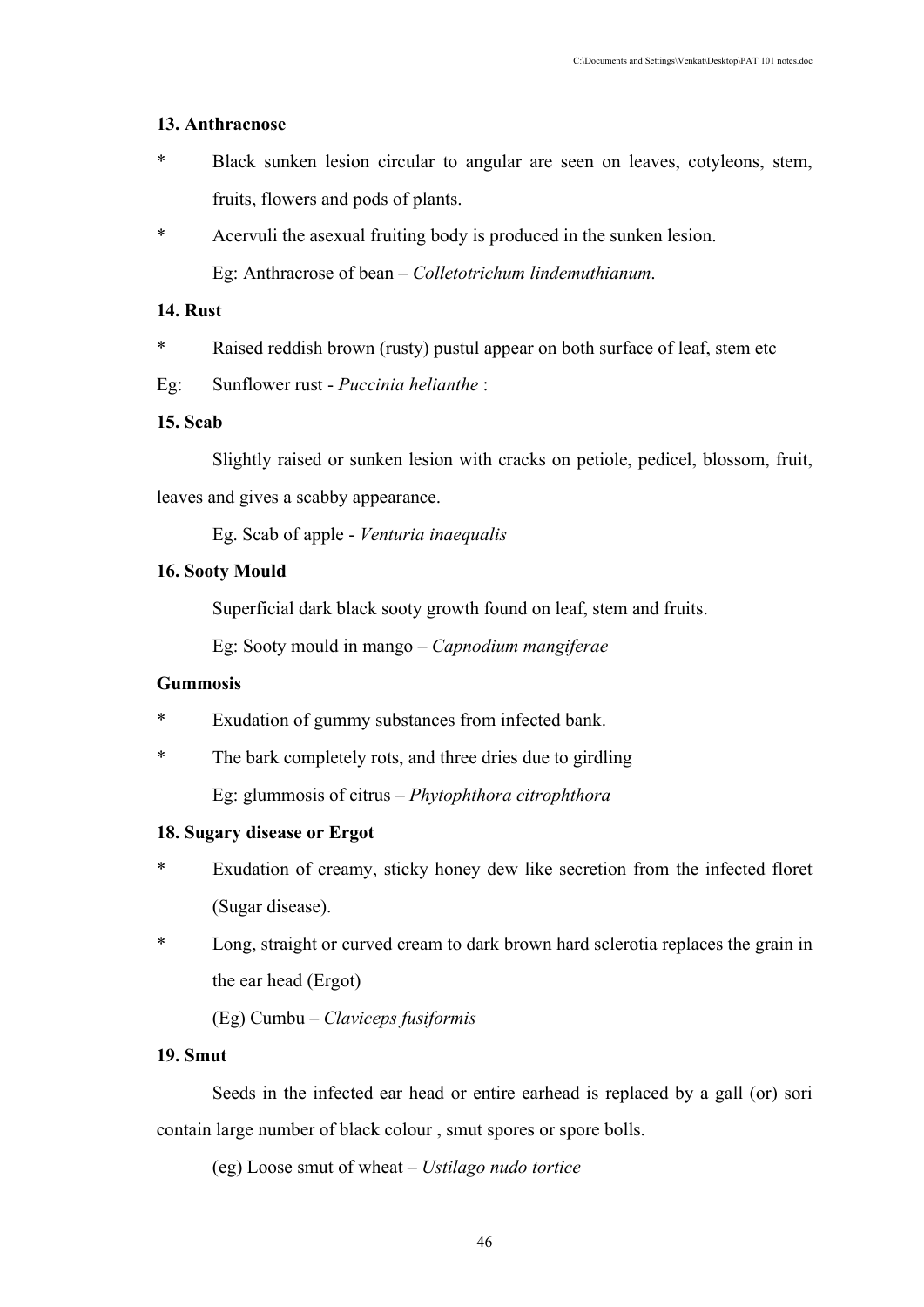# 13. Anthracnose

- ExDocuments and Settings\VenkatDesktop\PAT 101 notes.doc<br> **13. Anthracnose**<br>
\* Black sunken lesion circular to angular are seen on leaves, cotyleons, stem,<br>
fruits, flowers and pods of plants.<br>
\* Acervuli the asexual fruit fruits, flowers and pods of plants. EXPOCUTE ANTITED CONCULTED SURFACT 101 DONES AND THE ALEXANDER SURFACT 101 DONES AND THE SURFACT DURING THE SURFACT DURING THE ASSEMPTION SEXUAL THE ASSEMPTION of the sunken lesion.<br>
The asexual fruiting body is produced i \* Raised reddish brown (rusty) pustul appear on both surface of leaf, stem etc.<br>
\* Rack sunken lesion circular to angular are seen on leaves, cotyleons, stem,<br>
fruits, flowers and pods of plants.<br>
\* Acervuli the asexual fr
- Eg: Anthracrose of bean Colletotrichum lindemuthianum. EDecuments and Settings/VentariDes<br> **EGIDE TREAS SURFER 13.**<br> **EGIDE 13.**<br> **EGIDE 13.**<br> **EGIDE 13.**<br> **EGIDE 13.**<br> **EGIDE 13.**<br> **EGIDE 14.**<br> **EGIDE 14.**<br> **EGIDE 14.**<br> **EGIDE 14.**<br> **EGIDE 14.**<br> **EGIDE 14.**<br> **EGIDE 14.**<br> **EGI**

# 14. Rust

# 15. Scab

Slightly raised or sunken lesion with cracks on petiole, pedicel, blossom, fruit, leaves and gives a scabby appearance. %%\*\*\*<br>Eg: Sunflower rust - Puccinia helianthe :<br>
Eg: Sunflower rust - Puccinia helianthe :<br>
15. Scab<br>
Slightly raised or sunken lesion with cracks on petiole, pedicel, blos<br>
leaves and gives a scabby appearance.<br>
Eg. Scab Eg: Sunflower rust - *Puccinia helianthe*:<br>
15. Scab<br>
Slightly raised or sunken lesion with cracks on petiole, pedicel, blosson<br>
leaves and gives a scabby appearance.<br>
Eg. Scab of apple - *Venturia inaequalis*<br>
16. Sooty M

Eg. Scab of apple - Venturia inaequalis

# 16. Sooty Mould

Superficial dark black sooty growth found on leaf, stem and fruits.

Eg: Sooty mould in mango  $-$  Capnodium mangiferae

# Gummosis

- 
- Eg: glummosis of citrus  $Phytophthora$  citrophthora

# 18. Sugary disease or Ergot

- the state of creamy, sticky honey dew like secretion from the infected flore<br>
Fig. Scab of apple *Venturia inaequalis*<br>
16. Sooty Mould<br>
Superficial dark black sooty growth found on leaf, stem and fruits.<br>
Eg: Sooty moul (Sugar disease).
- 16. Sooty Mould<br>
Superficial dark black sooty growth found on leaf, stem and fruits.<br>
Eg: Sooty mould in mango *Capnodium mangiferae*<br> **Gummosis**<br>
\* Exudation of gummy substances from infected bank.<br>
\* The bark complete the ear head (Ergot)

(Eg) Cumbu – Claviceps fusiformis

# 19. Smut

Seeds in the infected ear head or entire earhead is replaced by a gall (or) sori contain large number of black colour , smut spores or spore bolls.

(eg) Loose smut of wheat – Ustilago nudo tortice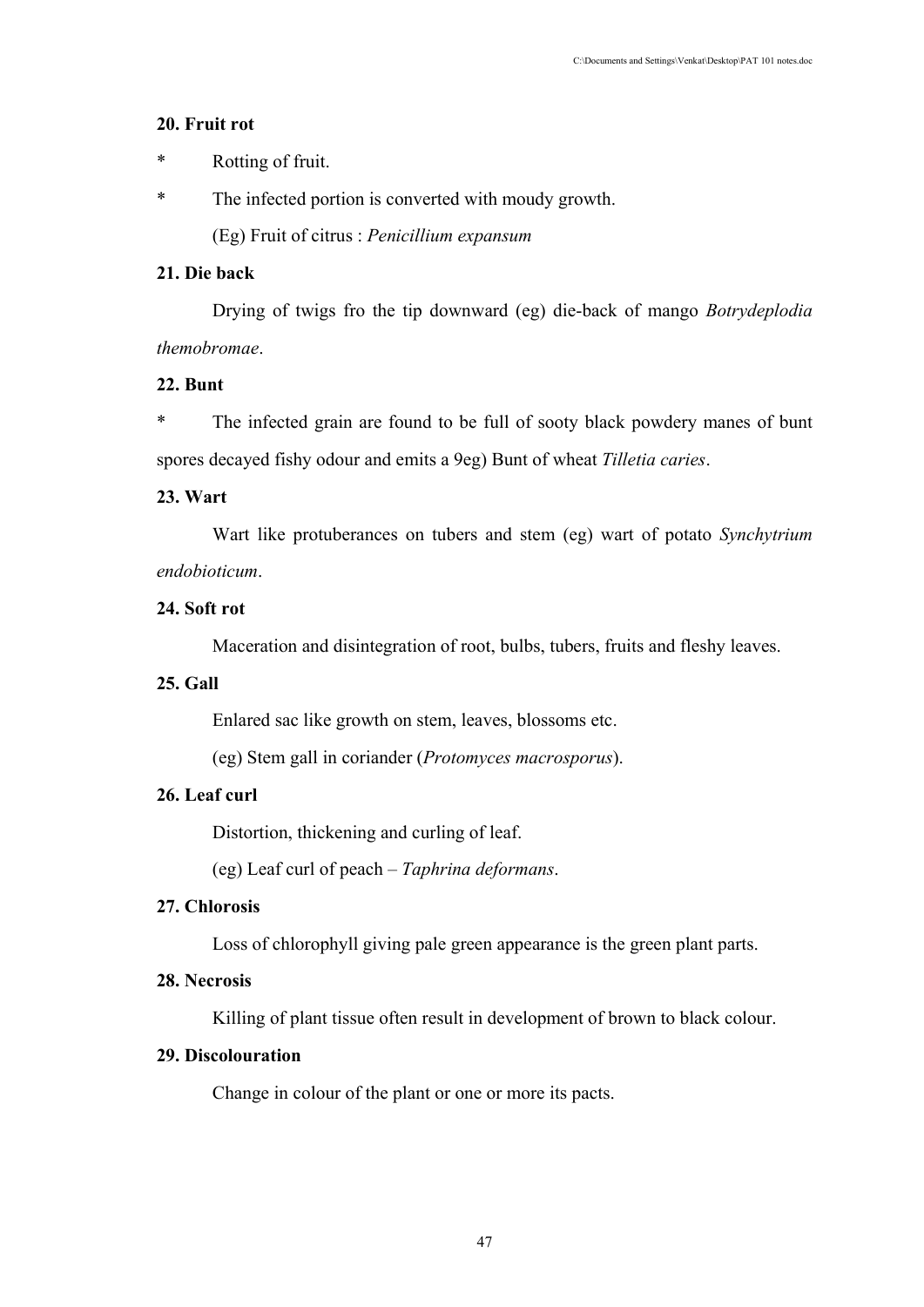# 20. Fruit rot

- 
- 20. Fruit rot<br>
\* Rotting of fruit.<br>
\* Rotting of fruit.<br>
\* The infected portion is converted with moudy growth.<br>
(Eg) Fruit of citrus : *Penicillium expansum* <sup>C:\Documents and Settings\Venkat\Desktop\\<br> **20. Fruit rot**<br>
\* Rotting of fruit.<br>
\* The infected portion is converted with moudy growth.<br>
(Eg) Fruit of citrus : *Penicillium expansum*<br> **21. Die back**</sup>

(Eg) Fruit of citrus : Penicillium expansum

# 21. Die back

Drying of twigs fro the tip downward (eg) die-back of mango Botrydeplodia themobromae.

# 22. Bunt

<sup>e Channels and Namps Vesical Native<sup>99XT</sup> 103 microires **Rolling of fruit**.<br>
\* Rolling of fruit are found to be full of sooty black powdery mannes of bunt<br> **21. Die back** Drying of twigs fro the tip downward (eg) die-back</sup> spores decayed fishy odour and emits a 9eg) Bunt of wheat Tilletia caries.

# 23. Wart

Wart like protuberances on tubers and stem (eg) wart of potato Synchytrium endobioticum. Spores decayed fishy odour and emits a 9eg) Bunt of wheat *Tilletia caries*.<br>
23. Wart<br>
Wart like protuberances on tubers and stem (eg) wart of potato *Synchytrium*<br> *endobioticum*.<br>
24. Soft rot<br>
Maccration and disintegra

# 24. Soft rot

Maceration and disintegration of root, bulbs, tubers, fruits and fleshy leaves.

## 25. Gall

Enlared sac like growth on stem, leaves, blossoms etc.

(eg) Stem gall in coriander (Protomyces macrosporus).

# 26. Leaf curl

(eg) Leaf curl of peach – Taphrina deformans.

# 27. Chlorosis

Loss of chlorophyll giving pale green appearance is the green plant parts.

# 28. Necrosis

Killing of plant tissue often result in development of brown to black colour.

# 29. Discolouration

Change in colour of the plant or one or more its pacts.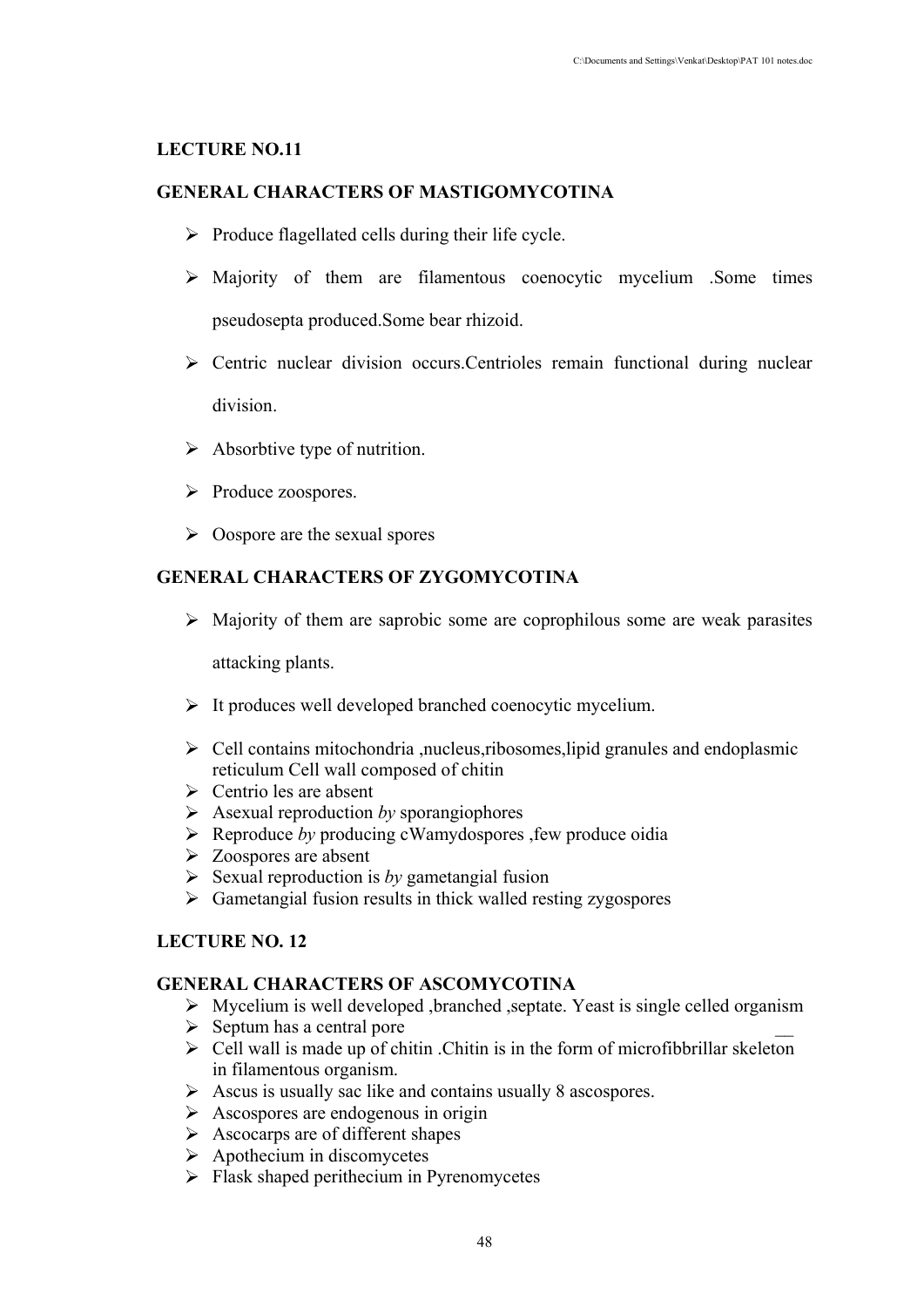# LECTURE NO.11

# GENERAL CHARACTERS OF MASTIGOMYCOTINA

- $\triangleright$  Produce flagellated cells during their life cycle.
- Majority of them are filamentous coenocytic mycelium .Some times pseudosepta produced.Some bear rhizoid.
- Centric nuclear division occurs.Centrioles remain functional during nuclear division.
- $\triangleright$  Absorbtive type of nutrition.
- $\triangleright$  Produce zoospores.
- $\triangleright$  Oospore are the sexual spores

# GENERAL CHARACTERS OF ZYGOMYCOTINA

 $\triangleright$  Majority of them are saprobic some are coprophilous some are weak parasites

attacking plants.

- $\triangleright$  It produces well developed branched coenocytic mycelium.
- $\triangleright$  Cell contains mitochondria , nucleus, ribosomes, lipid granules and endoplasmic reticulum Cell wall composed of chitin attacking plants.<br>
It produces well developed branched coenocytic mycelium.<br>
Cell contains mitochondria ,nucleus,ribosomes,lipid granules and endoplasmic<br>
Centrio les are absent<br>
Centrio les are absent<br>
Reveroduce by produ
- $\triangleright$  Centrio les are absent
- $\triangleright$  Asexual reproduction by sporangiophores
- $\triangleright$  Reproduce by producing cWamydospores , few produce oidia
- Zoospores are absent
- $\triangleright$  Sexual reproduction is by gametangial fusion
- $\triangleright$  Gametangial fusion results in thick walled resting zygospores

# LECTURE NO. 12

# GENERAL CHARACTERS OF ASCOMYCOTINA

- $\triangleright$  Mycelium is well developed ,branched ,septate. Yeast is single celled organism
- $\triangleright$  Septum has a central pore
- in filamentous organism.
- $\triangleright$  Ascus is usually sac like and contains usually 8 ascospores.
- $\triangleright$  Ascospores are endogenous in origin
- $\triangleright$  Ascocarps are of different shapes
- $\triangleright$  Apothecium in discomycetes
- $\triangleright$  Flask shaped perithecium in Pyrenomycetes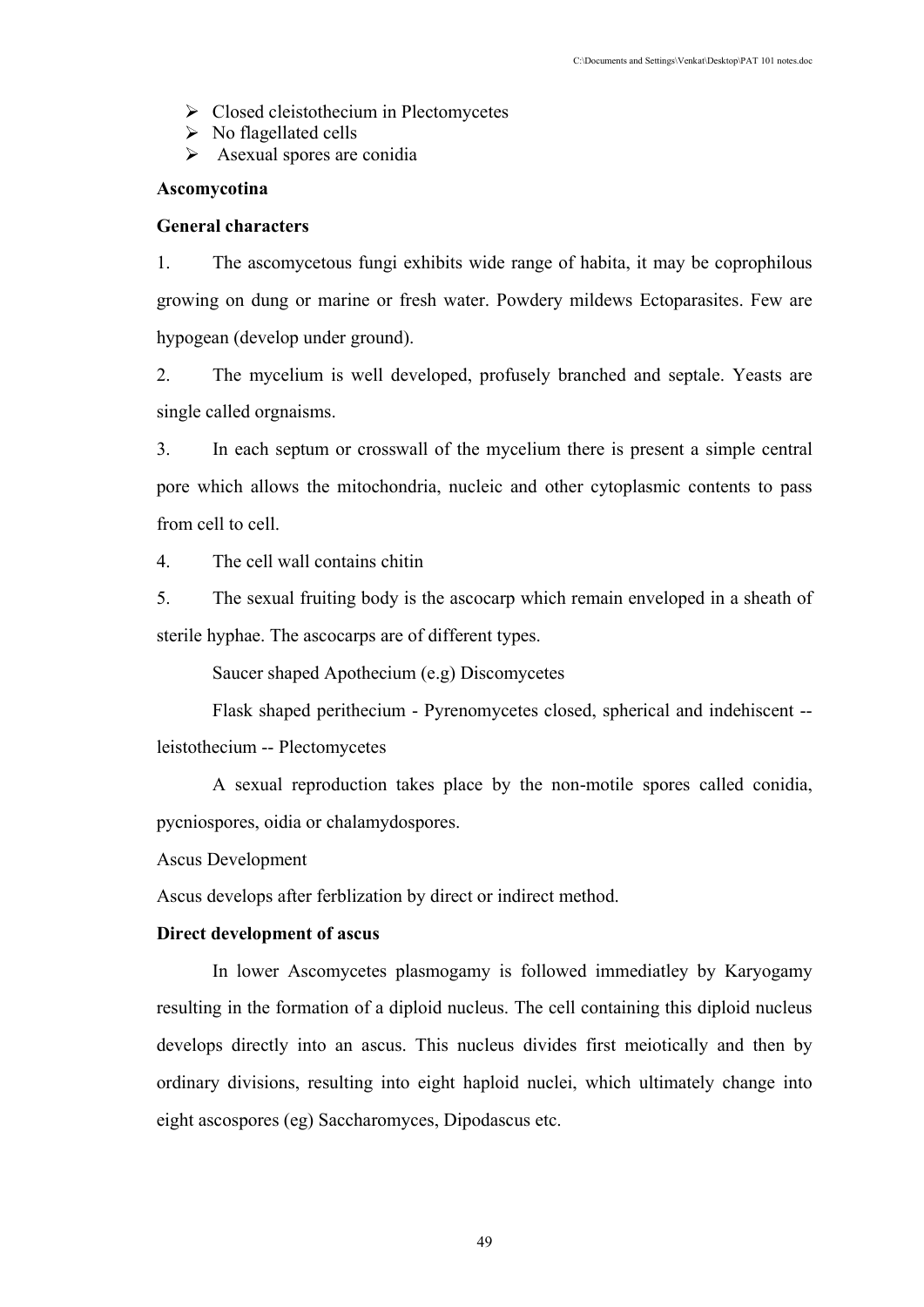- $\triangleright$  Closed cleistothecium in Plectomycetes
- $\triangleright$  No flagellated cells
- $\triangleright$  Asexual spores are conidia

#### Ascomycotina

#### General characters

2. The ascomycetous fungi exhibits wide range of habita, it may be coprophilous exponential ascomycetina<br>
1. The ascomycetous fungi exhibits wide range of habita, it may be coprophilous<br>
1. The ascomycetous fungi exhibits growing on dung or marine or fresh water. Powdery mildews Ectoparasites. Few are hypogean (develop under ground). 2. Closed cleistothecium in Plectomycetes<br>
2. No flagellated cells<br>
2. No flagellated cells<br>
2. Asexual spores are conidia<br>
2. The ascomycotous fungi exhibits wide range of habita, it may be coprophilous<br>
2. The mycelium i 3. In each septund or crosswall of the mycelium there is present a simple contents of the mycelian components are conidial and discussion of the mycelium the material of the mycelium of the mycelium there is present a sim 4. The cell wall contains chiting body is the celebration of the celebration of the assomyce diagnosis of the assomyce due of the assomyce due of the assomyce of the assomyce of the associated wall contains thy<br>pogean (dev **General characters**<br>
1. The ascomycetous fungi exhibits wide range of habita, it may be coprophilous<br>
growing on dung or marine or fresh water. Powdery mildews Ectoparasites. Few are<br>
hypogean (develop under ground).<br>
2.

single called orgnaisms.

pore which allows the mitochondria, nucleic and other cytoplasmic contents to pass from cell to cell.

sterile hyphae. The ascocarps are of different types.

Saucer shaped Apothecium (e.g) Discomycetes

Flask shaped perithecium - Pyrenomycetes closed, spherical and indehiscent - leistothecium -- Plectomycetes

A sexual reproduction takes place by the non-motile spores called conidia, pycniospores, oidia or chalamydospores.

Ascus Development

Ascus develops after ferblization by direct or indirect method.

### Direct development of ascus

In lower Ascomycetes plasmogamy is followed immediatley by Karyogamy resulting in the formation of a diploid nucleus. The cell containing this diploid nucleus develops directly into an ascus. This nucleus divides first meiotically and then by ordinary divisions, resulting into eight haploid nuclei, which ultimately change into eight ascospores (eg) Saccharomyces, Dipodascus etc.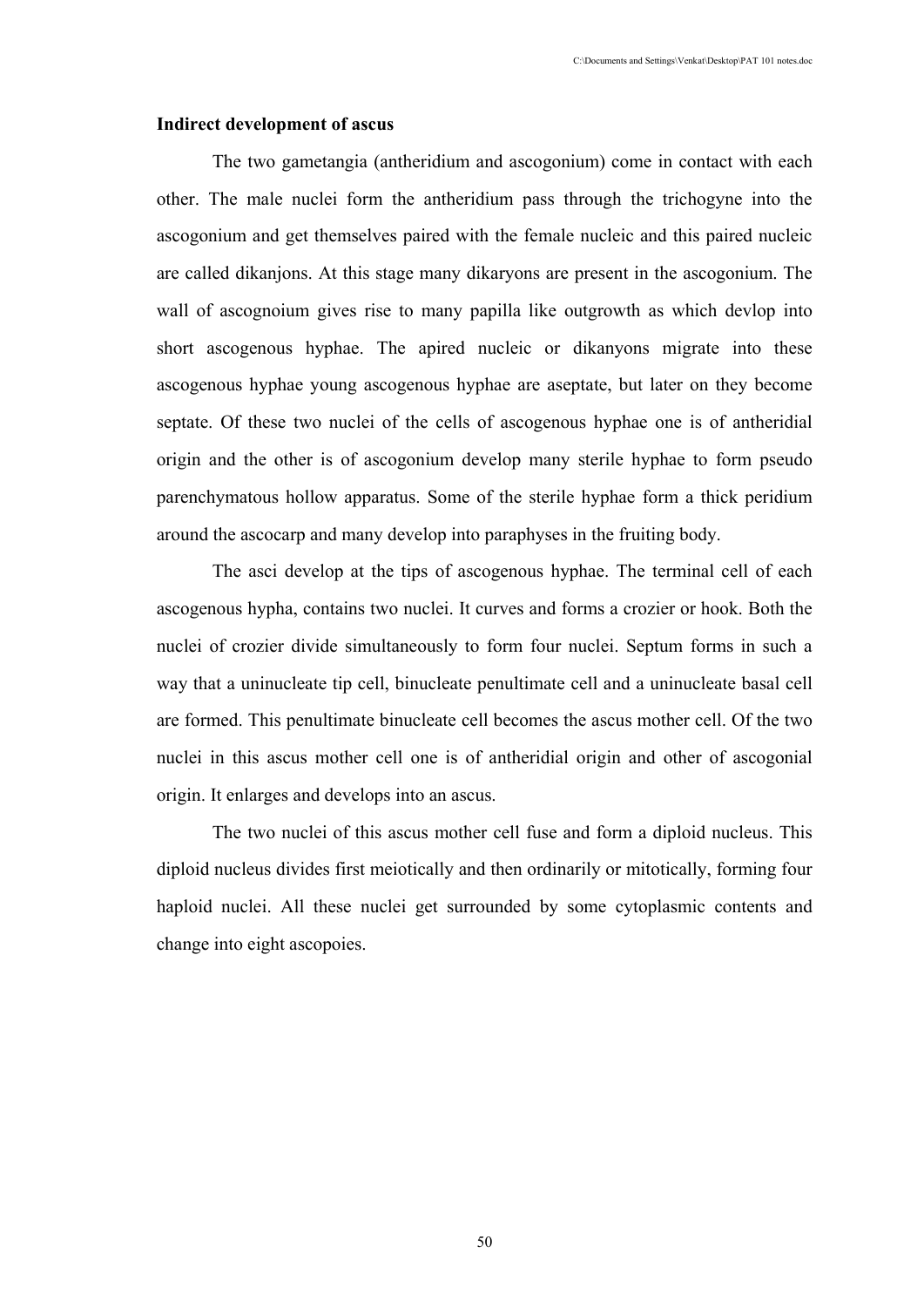#### Indirect development of ascus

The two gametangia (antheridium and ascogonium) come in contact with each other. The male nuclei form the antheridium pass through the trichogyne into the ascogonium and get themselves paired with the female nucleic and this paired nucleic are called dikanjons. At this stage many dikaryons are present in the ascogonium. The wall of ascognoium gives rise to many papilla like outgrowth as which devlop into short ascogenous hyphae. The apired nucleic or dikanyons migrate into these ascogenous hyphae young ascogenous hyphae are aseptate, but later on they become septate. Of these two nuclei of the cells of ascogenous hyphae one is of antheridial origin and the other is of ascogonium develop many sterile hyphae to form pseudo parenchymatous hollow apparatus. Some of the sterile hyphae form a thick peridium around the ascocarp and many develop into paraphyses in the fruiting body.

The asci develop at the tips of ascogenous hyphae. The terminal cell of each ascogenous hypha, contains two nuclei. It curves and forms a crozier or hook. Both the nuclei of crozier divide simultaneously to form four nuclei. Septum forms in such a way that a uninucleate tip cell, binucleate penultimate cell and a uninucleate basal cell are formed. This penultimate binucleate cell becomes the ascus mother cell. Of the two ascogenous hyphae are aseptate, but later on they become septate. Of these two nuclei of the cells of ascogenous hyphae one is of antheridial origin and the other is of ascogonium develop many sterile hyphae to form pseudo origin. It enlarges and develops into an ascus.

The two nuclei of this ascus mother cell fuse and form a diploid nucleus. This diploid nucleus divides first meiotically and then ordinarily or mitotically, forming four haploid nuclei. All these nuclei get surrounded by some cytoplasmic contents and change into eight ascopoies.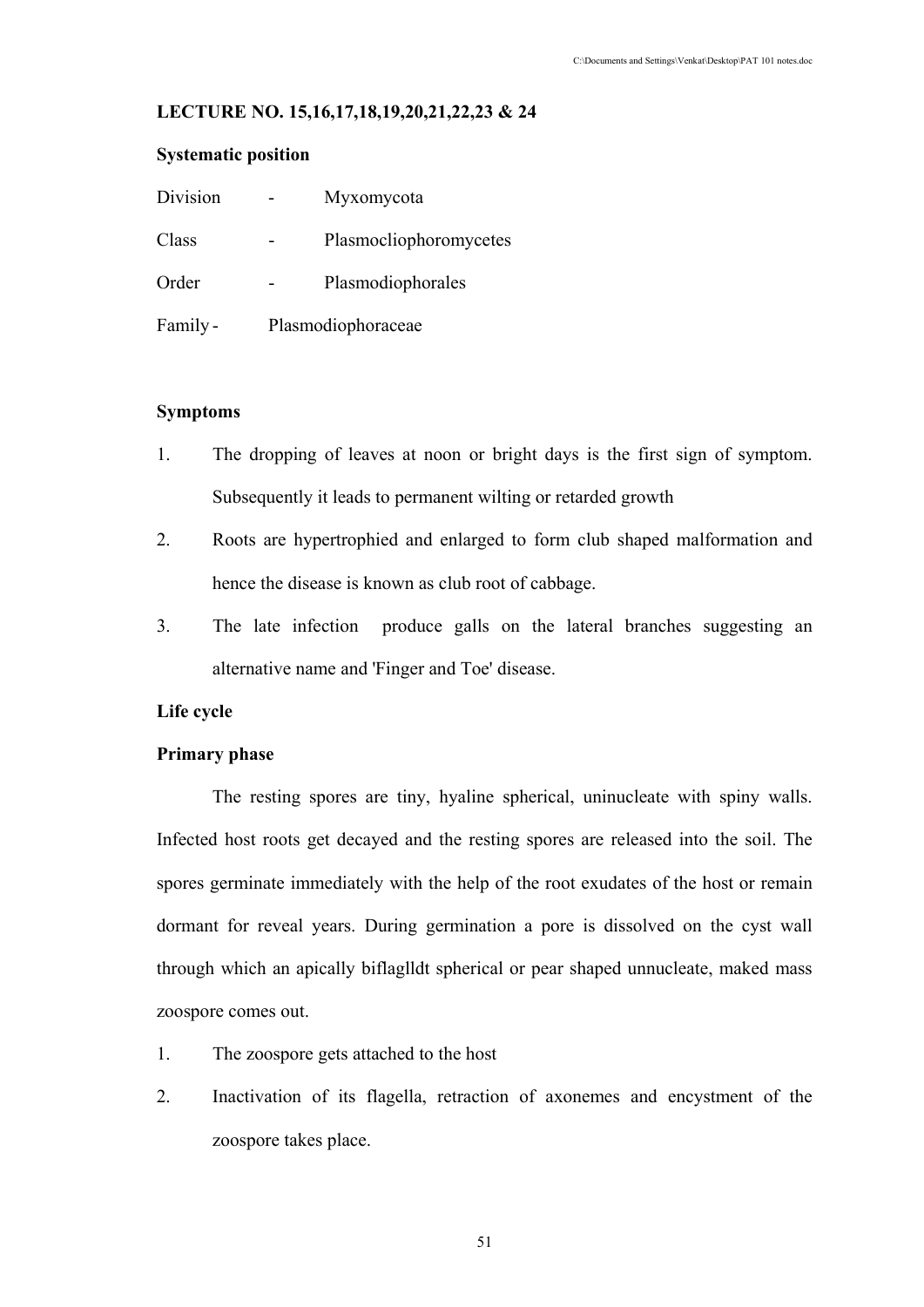# LECTURE NO. 15,16,17,18,19,20,21,22,23 & 24

## Systematic position

|                            |                          |                    | C:\Documents and Settings\Venkat\Desktop\PAT 101 notes.doc                  |
|----------------------------|--------------------------|--------------------|-----------------------------------------------------------------------------|
|                            |                          |                    | LECTURE NO. 15, 16, 17, 18, 19, 20, 21, 22, 23 & 24                         |
| <b>Systematic position</b> |                          |                    |                                                                             |
| Division                   | -                        |                    | Myxomycota                                                                  |
| Class                      | $\blacksquare$           |                    | Plasmocliophoromycetes                                                      |
| Order                      | $\overline{\phantom{a}}$ |                    | Plasmodiophorales                                                           |
| Family-                    |                          | Plasmodiophoraceae |                                                                             |
|                            |                          |                    |                                                                             |
| <b>Symptoms</b>            |                          |                    |                                                                             |
| 1.                         |                          |                    | The dropping of leaves at noon or bright days is the first sign of symptom. |
|                            |                          |                    | Subsequently it leads to permanent wilting or retarded growth               |
| 2.                         |                          |                    | Roots are hypertrophied and enlarged to form club shaped malformation and   |
|                            |                          |                    | hence the disease is known as club root of cabbage.                         |
| 3.                         |                          |                    | The late infection produce galls on the lateral branches suggesting an      |

## Symptoms

- Subsequently it leads to permanent wilting or retarded growth
- hence the disease is known as club root of cabbage. 2. The dropping of leaves at noon or bright days is the first sign of symptom.<br>
3. The dropping of leaves at noon or bright days is the first sign of symptom.<br>
3. The laterpooptical and enlarged to form club shaped malform
- alternative name and 'Finger and Toe' disease.

# Life cycle

# Primary phase

The resting spores are tiny, hyaline spherical, uninucleate with spiny walls. Infected host roots get decayed and the resting spores are released into the soil. The spores germinate immediately with the help of the root exudates of the host or remain dormant for reveal years. During germination a pore is dissolved on the cyst wall through which an apically biflaglldt spherical or pear shaped unnucleate, maked mass zoospore comes out. alternative name and 'Finger and Toe' disease.<br>
Life cycle<br>
Primary phase<br>
The resting spores are tiny, hyaline spherical, uninucleate with<br>
Infected host roots get decayed and the resting spores are released into t<br>
spore Life cycle<br>
Primary phase<br>
The resting spores are tiny, hyaline spherical, uninucleate with spiny walls.<br>
Infected host roots get decayed and the resting spores are released into the soil. The<br>
spores germinate immediately

- 
- zoospore takes place.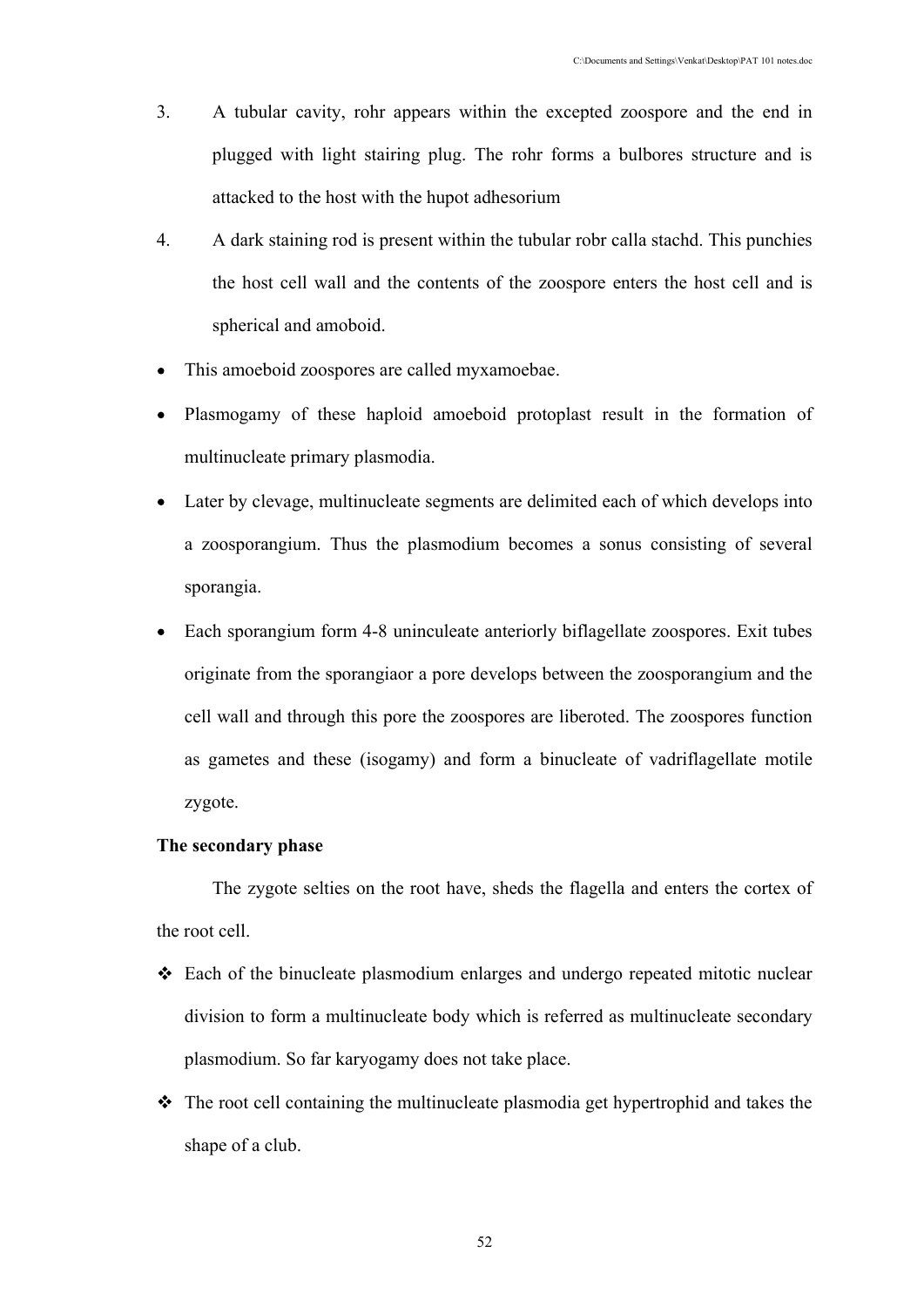- C:Documents and Settings\Venkat\Desktop\PAT 101 notes.doc <br>3. A tubular cavity, rohr appears within the excepted zoospore and the end in<br>plugged with light stairing plug. The rohr forms a bulbores structure and is<br>attacked plugged with light stairing plug. The rohr forms a bulbores structure and is attacked to the host with the hupot adhesorium
- EDENDIRIES CONNECT CONSULTED IN SURFACT 101 DONS JONES AT 101 DONS JONES AND PLAY TO A DARK STAINING POLES THE TOTH FORTHS A UNDER STATISTIC THE STATISTIC PUNCHA STATISTIC ACT A dark staining rod is present within the tubu the host cell wall and the contents of the zoospore enters the host cell and is spherical and amoboid.
- This amoeboid zoospores are called myxamoebae.
- Plasmogamy of these haploid amoeboid protoplast result in the formation of  $\bullet$ multinucleate primary plasmodia.
- plugged with light stairing plug. The rohr forms a bulbores structure and is<br>attacked to the host with the hupot adhesorium<br>A dark staining rod is present within the tubular robr calla stachd. This punchies<br>the host cell w Later by clevage, multinucleate segments are delimited each of which develops into  $\bullet$ sporangia.
- A dark staining rod is present within the tubular robr calla stachd. This punchies<br>the host cell wall and the contents of the zoospore enters the host cell and is<br>spherical and amoboid.<br>This amocboid zoospores are called m originate from the sporangiaor a pore develops between the zoosporangium and the cell wall and through this pore the zoospores are liberoted. The zoospores function as gametes and these (isogamy) and form a binucleate of vadriflagellate motile zygote.

#### The secondary phase

The zygote selties on the root have, sheds the flagella and enters the cortex of the root cell.

- Each of the binucleate plasmodium enlarges and undergo repeated mitotic nuclear division to form a multinucleate body which is referred as multinucleate secondary plasmodium. So far karyogamy does not take place.
- The root cell containing the multinucleate plasmodia get hypertrophid and takes the shape of a club.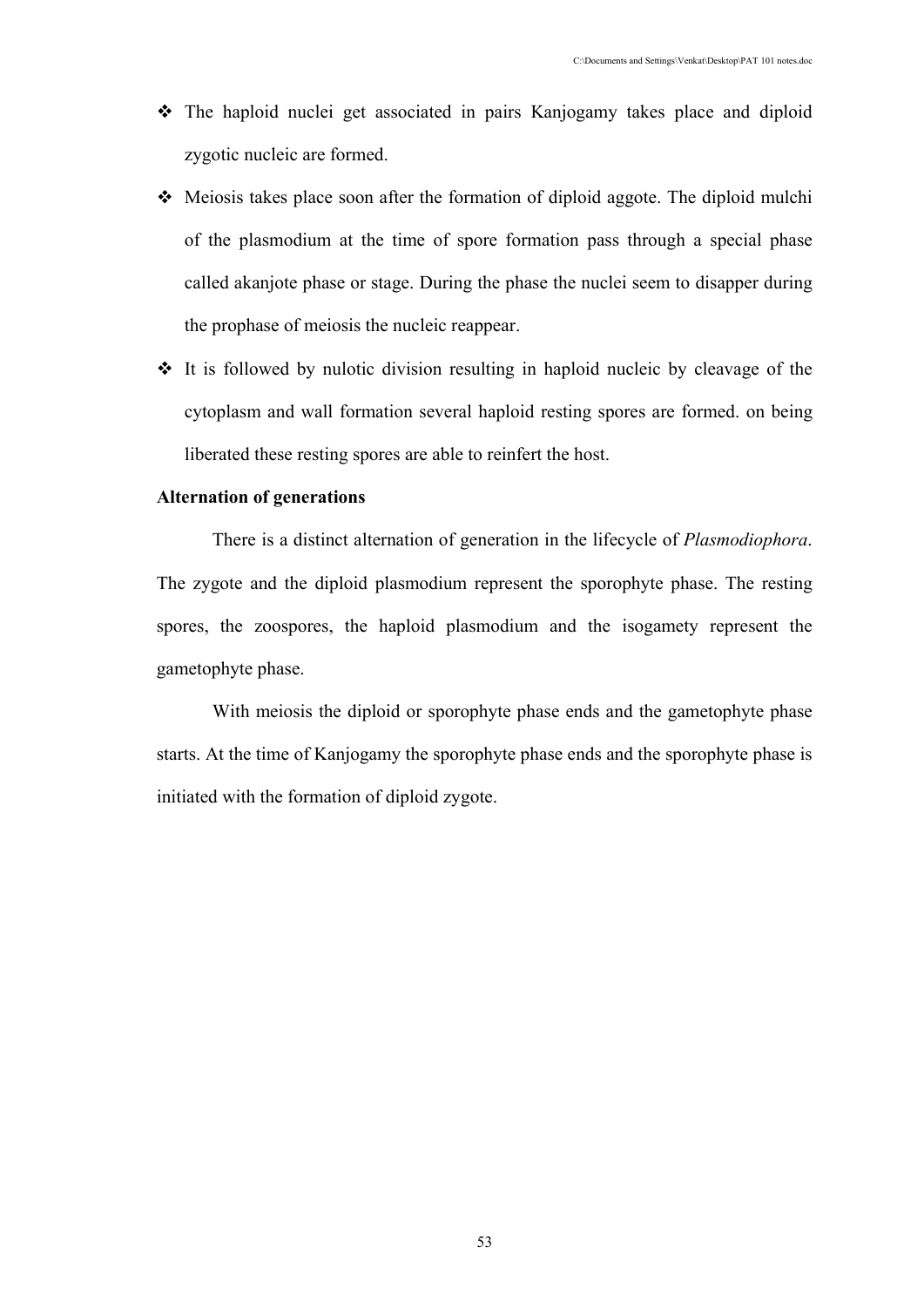- The haploid nuclei get associated in pairs Kanjogamy takes place and diploid zygotic nucleic are formed.
- $\triangle$  Meiosis takes place soon after the formation of diploid aggote. The diploid mulchi of the plasmodium at the time of spore formation pass through a special phase called akanjote phase or stage. During the phase the nuclei seem to disapper during Cibermann and Sentage Venkarthedisep<sup>p AT</sup> 101 noncedes<br>Zygotic nucleic are formed.<br>Meiosis takes place soon after the formation of diploid aggote. The diploid mulchi<br>of the plasmodium at the time of spore formation pass t
- $\cdot \cdot$  It is followed by nulotic division resulting in haploid nucleic by cleavage of the cytoplasm and wall formation several haploid resting spores are formed. on being liberated these resting spores are able to reinfert the host.

#### Alternation of generations

There is a distinct alternation of generation in the lifecycle of *Plasmodiophora*. The zygote and the diploid plasmodium represent the sporophyte phase. The resting spores, the zoospores, the haploid plasmodium and the isogamety represent the gametophyte phase.

With meiosis the diploid or sporophyte phase ends and the gametophyte phase starts. At the time of Kanjogamy the sporophyte phase ends and the sporophyte phase is initiated with the formation of diploid zygote.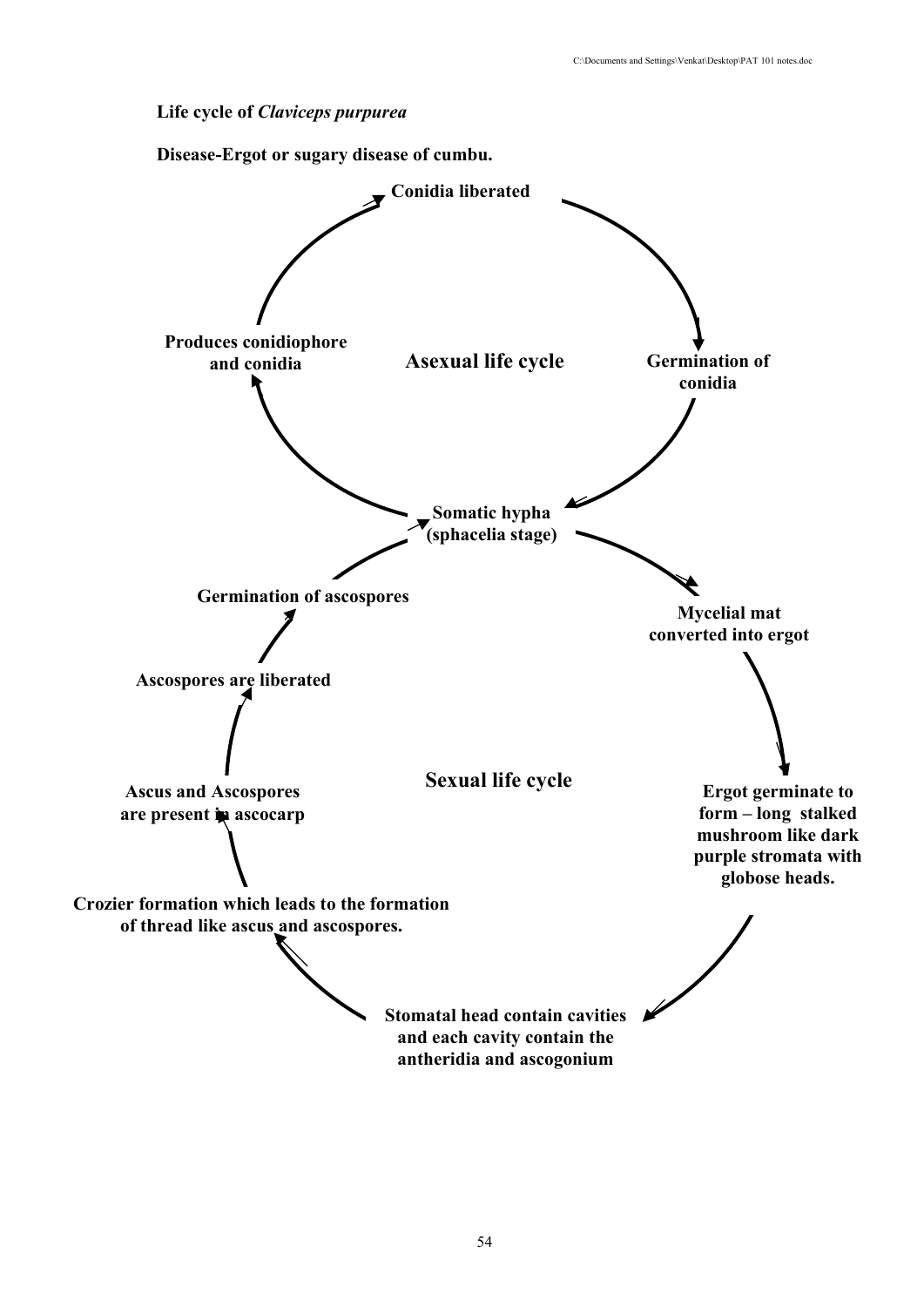Life cycle of Claviceps purpurea

Disease-Ergot or sugary disease of cumbu.

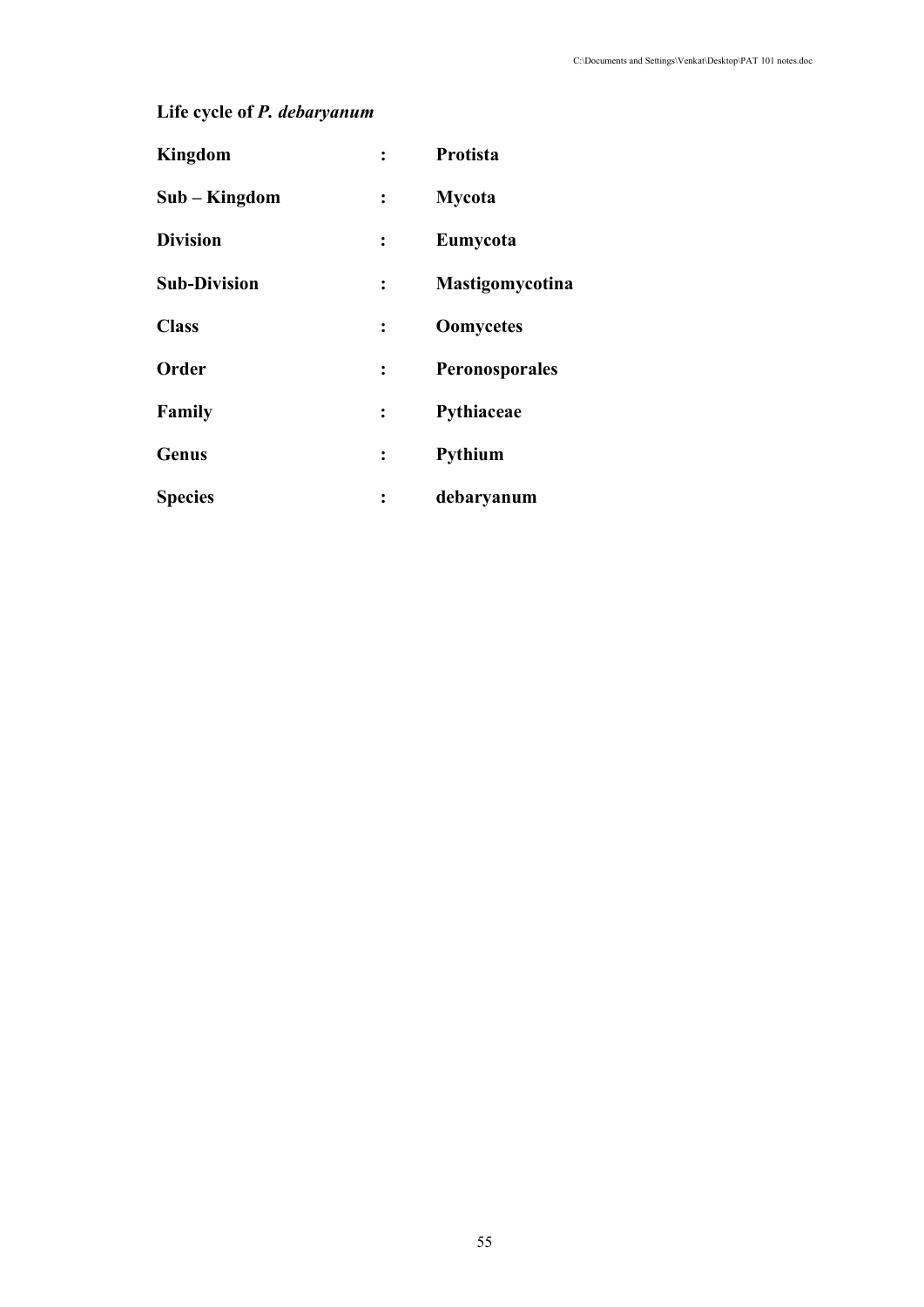# Life cycle of P. debaryanum

|                             |                | C:\Documents and Settings\Venkat\Desktop\PAT 101 notes.doc |
|-----------------------------|----------------|------------------------------------------------------------|
| Life cycle of P. debaryanum |                |                                                            |
| Kingdom                     | :              | Protista                                                   |
| Sub-Kingdom                 | $\ddot{\cdot}$ | Mycota                                                     |
| <b>Division</b>             | :              | Eumycota                                                   |
| <b>Sub-Division</b>         | $\ddot{\cdot}$ | Mastigomycotina                                            |
| <b>Class</b>                | :              | Oomycetes                                                  |
| Order                       | :              | Peronosporales                                             |
| Family                      | $\ddot{\cdot}$ | Pythiaceae                                                 |
| Genus                       | $\ddot{\cdot}$ | Pythium                                                    |
| <b>Species</b>              | :              | debaryanum                                                 |
|                             |                |                                                            |
|                             |                |                                                            |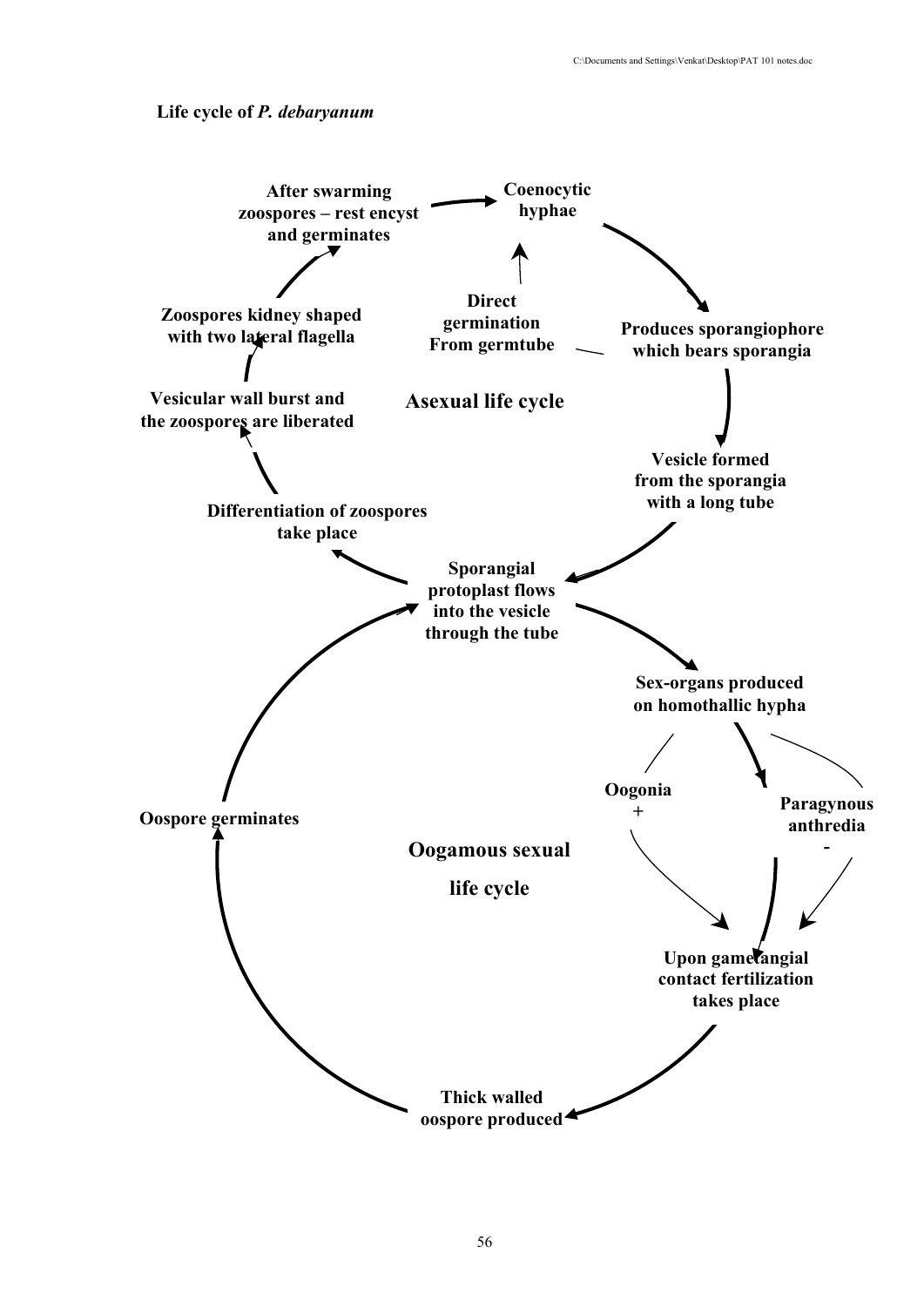

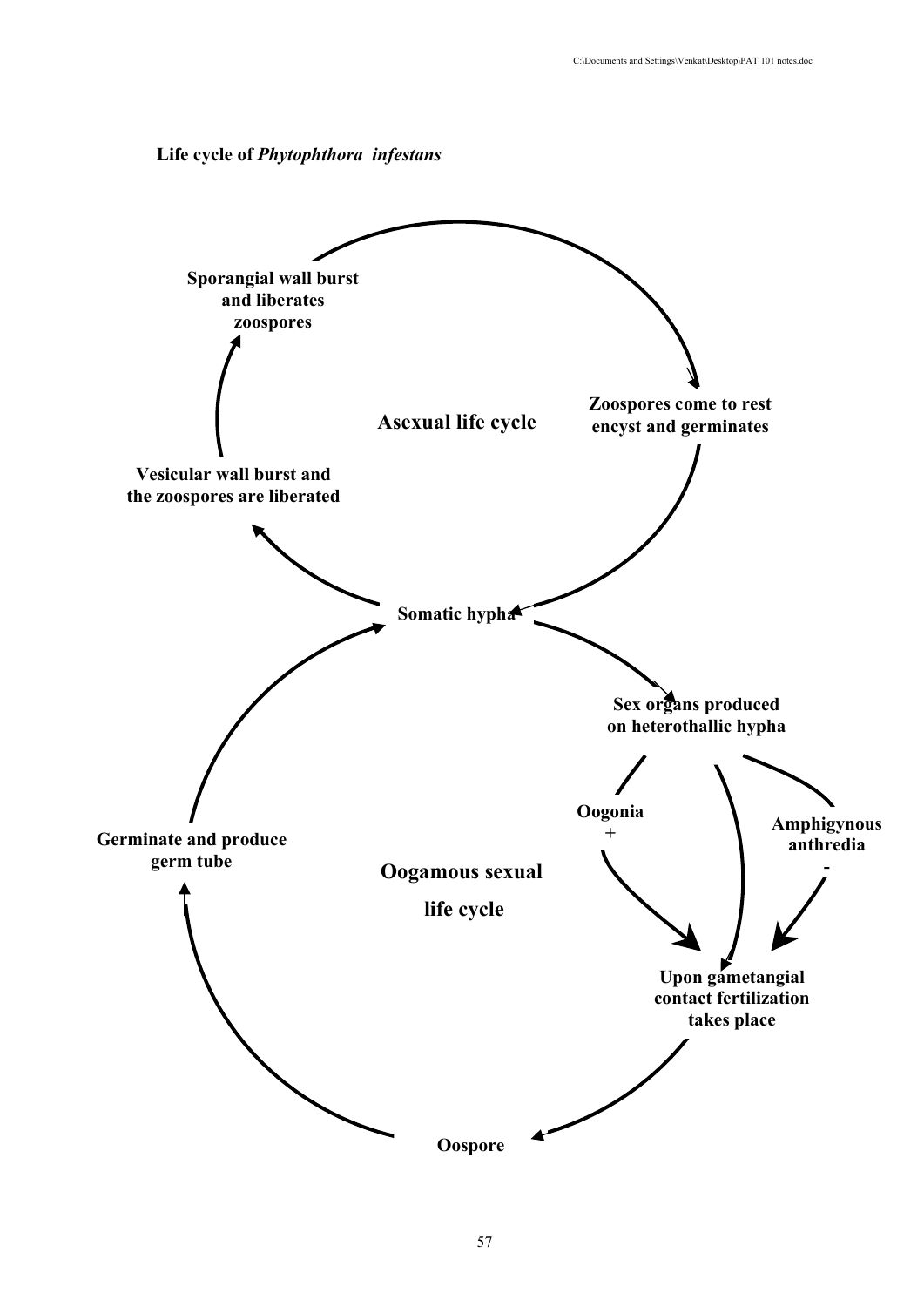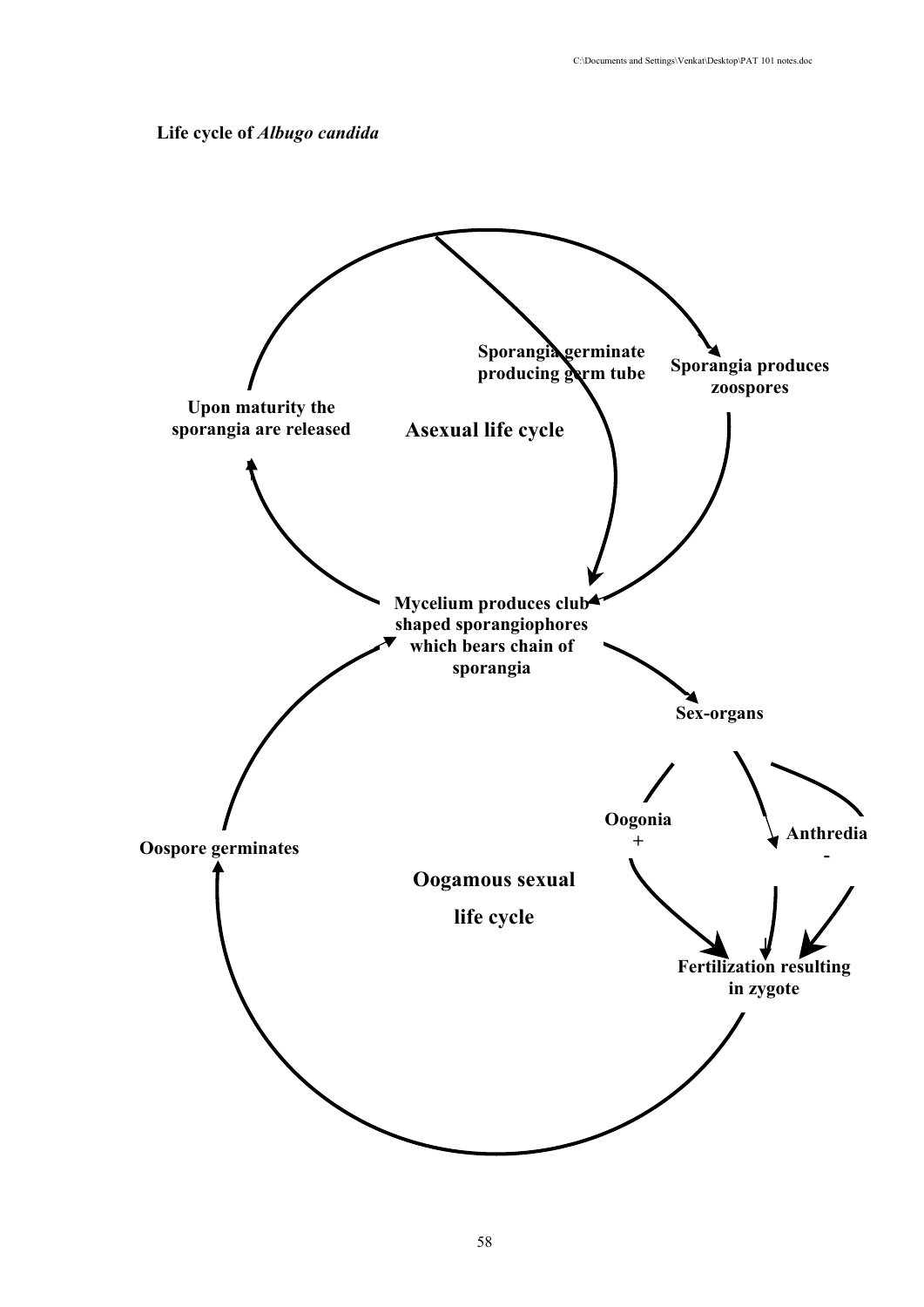Life cycle of Albugo candida

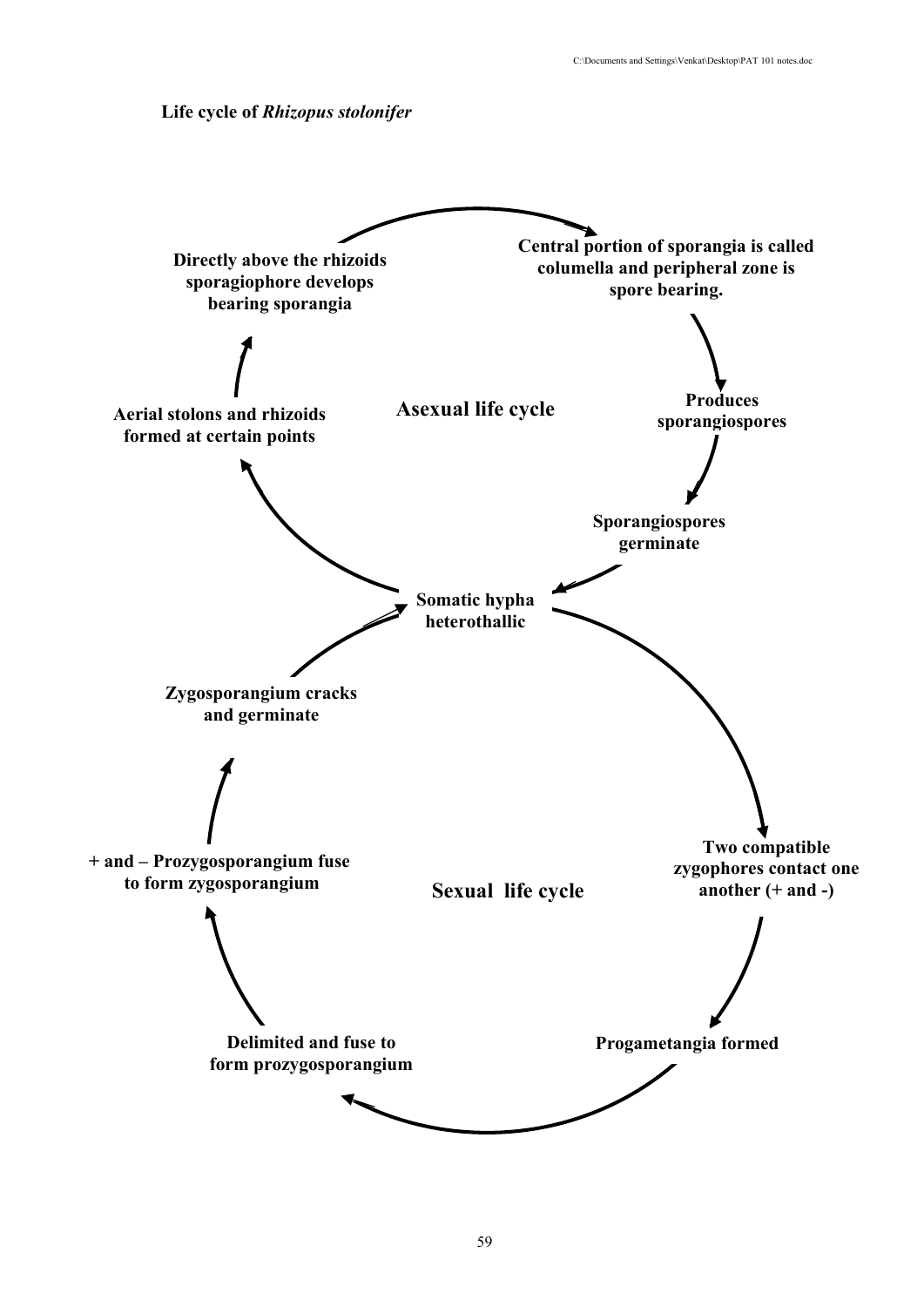

Life cycle of Rhizopus stolonifer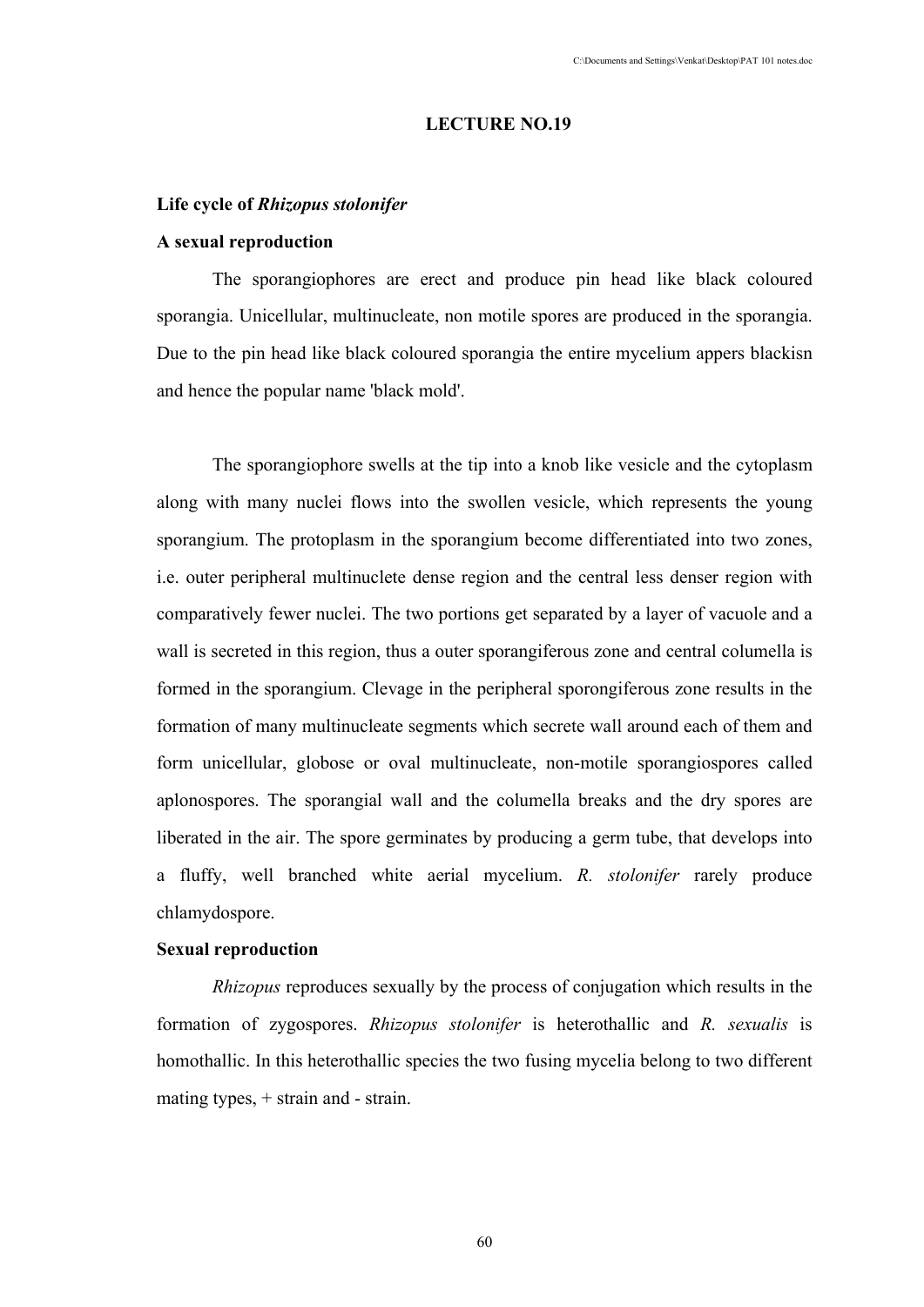#### LECTURE NO.19

#### Life cycle of Rhizopus stolonifer

### A sexual reproduction

The sporangiophores are erect and produce pin head like black coloured sporangia. Unicellular, multinucleate, non motile spores are produced in the sporangia.  $LECTURE NO.19$ <br>  $L I \n{e}$  cycle of *Rhizopus stolonifer*<br>  $\Lambda$  sexual reproduction<br>  $\Box$  The sporangiophores are crect and produce pin head like black coloured<br>
sporangia. Unicellular, multinucleate, non motile spores are prod and hence the popular name 'black mold'.

The sporangiophore swells at the tip into a knob like vesicle and the cytoplasm along with many nuclei flows into the swollen vesicle, which represents the young sporangium. The protoplasm in the sporangium become differentiated into two zones, i.e. outer peripheral multinuclete dense region and the central less denser region with comparatively fewer nuclei. The two portions get separated by a layer of vacuole and a wall is secreted in this region, thus a outer sporangiferous zone and central columella is formed in the sporangium. Clevage in the peripheral sporongiferous zone results in the formation of many multinucleate segments which secrete wall around each of them and form unicellular, globose or oval multinucleate, non-motile sporangiospores called aplonospores. The sporangial wall and the columella breaks and the dry spores are liberated in the air. The spore germinates by producing a germ tube, that develops into a fluffy, well branched white aerial mycelium. R. stolonifer rarely produce chlamydospore.

#### Sexual reproduction

Rhizopus reproduces sexually by the process of conjugation which results in the formation of zygospores. Rhizopus stolonifer is heterothallic and R. sexualis is homothallic. In this heterothallic species the two fusing mycelia belong to two different mating types, + strain and - strain.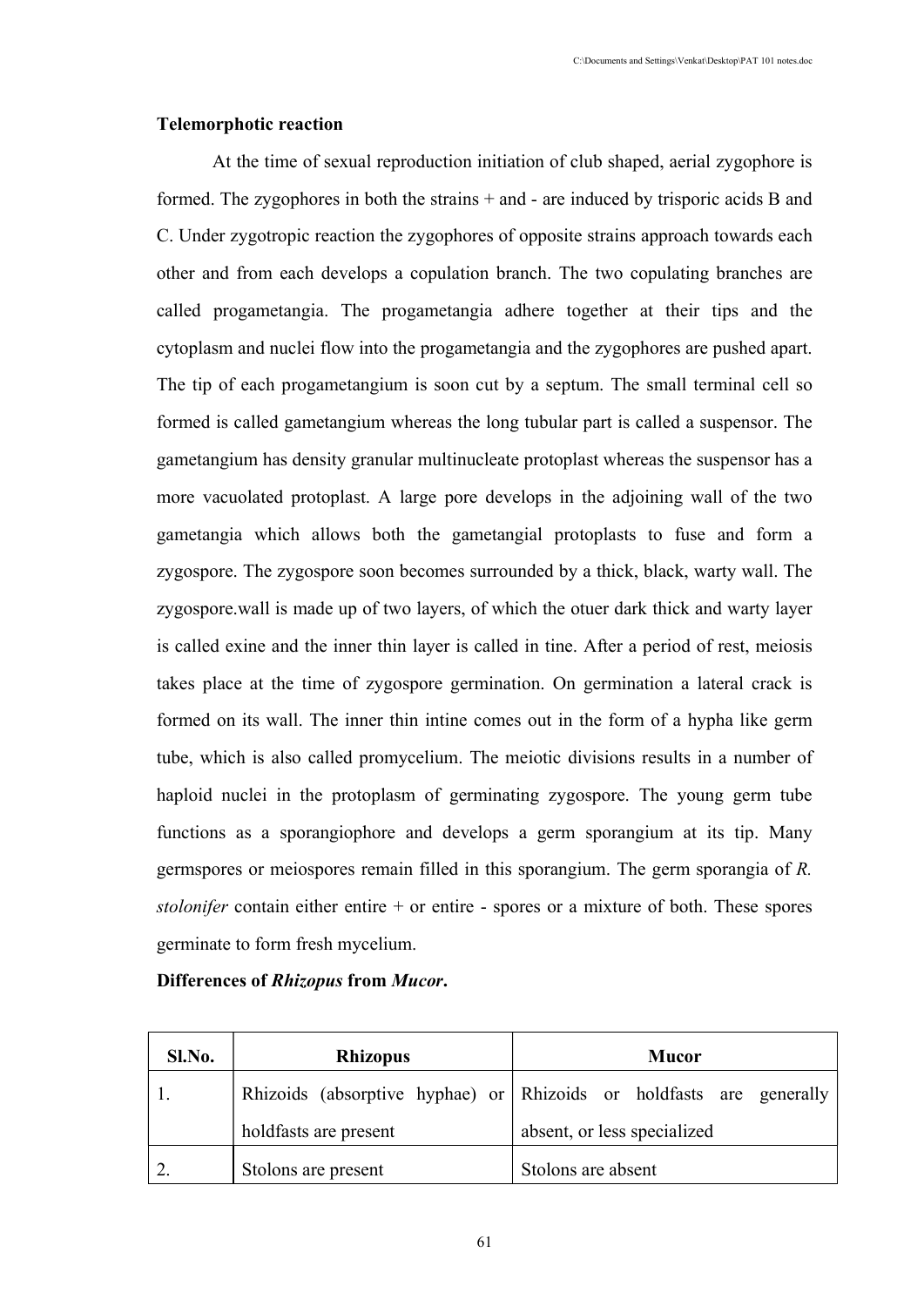## Telemorphotic reaction

At the time of sexual reproduction initiation of club shaped, aerial zygophore is formed. The zygophores in both the strains  $+$  and  $-$  are induced by trisporic acids B and C. Under zygotropic reaction the zygophores of opposite strains approach towards each other and from each develops a copulation branch. The two copulating branches are called progametangia. The progametangia adhere together at their tips and the cytoplasm and nuclei flow into the progametangia and the zygophores are pushed apart. The tip of each progametangium is soon cut by a septum. The small terminal cell so formed is called gametangium whereas the long tubular part is called a suspensor. The gametangium has density granular multinucleate protoplast whereas the suspensor has a more vacuolated protoplast. A large pore develops in the adjoining wall of the two gametangia which allows both the gametangial protoplasts to fuse and form a zygospore. The zygospore soon becomes surrounded by a thick, black, warty wall. The zygospore.wall is made up of two layers, of which the otuer dark thick and warty layer is called exine and the inner thin layer is called in tine. After a period of rest, meiosis takes place at the time of zygospore germination. On germination a lateral crack is eytoplasm and nuclei flow into the progametangia and the zygophores are pushed apart.<br>The tip of cach progametangium is soon cut by a septum. The small terminal cell so<br>formed is called gametangium whereas the long tubular tube, which is also called promycelium. The meiotic divisions results in a number of haploid nuclei in the protoplasm of germinating zygospore. The young germ tube functions as a sporangiophore and develops a germ sporangium at its tip. Many germspores or meiospores remain filled in this sporangium. The germ sporangia of R. stolonifer contain either entire + or entire - spores or a mixture of both. These spores germinate to form fresh mycelium. takes place at the time of zygospore germination. On germination a lateral crack is<br>formed on its wall. The inner thin intine comes out in the form of a hypha like germ<br>tube, which is also called promycelium. The meiotic d Formed on its wall. The inner thin intine comes out in the form of a hypha liftube, which is also called promycelium. The meiotic divisions results in a numeral hypholonical in the protoplasm of germinating zygospore. The method nuclei in the protoplasm of germinating zygospore. The young germ<br>
functions as a sporangiophore and develops a germ sporangium at its tip. M<br>
germspores or meiospores remain filled in this sporangium. The germ spor

| Sl.No. | <b>Rhizopus</b>       | Mucor                                                               |
|--------|-----------------------|---------------------------------------------------------------------|
|        |                       | Rhizoids (absorptive hyphae) or Rhizoids or holdfasts are generally |
|        | holdfasts are present | absent, or less specialized                                         |
|        | Stolons are present   | Stolons are absent                                                  |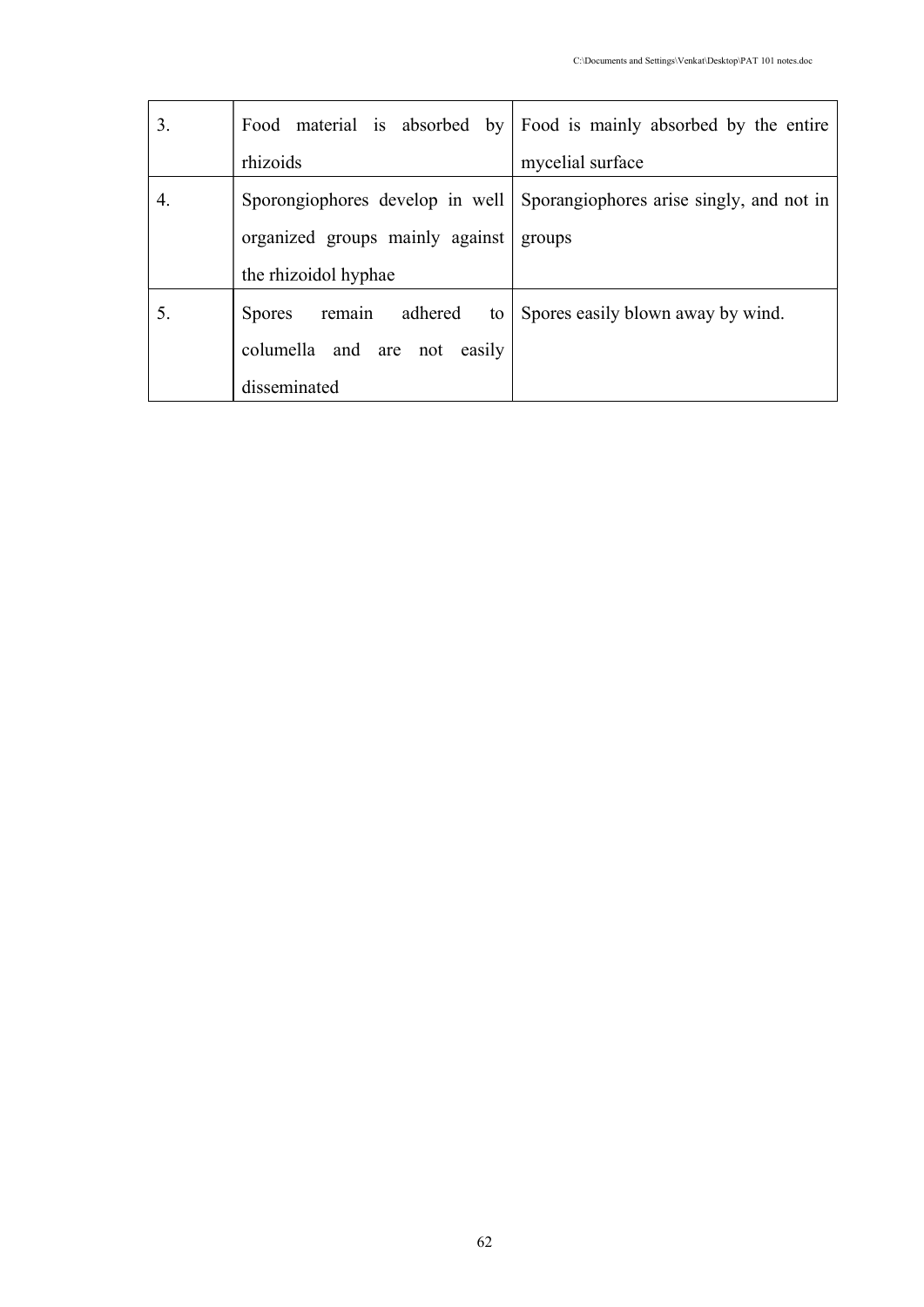|    |                                                                    | C:\Documents and Settings\Venkat\Desktop\PAT 101 notes.doc |
|----|--------------------------------------------------------------------|------------------------------------------------------------|
|    |                                                                    |                                                            |
| 3. | Food material is absorbed by                                       | Food is mainly absorbed by the entire                      |
| 4. | rhizoids                                                           | mycelial surface                                           |
|    | Sporongiophores develop in well<br>organized groups mainly against | Sporangiophores arise singly, and not in<br>groups         |
|    | the rhizoidol hyphae                                               |                                                            |
| 5. | adhered<br><b>Spores</b><br>remain<br>to                           | Spores easily blown away by wind.                          |
|    | columella and<br>easily<br>are not                                 |                                                            |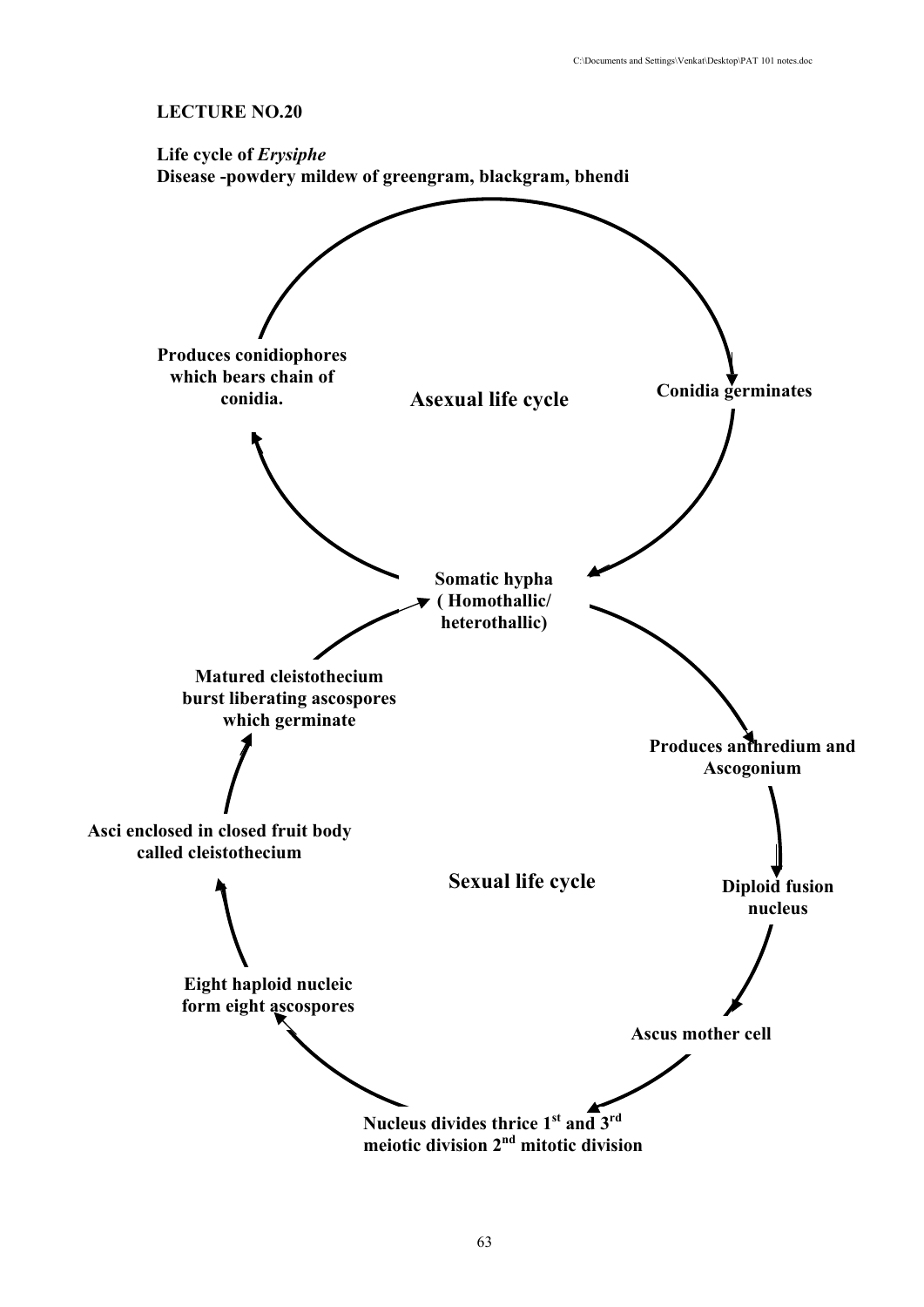# LECTURE NO.20

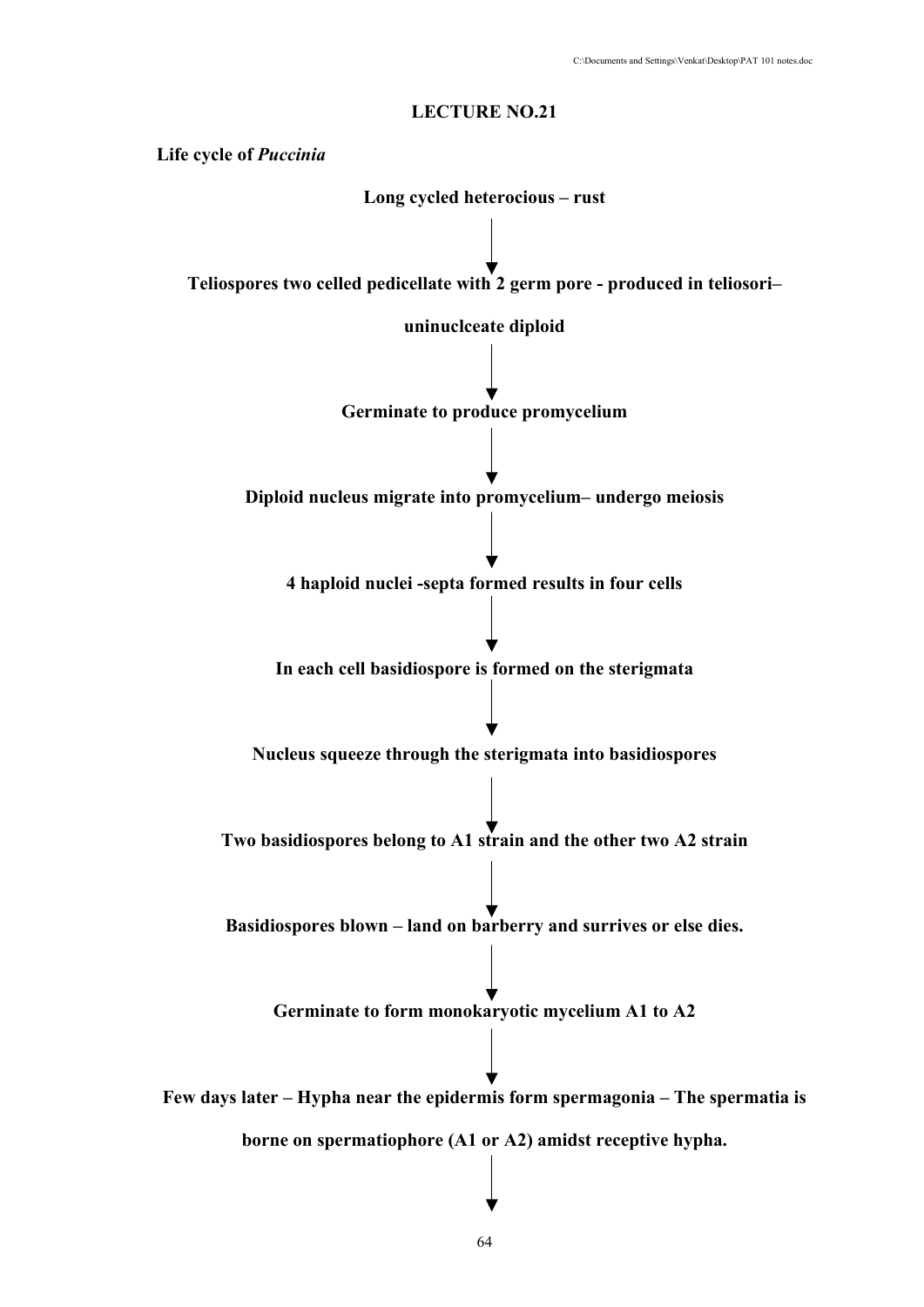## LECTURE NO.21

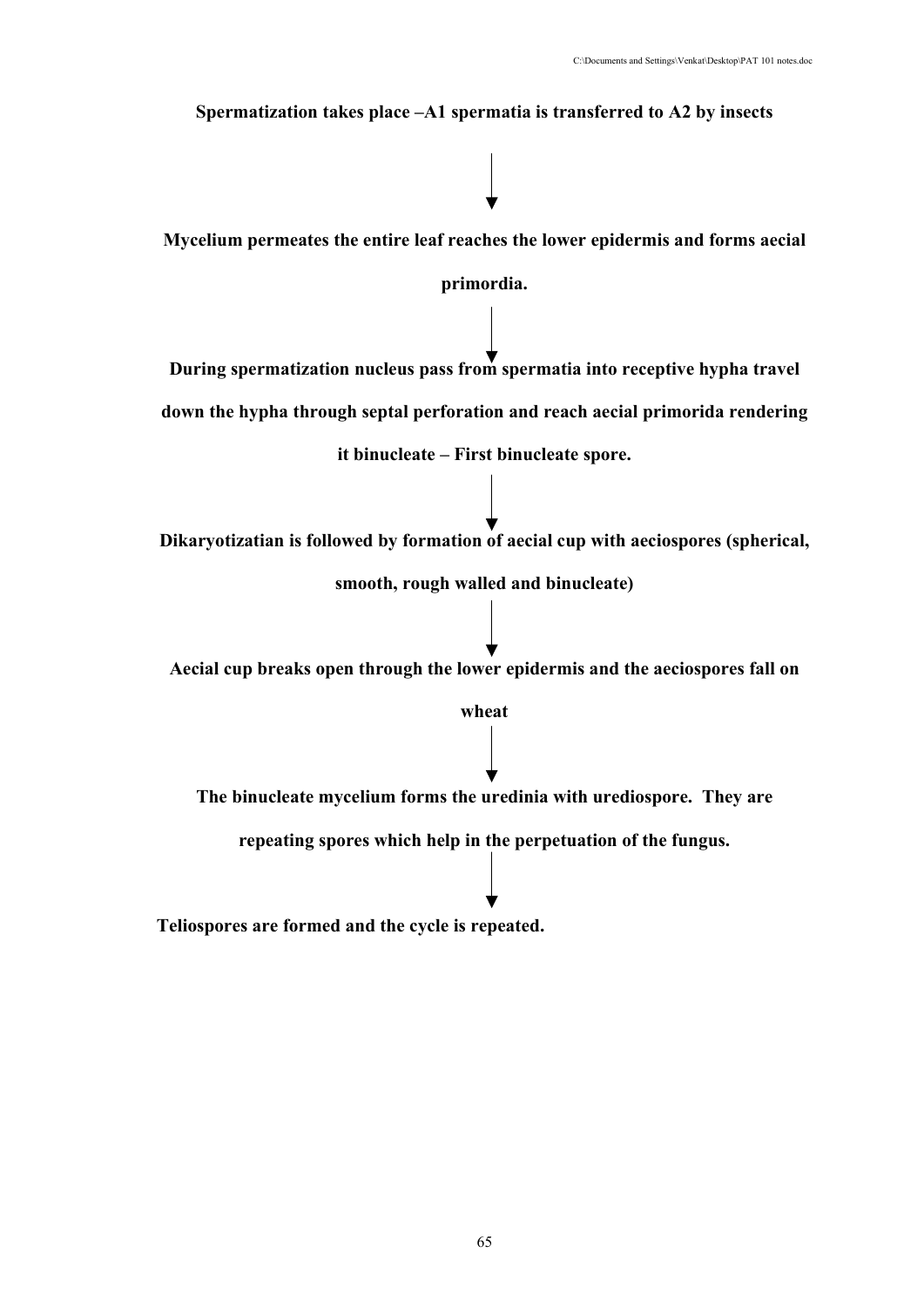

Mycelium permeates the entire leaf reaches the lower epidermis and forms aecial

primordia.

During spermatization nucleus pass from spermatia into receptive hypha travel down the hypha through septal perforation and reach aecial primorida rendering

it binucleate – First binucleate spore.

Dikaryotizatian is followed by formation of aecial cup with aeciospores (spherical,

smooth, rough walled and binucleate)

Aecial cup breaks open through the lower epidermis and the aeciospores fall on

wheat

The binucleate mycelium forms the uredinia with urediospore. They are

repeating spores which help in the perpetuation of the fungus.

Teliospores are formed and the cycle is repeated.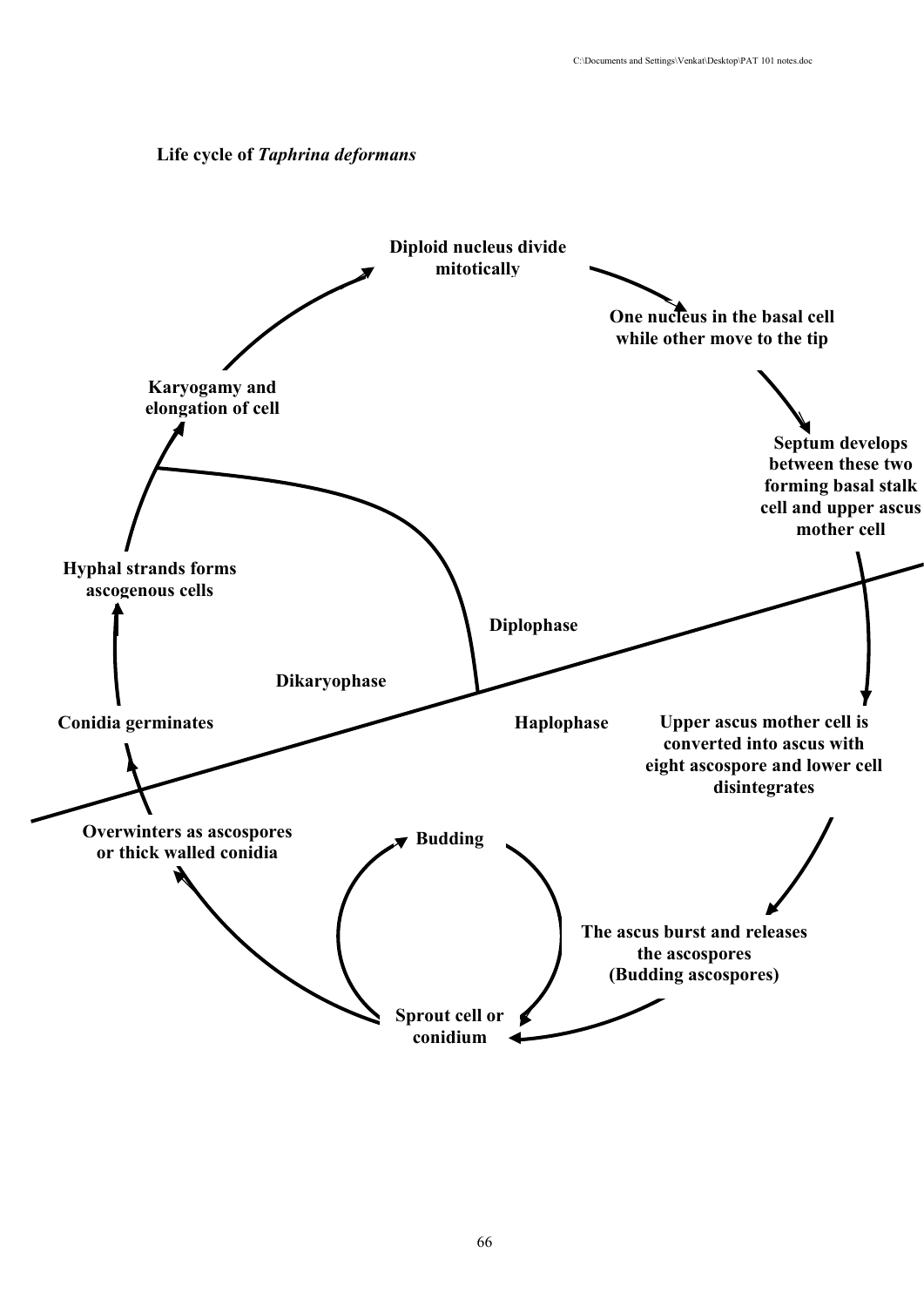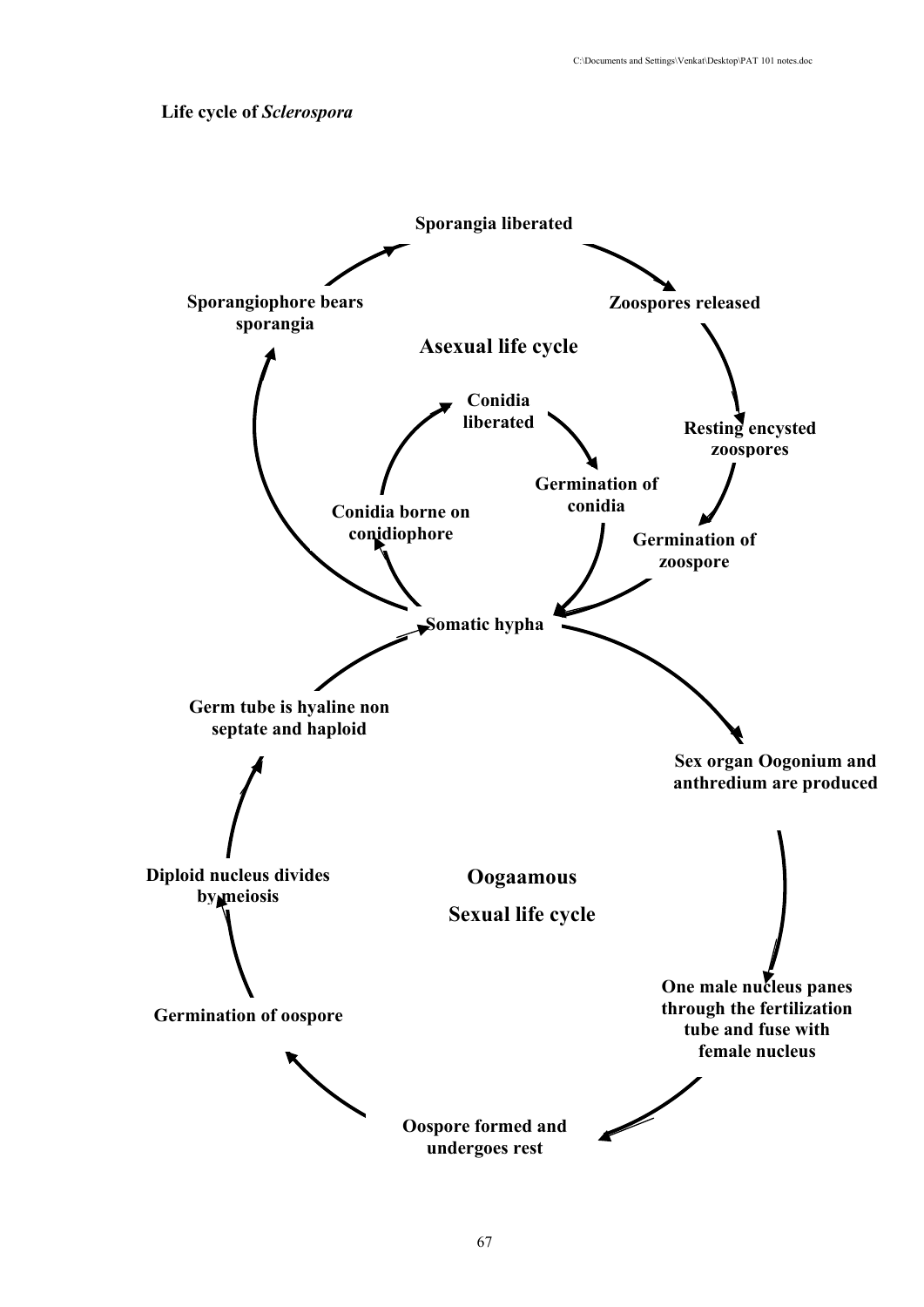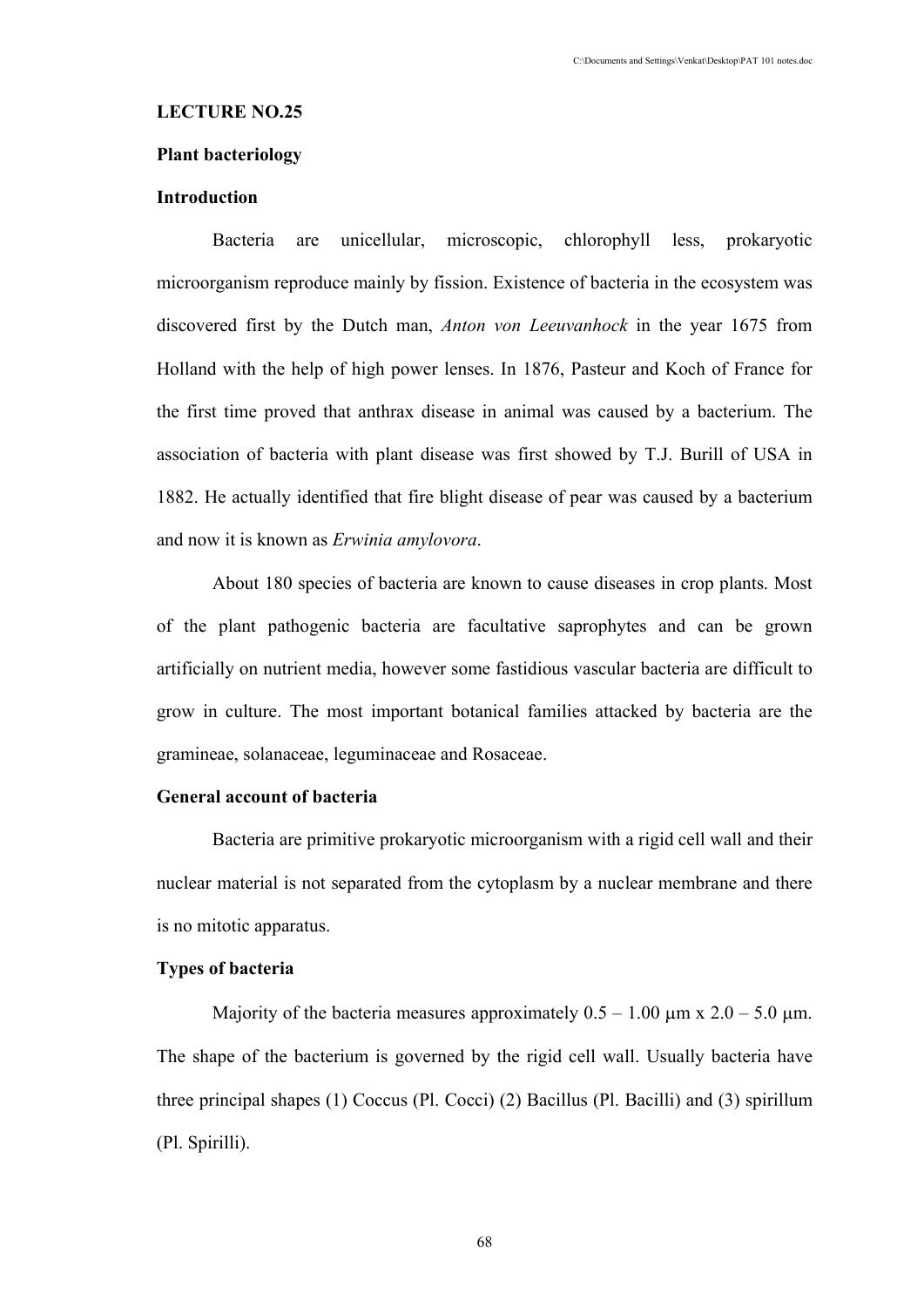# LECTURE NO.25

## Plant bacteriology

# Introduction

Bacteria are unicellular, microscopic, chlorophyll less, prokaryotic microorganism reproduce mainly by fission. Existence of bacteria in the ecosystem was discovered first by the Dutch man, Anton von Leeuvanhock in the year 1675 from Holland with the help of high power lenses. In 1876, Pasteur and Koch of France for the first time proved that anthrax disease in animal was caused by a bacterium. The association of bacteria with plant disease was first showed by T.J. Burill of USA in 1882. He actually identified that fire blight disease of pear was caused by a bacterium and now it is known as Erwinia amylovora. microorganism reproduce mainly by fission. Existence of bacteria in the ecosystem was<br>discovered first by the Dutch man, *Anton von Leeuvanhock* in the year 1675 from<br>Holland with the help of high power lenses. In 1876, Pa

About 180 species of bacteria are known to cause diseases in crop plants. Most of the plant pathogenic bacteria are facultative saprophytes and can be grown grow in culture. The most important botanical families attacked by bacteria are the gramineae, solanaceae, leguminaceae and Rosaceae.

#### General account of bacteria

Bacteria are primitive prokaryotic microorganism with a rigid cell wall and their nuclear material is not separated from the cytoplasm by a nuclear membrane and there is no mitotic apparatus.

## Types of bacteria

Majority of the bacteria measures approximately  $0.5 - 1.00 \mu m \times 2.0 - 5.0 \mu m$ . The shape of the bacterium is governed by the rigid cell wall. Usually bacteria have three principal shapes (1) Coccus (Pl. Cocci) (2) Bacillus (Pl. Bacilli) and (3) spirillum (Pl. Spirilli).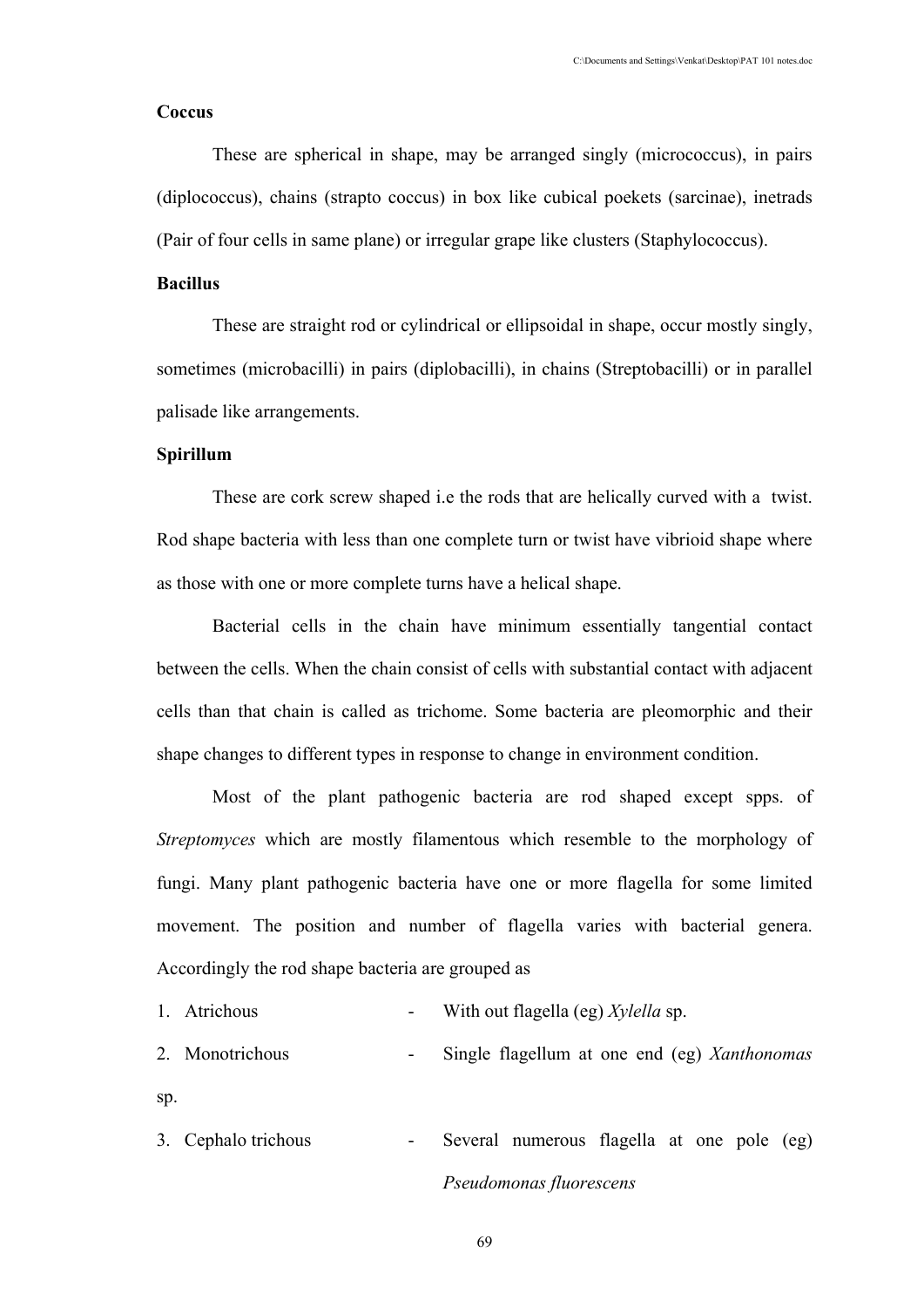# **Coccus**

These are spherical in shape, may be arranged singly (micrococcus), in pairs (diplococcus), chains (strapto coccus) in box like cubical poekets (sarcinae), inetrads (Pair of four cells in same plane) or irregular grape like clusters (Staphylococcus).

#### Bacillus

These are straight rod or cylindrical or ellipsoidal in shape, occur mostly singly, sometimes (microbacilli) in pairs (diplobacilli), in chains (Streptobacilli) or in parallel palisade like arrangements.

### Spirillum

These are cork screw shaped i.e the rods that are helically curved with a twist. Rod shape bacteria with less than one complete turn or twist have vibrioid shape where as those with one or more complete turns have a helical shape.

Bacterial cells in the chain have minimum essentially tangential contact between the cells. When the chain consist of cells with substantial contact with adjacent cells than that chain is called as trichome. Some bacteria are pleomorphic and their shape changes to different types in response to change in environment condition.

Most of the plant pathogenic bacteria are rod shaped except spps. of Streptomyces which are mostly filamentous which resemble to the morphology of fungi. Many plant pathogenic bacteria have one or more flagella for some limited movement. The position and number of flagella varies with bacterial genera. Accordingly the rod shape bacteria are grouped as Bacterial cells in the chain have minimum essentially tangential contact<br>between the cells. When the chain consist of cells with substantial contact with adjacent<br>cells than that chain is called as trichome. Some bacteria between the cells. When the chain consist of cells with substantial contact with adjacent<br>cells than that chain is called as trichome. Some bacteria are pleomorphic and their<br>shape changes to different types in response to Shape changes to different types in response to change in environment condition.<br>
Most of the plant pathogenic bacteria are rod shaped except spps. of<br>
Streptomyces which are mostly filamentous which resemble to the morpho incomonary in the base of shaped except spps. of<br>mentous which resemble to the morphology of<br>ia have one or more flagella for some limited<br>ber of flagella varies with bacterial genera.<br>grouped as<br>With out flagella (eg) *Xy* 

|     | 1. Atrichous        |                  | - With out flagella (eg) $X$ <i>ylella</i> sp. |  |  |  |  |
|-----|---------------------|------------------|------------------------------------------------|--|--|--|--|
|     | 2. Monotrichous     |                  | Single flagellum at one end (eg) Xanthonomas   |  |  |  |  |
| sp. |                     |                  |                                                |  |  |  |  |
|     | 3. Cephalo trichous | $\sim$ 100 $\mu$ | Several numerous flagella at one pole (eg)     |  |  |  |  |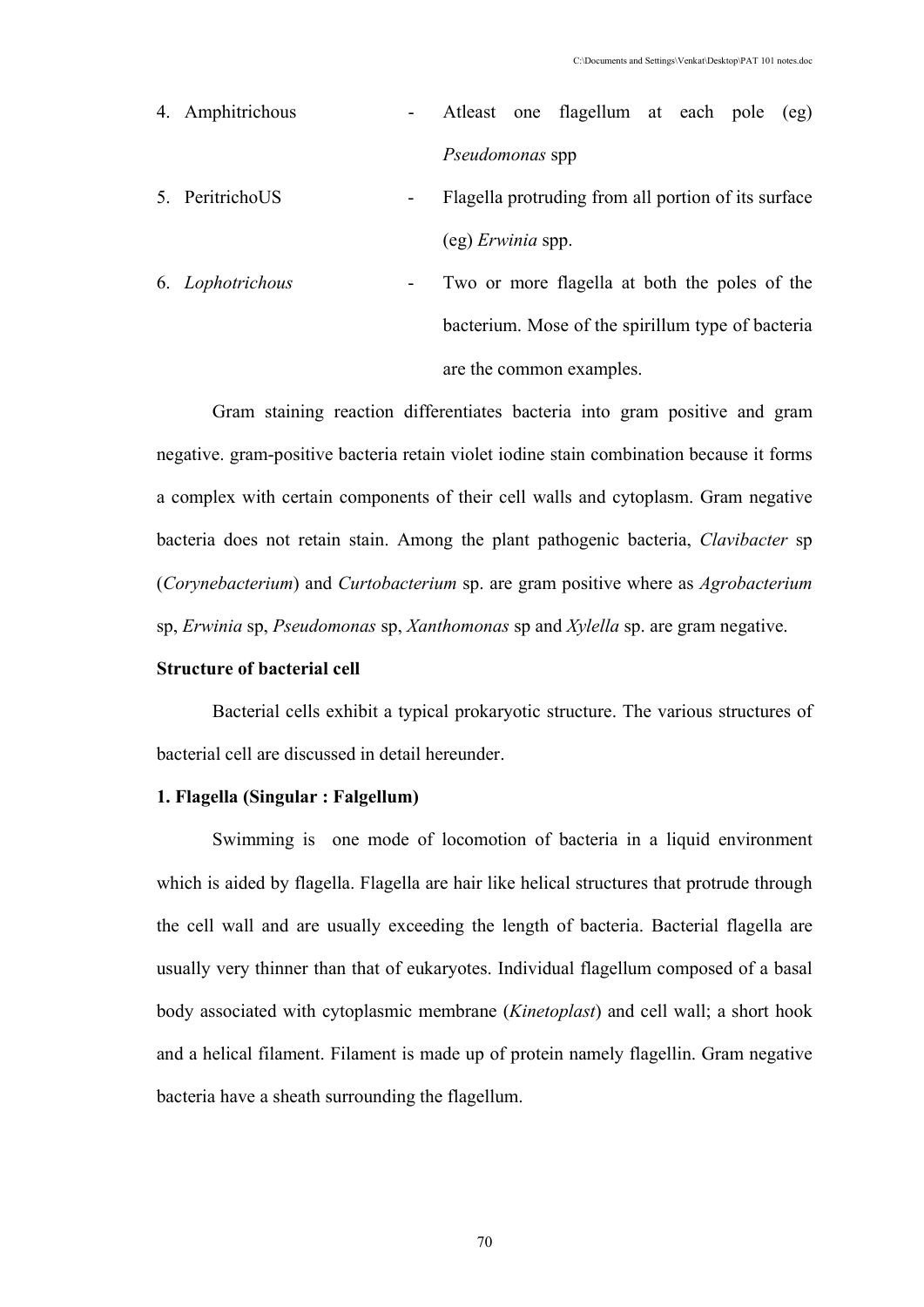- C:Documents and Settings\VenkatDesktop\PAT 101 notes.doc<br>4. Amphitrichous Atleast one flagellum at each pole (eg)<br>4. Peritrichous Hagella protruding from all portion of its surface Pseudomonas spp 5. Peritrichous - Atleast one flagellum at each pole (eg)<br> *Pseudomonas* spp<br>
5. PeritrichoUS - Flagella protruding from all portion of its surface<br>
(eg) *Erwinia* spp.<br>
5. *Lophotrichous* - Two or more flagella at both th
- (eg) Erwinia spp.
- CODENIBRATION CODENIBRATION DEVIDE TRANSFORMATION DEVIDE THE ALL AND POST UNITY OF DEVIDENDING SUPPORT TO THE POLE (Cg)<br>
5. PeritrichoUS Flagella protruding from all portion of its surface<br>
(eg) *Erwinia* spp.<br>
5. Lophot bacterium. Mose of the spirillum type of bacteria are the common examples.

Gram staining reaction differentiates bacteria into gram positive and gram negative. gram-positive bacteria retain violet iodine stain combination because it forms a complex with certain components of their cell walls and cytoplasm. Gram negative bacteria does not retain stain. Among the plant pathogenic bacteria, Clavibacter sp (Corynebacterium) and Curtobacterium sp. are gram positive where as Agrobacterium sp, Erwinia sp, Pseudomonas sp, Xanthomonas sp and Xylella sp. are gram negative. a complex with certain components of their cell walls and cytoplasm. Gram negative<br>bacteria does not retain stain. Among the plant pathogenic bacteria, *Clavibacter* sp<br>(*Corynebacterium*) and *Curtobacterium* sp. are gram

#### Structure of bacterial cell

Bacterial cells exhibit a typical prokaryotic structure. The various structures of bacterial cell are discussed in detail hereunder.

#### 1. Flagella (Singular : Falgellum)

Swimming is one mode of locomotion of bacteria in a liquid environment the cell wall and are usually exceeding the length of bacteria. Bacterial flagella are usually very thinner than that of eukaryotes. Individual flagellum composed of a basal body associated with cytoplasmic membrane (Kinetoplast) and cell wall; a short hook and a helical filament. Filament is made up of protein namely flagellin. Gram negative bacteria have a sheath surrounding the flagellum.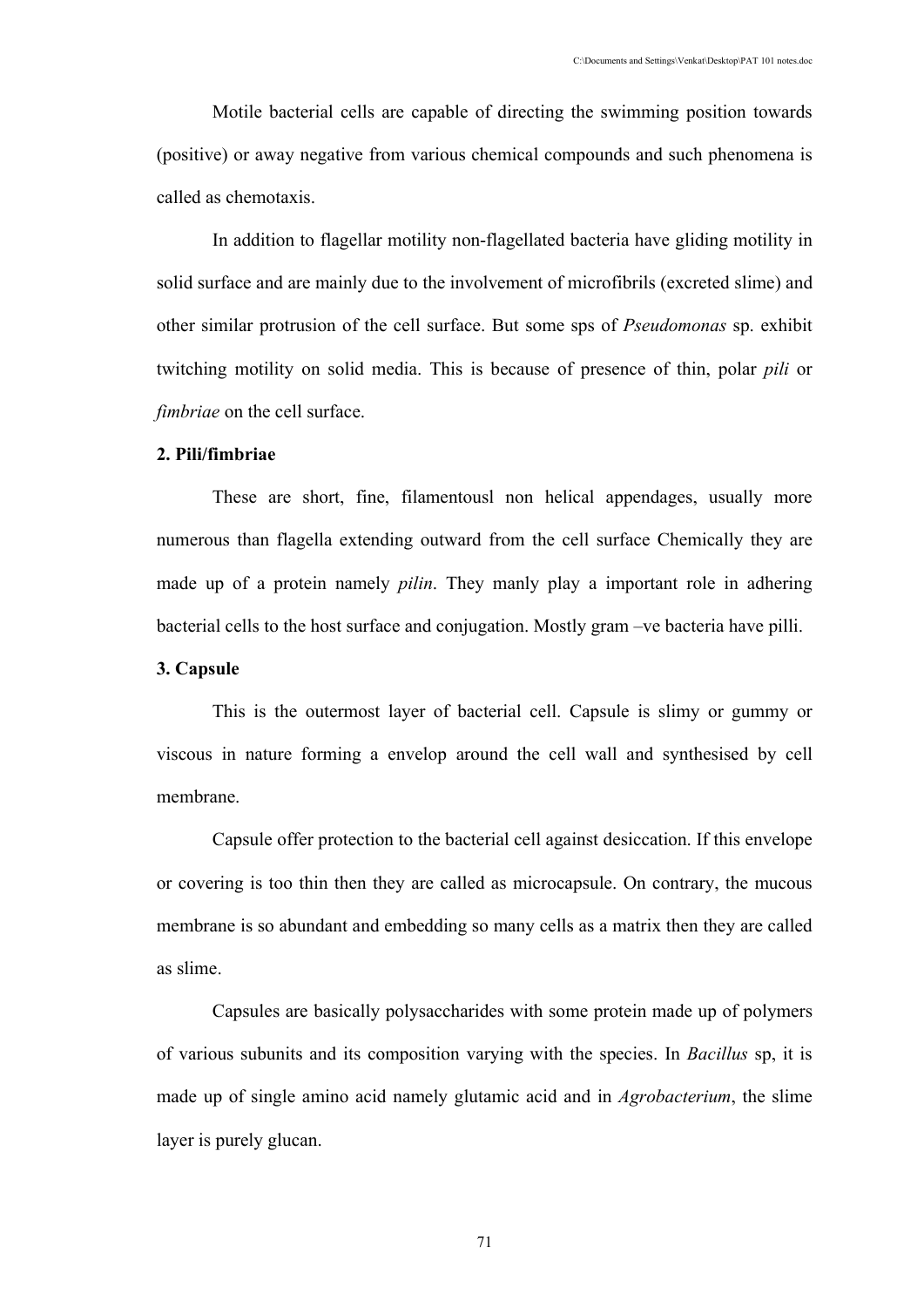C:\Documents and Settings\Venkat\Desktop\PAT 101 notes.doc<br>Motile bacterial cells are capable of directing the swimming position towards<br>e) or away negative from various chemical compounds and such phenomena is<br>s chemotaxi (positive) or away negative from various chemical compounds and such phenomena is called as chemotaxis.

In addition to flagellar motility non-flagellated bacteria have gliding motility in solid surface and are mainly due to the involvement of microfibrils (excreted slime) and other similar protrusion of the cell surface. But some sps of Pseudomonas sp. exhibit twitching motility on solid media. This is because of presence of thin, polar pili or fimbriae on the cell surface. Motile bacterial cells are capable of directing the swimming position towards<br>
ve) or away negative from various chemical compounds and such phenomena is<br>
schemotaxis.<br>
In addition to flagellar motility non-flagellated bac

## 2. Pili/fimbriae

numerous than flagella extending outward from the cell surface Chemically they are made up of a protein namely *pilin*. They manly play a important role in adhering bacterial cells to the host surface and conjugation. Mostly gram –ve bacteria have pilli.

#### 3. Capsule

This is the outermost layer of bacterial cell. Capsule is slimy or gummy or viscous in nature forming a envelop around the cell wall and synthesised by cell membrane.

Capsule offer protection to the bacterial cell against desiccation. If this envelope or covering is too thin then they are called as microcapsule. On contrary, the mucous membrane is so abundant and embedding so many cells as a matrix then they are called as slime.

Capsules are basically polysaccharides with some protein made up of polymers of various subunits and its composition varying with the species. In Bacillus sp, it is made up of single amino acid namely glutamic acid and in Agrobacterium, the slime layer is purely glucan.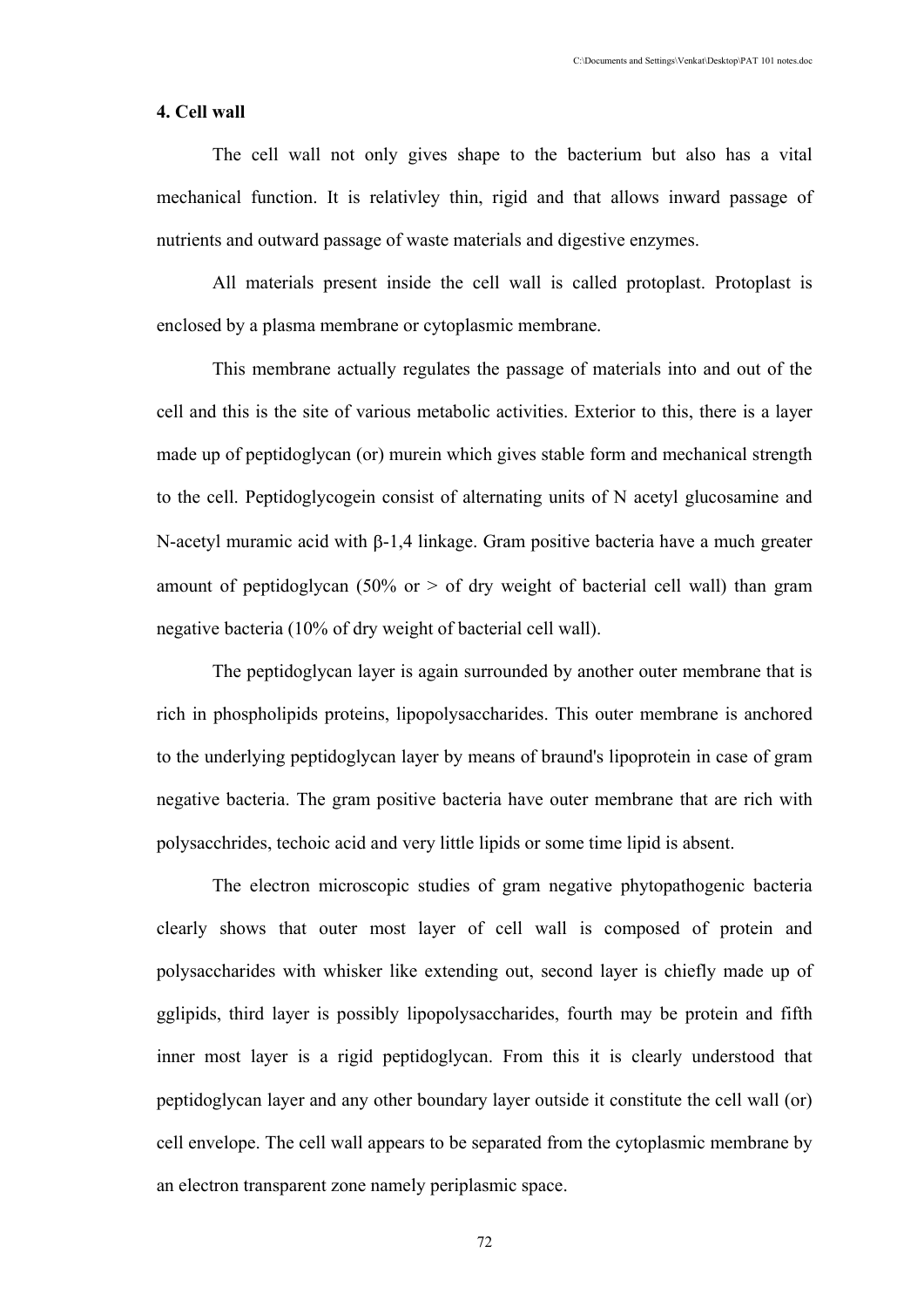## 4. Cell wall

The cell wall not only gives shape to the bacterium but also has a vital mechanical function. It is relativley thin, rigid and that allows inward passage of nutrients and outward passage of waste materials and digestive enzymes.

All materials present inside the cell wall is called protoplast. Protoplast is enclosed by a plasma membrane or cytoplasmic membrane.

This membrane actually regulates the passage of materials into and out of the CONNUMBER 4. Cell wall<br>
The cell wall not only gives shape to the bacterium but also has a vital<br>
mechanical function. It is relatively thin, rigid and that allows inward passage of<br>
nutrients and outward passage of waste made up of peptidoglycan (or) murein which gives stable form and mechanical strength to the cell. Peptidoglycogein consist of alternating units of N acetyl glucosamine and N-acetyl muramic acid with  $\beta$ -1,4 linkage. Gram positive bacteria have a much greater amount of peptidoglycan  $(50\% \text{ or } > \text{ of }$  dry weight of bacterial cell wall) than gram negative bacteria (10% of dry weight of bacterial cell wall). cell and this is the site of various metabolic activities. Exterior to this, there is a layer<br>made up of peptidoglycan (or) murcin which gives stable form and mechanical strength<br>to the cell. Peptidoglycogein consist of a

The peptidoglycan layer is again surrounded by another outer membrane that is rich in phospholipids proteins, lipopolysaccharides. This outer membrane is anchored to the underlying peptidoglycan layer by means of braund's lipoprotein in case of gram polysacchrides, techoic acid and very little lipids or some time lipid is absent.

The electron microscopic studies of gram negative phytopathogenic bacteria clearly shows that outer most layer of cell wall is composed of protein and polysaccharides with whisker like extending out, second layer is chiefly made up of gglipids, third layer is possibly lipopolysaccharides, fourth may be protein and fifth inner most layer is a rigid peptidoglycan. From this it is clearly understood that peptidoglycan layer and any other boundary layer outside it constitute the cell wall (or) cell envelope. The cell wall appears to be separated from the cytoplasmic membrane by an electron transparent zone namely periplasmic space.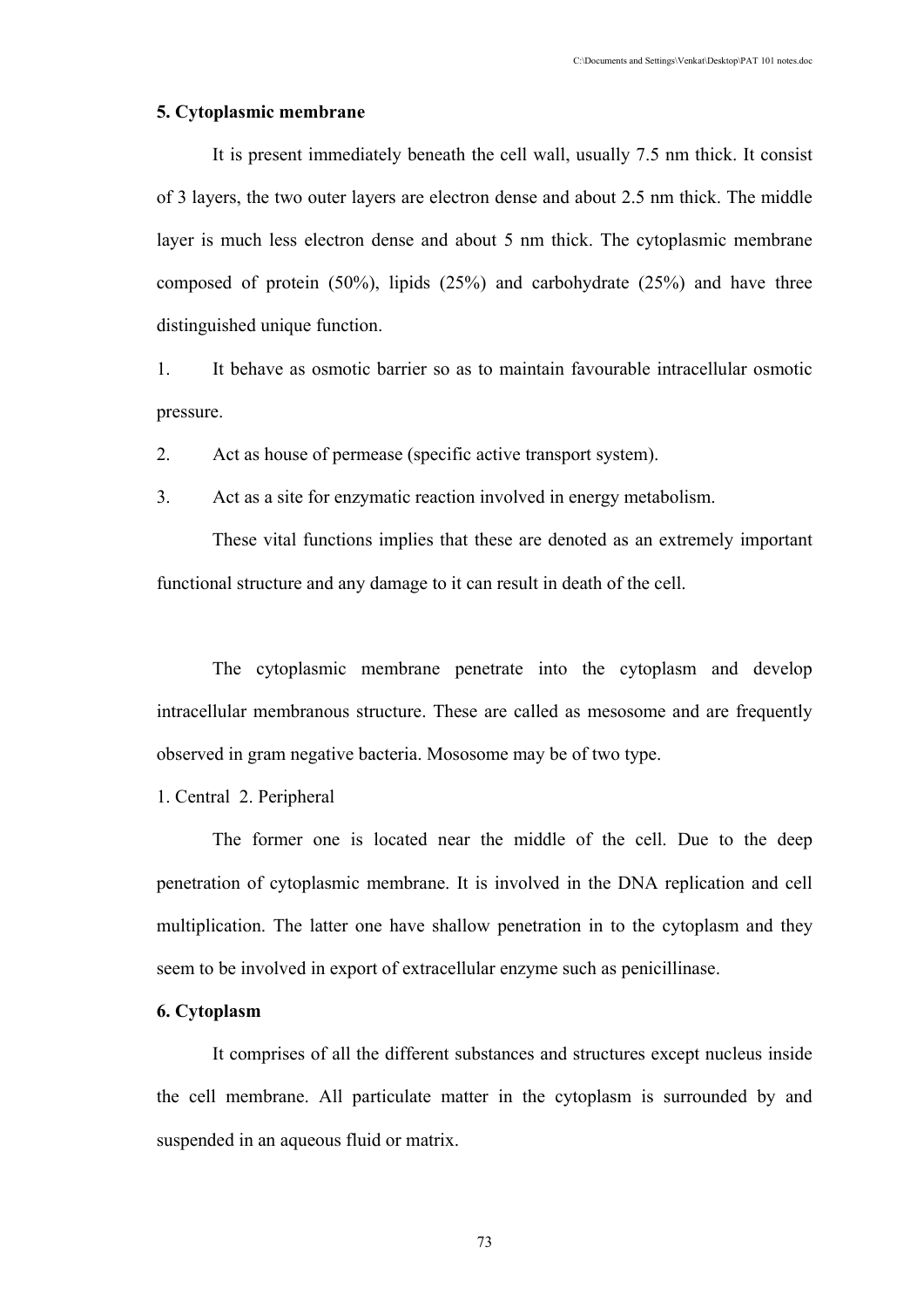### 5. Cytoplasmic membrane

It is present immediately beneath the cell wall, usually 7.5 nm thick. It consist of 3 layers, the two outer layers are electron dense and about 2.5 nm thick. The middle layer is much less electron dense and about 5 nm thick. The cytoplasmic membrane composed of protein (50%), lipids (25%) and carbohydrate (25%) and have three distinguished unique function. <sup>CHN</sup>OURGES and SchogWeak Doshap<sup>99</sup>NT 101 miscake<br>
1. It is present immediately beneath the cell wall, usually 7.5 nm thick. It consist<br>
1. It behaves, the two outer layers are electron dense and about 2.5 nm thick. The m 2. Act as house of permease (specific active transport system). The extends and the composed of protein (50%), lipids (25%) and carbohydrate (25%) and have transport system). The behave as osmotic barrier so as to maintain 5. Cytoplasmic membrane<br>
11 is present immediately beneath the cell wall, usually 7.5 nm thick. It consist<br>
13 layers, the two outer layers are electron dense and about 2.5 nm thick. The middle<br>
1 layer is much less elect

pressure.

These vital functions implies that these are denoted as an extremely important functional structure and any damage to it can result in death of the cell.

The cytoplasmic membrane penetrate into the cytoplasm and develop intracellular membranous structure. These are called as mesosome and are frequently observed in gram negative bacteria. Mososome may be of two type.

1. Central 2. Peripheral

The former one is located near the middle of the cell. Due to the deep penetration of cytoplasmic membrane. It is involved in the DNA replication and cell multiplication. The latter one have shallow penetration in to the cytoplasm and they seem to be involved in export of extracellular enzyme such as penicillinase. intracellular membranous structure. These are called as mesosome and are frequently<br>observed in gram negative bacteria. Mososome may be of two type.<br>1. Central 2. Peripheral<br>The former one is located near the middle of the

#### 6. Cytoplasm

It comprises of all the different substances and structures except nucleus inside suspended in an aqueous fluid or matrix.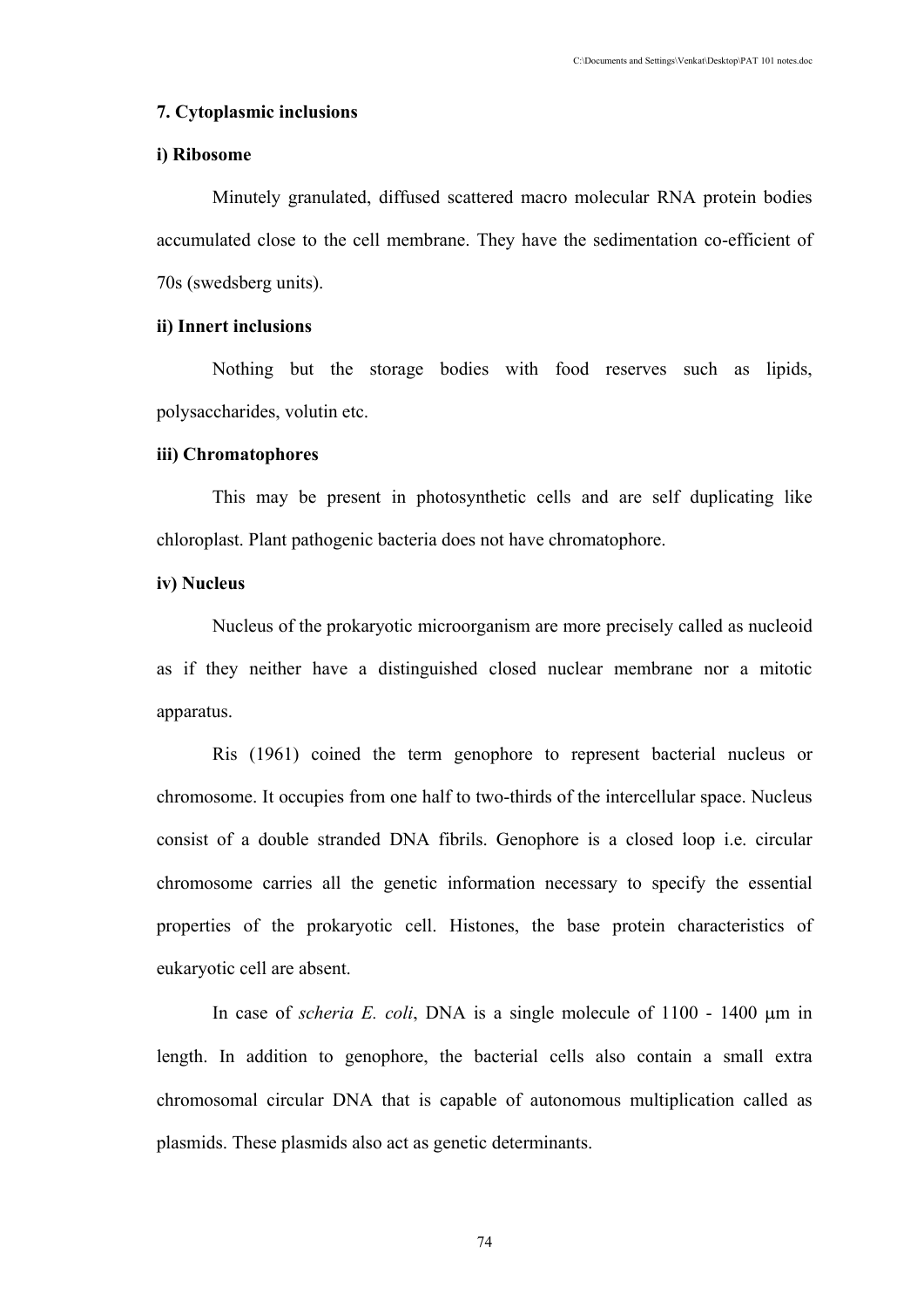#### 7. Cytoplasmic inclusions

#### i) Ribosome

Minutely granulated, diffused scattered macro molecular RNA protein bodies accumulated close to the cell membrane. They have the sedimentation co-efficient of 70s (swedsberg units).

#### ii) Innert inclusions

Nothing but the storage bodies with food reserves such as lipids, polysaccharides, volutin etc.

## iii) Chromatophores

This may be present in photosynthetic cells and are self duplicating like chloroplast. Plant pathogenic bacteria does not have chromatophore.

#### iv) Nucleus

Nucleus of the prokaryotic microorganism are more precisely called as nucleoid as if they neither have a distinguished closed nuclear membrane nor a mitotic apparatus.

Ris (1961) coined the term genophore to represent bacterial nucleus or chromosome. It occupies from one half to two-thirds of the intercellular space. Nucleus consist of a double stranded DNA fibrils. Genophore is a closed loop i.e. circular chromosome carries all the genetic information necessary to specify the essential properties of the prokaryotic cell. Histones, the base protein characteristics of eukaryotic cell are absent.

In case of *scheria E. coli*, DNA is a single molecule of  $1100 - 1400 \mu m$  in length. In addition to genophore, the bacterial cells also contain a small extra chromosomal circular DNA that is capable of autonomous multiplication called as plasmids. These plasmids also act as genetic determinants.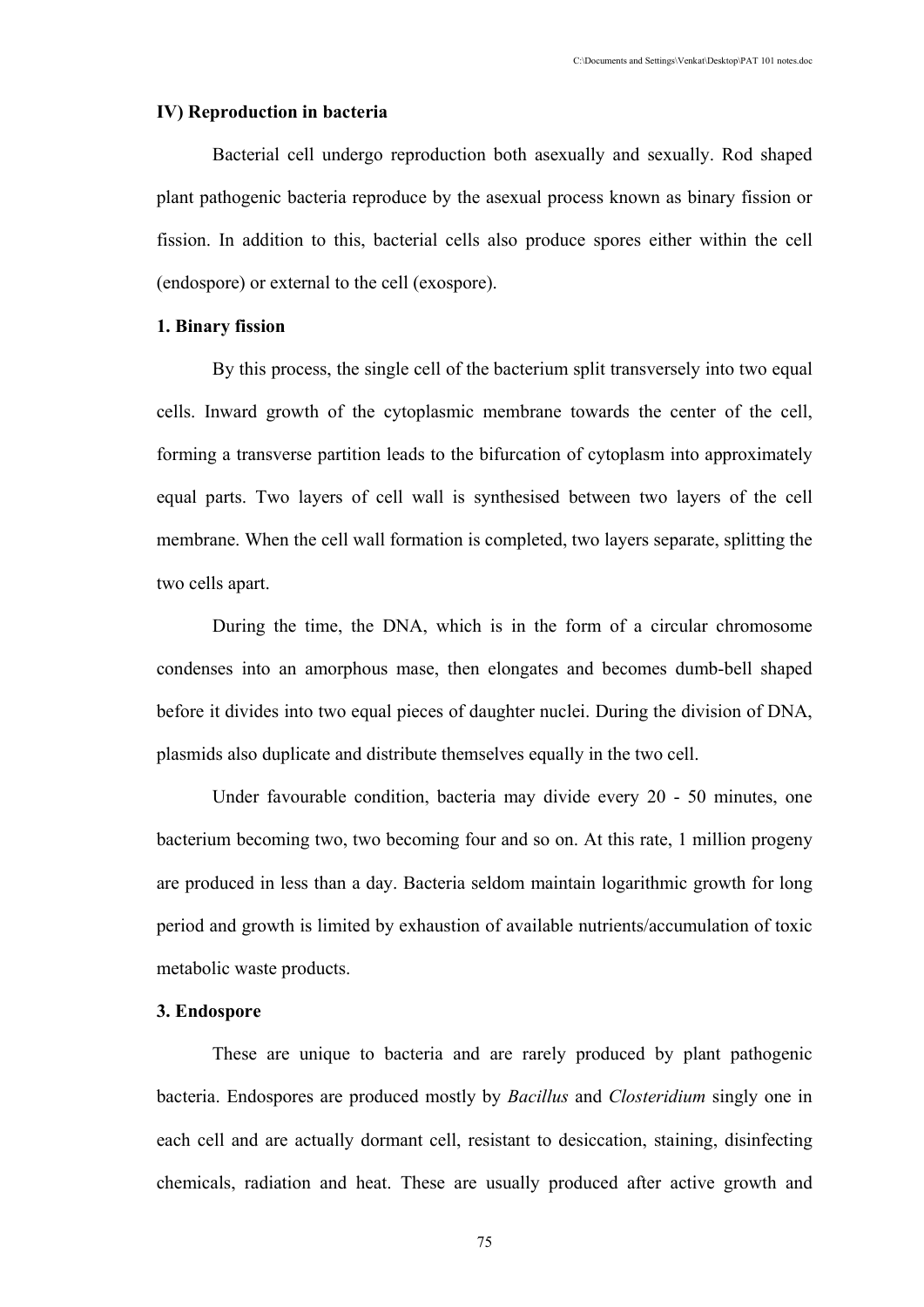#### IV) Reproduction in bacteria

Bacterial cell undergo reproduction both asexually and sexually. Rod shaped plant pathogenic bacteria reproduce by the asexual process known as binary fission or Exprediction in bacteria<br>
Bacterial cell undergo reproduction both asexually and sexually. Rod shaped<br>
plant pathogenic bacteria reproduce by the asexual process known as binary fission or<br>
fission. In addition to this, ba (endospore) or external to the cell (exospore). exposured in **Bacteria**<br>Bacterial cell undergo reproduction both asexually and sexually. Rod shaped<br>thhogenic bacteria reproduce by the asexual process known as binary fission or<br>In addition to this, bacterial cells also p

#### 1. Binary fission

CDconnum and Sening-WeakerDestayPAT 101 noun-dock<br>
Bacterial cell undergo reproduction both asexually and sexually. Rod shaped<br>
plant pathogenic bacteria reproduce by the asexual process known as binary fission or<br>
fission forming a transverse partition leads to the bifurcation of cytoplasm into approximately equal parts. Two layers of cell wall is synthesised between two layers of the cell membrane. When the cell wall formation is completed, two layers separate, splitting the two cells apart.

During the time, the DNA, which is in the form of a circular chromosome condenses into an amorphous mase, then elongates and becomes dumb-bell shaped before it divides into two equal pieces of daughter nuclei. During the division of DNA, plasmids also duplicate and distribute themselves equally in the two cell.

Under favourable condition, bacteria may divide every 20 - 50 minutes, one bacterium becoming two, two becoming four and so on. At this rate, 1 million progeny are produced in less than a day. Bacteria seldom maintain logarithmic growth for long period and growth is limited by exhaustion of available nutrients/accumulation of toxic metabolic waste products.

#### 3. Endospore

These are unique to bacteria and are rarely produced by plant pathogenic bacteria. Endospores are produced mostly by Bacillus and Closteridium singly one in each cell and are actually dormant cell, resistant to desiccation, staining, disinfecting chemicals, radiation and heat. These are usually produced after active growth and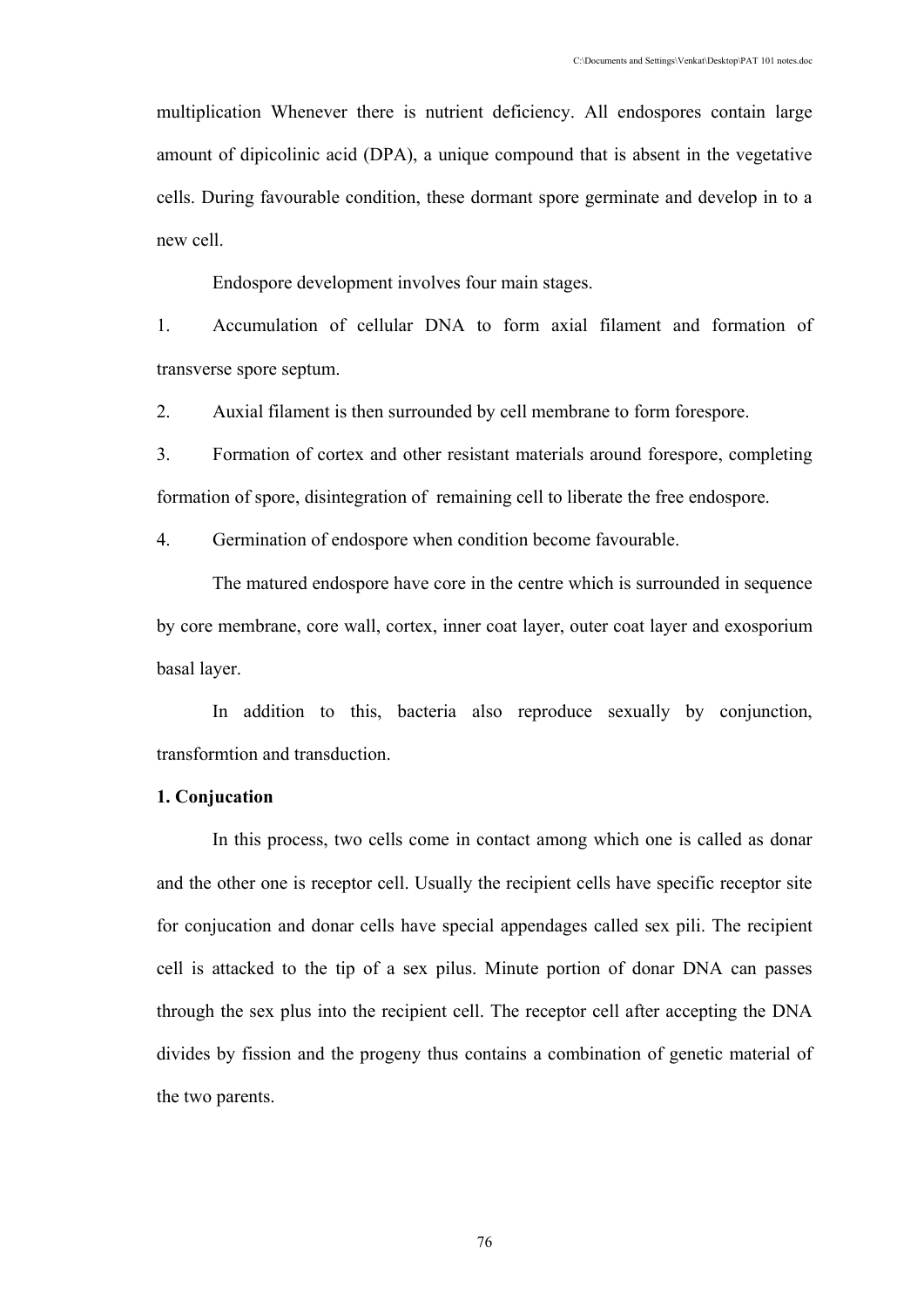C:Documents and Settings/Venkat/Desktop/PAT 101 notes.doc<br>multiplication Whenever there is nutrient deficiency. All endospores contain large<br>amount of dipicolinic acid (DPA), a unique compound that is absent in the vegetat amount of dipicolinic acid (DPA), a unique compound that is absent in the vegetative cells. During favourable condition, these dormant spore germinate and develop in to a new cell. CDocuments and Settings Venlatt Desktop PAT 101 noise,does<br>
2. All endospores contain large<br>
2. amount of dipicolinic acid (DPA), a unique compound that is absent in the vegetative<br>
2. Endospore development involves four m 2. Formation of enter and other resistant materials around forespore contain large and dipicolinic acid (DPA), a unique compound that is absent in the vegetative cells. During favourable condition, these dormant spore germ 3. Formation of endospore there is nutrient deficiency. All endospores contain large<br>
3. Formation of dipicolinic acid (DPA), a unique compound that is absent in the vegetative<br>
cells. During favourable condition, these do 2. a mique compound that is absent in the vegetative cells. During favourable condition, these dormant spore germinate and develop in to inducted.<br>
1. Endospore development involves four main stages.<br>
1. Accumulation of ce

Endospore development involves four main stages.

transverse spore septum.

formation of spore, disintegration of remaining cell to liberate the free endospore.

The matured endospore have core in the centre which is surrounded in sequence by core membrane, core wall, cortex, inner coat layer, outer coat layer and exosporium basal layer.

In addition to this, bacteria also reproduce sexually by conjunction, transformtion and transduction.

## 1. Conjucation

In this process, two cells come in contact among which one is called as donar and the other one is receptor cell. Usually the recipient cells have specific receptor site for conjucation and donar cells have special appendages called sex pili. The recipient cell is attacked to the tip of a sex pilus. Minute portion of donar DNA can passes through the sex plus into the recipient cell. The receptor cell after accepting the DNA divides by fission and the progeny thus contains a combination of genetic material of the two parents.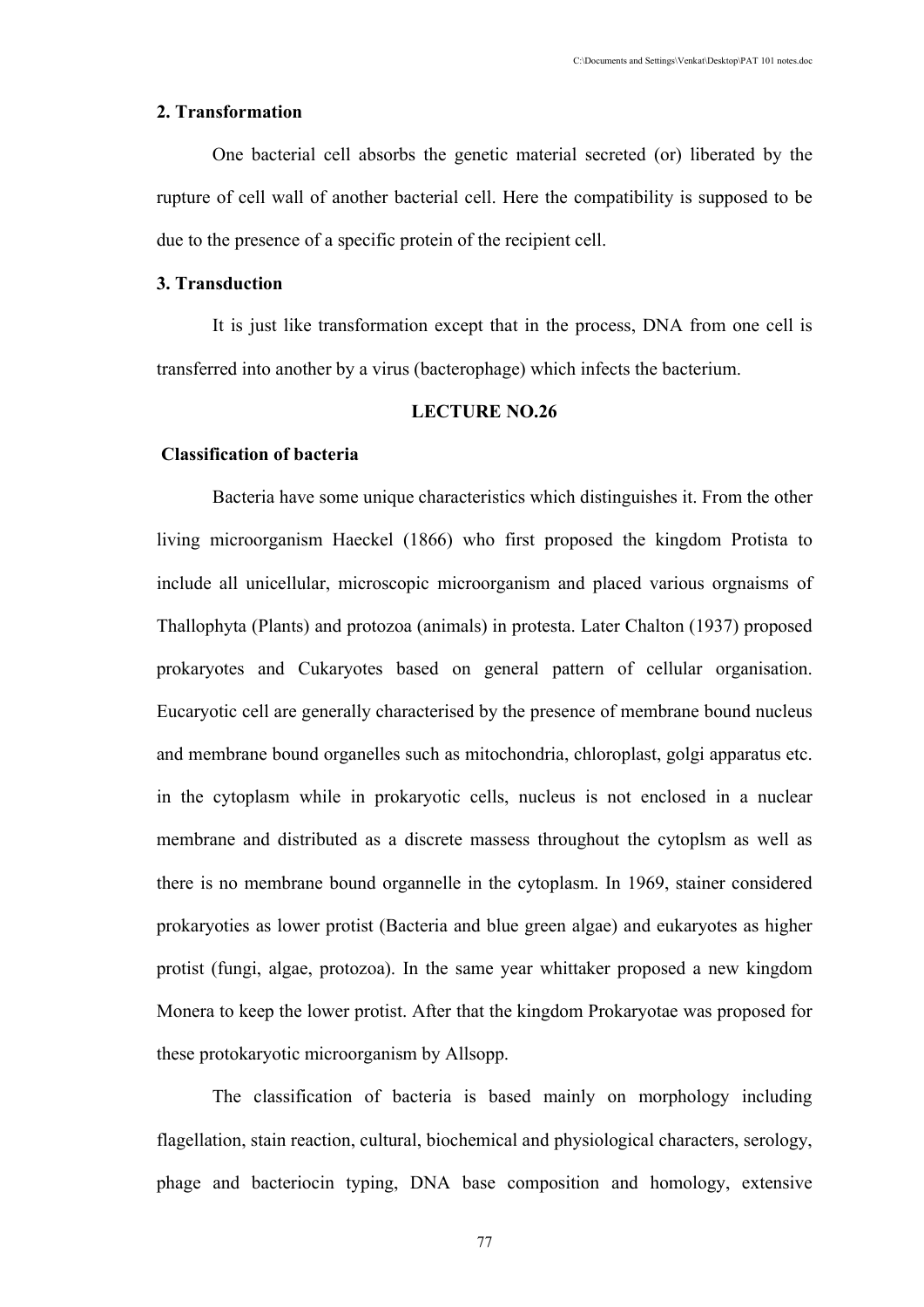## 2. Transformation

C:Documents and SettingsiVenkat:DesktopPAT 101 notes.doc<br>
One bacterial cell absorbs the genetic material secreted (or) liberated by the<br>
of cell wall of another bacterial cell. Here the compatibility is supposed to be<br>
th rupture of cell wall of another bacterial cell. Here the compatibility is supposed to be due to the presence of a specific protein of the recipient cell.

#### 3. Transduction

It is just like transformation except that in the process, DNA from one cell is transferred into another by a virus (bacterophage) which infects the bacterium.

## LECTURE NO.26

## Classification of bacteria

Bacteria have some unique characteristics which distinguishes it. From the other living microorganism Haeckel (1866) who first proposed the kingdom Protista to rupture of cell wall of another bacterial cell. Here the compatibility is supposed to be<br>due to the presence of a specific protein of the recipient cell.<br>3. **Transduction**<br>It is just like transformation except that in the duc to the presence of a specific protein of the recipient cell.<br>
3. **Transduction**<br>
It is just like transformation except that in the process, DNA from one cell is<br>
transferred into another by a virus (bacterophage) which prokaryotes and Cukaryotes based on general pattern of cellular organisation. Eucaryotic cell are generally characterised by the presence of membrane bound nucleus and membrane bound organelles such as mitochondria, chloroplast, golgi apparatus etc. in the cytoplasm while in prokaryotic cells, nucleus is not enclosed in a nuclear membrane and distributed as a discrete massess throughout the cytoplsm as well as there is no membrane bound organnelle in the cytoplasm. In 1969, stainer considered prokaryoties as lower protist (Bacteria and blue green algae) and eukaryotes as higher protist (fungi, algae, protozoa). In the same year whittaker proposed a new kingdom Thallophyta (Plants) and protozoa (animals) in protesta. Later Chalton (1937) proposed<br>prokaryotes and Cukaryotes based on general pattern of cellular organisation.<br>Eucaryotic cell are generally characterised by the presen these protokaryotic microorganism by Allsopp.

The classification of bacteria is based mainly on morphology including flagellation, stain reaction, cultural, biochemical and physiological characters, serology, phage and bacteriocin typing, DNA base composition and homology, extensive

77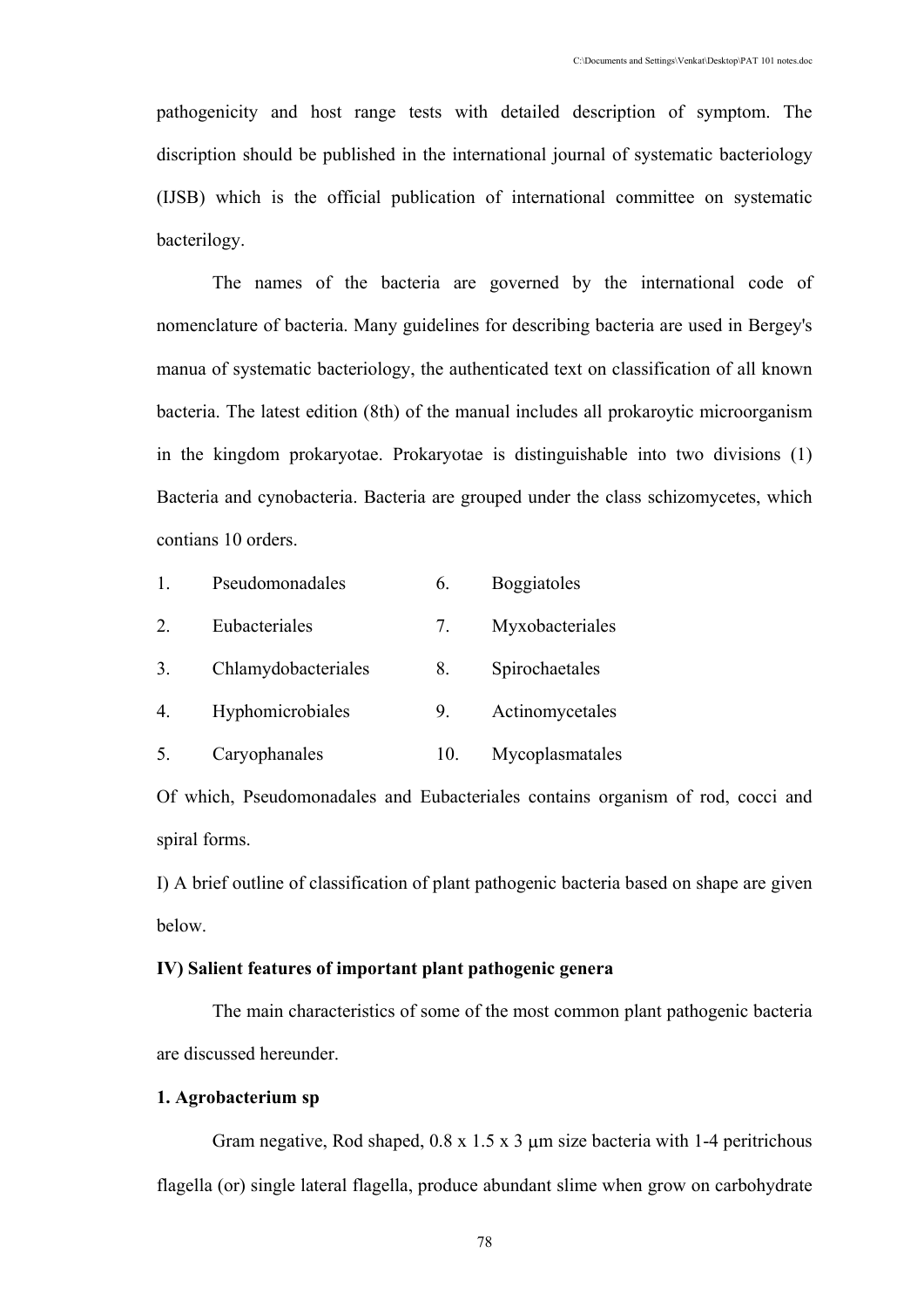pathogenicity and host range tests with detailed description of symptom. The discription should be published in the international journal of systematic bacteriology (IJSB) which is the official publication of international committee on systematic bacterilogy.

The names of the bacteria are governed by the international code of nomenclature of bacteria. Many guidelines for describing bacteria are used in Bergey's manua of systematic bacteriology, the authenticated text on classification of all known bacteria. The latest edition (8th) of the manual includes all prokaroytic microorganism in the kingdom prokaryotae. Prokaryotae is distinguishable into two divisions (1) Bacteria and cynobacteria. Bacteria are grouped under the class schizomycetes, which contians 10 orders. (IJSB) which is the official publication of international committee on systematic<br>bacterilogy.<br>The names of the bacteria are governed by the international code of<br>nomenclature of bacteria. Many guidelines for describing ba bacterilogy.<br>
The names of the bacteria are governed by the international code of<br>
nomenclature of bacteria. Many guidelines for describing bacteria are used in Bergey's<br>
manua of systematic bacteriology, the authenticated The names of the bacteria are governed by the international code of<br>
momenclature of bacteria. Many guidelines for describing bacteria are used in Bergey's<br>
manua of systematic bacteriology, the authenticated text on class nomenclature of bacteria. Many guidelines for describing bacteria are used in Bergey's<br>
manua of systematic bacteriology, the authenticated text on classification of all known<br>
bacteria. The latest edition (8th) of the man manua of systematic bacteriology, the authenticated text on classification of all known<br>
bacteria. The latest edition (8th) of the manual includes all prokaroytic microorganism<br>
in the kingdom prokaryotae. Prokaryotae is d

| 1.               | Pseudomonadales     | 6.  | <b>Boggiatoles</b> |
|------------------|---------------------|-----|--------------------|
| 2.               | Eubacteriales       | 7.  | Myxobacteriales    |
| 3.               | Chlamydobacteriales | 8.  | Spirochaetales     |
| $\overline{4}$ . | Hyphomicrobiales    | 9.  | Actinomycetales    |
| 5.               | Caryophanales       | 10. | Mycoplasmatales    |

Of which, Pseudomonadales and Eubacteriales contains organism of rod, cocci and spiral forms.

I) A brief outline of classification of plant pathogenic bacteria based on shape are given below.

## IV) Salient features of important plant pathogenic genera

The main characteristics of some of the most common plant pathogenic bacteria are discussed hereunder.

## 1. Agrobacterium sp

Gram negative, Rod shaped,  $0.8 \times 1.5 \times 3 \mu m$  size bacteria with 1-4 peritrichous flagella (or) single lateral flagella, produce abundant slime when grow on carbohydrate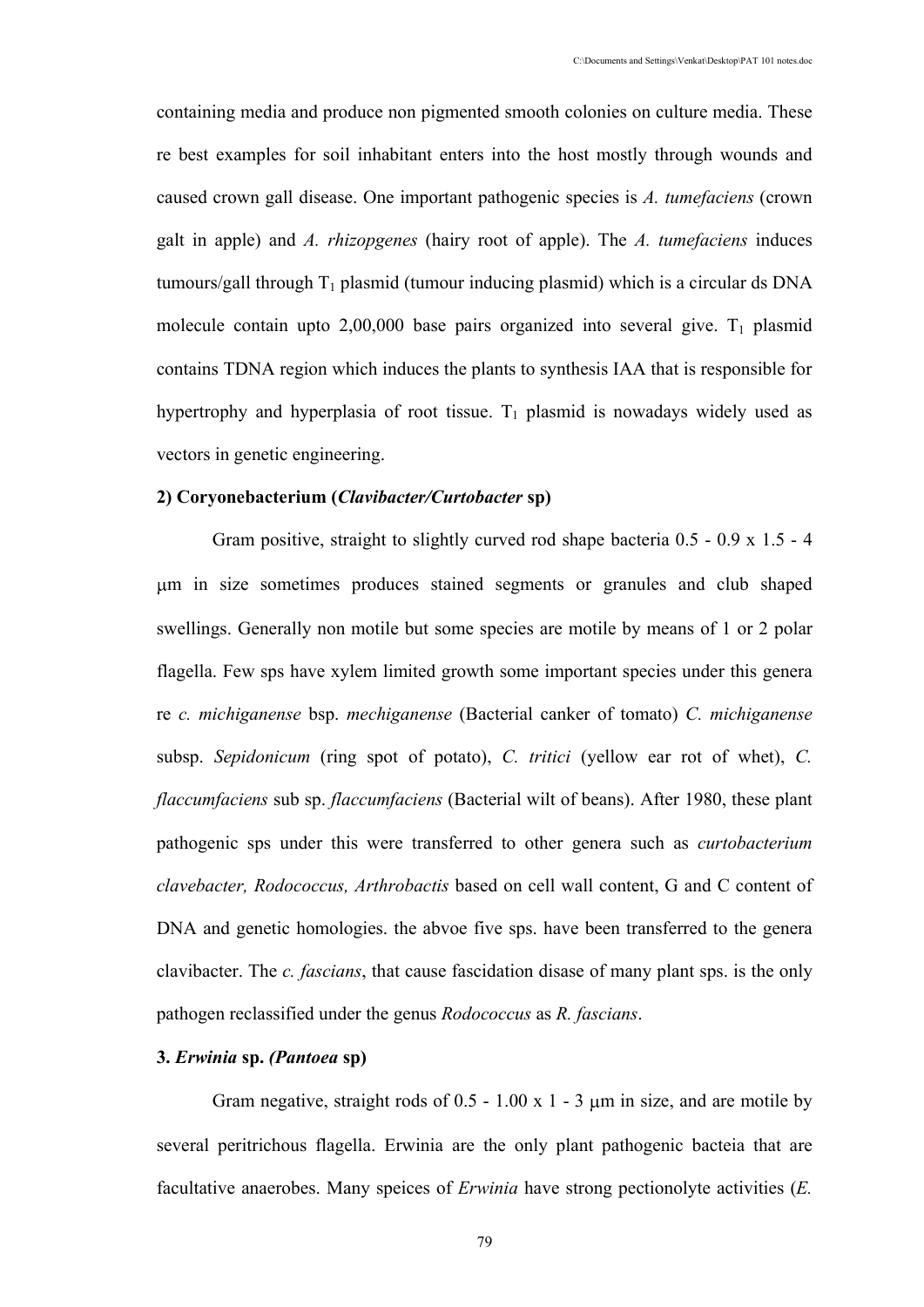containing media and produce non pigmented smooth colonies on culture media. These re best examples for soil inhabitant enters into the host mostly through wounds and caused crown gall disease. One important pathogenic species is A. tumefaciens (crown galt in apple) and A. rhizopgenes (hairy root of apple). The A. tumefaciens induces tumours/gall through  $T_1$  plasmid (tumour inducing plasmid) which is a circular ds DNA molecule contain upto 2,00,000 base pairs organized into several give.  $T_1$  plasmid contains TDNA region which induces the plants to synthesis IAA that is responsible for hypertrophy and hyperplasia of root tissue.  $T_1$  plasmid is nowadays widely used as vectors in genetic engineering.

#### 2) Coryonebacterium (Clavibacter/Curtobacter sp)

Gram positive, straight to slightly curved rod shape bacteria 0.5 - 0.9 x 1.5 - 4 m in size sometimes produces stained segments or granules and club shaped swellings. Generally non motile but some species are motile by means of 1 or 2 polar flagella. Few sps have xylem limited growth some important species under this genera re c. michiganense bsp. mechiganense (Bacterial canker of tomato) C. michiganense subsp. Sepidonicum (ring spot of potato), C. tritici (yellow ear rot of whet), C. flaccumfaciens sub sp. flaccumfaciens (Bacterial wilt of beans). After 1980, these plant pathogenic sps under this were transferred to other genera such as curtobacterium clavebacter, Rodococcus, Arthrobactis based on cell wall content, G and C content of DNA and genetic homologies. the abvoe five sps. have been transferred to the genera clavibacter. The c. fascians, that cause fascidation disase of many plant sps. is the only pathogen reclassified under the genus Rodococcus as R. fascians.

## 3. Erwinia sp. (Pantoea sp)

Gram negative, straight rods of  $0.5 - 1.00 \times 1 - 3 \mu m$  in size, and are motile by several peritrichous flagella. Erwinia are the only plant pathogenic bacteia that are facultative anaerobes. Many speices of *Erwinia* have strong pectionolyte activities (*E*.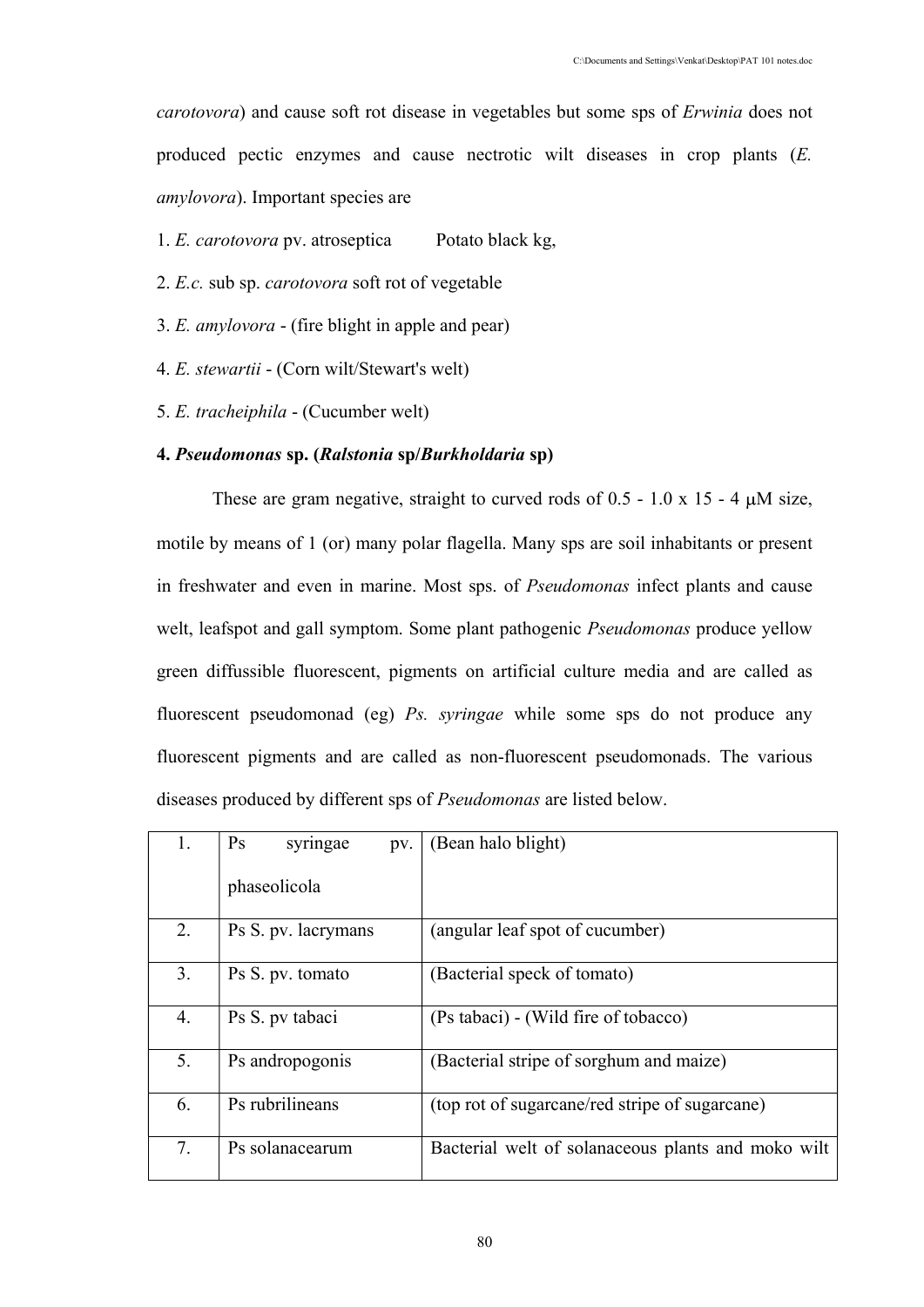carotovora) and cause soft rot disease in vegetables but some sps of Erwinia does not produced pectic enzymes and cause nectrotic wilt diseases in crop plants (E. amylovora). Important species are

- 1. E. carotovora pv. atroseptica Potato black kg,
- 2. E.c. sub sp. carotovora soft rot of vegetable
- 3. E. amylovora (fire blight in apple and pear)
- 4. E. stewartii (Corn wilt/Stewart's welt)
- 5. E. tracheiphila (Cucumber welt)

## 4. Pseudomonas sp. (Ralstonia sp/Burkholdaria sp)

These are gram negative, straight to curved rods of  $0.5 - 1.0 \times 15 - 4 \mu M$  size, motile by means of 1 (or) many polar flagella. Many sps are soil inhabitants or present in freshwater and even in marine. Most sps. of Pseudomonas infect plants and cause welt, leafspot and gall symptom. Some plant pathogenic *Pseudomonas* produce yellow green diffussible fluorescent, pigments on artificial culture media and are called as fluorescent pseudomonad (eg) Ps. syringae while some sps do not produce any fluorescent pigments and are called as non-fluorescent pseudomonads. The various diseases produced by different sps of Pseudomonas are listed below. **Pseudomonas sp. (Ralstonia sp/Burkholdaria sp)**<br>
These are gram negative, straight to curved rods of  $0.5 - 1.0 \times 15 - 4 \mu M$  size,<br>
tile by means of 1 (or) many polar flagella. Many sps are soil inhabitants or present<br>
fre vile by means of 1 (or) many polar flagella. Many sps are soil inhabitants or present<br>
freshwater and even in marine. Most sps. of *Pseudomonas* infect plants and cause<br>
i.t, leafspot and gall symptom. Some plant pathogeni

|                           | in freshwater and even in marine. Most sps. of Pseudomonas infect plants and cause    |
|---------------------------|---------------------------------------------------------------------------------------|
|                           | welt, leafspot and gall symptom. Some plant pathogenic Pseudomonas produce yellow     |
|                           | green diffussible fluorescent, pigments on artificial culture media and are called as |
|                           | fluorescent pseudomonad (eg) Ps. syringae while some sps do not produce any           |
|                           | fluorescent pigments and are called as non-fluorescent pseudomonads. The various      |
|                           | diseases produced by different sps of Pseudomonas are listed below.                   |
| syringae<br>1.<br>Ps      | (Bean halo blight)<br>pv.                                                             |
| phaseolicola              |                                                                                       |
| 2.<br>Ps S. pv. lacrymans | (angular leaf spot of cucumber)                                                       |
| 3.<br>Ps S. pv. tomato    | (Bacterial speck of tomato)                                                           |
| Ps S. pv tabaci<br>4.     | (Ps tabaci) - (Wild fire of tobacco)                                                  |
| 5.<br>Ps andropogonis     | (Bacterial stripe of sorghum and maize)                                               |
| Ps rubrilineans<br>6.     | (top rot of sugarcane/red stripe of sugarcane)                                        |
| 7.<br>Ps solanacearum     | Bacterial welt of solanaceous plants and moko wilt                                    |
|                           |                                                                                       |
|                           | 80                                                                                    |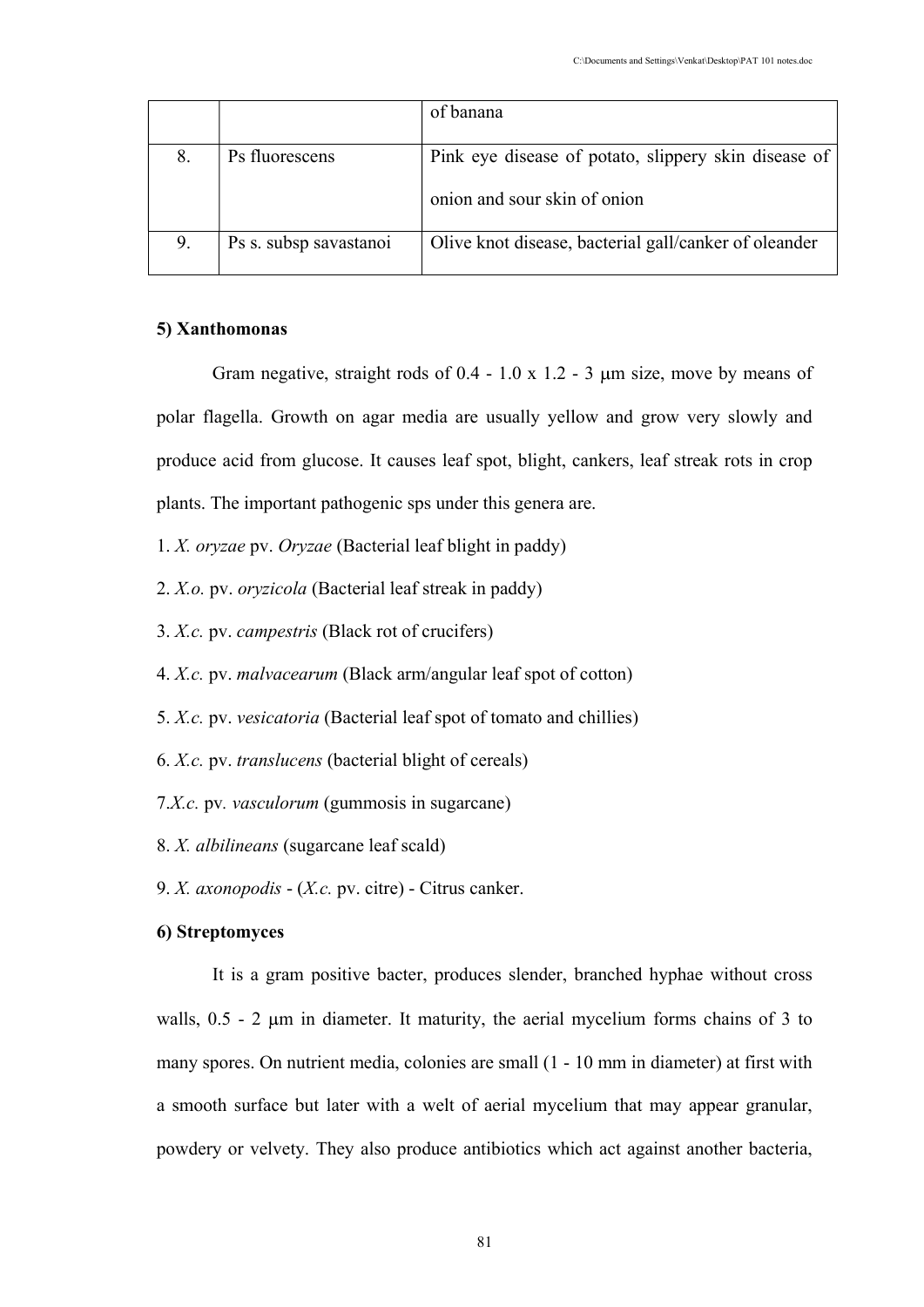|    |                | C:\Documents and Settings\Venkat\Desktop\PAT 101 notes.doc                           |
|----|----------------|--------------------------------------------------------------------------------------|
|    |                | of banana                                                                            |
| 8. | Ps fluorescens | Pink eye disease of potato, slippery skin disease of<br>onion and sour skin of onion |

## 5) Xanthomonas

Gram negative, straight rods of  $0.4 - 1.0 \times 1.2 - 3$  µm size, move by means of polar flagella. Growth on agar media are usually yellow and grow very slowly and produce acid from glucose. It causes leaf spot, blight, cankers, leaf streak rots in crop plants. The important pathogenic sps under this genera are.

- 1. X. oryzae pv. Oryzae (Bacterial leaf blight in paddy)
- 2. X.o. pv. oryzicola (Bacterial leaf streak in paddy)
- 3. X.c. pv. campestris (Black rot of crucifers)
- 4. X.c. pv. malvacearum (Black arm/angular leaf spot of cotton)
- 5. X.c. pv. vesicatoria (Bacterial leaf spot of tomato and chillies)
- 6. X.c. pv. translucens (bacterial blight of cereals)
- 7.X.c. pv. vasculorum (gummosis in sugarcane)
- 8. X. albilineans (sugarcane leaf scald)
- 9. *X. axonopodis*  $(X.c.$  pv. citre) Citrus canker.

## 6) Streptomyces

It is a gram positive bacter, produces slender, branched hyphae without cross walls,  $0.5 - 2 \mu m$  in diameter. It maturity, the aerial mycelium forms chains of 3 to many spores. On nutrient media, colonies are small (1 - 10 mm in diameter) at first with a smooth surface but later with a welt of aerial mycelium that may appear granular, powdery or velvety. They also produce antibiotics which act against another bacteria,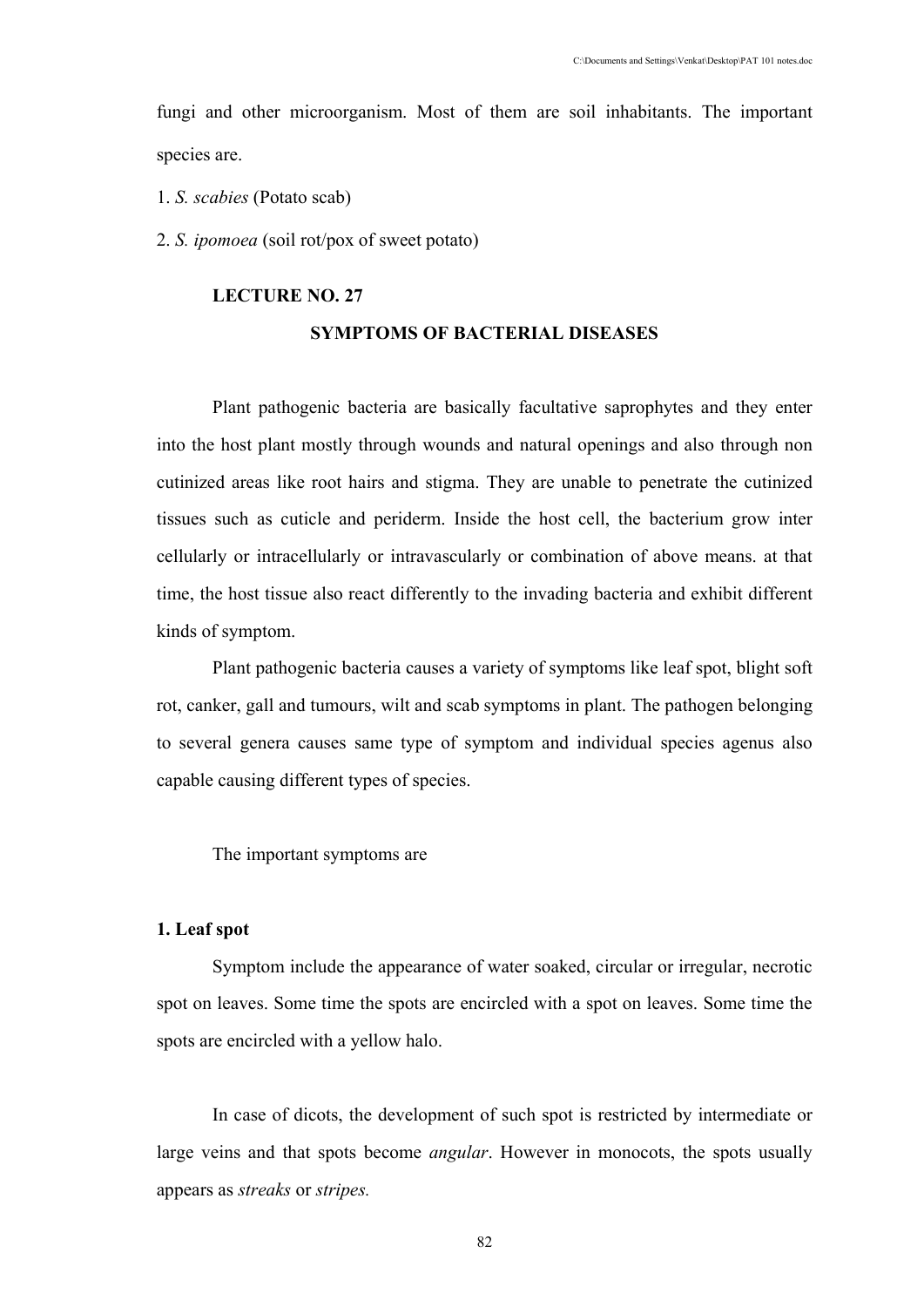fungi and other microorganism. Most of them are soil inhabitants. The important species are.

1. S. scabies (Potato scab)

2. S. ipomoea (soil rot/pox of sweet potato)

#### LECTURE NO. 27

## SYMPTOMS OF BACTERIAL DISEASES

Plant pathogenic bacteria are basically facultative saprophytes and they enter CONSULTENT CONSULTED INTERTATE INTERFACE AND INTERFACE ASSESS THE MODE OF SEAL OF SACTENIAL DISEASES<br>
2. S. *ipomoea* (soil rot/pox of sweet potato)<br>
2. S. *ipomoea* (soil rot/pox of sweet potato)<br> **I.ECTURE NO. 27**<br>
SYMPT fungi and other microorganism. Most of them are soil inhabitants. The important<br>species are.<br>1. S. scabies (Potato scab)<br>2. S. tyomoea (soil rot/pox of sweet potato)<br>1. **ECTURE NO. 27**<br>5YMPTOMS OF BACTERIAL DISEASES<br>1. Pla tissues such as cuticle and periderm. Inside the host cell, the bacterium grow inter cellularly or intracellularly or intravascularly or combination of above means. at that time, the host tissue also react differently to the invading bacteria and exhibit different kinds of symptom. **EXETURE NO. 27**<br>**SYMPTOMS OF BACTERIAL DISEASES**<br>Plant pathogenic bacteria are basically facultative saprophytes and they enter<br>host plant mostly through wounds and natural openings and also through non<br>ed areas like root

rot, canker, gall and tumours, wilt and scab symptoms in plant. The pathogen belonging to several genera causes same type of symptom and individual species agenus also capable causing different types of species. Frame pair and the spot of symptoms like leaf spot, blight sof<br>rot, canker, gall and tumours, wilt and scab symptoms in plant. The pathogen belonging<br>to several genera causes same type of symptom and individual species age

The important symptoms are

#### 1. Leaf spot

Symptom include the appearance of water soaked, circular or irregular, necrotic spot on leaves. Some time the spots are encircled with a spot on leaves. Some time the

In case of dicots, the development of such spot is restricted by intermediate or large veins and that spots become *angular*. However in monocots, the spots usually appears as streaks or stripes.

82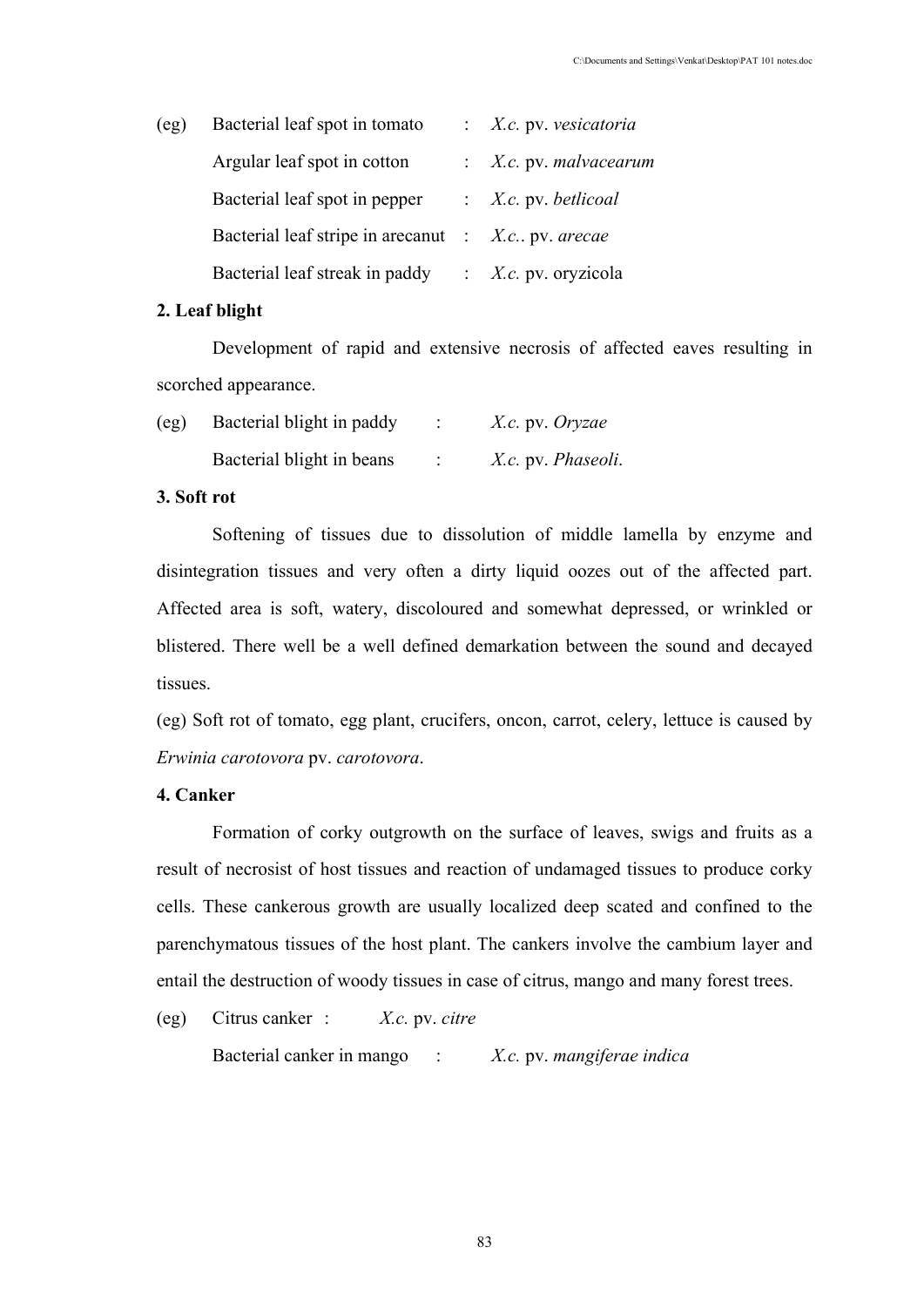|             |                                                  |                           | C:\Documents and Settings\Venkat\Desktop\PAT 101 notes.doc                 |
|-------------|--------------------------------------------------|---------------------------|----------------------------------------------------------------------------|
|             |                                                  |                           |                                                                            |
| (eg)        | Bacterial leaf spot in tomato                    | $\mathbb{C}^{\mathbb{Z}}$ | X.c. pv. vesicatoria                                                       |
|             | Argular leaf spot in cotton                      | $\ddot{\cdot}$            | X.c. pv. malvacearum                                                       |
|             | Bacterial leaf spot in pepper                    | $\ddot{\cdot}$            | X.c. pv. betlicoal                                                         |
|             | Bacterial leaf stripe in arecanut :              |                           | X.c., pv. arecae                                                           |
|             | Bacterial leaf streak in paddy                   | $\ddot{\mathbb{C}}$       | X.c. pv. oryzicola                                                         |
|             | 2. Leaf blight                                   |                           |                                                                            |
|             |                                                  |                           | Development of rapid and extensive necrosis of affected eaves resulting in |
|             | scorched appearance.                             |                           |                                                                            |
|             | (eg) Bacterial blight in paddy : X.c. pv. Oryzae |                           |                                                                            |
|             | Bacterial blight in beans : X.c. pv. Phaseoli.   |                           |                                                                            |
| 3. Soft rot |                                                  |                           |                                                                            |
|             |                                                  |                           | Softening of tissues due to dissolution of middle lamella by enzyme and    |
|             |                                                  |                           |                                                                            |

## 2. Leaf blight

| (eg) | Bacterial blight in paddy | X.c. pv. Oryzae    |
|------|---------------------------|--------------------|
|      | Bacterial blight in beans | X.c. pv. Phaseoli. |

Softening of tissues due to dissolution of middle lamella by enzyme and disintegration tissues and very often a dirty liquid oozes out of the affected part. Affected area is soft, watery, discoloured and somewhat depressed, or wrinkled or blistered. There well be a well defined demarkation between the sound and decayed tissues.

(eg) Soft rot of tomato, egg plant, crucifers, oncon, carrot, celery, lettuce is caused by Erwinia carotovora pv. carotovora.

## 4. Canker

Formation of corky outgrowth on the surface of leaves, swigs and fruits as a result of necrosist of host tissues and reaction of undamaged tissues to produce corky cells. These cankerous growth are usually localized deep scated and confined to the parenchymatous tissues of the host plant. The cankers involve the cambium layer and entail the destruction of woody tissues in case of citrus, mango and many forest trees. blistered. There well be a well defined demarkation between the sound it<br>sisues.<br>(eg) Soft rot of tomato, egg plant, crucifers, oncon, carrot, celery, lettuce<br>*Erwinia carotovora* pv. *carotovora*.<br>**4. Canker** Formation o ft rot of tomato, egg plant, crucifers, oncon, carrot, celery, lettuce is caused by *a carotovora* pv. *carotovora*.<br> **Exercise in the surface** of leaves, swigs and fruits as a freerosist of host tissues and reaction of u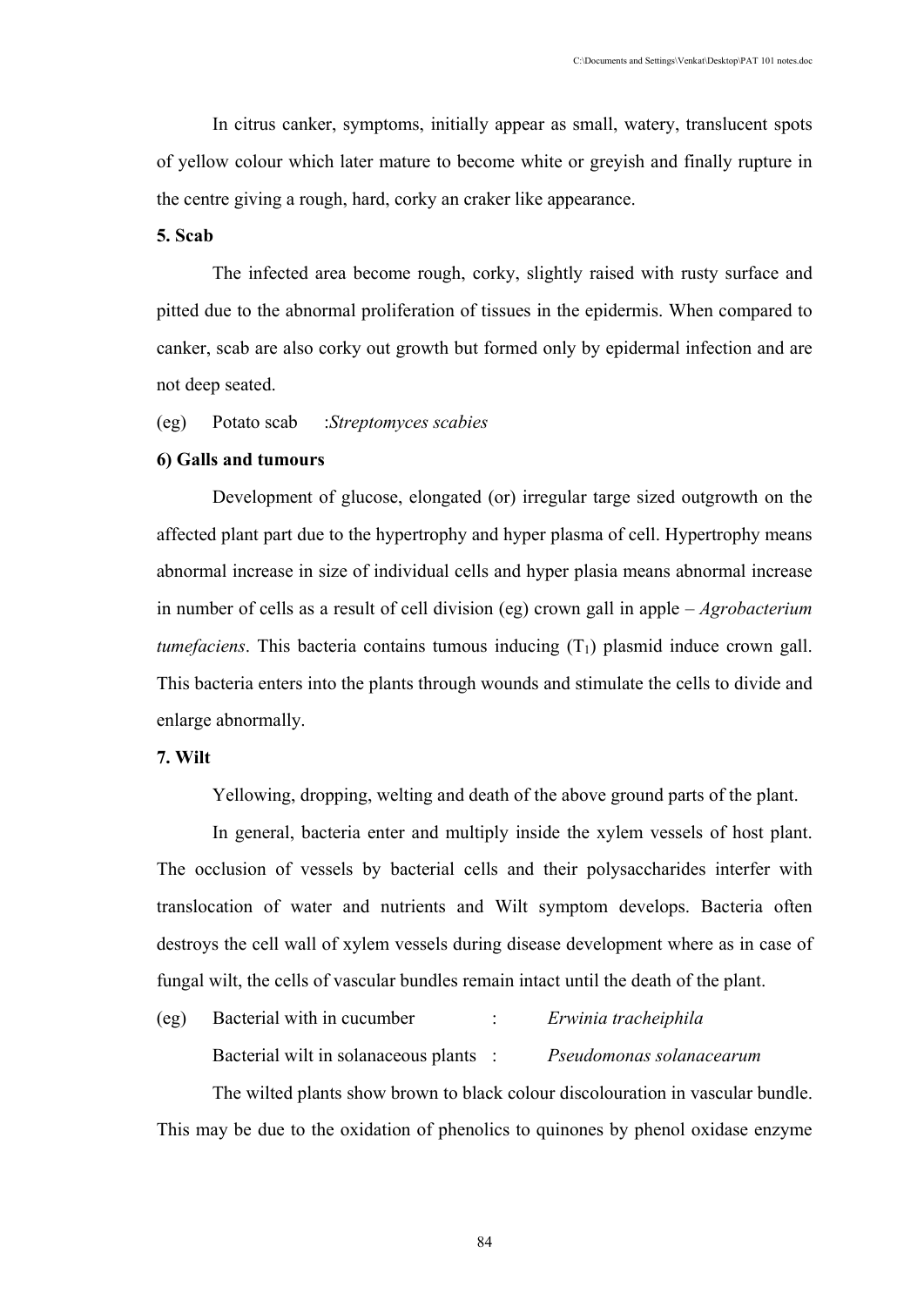In citrus canker, symptoms, initially appear as small, watery, translucent spots of yellow colour which later mature to become white or greyish and finally rupture in the centre giving a rough, hard, corky an craker like appearance.

#### 5. Scab

The infected area become rough, corky, slightly raised with rusty surface and pitted due to the abnormal proliferation of tissues in the epidermis. When compared to canker, scab are also corky out growth but formed only by epidermal infection and are not deep seated. (eg) In citrus canker, symptoms, initially appear as small, watery, translucent spots<br>of yellow colour which later mature to become white or greyish and finally rupture in<br>the centre giving a rough, hard, corky an craker l

#### 6) Galls and tumours

Development of glucose, elongated (or) irregular targe sized outgrowth on the affected plant part due to the hypertrophy and hyper plasma of cell. Hypertrophy means abnormal increase in size of individual cells and hyper plasia means abnormal increase in number of cells as a result of cell division (eg) crown gall in apple  $-Agrobacterium$ *tumefaciens*. This bacteria contains tumous inducing  $(T_1)$  plasmid induce crown gall. This bacteria enters into the plants through wounds and stimulate the cells to divide and enlarge abnormally.

## 7. Wilt

Yellowing, dropping, welting and death of the above ground parts of the plant.

In general, bacteria enter and multiply inside the xylem vessels of host plant. The occlusion of vessels by bacterial cells and their polysaccharides interfer with translocation of water and nutrients and Wilt symptom develops. Bacteria often destroys the cell wall of xylem vessels during disease development where as in case of fungal wilt, the cells of vascular bundles remain intact until the death of the plant. tumefaciens. This bacteria contains tumous inducing (T<sub>1</sub>) plasmid induce crown gall.<br>This bacteria enters into the plants through wounds and stimulate the cells to divide and<br>enlarge abnormally.<br>7. Wilt<br>Yellowing, droppin Exercisia enters into the plants through wounds and stimulate the cells to divide and<br>abnormally.<br>
Yellowing, dropping, welting and death of the above ground parts of the plant.<br>
In general, bacteria enter and multiply in

The wilted plants show brown to black colour discolouration in vascular bundle. This may be due to the oxidation of phenolics to quinones by phenol oxidase enzyme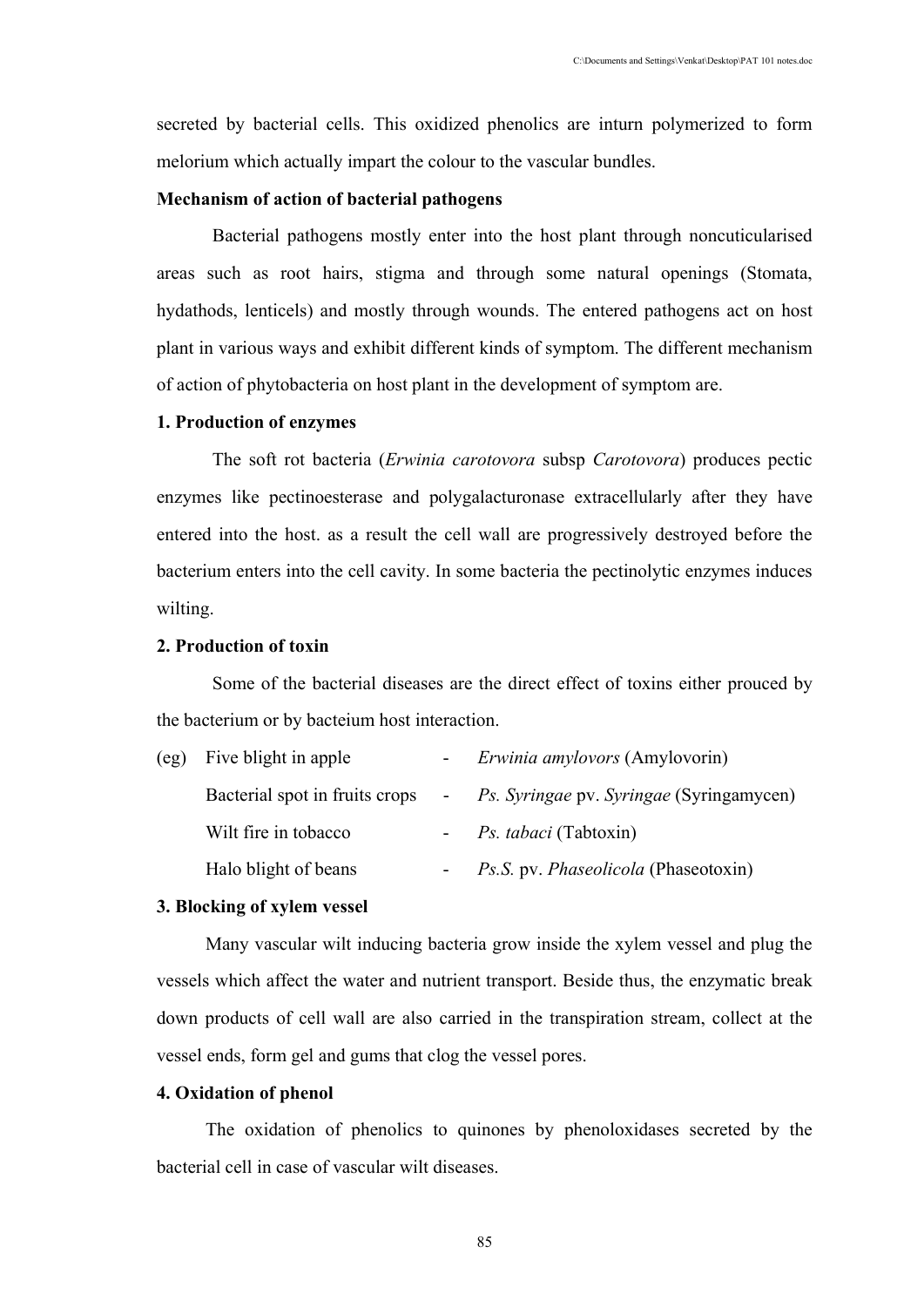secreted by bacterial cells. This oxidized phenolics are inturn polymerized to form melorium which actually impart the colour to the vascular bundles.

## Mechanism of action of bacterial pathogens

Bacterial pathogens mostly enter into the host plant through noncuticularised areas such as root hairs, stigma and through some natural openings (Stomata, hydathods, lenticels) and mostly through wounds. The entered pathogens act on host CODECTMERT IN a constrained by bacterial cells. This oxidized phenolics are inturn polymerized to form melorium which actually impart the colour to the vascular bundles.<br> **Mechanism of action of bacterial pathogens**<br>
Bacte of action of phytobacteria on host plant in the development of symptom are. melorium which actually impart the colour to the vascular bundles.<br> **Mechanism of action of bacterial pathogens**<br>
Bacterial pathogens mostly enter into the host plant through noncuticularised<br>
areas such as root hairs, sti

#### 1. Production of enzymes

The soft rot bacteria (Erwinia carotovora subsp Carotovora) produces pectic enzymes like pectinoesterase and polygalacturonase extracellularly after they have bacterium enters into the cell cavity. In some bacteria the pectinolytic enzymes induces wilting. (eg) Five blight in apple The soft of the development of symptom are.<br>
1. **Production of enzymes**<br>
The soft rot bacteria (*Erwinia carotovora* subsp *Carotovora*) produces pectic<br>
enzymes like pectinoesterase and polygalac The soft rot bacteria (*Erwinia carotovora* subsp *Carotovora*) produces pectic<br>
es like pectinoesterase and polygalacturonase extracellularly after they have<br>
d into the host. as a result the cell wall are progressively d

#### 2. Production of toxin

| wilting. |                                                            |                          |                                                                                         |
|----------|------------------------------------------------------------|--------------------------|-----------------------------------------------------------------------------------------|
|          | 2. Production of toxin                                     |                          |                                                                                         |
|          |                                                            |                          | Some of the bacterial diseases are the direct effect of toxins either prouced by        |
|          | the bacterium or by bacteium host interaction.             |                          |                                                                                         |
| (eg)     | Five blight in apple                                       | $\sim$                   | <i>Erwinia amylovors</i> (Amylovorin)                                                   |
|          | Bacterial spot in fruits crops                             | $\blacksquare$           | Ps. Syringae pv. Syringae (Syringamycen)                                                |
|          | Wilt fire in tobacco                                       | $\overline{\phantom{a}}$ | Ps. tabaci (Tabtoxin)                                                                   |
|          | Halo blight of beans                                       | $\sim$ $-$               | <i>Ps.S. pv. Phaseolicola (Phaseotoxin)</i>                                             |
|          | 3. Blocking of xylem vessel                                |                          |                                                                                         |
|          |                                                            |                          | Many vascular wilt inducing bacteria grow inside the xylem vessel and plug the          |
|          |                                                            |                          | vessels which affect the water and nutrient transport. Beside thus, the enzymatic break |
|          |                                                            |                          | down products of cell wall are also carried in the transpiration stream, collect at the |
|          | vessel ends, form gel and gums that clog the vessel pores. |                          |                                                                                         |
|          |                                                            |                          |                                                                                         |

#### 3. Blocking of xylem vessel

#### 4. Oxidation of phenol

The oxidation of phenolics to quinones by phenoloxidases secreted by the bacterial cell in case of vascular wilt diseases.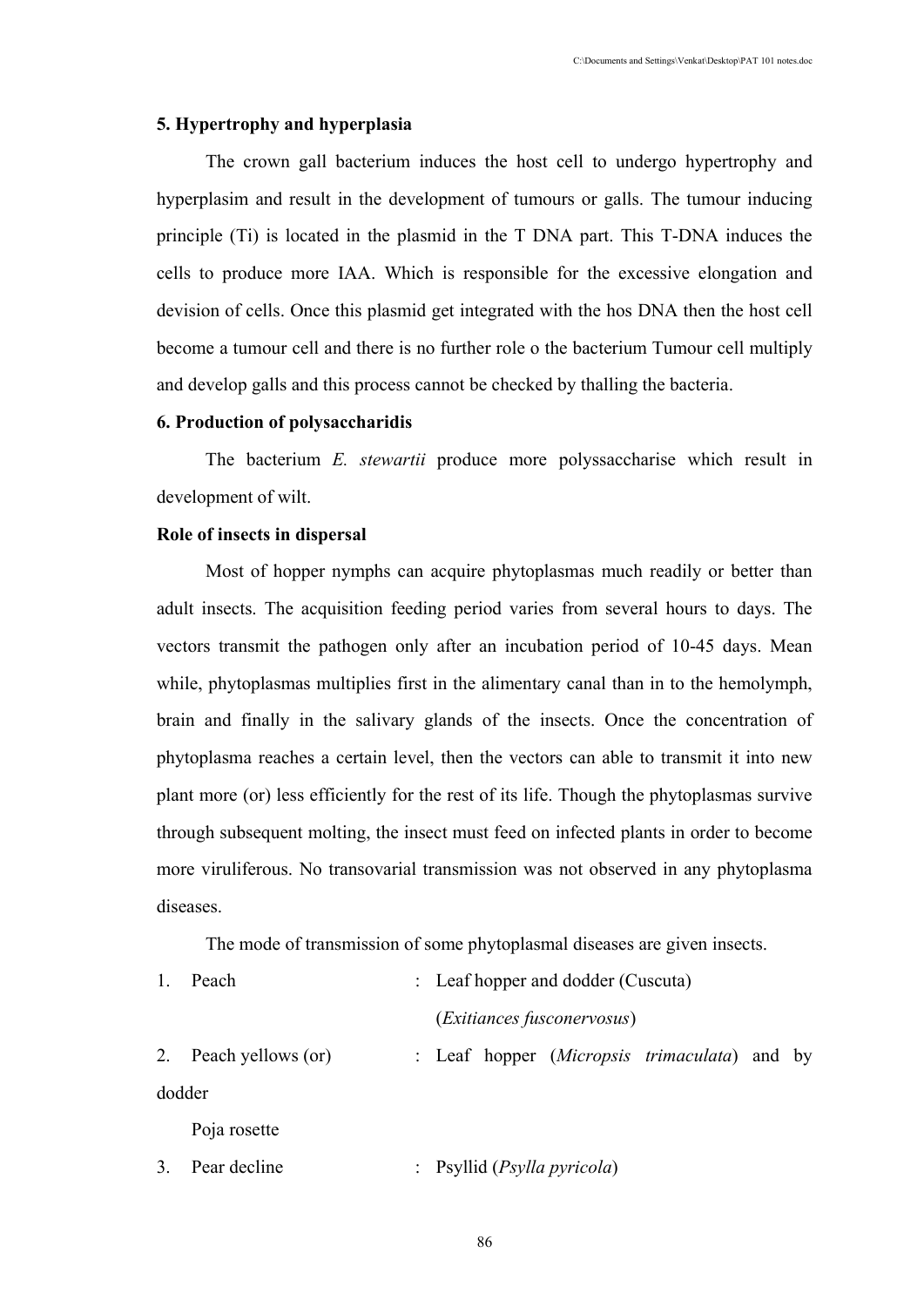#### 5. Hypertrophy and hyperplasia

The crown gall bacterium induces the host cell to undergo hypertrophy and C:Documents and Settings (Venkarl DesktopPAT 101 nots:doc<br>
5. Hypertrophy and hyperplasia<br>
The crown gall bacterium induces the host cell to undergo hypertrophy and<br>
hyperplasim and result in the development of tumours or principle (Ti) is located in the plasmid in the T DNA part. This T-DNA induces the cells to produce more IAA. Which is responsible for the excessive elongation and devision of cells. Once this plasmid get integrated with the hos DNA then the host cell become a tumour cell and there is no further role o the bacterium Tumour cell multiply and develop galls and this process cannot be checked by thalling the bacteria.

#### 6. Production of polysaccharidis

 The bacterium E. stewartii produce more polyssaccharise which result in development of wilt.

#### Role of insects in dispersal

Most of hopper nymphs can acquire phytoplasmas much readily or better than adult insects. The acquisition feeding period varies from several hours to days. The vectors transmit the pathogen only after an incubation period of 10-45 days. Mean while, phytoplasmas multiplies first in the alimentary canal than in to the hemolymph, brain and finally in the salivary glands of the insects. Once the concentration of phytoplasma reaches a certain level, then the vectors can able to transmit it into new plant more (or) less efficiently for the rest of its life. Though the phytoplasmas survive through subsequent molting, the insect must feed on infected plants in order to become more viruliferous. No transovarial transmission was not observed in any phytoplasma diseases. adult insects. The acquisition feeding period varies from several hours to days. The<br>vectors transmit the pathogen only after an incubation period of 10-45 days. Mean<br>while, phytoplasmas multiplies first in the alimentary while, phytoplasmas multiplies first in the alimentary canal than in to the hemolymph,<br>
brain and finally in the salivary glands of the insects. Once the concentration of<br>
phytoplasma reaches a certain level, then the vect

|        |                       | plant more (or) less efficiently for the rest of its life. Though the phytoplasmas survive |
|--------|-----------------------|--------------------------------------------------------------------------------------------|
|        |                       | through subsequent molting, the insect must feed on infected plants in order to become     |
|        |                       | more viruliferous. No transovarial transmission was not observed in any phytoplasma        |
|        | diseases.             |                                                                                            |
|        |                       | The mode of transmission of some phytoplasmal diseases are given insects.                  |
| 1.     | Peach                 | : Leaf hopper and dodder (Cuscuta)                                                         |
|        |                       | (Exitiances fusconervosus)                                                                 |
|        | 2. Peach yellows (or) | : Leaf hopper (Micropsis trimaculata) and by                                               |
| dodder |                       |                                                                                            |
|        | Poja rosette          |                                                                                            |
| 3.     | Pear decline          | : Psyllid $(Psylla pyricola)$                                                              |
|        |                       |                                                                                            |
|        |                       | 86                                                                                         |
|        |                       |                                                                                            |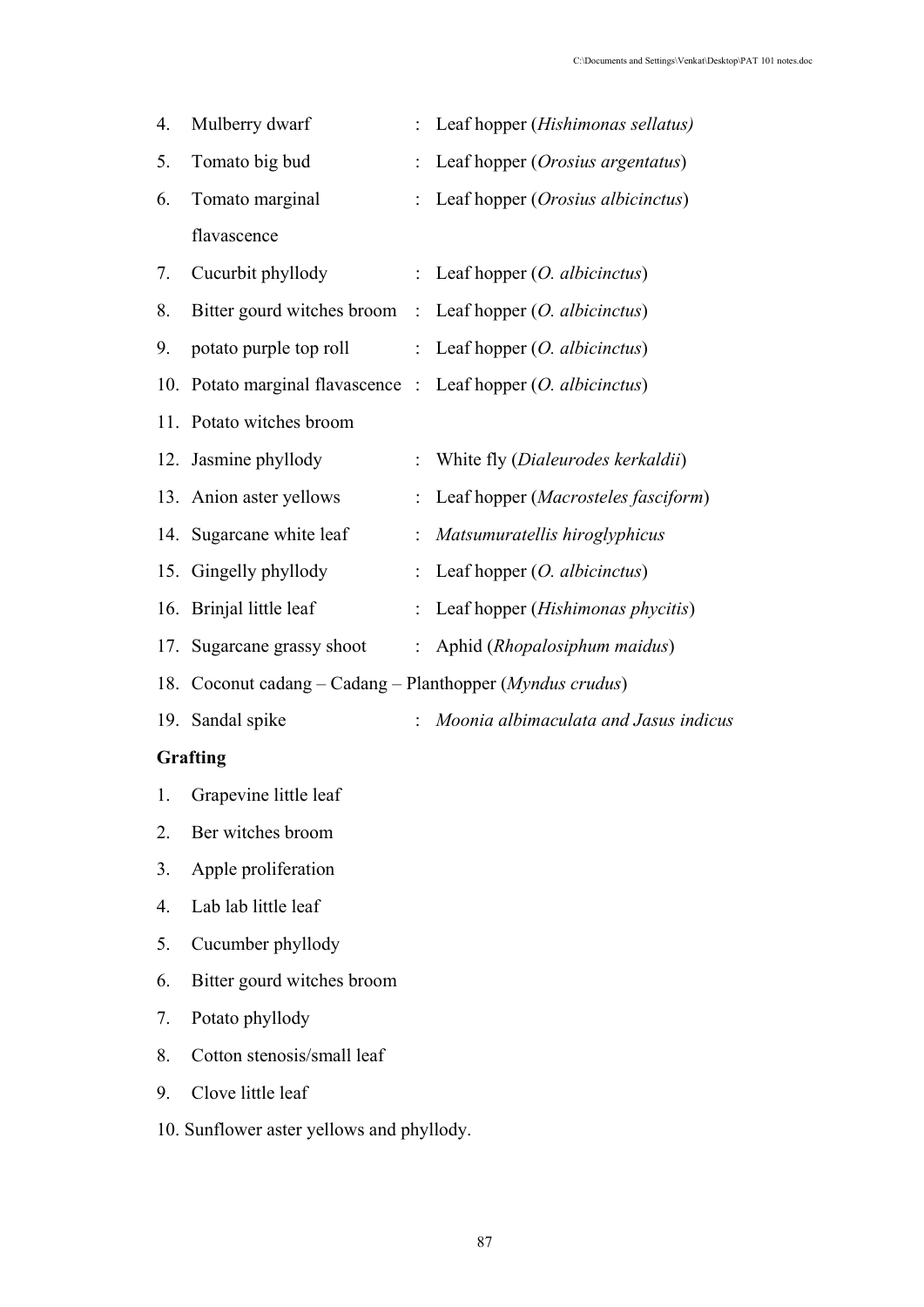|    |                                                                |                    | C:\Documents and Settings\Venkat\Desktop\PAT 101 notes.doc |
|----|----------------------------------------------------------------|--------------------|------------------------------------------------------------|
| 4. | Mulberry dwarf                                                 |                    | Leaf hopper (Hishimonas sellatus)                          |
| 5. | Tomato big bud                                                 |                    | Leaf hopper (Orosius argentatus)                           |
| 6. | Tomato marginal                                                |                    | Leaf hopper (Orosius albicinctus)                          |
|    | flavascence                                                    |                    |                                                            |
| 7. | Cucurbit phyllody                                              | $\ddot{\cdot}$     | Leaf hopper $(O.$ albicinctus)                             |
| 8. | Bitter gourd witches broom                                     | $\ddot{\ddot{}}$ . | Leaf hopper $(O.$ albicinctus)                             |
| 9. | potato purple top roll                                         | $\ddot{\cdot}$     | Leaf hopper $(O.$ albicinctus)                             |
|    | 10. Potato marginal flavascence : Leaf hopper (O. albicinctus) |                    |                                                            |
|    | 11. Potato witches broom                                       |                    |                                                            |
|    | 12. Jasmine phyllody                                           |                    | : White fly (Dialeurodes kerkaldii)                        |
|    | 13. Anion aster yellows                                        |                    | Leaf hopper (Macrosteles fasciform)                        |
|    | 14. Sugarcane white leaf                                       | $\ddot{\cdot}$     | Matsumuratellis hiroglyphicus                              |
|    | 15. Gingelly phyllody                                          |                    | : Leaf hopper $(O.$ albicinctus)                           |
|    | 16. Brinjal little leaf                                        |                    | : Leaf hopper (Hishimonas phycitis)                        |
|    | 17. Sugarcane grassy shoot                                     |                    | : Aphid (Rhopalosiphum maidus)                             |
|    | 18. Coconut cadang – Cadang – Planthopper (Myndus crudus)      |                    |                                                            |
|    | 19. Sandal spike                                               |                    | : Moonia albimaculata and Jasus indicus                    |
|    | <b>Grafting</b>                                                |                    |                                                            |
| 1. | Grapevine little leaf                                          |                    |                                                            |
| 2. | Ber witches broom                                              |                    |                                                            |
| 3. | Apple proliferation                                            |                    |                                                            |
| 4. | Lab lab little leaf                                            |                    |                                                            |
| 5. | Cucumber phyllody                                              |                    |                                                            |
| 6. | Bitter gourd witches broom                                     |                    |                                                            |
| 7. | Potato phyllody                                                |                    |                                                            |
| 8. | Cotton stenosis/small leaf                                     |                    |                                                            |
| 9. | Clove little leaf                                              |                    |                                                            |

# Grafting

- 
- 
- 3. Apple proliferation
- 
- 
- 
- 7. Potato phyllody
- 
- 
- 10. Sunflower aster yellows and phyllody.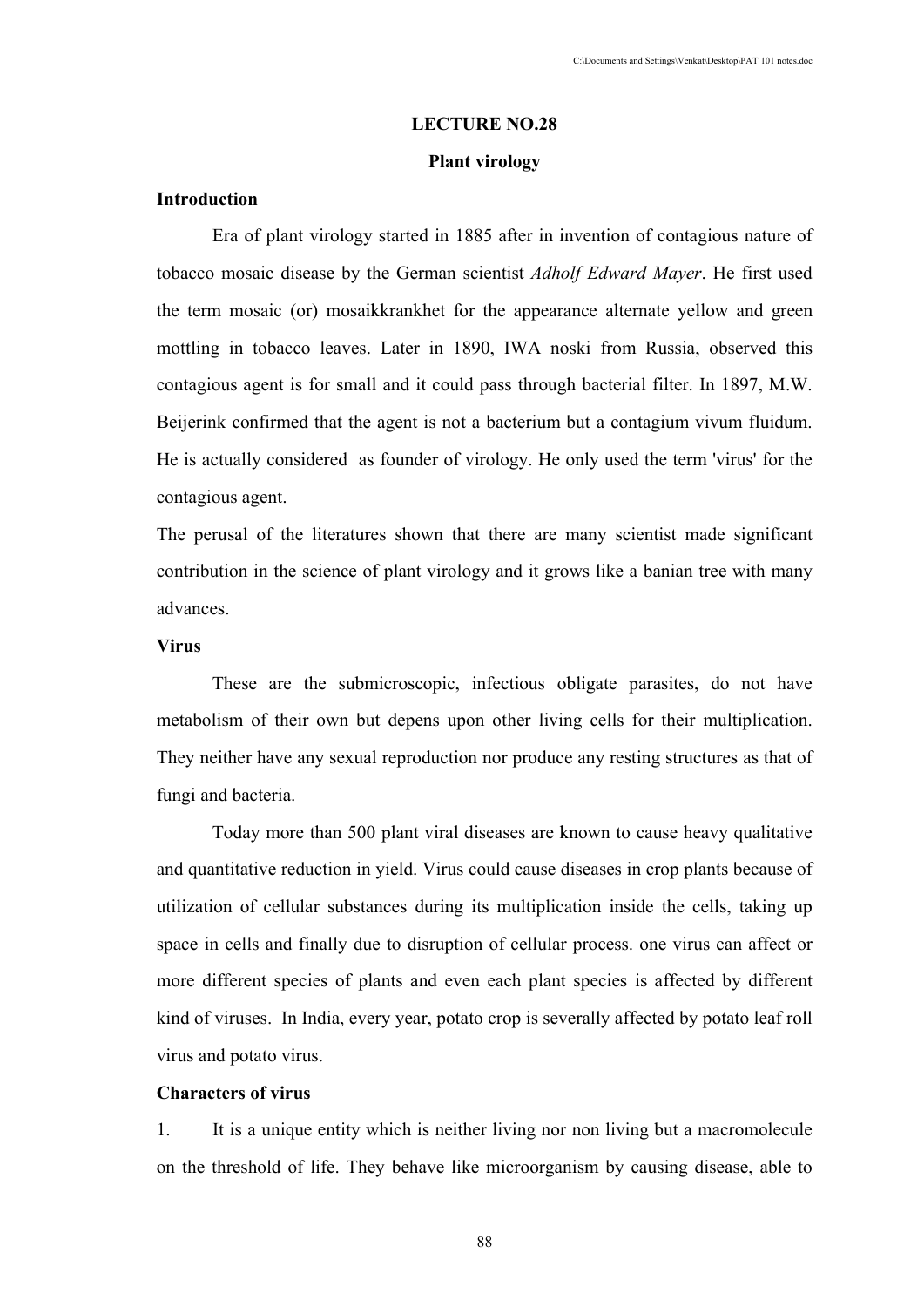## LECTURE NO.28

## Plant virology

## Introduction

Era of plant virology started in 1885 after in invention of contagious nature of tobacco mosaic disease by the German scientist Adholf Edward Mayer. He first used the term mosaic (or) mosaikkrankhet for the appearance alternate yellow and green mottling in tobacco leaves. Later in 1890, IWA noski from Russia, observed this contagious agent is for small and it could pass through bacterial filter. In 1897, M.W. Beijerink confirmed that the agent is not a bacterium but a contagium vivum fluidum. He is actually considered as founder of virology. He only used the term 'virus' for the contagious agent. Introduction<br>
Era of plant virology started in 1885 after in invention of contagious nature of<br>
tobacco mosaic disease by the German scientist *Adholf Edward Mayer*. He first used<br>
the term mosaic (or) mosaikkrankhet for t

The perusal of the literatures shown that there are many scientist made significant advances.

## Virus

These are the submicroscopic, infectious obligate parasites, do not have metabolism of their own but depens upon other living cells for their multiplication. They neither have any sexual reproduction nor produce any resting structures as that of fungi and bacteria.

Today more than 500 plant viral diseases are known to cause heavy qualitative contagious agent.<br>The perusal of the literatures shown that there are many scientist made significant<br>contribution in the science of plant virology and it grows like a banian tree with many<br>advances.<br>Virus<br>These are the su utilization of cellular substances during its multiplication inside the cells, taking up space in cells and finally due to disruption of cellular process. one virus can affect or more different species of plants and even each plant species is affected by different kind of viruses. In India, every year, potato crop is severally affected by potato leaf roll virus and potato virus. They neither have any sexual reproduction nor produce any resting structures as that of fungi and bacteria.<br>
Today more than 500 plant viral diseases are known to cause heavy qualitative and quantitative reduction in yield

#### Characters of virus

on the threshold of life. They behave like microorganism by causing disease, able to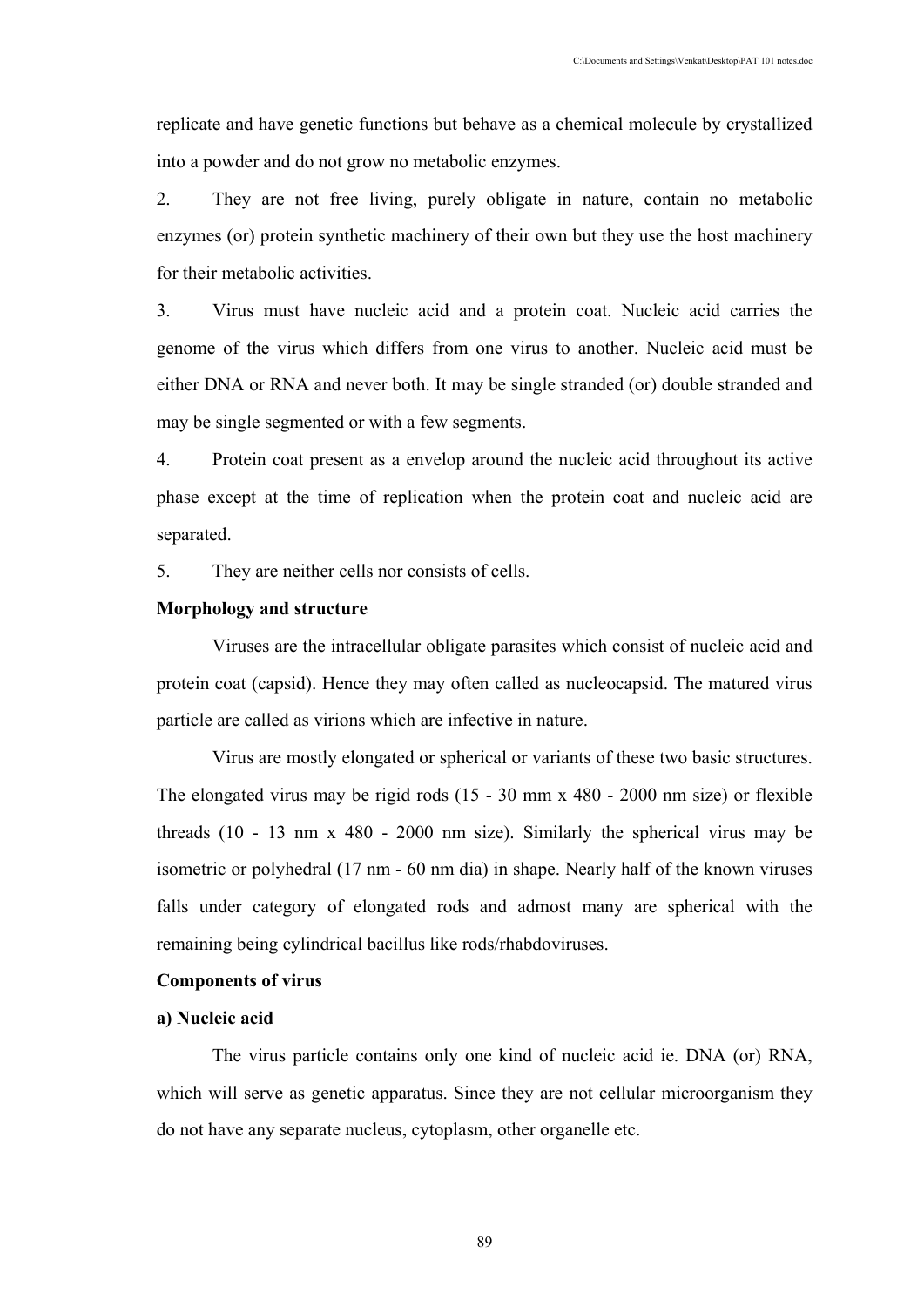replicate and have genetic functions but behave as a chemical molecule by crystallized into a powder and do not grow no metabolic enzymes.

2. They are not free living, purely obligate in nature, contain no metabolic enzymes.<br>2. They are not free living, purely obligate in nature, contain no metabolic enzymes (or) protein synthetic machinery of their own but t enzymes (or) protein synthetic machinery of their own but they use the host machinery for their metabolic activities.

CDocuments and Settings/VenlattDestateptPAT 101 nutre.doc<br>
2. They are not free living, purely obligate in nature, contain no metabolic<br>
2. They are not free living, purely obligate in nature, contain no metabolic<br>
enzymes genome of the virus which differs from one virus to another. Nucleic acid must be CORNA or RNA and never both. It may be single stranded (or) double stranded and more single stranded (or) double stranded in the stranded (or) protein synthetic machinery of their own but they use the host machinery for th may be single segmented or with a few segments. CONSUMER INTERT CONSULTERT CONSULTERT CONSULTER CONSULTER THE NUCLEAR THE NUCLEAR THE NUCLEAR THE NUCLEAR THE NUCLEAR THE NUCLEAR THE NUCLEAR THE NUCLEAR THE NUCLEAR THE NUCLEAR THE NUCLEAR THE NUCLEAR THE NUCLEAR THE NUCL They are not free living, purely obligate in nature, contain n<br>enzymes (or) protein synthetic machinery of their own but they use the hos<br>for their metabolic activities.<br>3. Virus must have nucleic acid and a protein coat.

phase except at the time of replication when the protein coat and nucleic acid are separated.

#### Morphology and structure

Viruses are the intracellular obligate parasites which consist of nucleic acid and protein coat (capsid). Hence they may often called as nucleocapsid. The matured virus particle are called as virions which are infective in nature.

Virus are mostly elongated or spherical or variants of these two basic structures. The elongated virus may be rigid rods (15 - 30 mm x 480 - 2000 nm size) or flexible threads (10 - 13 nm x 480 - 2000 nm size). Similarly the spherical virus may be isometric or polyhedral (17 nm - 60 nm dia) in shape. Nearly half of the known viruses falls under category of elongated rods and admost many are spherical with the remaining being cylindrical bacillus like rods/rhabdoviruses.

## Components of virus

### a) Nucleic acid

The virus particle contains only one kind of nucleic acid ie. DNA (or) RNA, which will serve as genetic apparatus. Since they are not cellular microorganism they do not have any separate nucleus, cytoplasm, other organelle etc.

89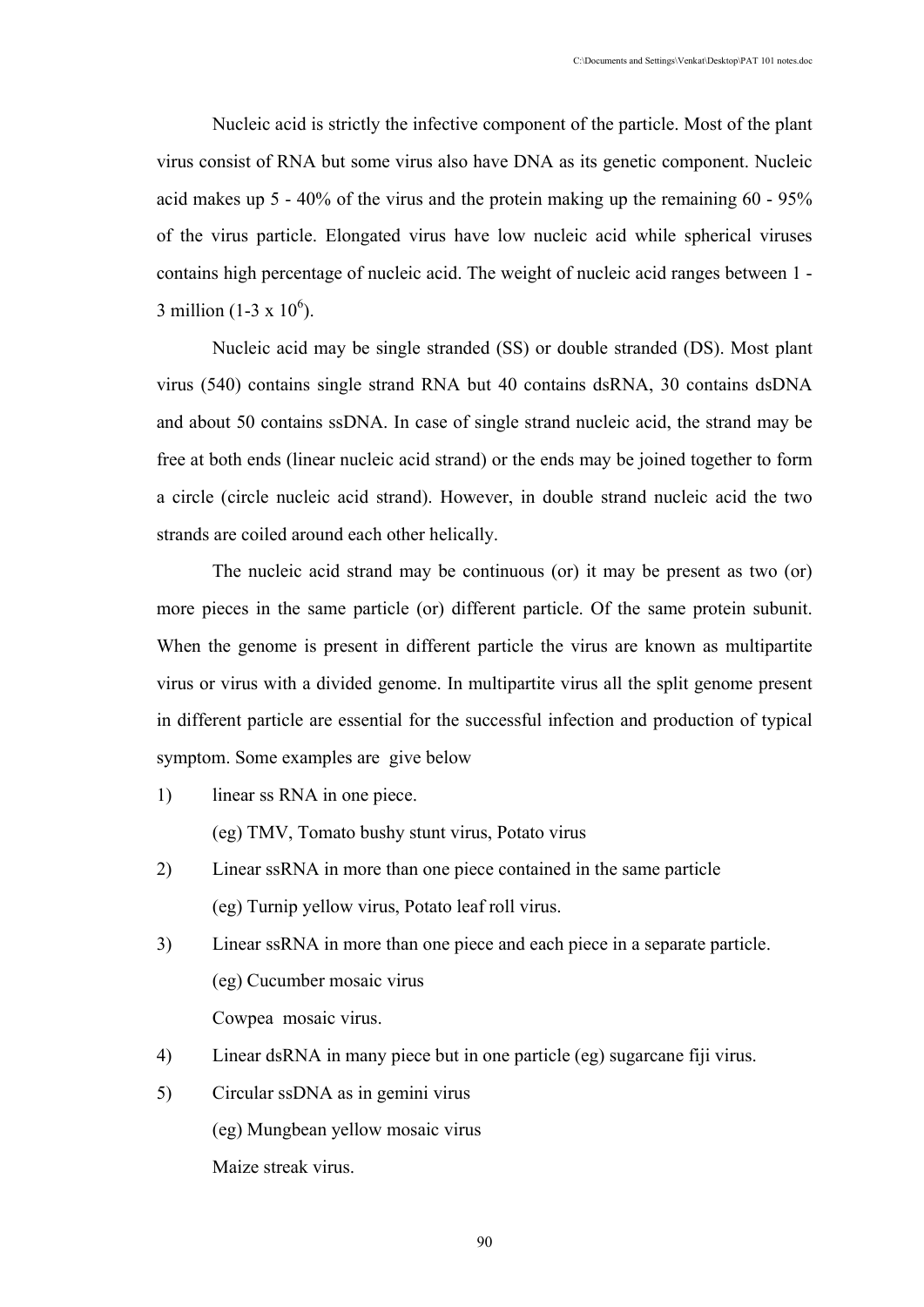Nucleic acid is strictly the infective component of the particle. Most of the plant virus consist of RNA but some virus also have DNA as its genetic component. Nucleic acid makes up 5 - 40% of the virus and the protein making up the remaining 60 - 95% of the virus particle. Elongated virus have low nucleic acid while spherical viruses contains high percentage of nucleic acid. The weight of nucleic acid ranges between 1 - 3 million (1-3 x  $10^6$ ). ).

Nucleic acid may be single stranded (SS) or double stranded (DS). Most plant virus (540) contains single strand RNA but 40 contains dsRNA, 30 contains dsDNA and about 50 contains ssDNA. In case of single strand nucleic acid, the strand may be Extending Mucleic acid is strictly the infective component of the particle. Most of the plant<br>virus consist of RNA but some virus also have DNA as its genetic component. Nucleic<br>acid makes up 5 - 40% of the virus and the a circle (circle nucleic acid strand). However, in double strand nucleic acid the two strands are coiled around each other helically.

The nucleic acid strand may be continuous (or) it may be present as two (or) more pieces in the same particle (or) different particle. Of the same protein subunit. When the genome is present in different particle the virus are known as multipartite virus or virus with a divided genome. In multipartite virus all the split genome present in different particle are essential for the successful infection and production of typical symptom. Some examples are give below and about 50 contains ssDNA. In case of single strand nucleic acid, the st<br>free at both ends (linear nucleic acid strand) or the ends may be joined toge<br>a circle (circle nucleic acid strand). However, in double strand nucl a circle (circle nucleic acid strand). However, in double strand nucleic acid the two<br>strands are coiled around each other helically.<br>The nucleic acid strand may be continuous (or) it may be present as two (or)<br>more pieces The nucleic acid strand may be continuous (or) it may be present as two (or)<br>more pieces in the same particle (or) different particle. Of the same protein subunit.<br>When the genome is present in different particle the virus France South a divided genome. In multipartite virus all the split genome present<br>
in different particle are essential for the successful infection and production of typical<br>
symptom. Some examples are give below<br>
1) linea

- (eg) TMV, Tomato bushy stunt virus, Potato virus
- (eg) Turnip yellow virus, Potato leaf roll virus.
- (eg) Cucumber mosaic virus Cowpea mosaic virus. in different particle are essential for the successful infection and productic<br>symptom. Some examples are give below<br>1) linear ss RNA in one piece.<br>(eg) TMV, Tomato bushy stunt virus, Potato virus<br>2) Linear ssRNA in more t
- 
- (eg) Mungbean yellow mosaic virus Maize streak virus.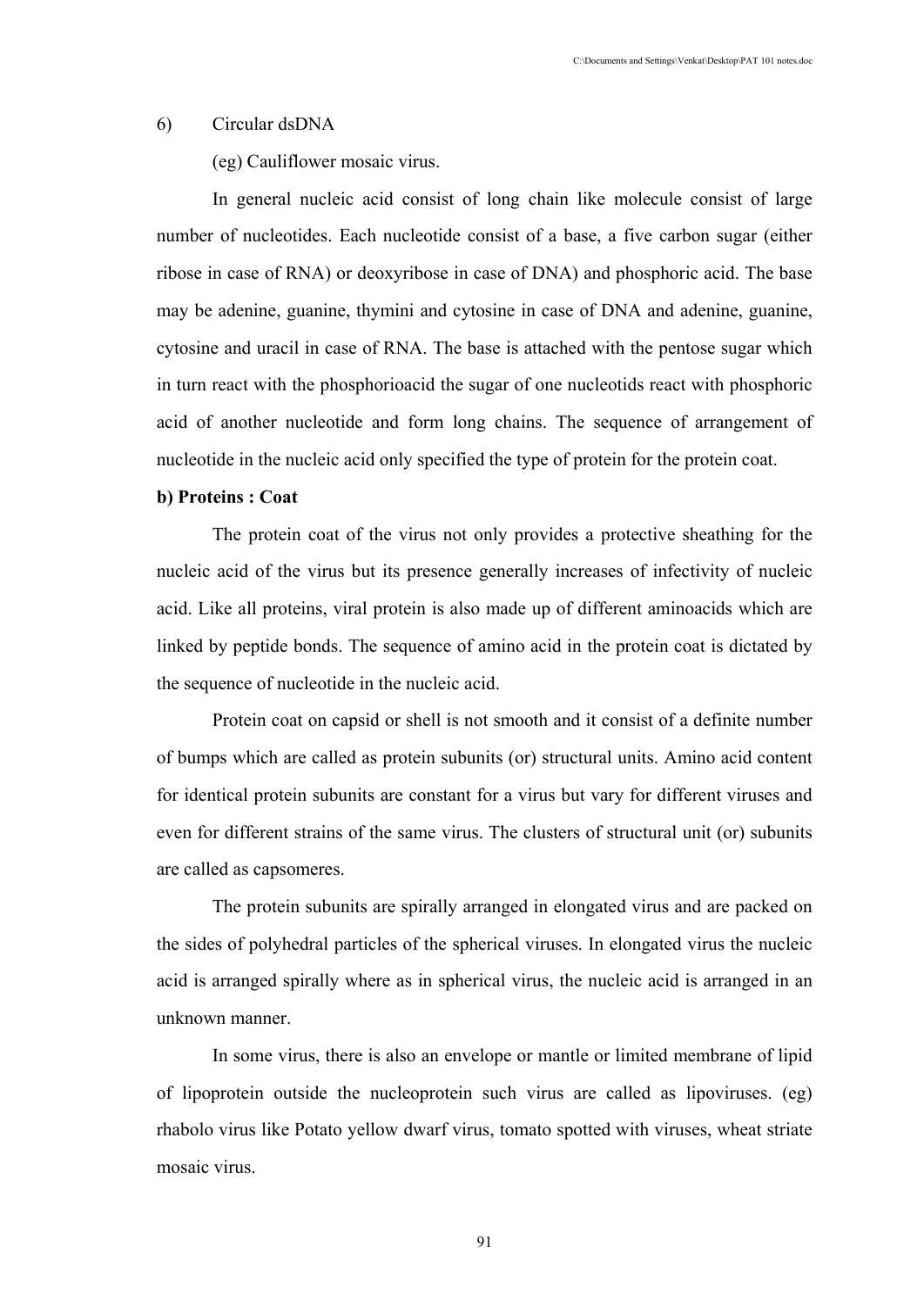## 6) Circular dsDNA

(eg) Cauliflower mosaic virus.

In general nucleic acid consist of long chain like molecule consist of large number of nucleotides. Each nucleotide consist of a base, a five carbon sugar (either ribose in case of RNA) or deoxyribose in case of DNA) and phosphoric acid. The base may be adenine, guanine, thymini and cytosine in case of DNA and adenine, guanine, cytosine and uracil in case of RNA. The base is attached with the pentose sugar which in turn react with the phosphorioacid the sugar of one nucleotids react with phosphoric acid of another nucleotide and form long chains. The sequence of arrangement of nucleotide in the nucleic acid only specified the type of protein for the protein coat.

#### b) Proteins : Coat

The protein coat of the virus not only provides a protective sheathing for the nucleic acid of the virus but its presence generally increases of infectivity of nucleic acid. Like all proteins, viral protein is also made up of different aminoacids which are linked by peptide bonds. The sequence of amino acid in the protein coat is dictated by the sequence of nucleotide in the nucleic acid.

Protein coat on capsid or shell is not smooth and it consist of a definite number of bumps which are called as protein subunits (or) structural units. Amino acid content for identical protein subunits are constant for a virus but vary for different viruses and even for different strains of the same virus. The clusters of structural unit (or) subunits are called as capsomeres.

The protein subunits are spirally arranged in elongated virus and are packed on the sides of polyhedral particles of the spherical viruses. In elongated virus the nucleic acid is arranged spirally where as in spherical virus, the nucleic acid is arranged in an unknown manner.

In some virus, there is also an envelope or mantle or limited membrane of lipid of lipoprotein outside the nucleoprotein such virus are called as lipoviruses. (eg) rhabolo virus like Potato yellow dwarf virus, tomato spotted with viruses, wheat striate mosaic virus.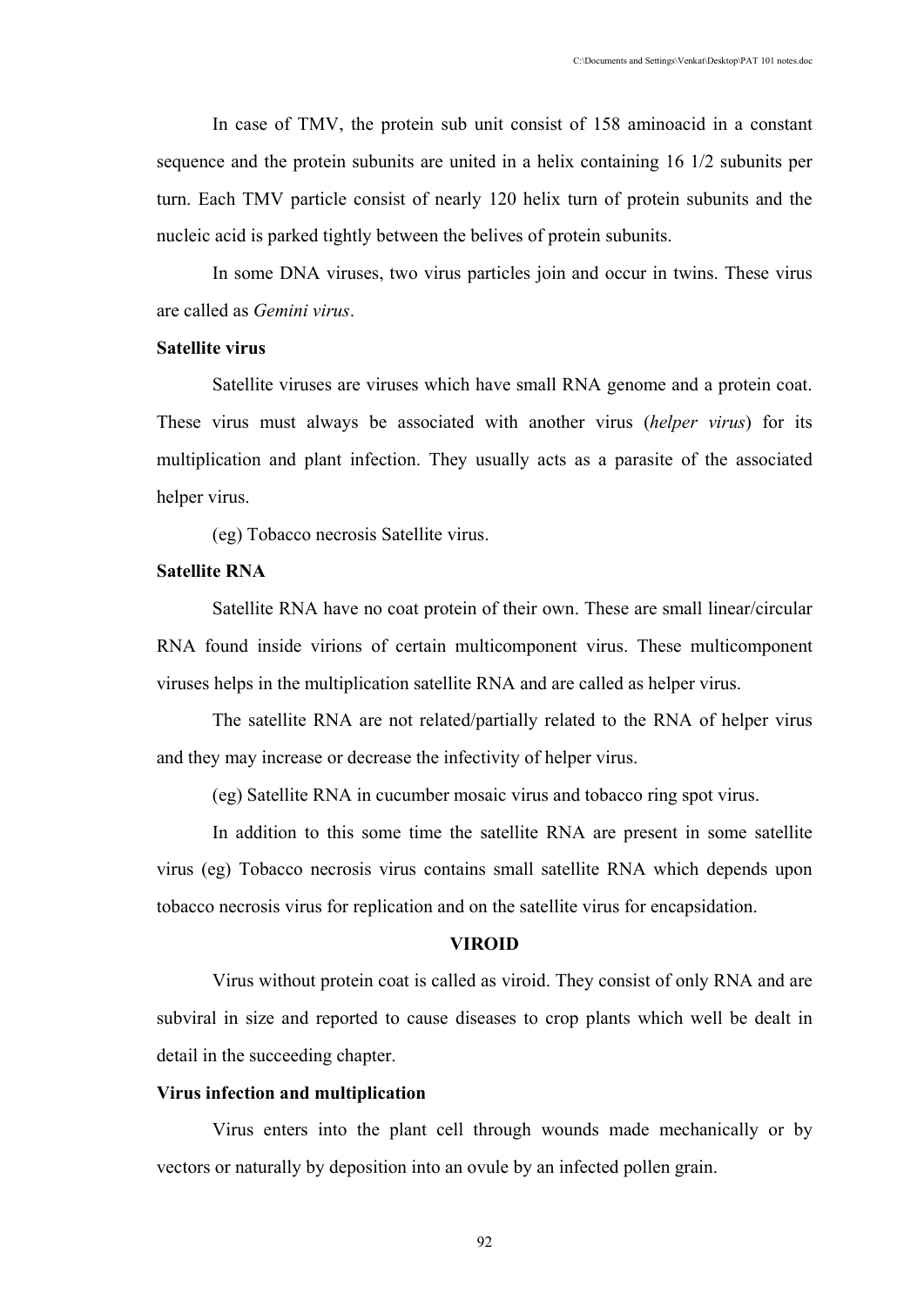In case of TMV, the protein sub unit consist of 158 aminoacid in a constant sequence and the protein subunits are united in a helix containing 16 1/2 subunits per turn. Each TMV particle consist of nearly 120 helix turn of protein subunits and the nucleic acid is parked tightly between the belives of protein subunits. EXERCIDENSING IN CONSERVERS AND FORD THE CONSERVERS AND THE CALCLE CONSERVERT DO THE CALCLE CALCLE CALCLE CALCLE CALCLE CALCLE CALCLE AND V particle consist of nearly 120 helix turn of protein subunits and the acid is park

In some DNA viruses, two virus particles join and occur in twins. These virus are called as Gemini virus.

## Satellite virus

These virus must always be associated with another virus (helper virus) for its multiplication and plant infection. They usually acts as a parasite of the associated helper virus. virus must always be associated with another virus (helper virus) for its ication and plant infection. They usually acts as a parasite of the associated virus.<br>
(eg) Tobacco necrosis Satellite virus.<br> **e RNA**<br>
Satellite RN

(eg) Tobacco necrosis Satellite virus.

## Satellite RNA

Satellite RNA have no coat protein of their own. These are small linear/circular RNA found inside virions of certain multicomponent virus. These multicomponent viruses helps in the multiplication satellite RNA and are called as helper virus.

The satellite RNA are not related/partially related to the RNA of helper virus and they may increase or decrease the infectivity of helper virus.

In addition to this some time the satellite RNA are present in some satellite virus (eg) Tobacco necrosis virus contains small satellite RNA which depends upon tobacco necrosis virus for replication and on the satellite virus for encapsidation.

## VIROID

Virus without protein coat is called as viroid. They consist of only RNA and are subviral in size and reported to cause diseases to crop plants which well be dealt in detail in the succeeding chapter.

#### Virus infection and multiplication

Virus enters into the plant cell through wounds made mechanically or by vectors or naturally by deposition into an ovule by an infected pollen grain.

92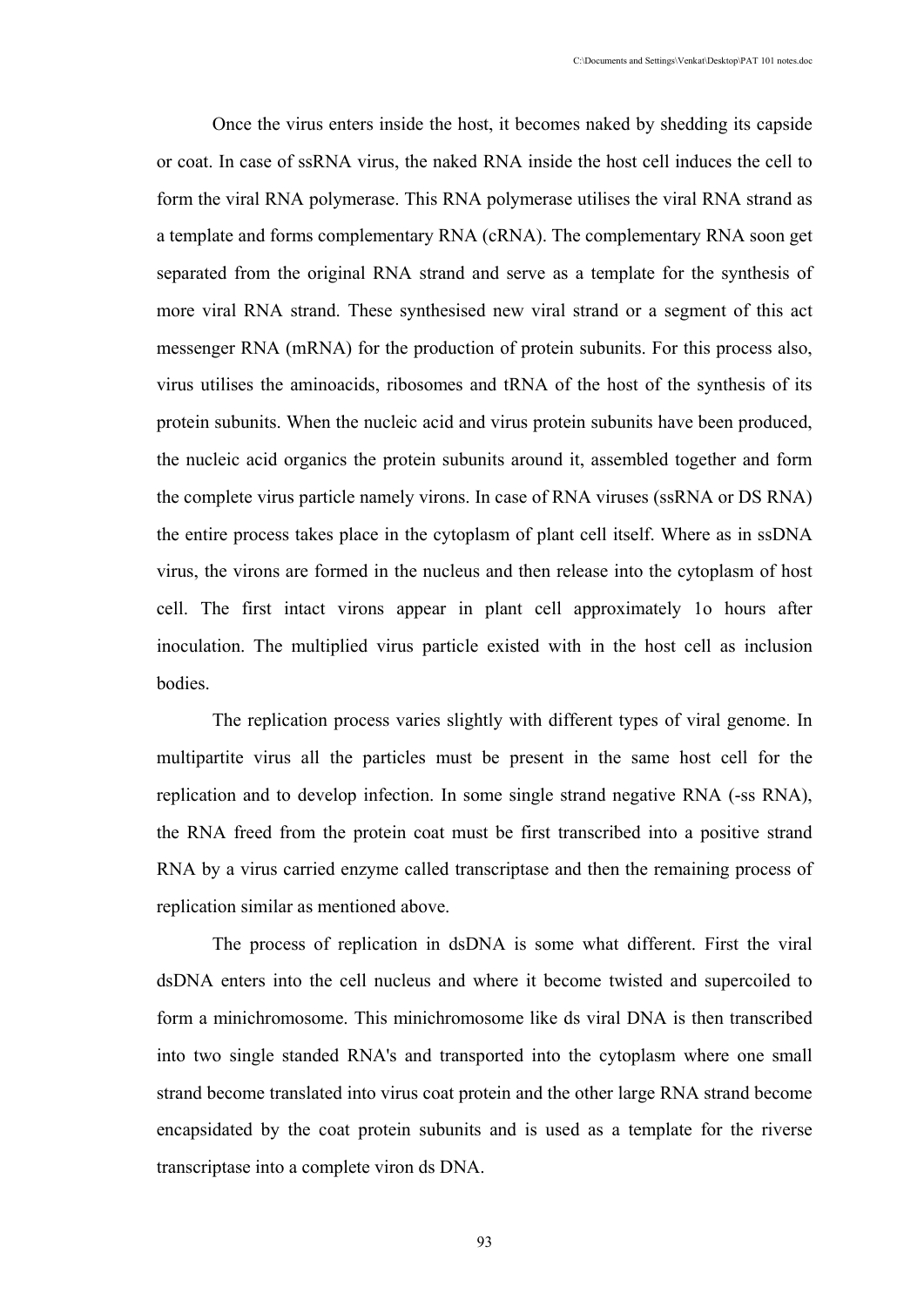C:\Documents and Settings\Venkat\Desktop\PAT 101 notes.doc<br>Once the virus enters inside the host, it becomes naked by shedding its capside<br>In case of ssRNA virus, the naked RNA inside the host cell induces the cell to<br>e vi or coat. In case of ssRNA virus, the naked RNA inside the host cell induces the cell to form the viral RNA polymerase. This RNA polymerase utilises the viral RNA strand as a template and forms complementary RNA (cRNA). The complementary RNA soon get separated from the original RNA strand and serve as a template for the synthesis of CDocuments and Settings/VenlattDetatopPAT 101 nutreades<br>
Once the virus enters inside the host, it becomes naked by shedding its capside<br>
or coat. In case of ssRNA virus, the naked RNA inside the host cell induces the cell messenger RNA (mRNA) for the production of protein subunits. For this process also, virus utilises the aminoacids, ribosomes and tRNA of the host of the synthesis of its protein subunits. When the nucleic acid and virus protein subunits have been produced, the nucleic acid organics the protein subunits around it, assembled together and form the complete virus particle namely virons. In case of RNA viruses (ssRNA or DS RNA) or coat. In case of ssRNA virus, the naked RNA inside the host cell induces the cell to form the viral RNA polymerase. This RNA polymerase utilises the viral RNA strand as a template and forms complementary RNA (cRNA). The virus, the virons are formed in the nucleus and then release into the cytoplasm of host cell. The first intact virons appear in plant cell approximately 1o hours after inoculation. The multiplied virus particle existed with in the host cell as inclusion bodies. virus utilises the aminoacids, ribosomes and tRNA of the host of the synthesis of its protcin subunits. When the nucleic acid and virus protcin subunits have been produced, the nucleic acid organics the protein subunits ar

The replication process varies slightly with different types of viral genome. In replication and to develop infection. In some single strand negative RNA (-ss RNA), the RNA freed from the protein coat must be first transcribed into a positive strand RNA by a virus carried enzyme called transcriptase and then the remaining process of replication similar as mentioned above.

The process of replication in dsDNA is some what different. First the viral dsDNA enters into the cell nucleus and where it become twisted and supercoiled to form a minichromosome. This minichromosome like ds viral DNA is then transcribed into two single standed RNA's and transported into the cytoplasm where one small strand become translated into virus coat protein and the other large RNA strand become encapsidated by the coat protein subunits and is used as a template for the riverse transcriptase into a complete viron ds DNA.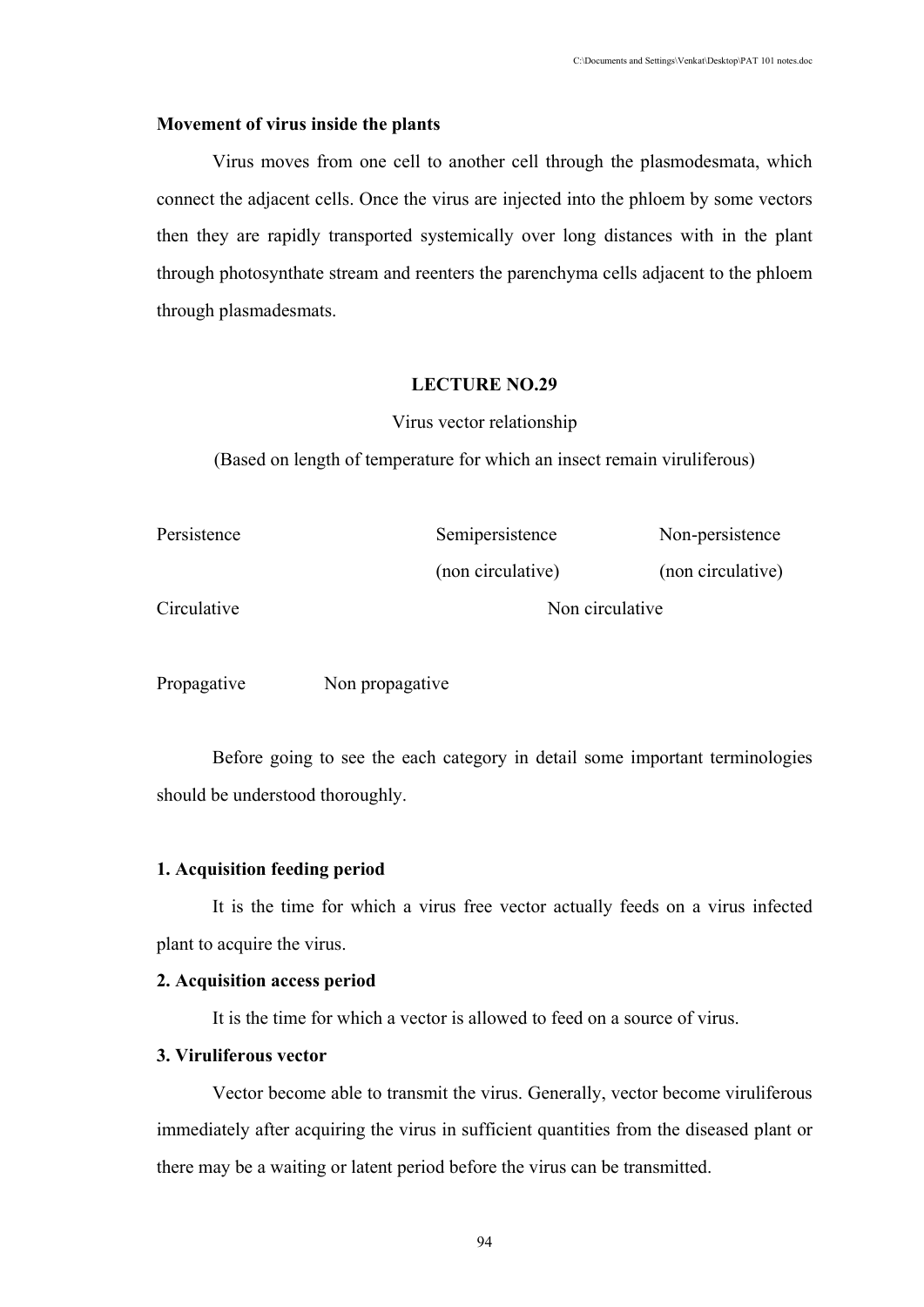#### Movement of virus inside the plants

Virus moves from one cell to another cell through the plasmodesmata, which connect the adjacent cells. Once the virus are injected into the phloem by some vectors then they are rapidly transported systemically over long distances with in the plant through photosynthate stream and reenters the parenchyma cells adjacent to the phloem through plasmadesmats. Virus moves from one cell to another cell through the plasmodesmata, which<br>connect the adjacent cells. Once the virus are injected into the phloem by some vectors<br>then they are rapidly transported systemically over long di connect the adjacent cells. Once the virus are injected into the phloem by some vectors<br>then they are rapidly transported systemically over long distances with in the plant<br>through photosynthate stream and reenters the par

## LECTURE NO.29

#### Virus vector relationship

|                                  | then they are rapidly transported systemically over long distances with in the plant  |                   |
|----------------------------------|---------------------------------------------------------------------------------------|-------------------|
|                                  | through photosynthate stream and reenters the parenchyma cells adjacent to the phloem |                   |
| through plasmadesmats.           |                                                                                       |                   |
|                                  | <b>LECTURE NO.29</b>                                                                  |                   |
|                                  | Virus vector relationship                                                             |                   |
|                                  | (Based on length of temperature for which an insect remain viruliferous)              |                   |
| Persistence                      | Semipersistence                                                                       | Non-persistence   |
|                                  | (non circulative)                                                                     | (non circulative) |
| Circulative                      | Non circulative                                                                       |                   |
| Propagative                      | Non propagative                                                                       |                   |
|                                  | Before going to see the each category in detail some important terminologies          |                   |
| should be understood thoroughly. |                                                                                       |                   |
|                                  |                                                                                       |                   |
|                                  |                                                                                       |                   |

#### 1. Acquisition feeding period

It is the time for which a virus free vector actually feeds on a virus infected plant to acquire the virus.

## 2. Acquisition access period

It is the time for which a vector is allowed to feed on a source of virus.

#### 3. Viruliferous vector

Vector become able to transmit the virus. Generally, vector become viruliferous immediately after acquiring the virus in sufficient quantities from the diseased plant or there may be a waiting or latent period before the virus can be transmitted.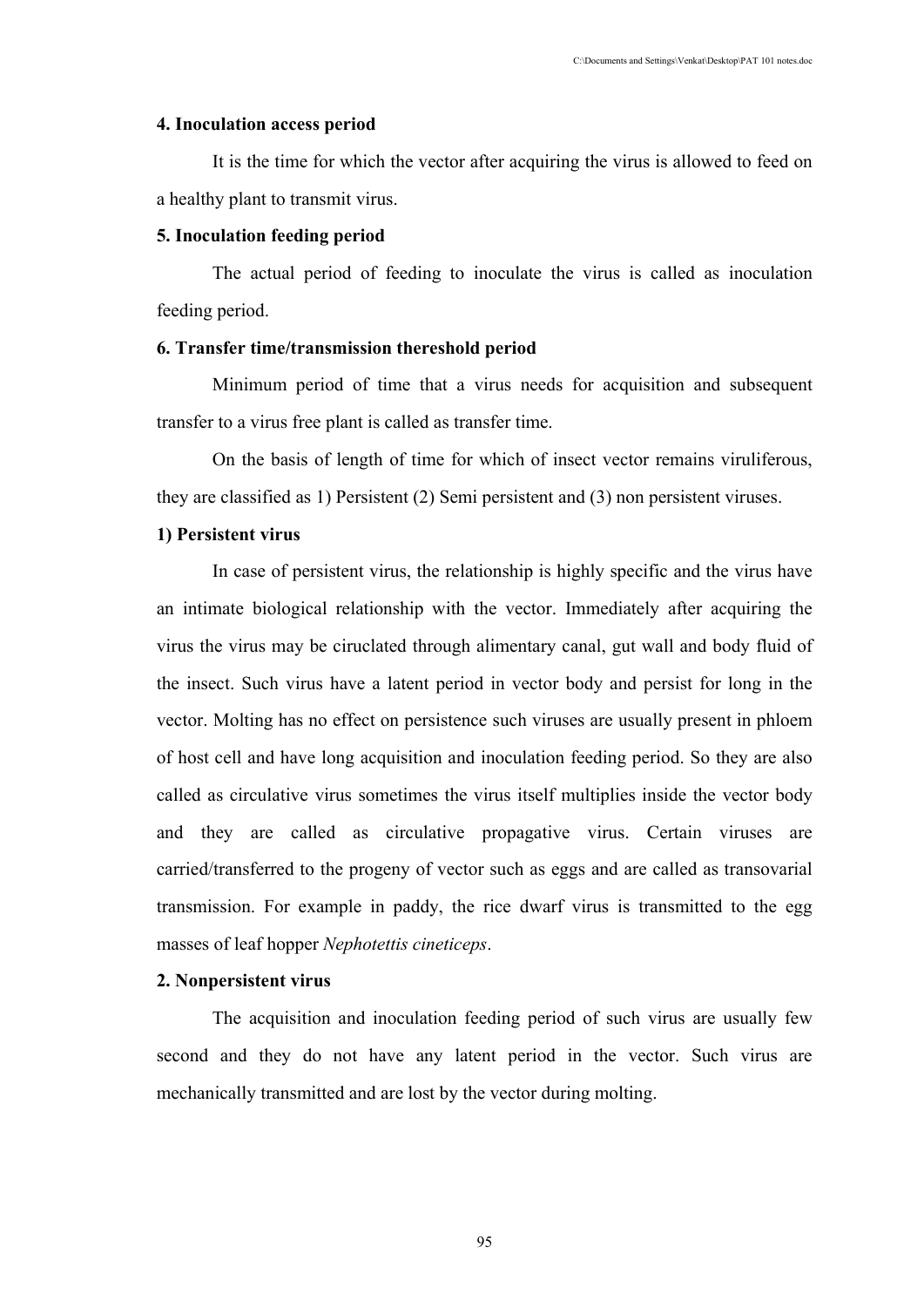#### 4. Inoculation access period

It is the time for which the vector after acquiring the virus is allowed to feed on a healthy plant to transmit virus.

#### 5. Inoculation feeding period

The actual period of feeding to inoculate the virus is called as inoculation feeding period. CONCORDING ANTIFY CONCORDING A SERGENCESISTED IN THE UNION IT IS ALLENDAMORED AS THE USE OF A GRAIN plant to transmit virus.<br>
5. Inoculation feeding period<br>
The actual period of feeding to inoculate the virus is called as

#### 6. Transfer time/transmission thereshold period

Minimum period of time that a virus needs for acquisition and subsequent

On the basis of length of time for which of insect vector remains viruliferous, they are classified as 1) Persistent (2) Semi persistent and (3) non persistent viruses.

#### 1) Persistent virus

In case of persistent virus, the relationship is highly specific and the virus have an intimate biological relationship with the vector. Immediately after acquiring the virus the virus may be ciruclated through alimentary canal, gut wall and body fluid of the insect. Such virus have a latent period in vector body and persist for long in the vector. Molting has no effect on persistence such viruses are usually present in phloem of host cell and have long acquisition and inoculation feeding period. So they are also called as circulative virus sometimes the virus itself multiplies inside the vector body and they are called as circulative propagative virus. Certain viruses are carried/transferred to the progeny of vector such as eggs and are called as transovarial transmission. For example in paddy, the rice dwarf virus is transmitted to the egg masses of leaf hopper Nephotettis cineticeps.

#### 2. Nonpersistent virus

The acquisition and inoculation feeding period of such virus are usually few second and they do not have any latent period in the vector. Such virus are mechanically transmitted and are lost by the vector during molting.

95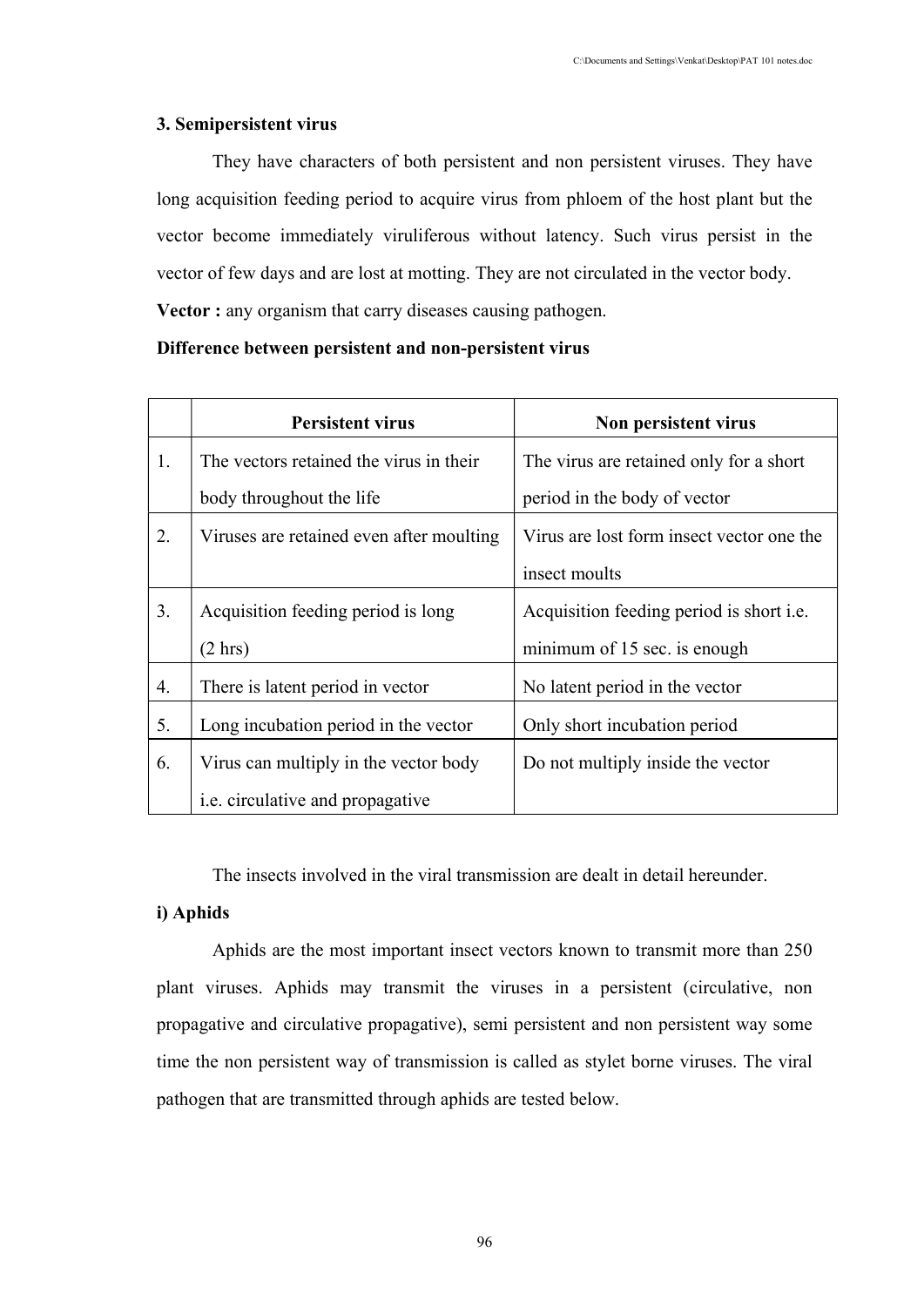## 3. Semipersistent virus

They have characters of both persistent and non persistent viruses. They have long acquisition feeding period to acquire virus from phloem of the host plant but the vector become immediately viruliferous without latency. Such virus persist in the vector of few days and are lost at motting. They are not circulated in the vector body. Vector : any organism that carry diseases causing pathogen. CiDocuments and Settings VenlatiChelakoy PAT 101 notes does<br>
characters of both persistent and non persistent viruses. They have<br>
beeding period to acquire virus from phloem of the host plant but the<br>
non-diately virulifer

|    |                                                                                         | C:\Documents and Settings\Venkat\Desktop\PAT 101 notes.doc                    |
|----|-----------------------------------------------------------------------------------------|-------------------------------------------------------------------------------|
|    | 3. Semipersistent virus                                                                 |                                                                               |
|    |                                                                                         | They have characters of both persistent and non persistent viruses. They have |
|    | long acquisition feeding period to acquire virus from phloem of the host plant but the  |                                                                               |
|    | vector become immediately viruliferous without latency. Such virus persist in the       |                                                                               |
|    | vector of few days and are lost at motting. They are not circulated in the vector body. |                                                                               |
|    | Vector: any organism that carry diseases causing pathogen.                              |                                                                               |
|    | Difference between persistent and non-persistent virus                                  |                                                                               |
|    |                                                                                         |                                                                               |
|    | <b>Persistent virus</b>                                                                 | Non persistent virus                                                          |
| 1. | The vectors retained the virus in their                                                 | The virus are retained only for a short                                       |
|    | body throughout the life                                                                | period in the body of vector                                                  |
| 2. | Viruses are retained even after moulting                                                | Virus are lost form insect vector one the                                     |
|    |                                                                                         | insect moults                                                                 |
| 3. | Acquisition feeding period is long                                                      | Acquisition feeding period is short i.e.                                      |
|    | (2 hr)                                                                                  | minimum of 15 sec. is enough                                                  |
| 4. | There is latent period in vector                                                        | No latent period in the vector                                                |
| 5. | Long incubation period in the vector                                                    | Only short incubation period                                                  |
|    | Virus can multiply in the vector body                                                   | Do not multiply inside the vector                                             |
| 6. |                                                                                         |                                                                               |

## Difference between persistent and non-persistent virus

The insects involved in the viral transmission are dealt in detail hereunder.

## i) Aphids

Aphids are the most important insect vectors known to transmit more than 250 plant viruses. Aphids may transmit the viruses in a persistent (circulative, non propagative and circulative propagative), semi persistent and non persistent way some time the non persistent way of transmission is called as stylet borne viruses. The viral pathogen that are transmitted through aphids are tested below.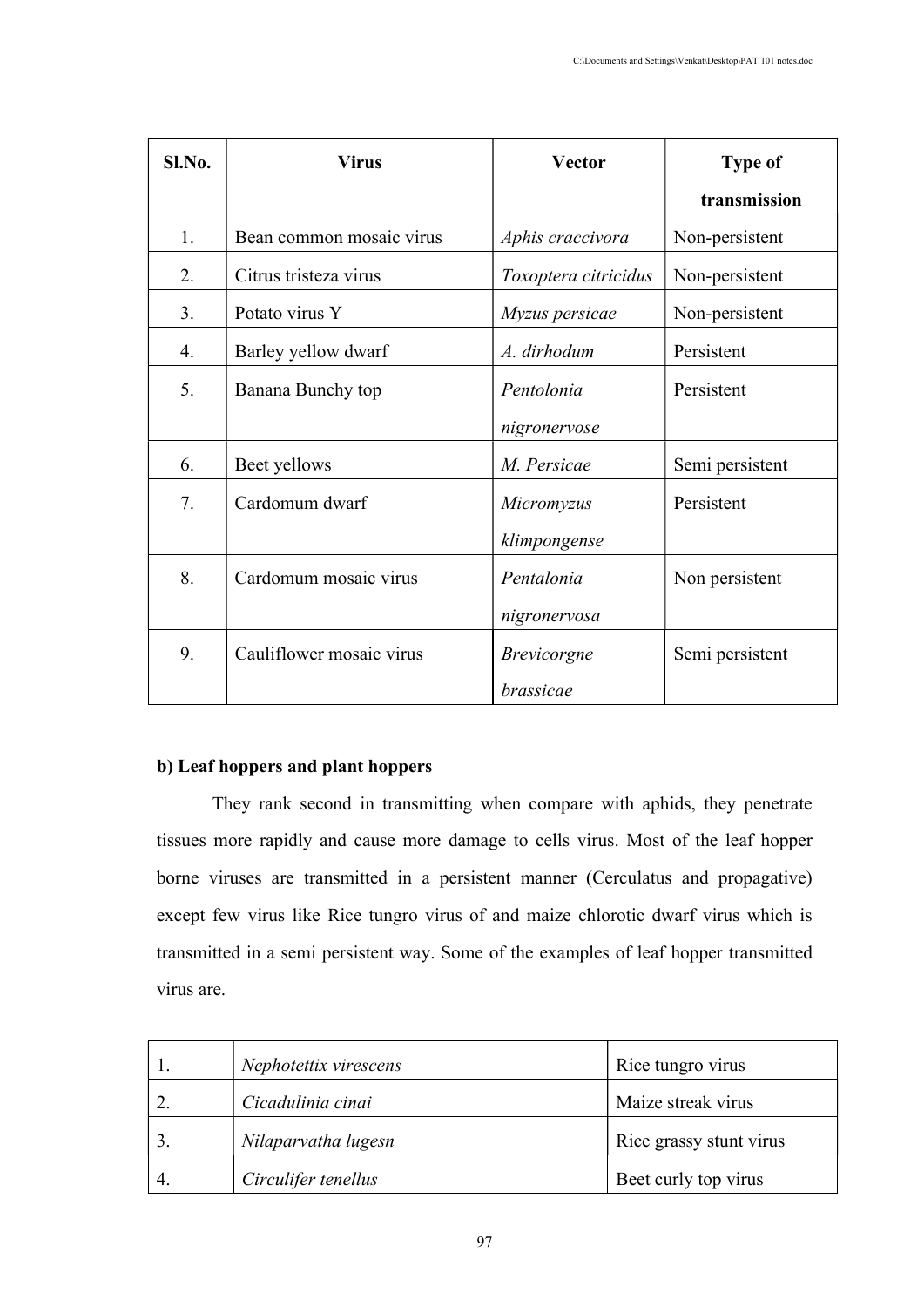|          |                                                                                     |                                          | C:\Documents and Settings\Venkat\Desktop\PAT 101 notes.doc |
|----------|-------------------------------------------------------------------------------------|------------------------------------------|------------------------------------------------------------|
|          |                                                                                     |                                          |                                                            |
|          |                                                                                     |                                          |                                                            |
| Sl.No.   | <b>Virus</b>                                                                        | Vector                                   | <b>Type of</b>                                             |
| 1.       | Bean common mosaic virus                                                            |                                          | transmission                                               |
| 2.       | Citrus tristeza virus                                                               | Aphis craccivora<br>Toxoptera citricidus | Non-persistent                                             |
| 3.       |                                                                                     |                                          | Non-persistent                                             |
|          | Potato virus Y                                                                      | Myzus persicae                           | Non-persistent                                             |
| 4.<br>5. | Barley yellow dwarf                                                                 | A. dirhodum<br>Pentolonia                | Persistent<br>Persistent                                   |
|          | Banana Bunchy top                                                                   | nigronervose                             |                                                            |
| 6.       | Beet yellows                                                                        | M. Persicae                              | Semi persistent                                            |
| 7.       | Cardomum dwarf                                                                      | Micromyzus                               | Persistent                                                 |
|          |                                                                                     | klimpongense                             |                                                            |
| 8.       | Cardomum mosaic virus                                                               | Pentalonia                               | Non persistent                                             |
|          |                                                                                     | nigronervosa                             |                                                            |
| 9.       | Cauliflower mosaic virus                                                            | <b>Brevicorgne</b>                       | Semi persistent                                            |
|          |                                                                                     | brassicae                                |                                                            |
|          |                                                                                     |                                          |                                                            |
|          | b) Leaf hoppers and plant hoppers                                                   |                                          |                                                            |
|          | They rank second in transmitting when compare with aphids, they penetrate           |                                          |                                                            |
|          | tissues more rapidly and cause more damage to cells virus. Most of the leaf hopper  |                                          |                                                            |
|          | borne viruses are transmitted in a persistent manner (Cerculatus and propagative)   |                                          |                                                            |
|          | except few virus like Rice tungro virus of and maize chlorotic dwarf virus which is |                                          |                                                            |
|          |                                                                                     |                                          |                                                            |

## b) Leaf hoppers and plant hoppers

They rank second in transmitting when compare with aphids, they penetrate borne viruses are transmitted in a persistent manner (Cerculatus and propagative) except few virus like Rice tungro virus of and maize chlorotic dwarf virus which is The Cardomum mosaic virus<br>
The *nigronervosa*<br>
19. Cauliflower mosaic virus<br>
Brevicorgne<br>
19. Cauliflower mosaic virus<br>
20. Cauliflower mosaic virus<br>
20. Cauliflower mosaic virus<br>
20. Cauliflower mosaic virus<br>
20. Cauliflo virus are.

| Nephotettix virescens | Rice tungro virus       |
|-----------------------|-------------------------|
| Cicadulinia cinai     | Maize streak virus      |
| Nilaparvatha lugesn   | Rice grassy stunt virus |
| Circulifer tenellus   | Beet curly top virus    |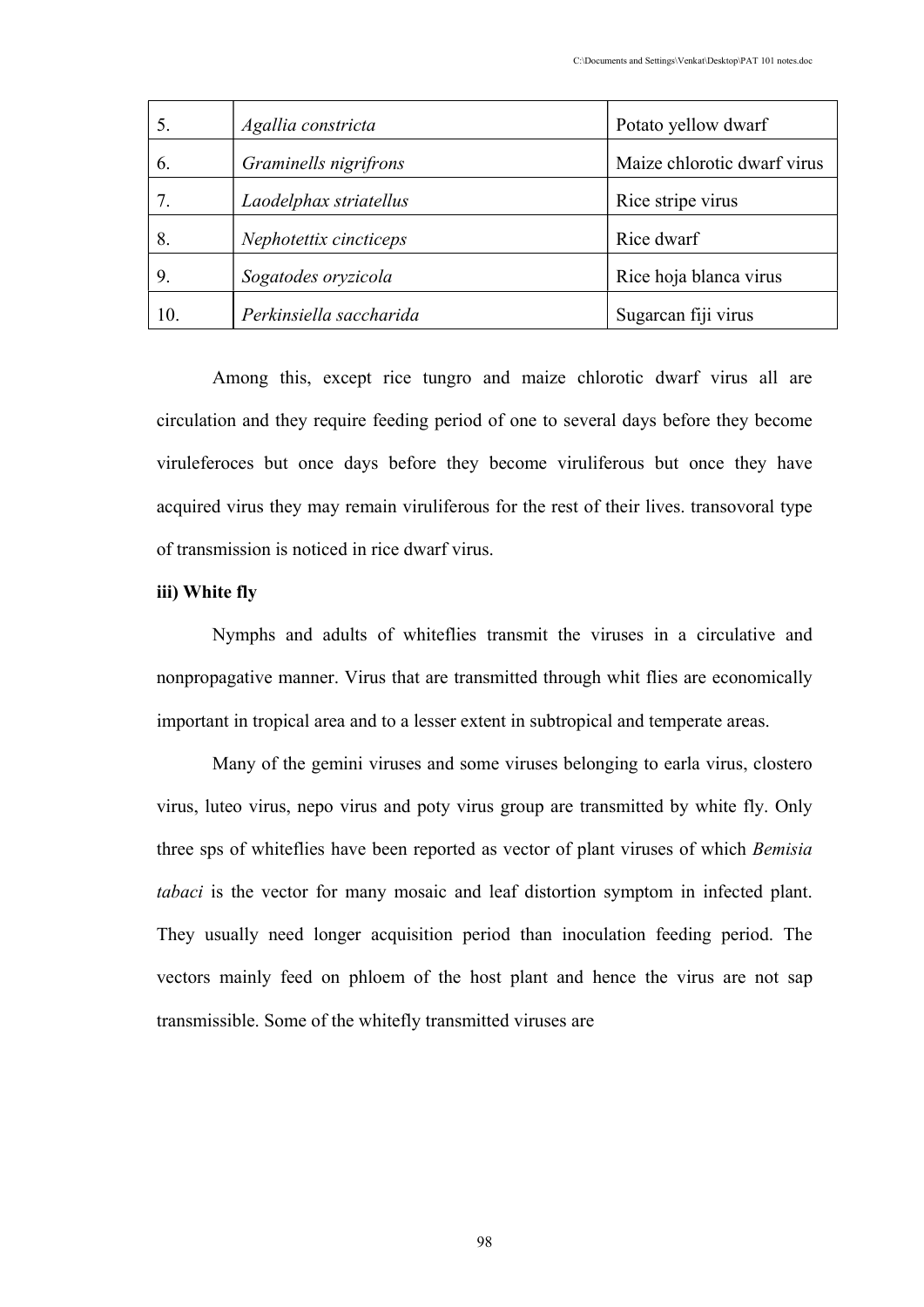| 5.  | Agallia constricta      | Potato yellow dwarf         |
|-----|-------------------------|-----------------------------|
| 6.  | Graminells nigrifrons   | Maize chlorotic dwarf virus |
|     | Laodelphax striatellus  | Rice stripe virus           |
| 8.  | Nephotettix cincticeps  | Rice dwarf                  |
| 9.  | Sogatodes oryzicola     | Rice hoja blanca virus      |
| 10. | Perkinsiella saccharida | Sugarcan fiji virus         |

Among this, except rice tungro and maize chlorotic dwarf virus all are circulation and they require feeding period of one to several days before they become viruleferoces but once days before they become viruliferous but once they have acquired virus they may remain viruliferous for the rest of their lives. transovoral type of transmission is noticed in rice dwarf virus. eirculation and they require feeding period of one to several days before they become<br>viruleferoces but once days before they become viruliferous but once they have<br>acquired virus they may remain viruliferous for the rest

## iii) White fly

Nymphs and adults of whiteflies transmit the viruses in a circulative and nonpropagative manner. Virus that are transmitted through whit flies are economically important in tropical area and to a lesser extent in subtropical and temperate areas.

Many of the gemini viruses and some viruses belonging to earla virus, clostero three sps of whiteflies have been reported as vector of plant viruses of which Bemisia tabaci is the vector for many mosaic and leaf distortion symptom in infected plant. They usually need longer acquisition period than inoculation feeding period. The vectors mainly feed on phloem of the host plant and hence the virus are not sap transmissible. Some of the whitefly transmitted viruses are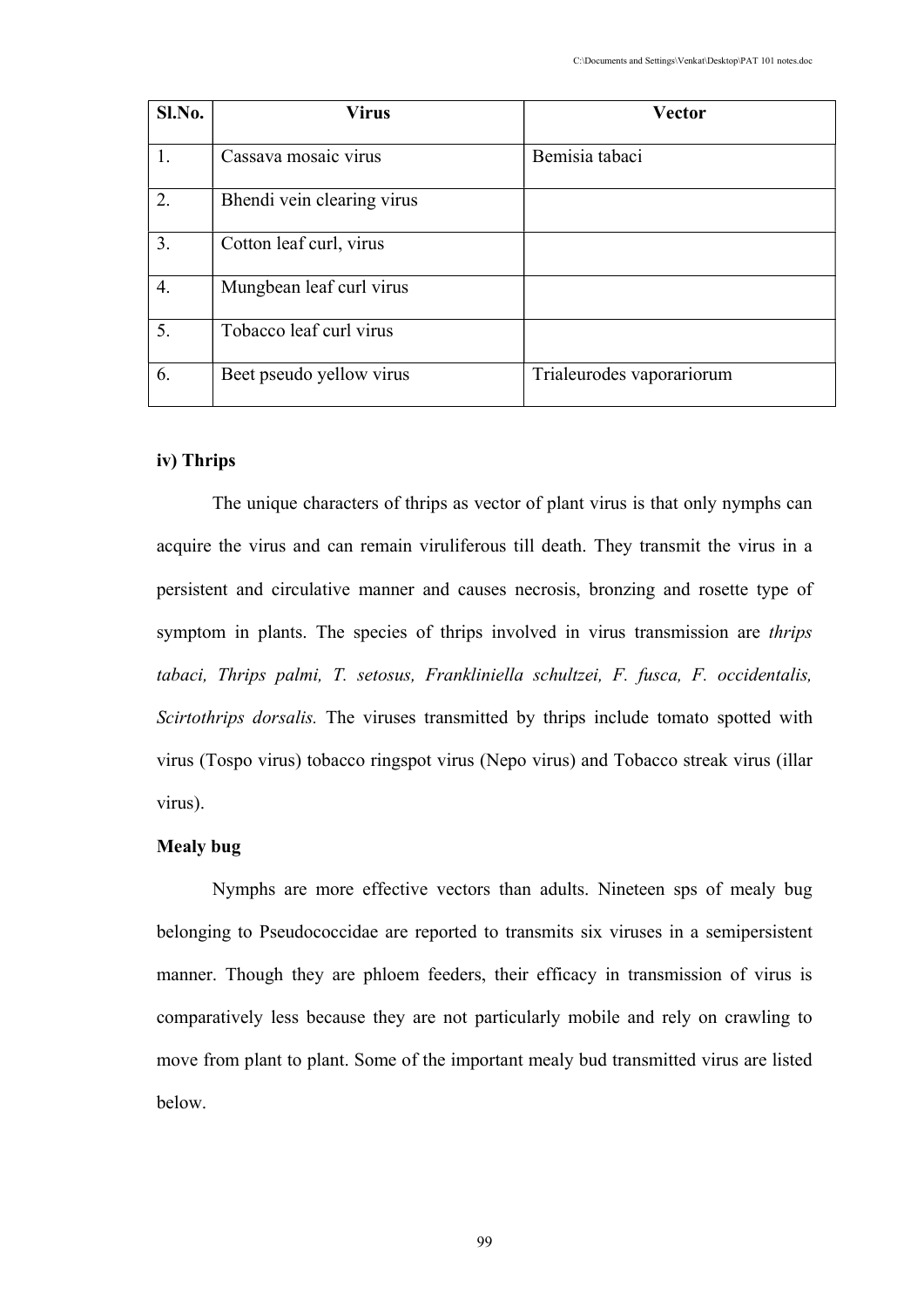|                  |                            | C:\Documents and Settings\Venkat\Desktop\PAT 101 notes.doc |
|------------------|----------------------------|------------------------------------------------------------|
| Sl.No.           | <b>Virus</b>               | <b>Vector</b>                                              |
|                  |                            |                                                            |
| 1.               | Cassava mosaic virus       | Bemisia tabaci                                             |
| $\overline{2}$ . | Bhendi vein clearing virus |                                                            |
| $\overline{3}$ . | Cotton leaf curl, virus    |                                                            |
| 4.               | Mungbean leaf curl virus   |                                                            |
| $\overline{5}$ . | Tobacco leaf curl virus    |                                                            |
| 6.               | Beet pseudo yellow virus   | Trialeurodes vaporariorum                                  |
|                  |                            |                                                            |
| iv) Thrips       |                            |                                                            |

## iv) Thrips

The unique characters of thrips as vector of plant virus is that only nymphs can acquire the virus and can remain viruliferous till death. They transmit the virus in a persistent and circulative manner and causes necrosis, bronzing and rosette type of symptom in plants. The species of thrips involved in virus transmission are thrips tabaci, Thrips palmi, T. setosus, Frankliniella schultzei, F. fusca, F. occidentalis, Scirtothrips dorsalis. The viruses transmitted by thrips include tomato spotted with virus (Tospo virus) tobacco ringspot virus (Nepo virus) and Tobacco streak virus (illar virus).

#### Mealy bug

Nymphs are more effective vectors than adults. Nineteen sps of mealy bug belonging to Pseudococcidae are reported to transmits six viruses in a semipersistent manner. Though they are phloem feeders, their efficacy in transmission of virus is comparatively less because they are not particularly mobile and rely on crawling to tabaci, Thrips palmi, T. setosus, Frankliniella schultzei, F. fusca, F. occidentalis,<br>Scirtothrips dorsalis. The viruses transmitted by thrips include tomato spotted with<br>virus (Tospo virus) tobacco ringspot virus (Nepo vi below.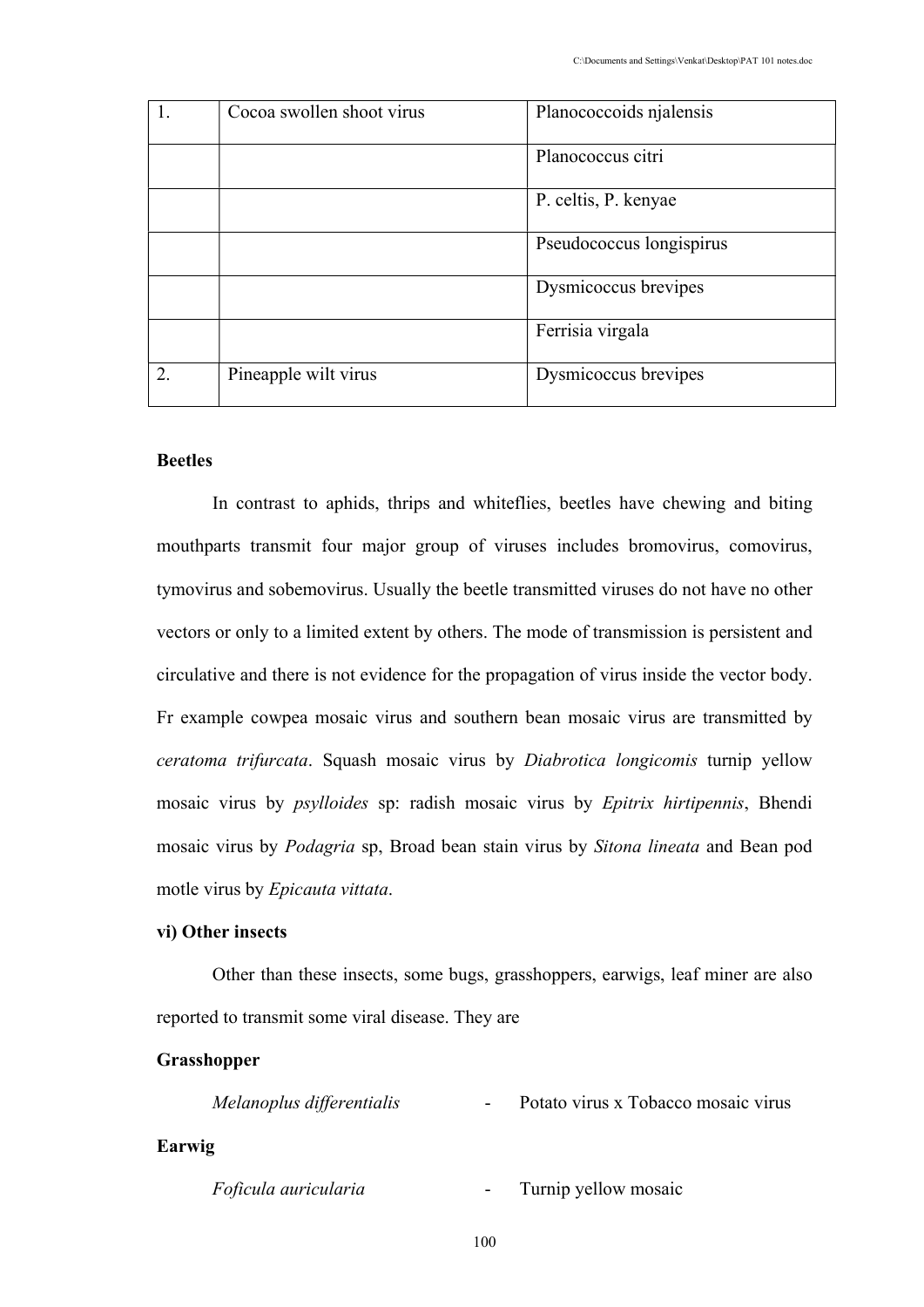|                |                           | C:\Documents and Settings\Venkat\Desktop\PAT 101 notes.doc |
|----------------|---------------------------|------------------------------------------------------------|
| 1.             | Cocoa swollen shoot virus | Planococcoids njalensis                                    |
|                |                           | Planococcus citri                                          |
|                |                           | P. celtis, P. kenyae                                       |
|                |                           | Pseudococcus longispirus                                   |
|                |                           | Dysmicoccus brevipes                                       |
|                |                           | Ferrisia virgala                                           |
| 2.             | Pineapple wilt virus      | Dysmicoccus brevipes                                       |
|                |                           |                                                            |
| <b>Beetles</b> |                           |                                                            |

## Beetles

In contrast to aphids, thrips and whiteflies, beetles have chewing and biting mouthparts transmit four major group of viruses includes bromovirus, comovirus, tymovirus and sobemovirus. Usually the beetle transmitted viruses do not have no other vectors or only to a limited extent by others. The mode of transmission is persistent and circulative and there is not evidence for the propagation of virus inside the vector body. Fr example cowpea mosaic virus and southern bean mosaic virus are transmitted by ceratoma trifurcata. Squash mosaic virus by Diabrotica longicomis turnip yellow mosaic virus by psylloides sp: radish mosaic virus by Epitrix hirtipennis, Bhendi mosaic virus by Podagria sp, Broad bean stain virus by Sitona lineata and Bean pod motle virus by Epicauta vittata. mple cowpea mosaic virus and southern bean mosaic virus are transmitted by<br>
ma trifurcata. Squash mosaic virus by *Diabrotica longicomis* turnip yellow<br>
virus by *psylloides* sp: radish mosaic virus by *Epitrix hirtipennis* virus by psylloides sp: radish mosaic virus by *Epitrix hirtipennis*, Bhendi<br>virus by *Podagria* sp, Broad bean stain virus by *Sitona lineata* and Bean pod<br>irus by *Epicauta vittata*.<br>**Computed auriculariza** - **Turnip yel** 

## vi) Other insects

Other than these insects, some bugs, grasshoppers, earwigs, leaf miner are also reported to transmit some viral disease. They are

## Grasshopper

| Melanoplus differentialis | Potato virus x Tobacco mosaic virus |  |
|---------------------------|-------------------------------------|--|
| Earwig                    |                                     |  |
| Foficula auricularia      | Turnip vellow mosaic                |  |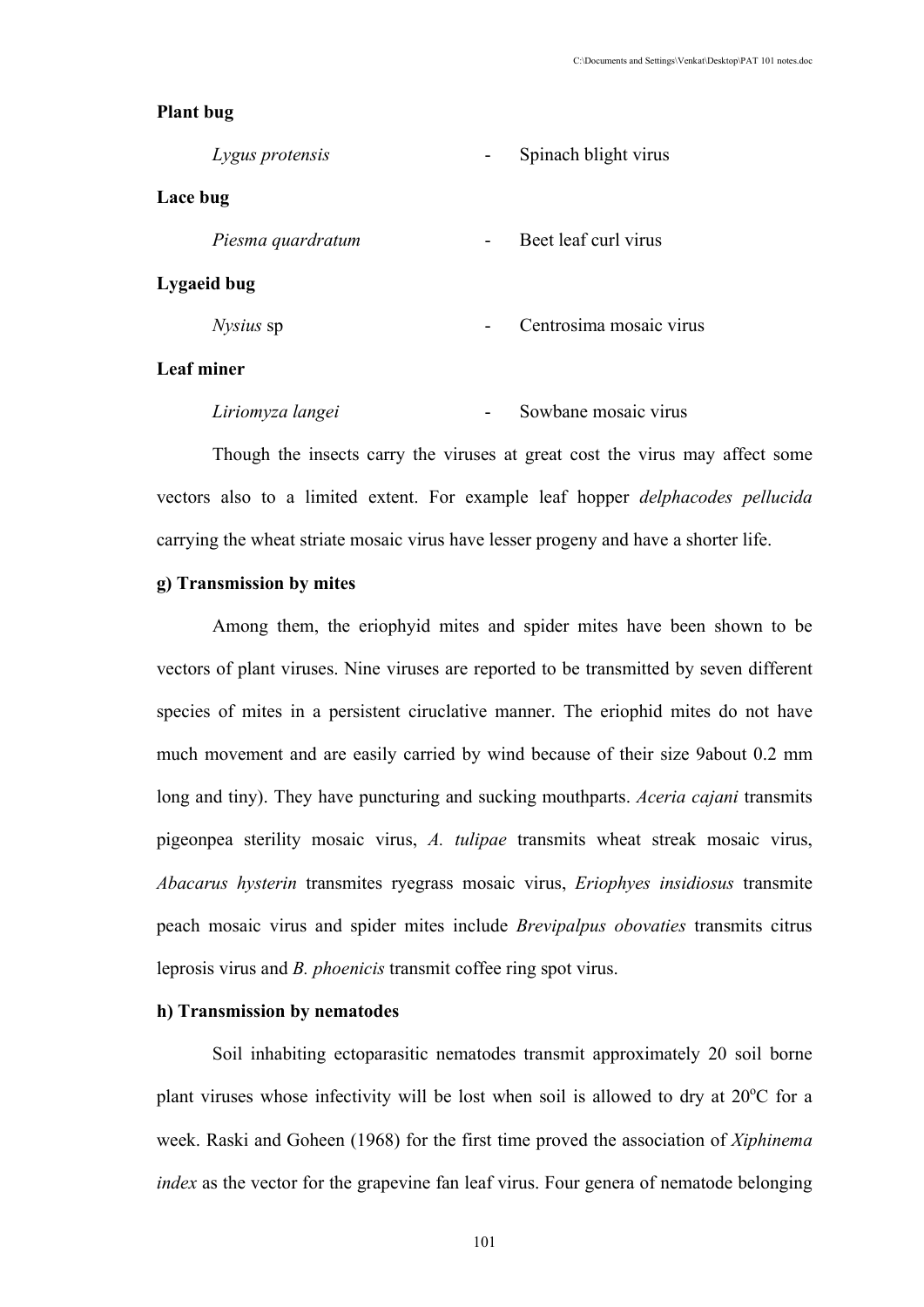## Plant bug

|                  |                                                                              |                          | C:\Documents and Settings\Venkat\Desktop\PAT 101 notes.doc                      |  |  |  |
|------------------|------------------------------------------------------------------------------|--------------------------|---------------------------------------------------------------------------------|--|--|--|
| <b>Plant bug</b> |                                                                              |                          |                                                                                 |  |  |  |
|                  | Lygus protensis                                                              | $\blacksquare$           | Spinach blight virus                                                            |  |  |  |
| Lace bug         |                                                                              |                          |                                                                                 |  |  |  |
|                  | Piesma quardratum                                                            | $\overline{\phantom{a}}$ | Beet leaf curl virus                                                            |  |  |  |
|                  | Lygaeid bug                                                                  |                          |                                                                                 |  |  |  |
|                  | Nysius sp                                                                    | $\overline{\phantom{a}}$ | Centrosima mosaic virus                                                         |  |  |  |
| Leaf miner       |                                                                              |                          |                                                                                 |  |  |  |
|                  | Liriomyza langei                                                             | $\blacksquare$           | Sowbane mosaic virus                                                            |  |  |  |
|                  | Though the insects carry the viruses at great cost the virus may affect some |                          |                                                                                 |  |  |  |
|                  |                                                                              |                          | vectors also to a limited extent. For example leaf hopper delphacodes pellucida |  |  |  |

#### Leaf miner

Though the insects carry the viruses at great cost the virus may affect some vectors also to a limited extent. For example leaf hopper delphacodes pellucida carrying the wheat striate mosaic virus have lesser progeny and have a shorter life.

#### g) Transmission by mites

Among them, the eriophyid mites and spider mites have been shown to be vectors of plant viruses. Nine viruses are reported to be transmitted by seven different species of mites in a persistent ciruclative manner. The eriophid mites do not have much movement and are easily carried by wind because of their size 9about 0.2 mm long and tiny). They have puncturing and sucking mouthparts. Aceria cajani transmits pigeonpea sterility mosaic virus, A. tulipae transmits wheat streak mosaic virus, Abacarus hysterin transmites ryegrass mosaic virus, Eriophyes insidiosus transmite peach mosaic virus and spider mites include Brevipalpus obovaties transmits citrus leprosis virus and B. phoenicis transmit coffee ring spot virus. of plant viruses. Nine viruses are reported to be transmitted by seven different<br>of mites in a persistent ciruclative manner. The eriophid mites do not have<br>novement and are easily carried by wind because of their size 9ab

## h) Transmission by nematodes

plant viruses whose infectivity will be lost when soil is allowed to dry at  $20^{\circ}$ C for a week. Raski and Goheen (1968) for the first time proved the association of Xiphinema index as the vector for the grapevine fan leaf virus. Four genera of nematode belonging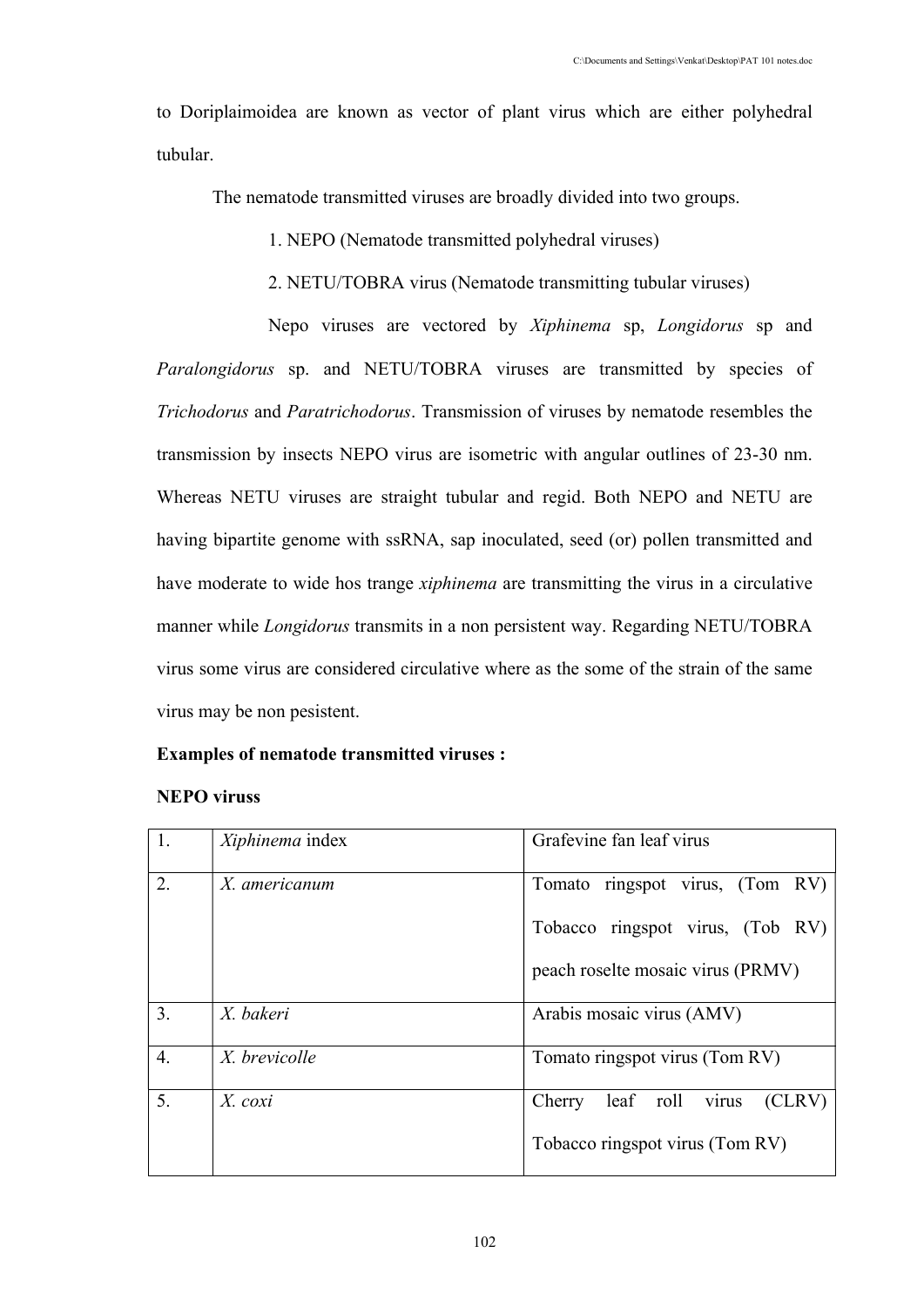to Doriplaimoidea are known as vector of plant virus which are either polyhedral tubular.

The nematode transmitted viruses are broadly divided into two groups.

1. NEPO (Nematode transmitted polyhedral viruses)

2. NETU/TOBRA virus (Nematode transmitting tubular viruses)

Nepo viruses are vectored by Xiphinema sp, Longidorus sp and Paralongidorus sp. and NETU/TOBRA viruses are transmitted by species of Trichodorus and Paratrichodorus. Transmission of viruses by nematode resembles the transmission by insects NEPO virus are isometric with angular outlines of 23-30 nm. Whereas NETU viruses are straight tubular and regid. Both NEPO and NETU are having bipartite genome with ssRNA, sap inoculated, seed (or) pollen transmitted and have moderate to wide hos trange *xiphinema* are transmitting the virus in a circulative manner while Longidorus transmits in a non persistent way. Regarding NETU/TOBRA virus some virus are considered circulative where as the some of the strain of the same virus may be non pesistent. transmission by insects NEPO virus are isometric with angular outlines of 23-30 nm.<br>
Whereas NETU viruses are straight tubular and regid. Both NEPO and NETU are<br>
having bipartite genome with ssRNA, sap inoculated, seed (or

## Examples of nematode transmitted viruses :

## NEPO viruss

| 1.               | Xiphinema index | Grafevine fan leaf virus            |
|------------------|-----------------|-------------------------------------|
| 2.               | X. americanum   | Tomato ringspot virus, (Tom RV)     |
|                  |                 | Tobacco ringspot virus, (Tob RV)    |
|                  |                 | peach roselte mosaic virus (PRMV)   |
| 3.               | X. bakeri       | Arabis mosaic virus (AMV)           |
| $\overline{4}$ . | X. brevicolle   | Tomato ringspot virus (Tom RV)      |
| 5.               | $X$ . coxi      | leaf roll virus<br>(CLRV)<br>Cherry |
|                  |                 | Tobacco ringspot virus (Tom RV)     |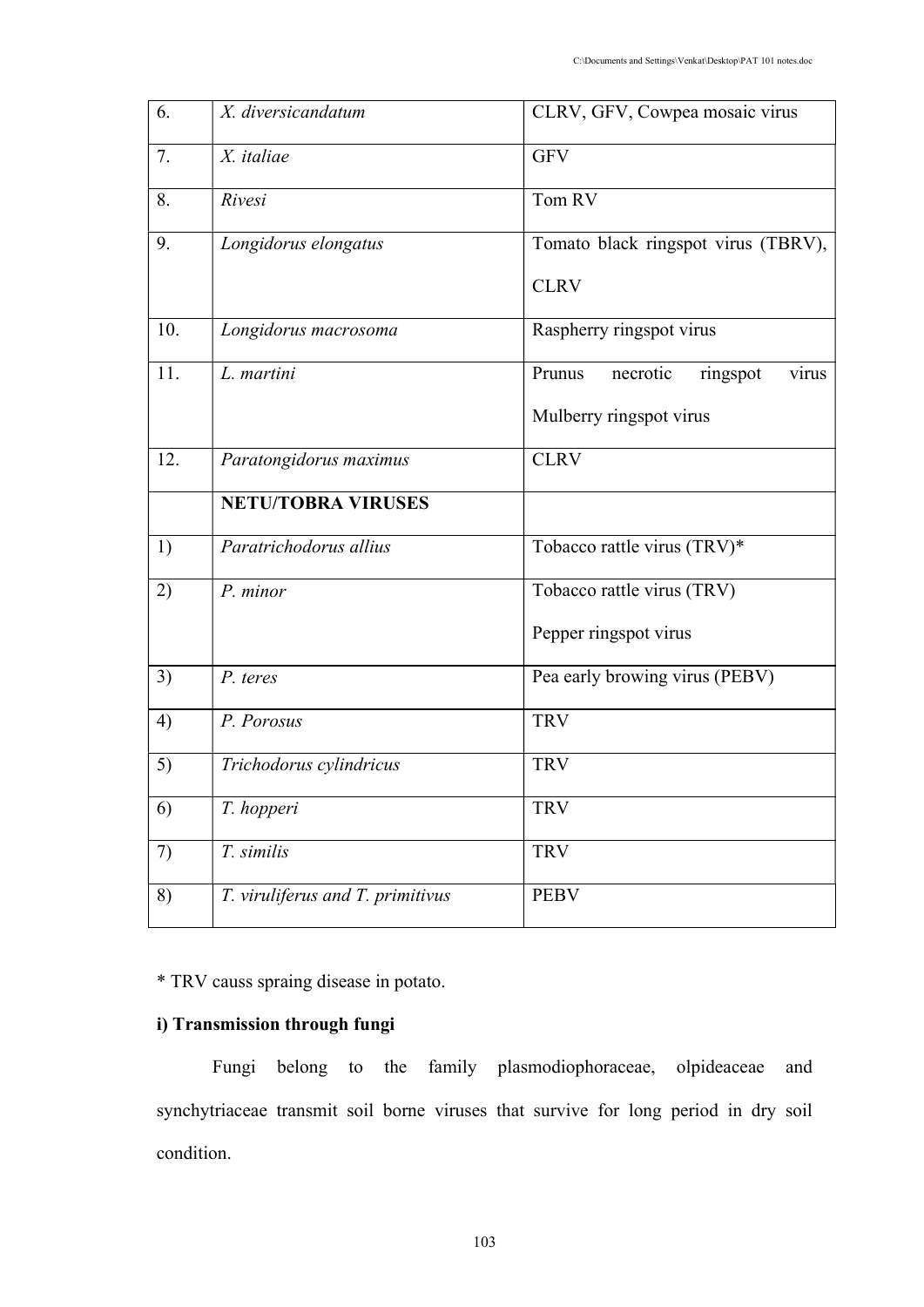| 6.  | X. diversicandatum               | CLRV, GFV, Cowpea mosaic virus          |
|-----|----------------------------------|-----------------------------------------|
| 7.  | X. italiae                       | <b>GFV</b>                              |
| 8.  | Rivesi                           | Tom RV                                  |
| 9.  | Longidorus elongatus             | Tomato black ringspot virus (TBRV),     |
|     |                                  | <b>CLRV</b>                             |
| 10. | Longidorus macrosoma             | Raspherry ringspot virus                |
| 11. | L. martini                       | Prunus<br>necrotic<br>ringspot<br>virus |
|     |                                  | Mulberry ringspot virus                 |
| 12. | Paratongidorus maximus           | <b>CLRV</b>                             |
|     | <b>NETU/TOBRA VIRUSES</b>        |                                         |
| 1)  | Paratrichodorus allius           | Tobacco rattle virus (TRV)*             |
| 2)  | P. minor                         | Tobacco rattle virus (TRV)              |
|     |                                  | Pepper ringspot virus                   |
| 3)  | P. teres                         | Pea early browing virus (PEBV)          |
| 4)  | P. Porosus                       | <b>TRV</b>                              |
| 5)  | Trichodorus cylindricus          | <b>TRV</b>                              |
| 6)  | T. hopperi                       | <b>TRV</b>                              |
| 7)  | T. similis                       | <b>TRV</b>                              |
| 8)  | T. viruliferus and T. primitivus | PEBV                                    |
|     |                                  |                                         |

\* TRV causs spraing disease in potato.

# i) Transmission through fungi

Fungi belong to the family plasmodiophoraceae, olpideaceae and synchytriaceae transmit soil borne viruses that survive for long period in dry soil condition.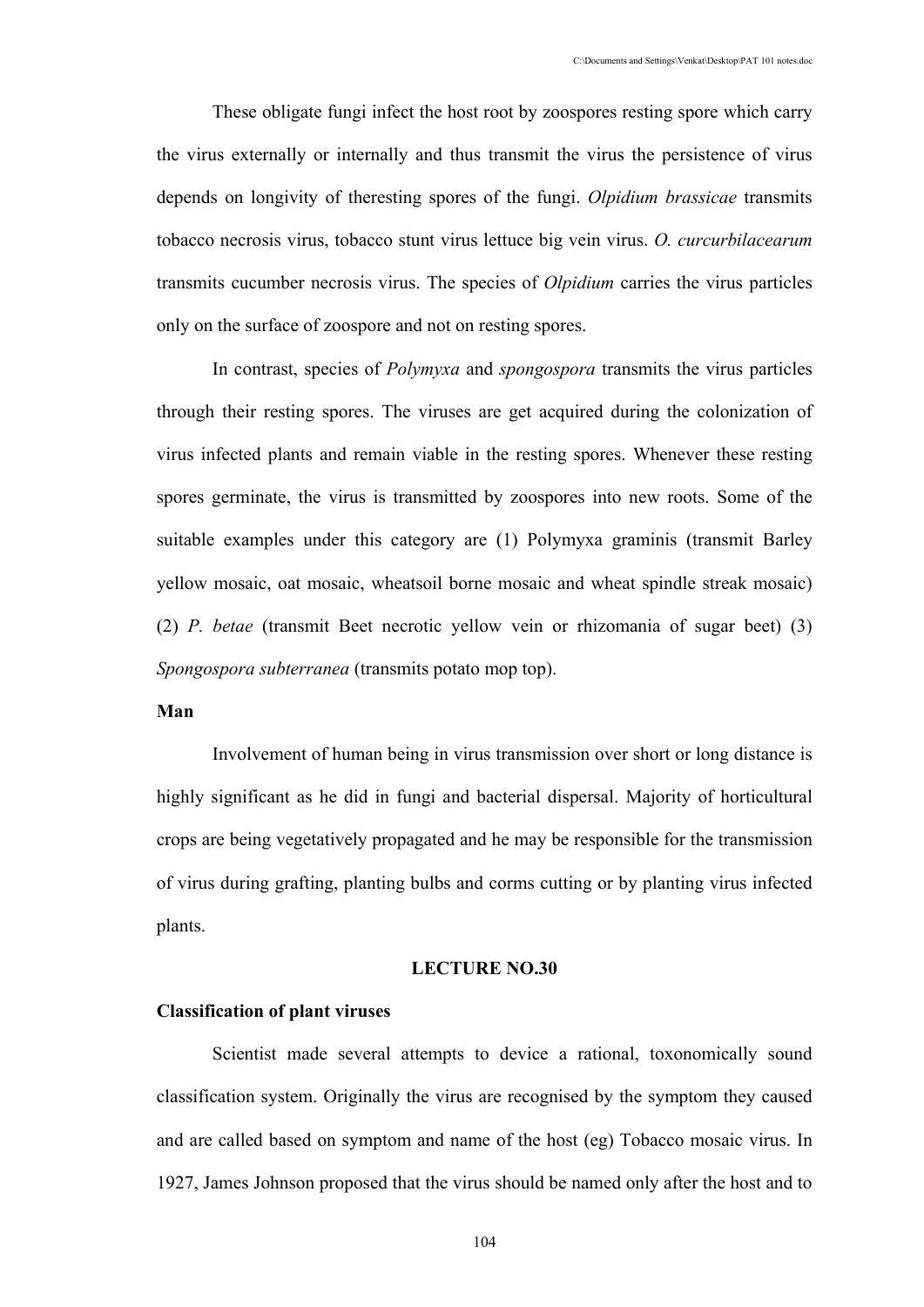These obligate fungi infect the host root by zoospores resting spore which carry the virus externally or internally and thus transmit the virus the persistence of virus depends on longivity of theresting spores of the fungi. *Olpidium brassicae* transmits tobacco necrosis virus, tobacco stunt virus lettuce big vein virus. O. curcurbilacearum transmits cucumber necrosis virus. The species of Olpidium carries the virus particles only on the surface of zoospore and not on resting spores.

In contrast, species of Polymyxa and spongospora transmits the virus particles through their resting spores. The viruses are get acquired during the colonization of virus infected plants and remain viable in the resting spores. Whenever these resting spores germinate, the virus is transmitted by zoospores into new roots. Some of the the virus externally or internally and thus transmit the virus the persistence of virus<br>depends on longivity of theresting spores of the fungi. *Olpidium brassicae* transmits<br>tobacco necrosis virus, tobacco stunt virus let yellow mosaic, oat mosaic, wheatsoil borne mosaic and wheat spindle streak mosaic) (2) P. betae (transmit Beet necrotic yellow vein or rhizomania of sugar beet) (3) Spongospora subterranea (transmits potato mop top).

## Man and the state of the state of the state of the state of the state of the state of the state of the state of the state of the state of the state of the state of the state of the state of the state of the state of the st

Involvement of human being in virus transmission over short or long distance is highly significant as he did in fungi and bacterial dispersal. Majority of horticultural crops are being vegetatively propagated and he may be responsible for the transmission of virus during grafting, planting bulbs and corms cutting or by planting virus infected plants.

#### LECTURE NO.30

#### Classification of plant viruses

Scientist made several attempts to device a rational, toxonomically sound classification system. Originally the virus are recognised by the symptom they caused and are called based on symptom and name of the host (eg) Tobacco mosaic virus. In 1927, James Johnson proposed that the virus should be named only after the host and to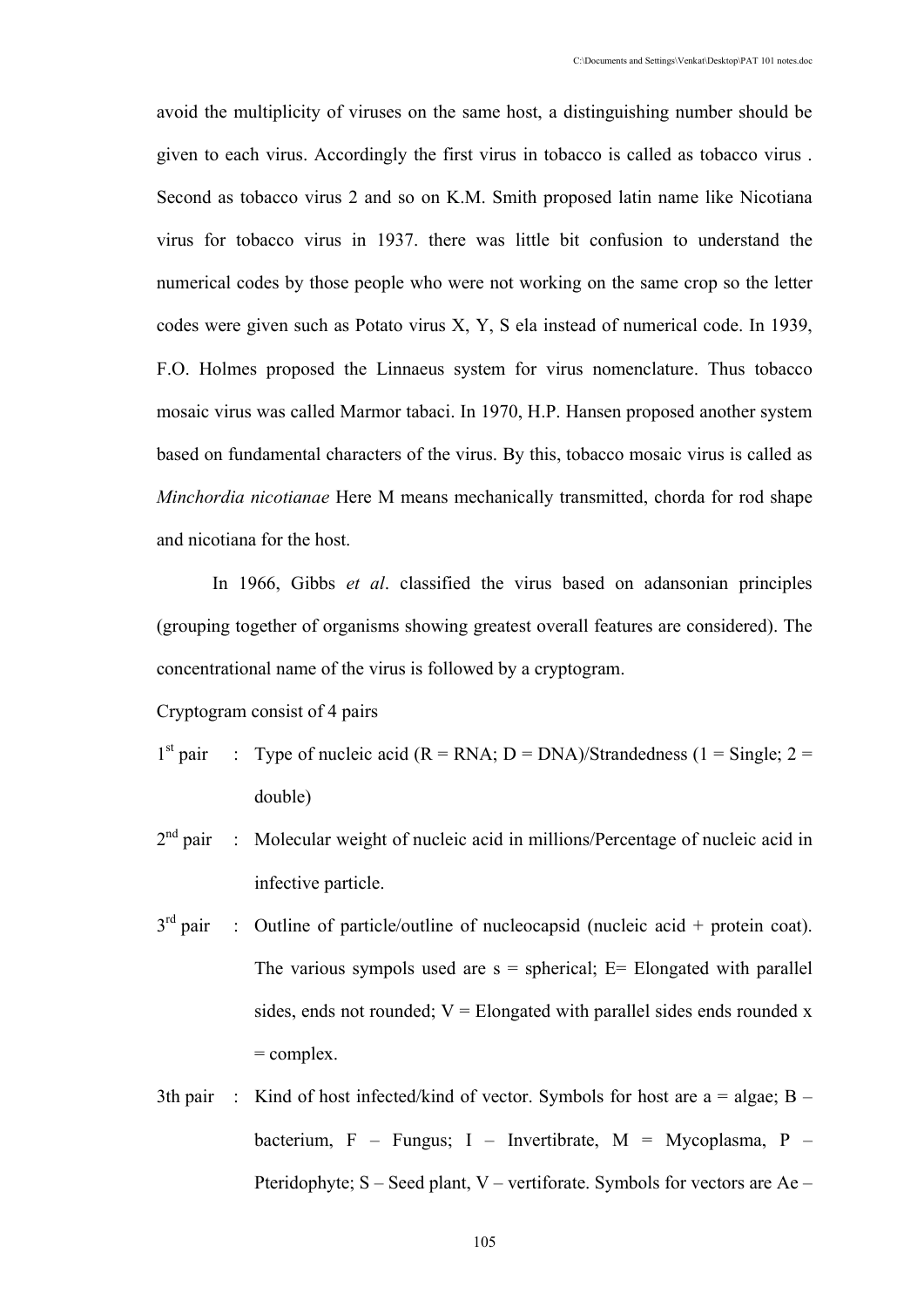avoid the multiplicity of viruses on the same host, a distinguishing number should be given to each virus. Accordingly the first virus in tobacco is called as tobacco virus . Second as tobacco virus 2 and so on K.M. Smith proposed latin name like Nicotiana virus for tobacco virus in 1937. there was little bit confusion to understand the numerical codes by those people who were not working on the same crop so the letter codes were given such as Potato virus X, Y, S ela instead of numerical code. In 1939, F.O. Holmes proposed the Linnaeus system for virus nomenclature. Thus tobacco mosaic virus was called Marmor tabaci. In 1970, H.P. Hansen proposed another system based on fundamental characters of the virus. By this, tobacco mosaic virus is called as Minchordia nicotianae Here M means mechanically transmitted, chorda for rod shape and nicotiana for the host. So. Holmes proposed the Linnaeus system for virus nomenclature. Thus tobacconosaic virus was called Marmor tabaci. In 1970, H.P. Hansen proposed another system ased on fundamental characters of the virus. By this, tobacco ased on fundamental characters of the virus. By this, tobacco mosaic virus is called as<br> *dinchordia nicotianae* Here M means mechanically transmitted, chorda for rod shape<br>
and nicotiana for the host.<br>
In 1966, Gibbs *et* 

In 1966, Gibbs *et al.* classified the virus based on adansonian principles (grouping together of organisms showing greatest overall features are considered). The concentrational name of the virus is followed by a cryptogram.

Cryptogram consist of 4 pairs

- $1<sup>st</sup>$  pair : Type of nucleic acid (R = RNA; D = DNA)/Strandedness (1 = Single; 2 = double)
- $2<sup>nd</sup>$  pair : Molecular weight of nucleic acid in millions/Percentage of nucleic acid in infective particle.
- $3<sup>rd</sup>$  pair : Outline of particle/outline of nucleocapsid (nucleic acid + protein coat). and nicotiana for the host.<br>
In 1966, Gibbs *et al.* classified the virus based on adansonian principles<br>
grouping together of organisms showing greatest overall features are considered). The<br>
one<br>
contrational name of th The various sympols used are  $s = s$  spherical; E= Elongated with parallel sides, ends not rounded;  $V =$  Elongated with parallel sides ends rounded x = complex. Cryptogram consist of 4 pairs<br>
1<sup>st</sup> pair : Type of nucleic acid (R = RNA; D = DNA)/Strandedness (1 = Single; 2 =<br>
2<sup>nd</sup> pair : Molecular weight of nucleic acid in millions/Percentage of nucleic acid in<br>
infective particl
- bacterium, F Fungus; I Invertibrate, M = Mycoplasma, P Pteridophyte; S – Seed plant, V – vertiforate. Symbols for vectors are Ae –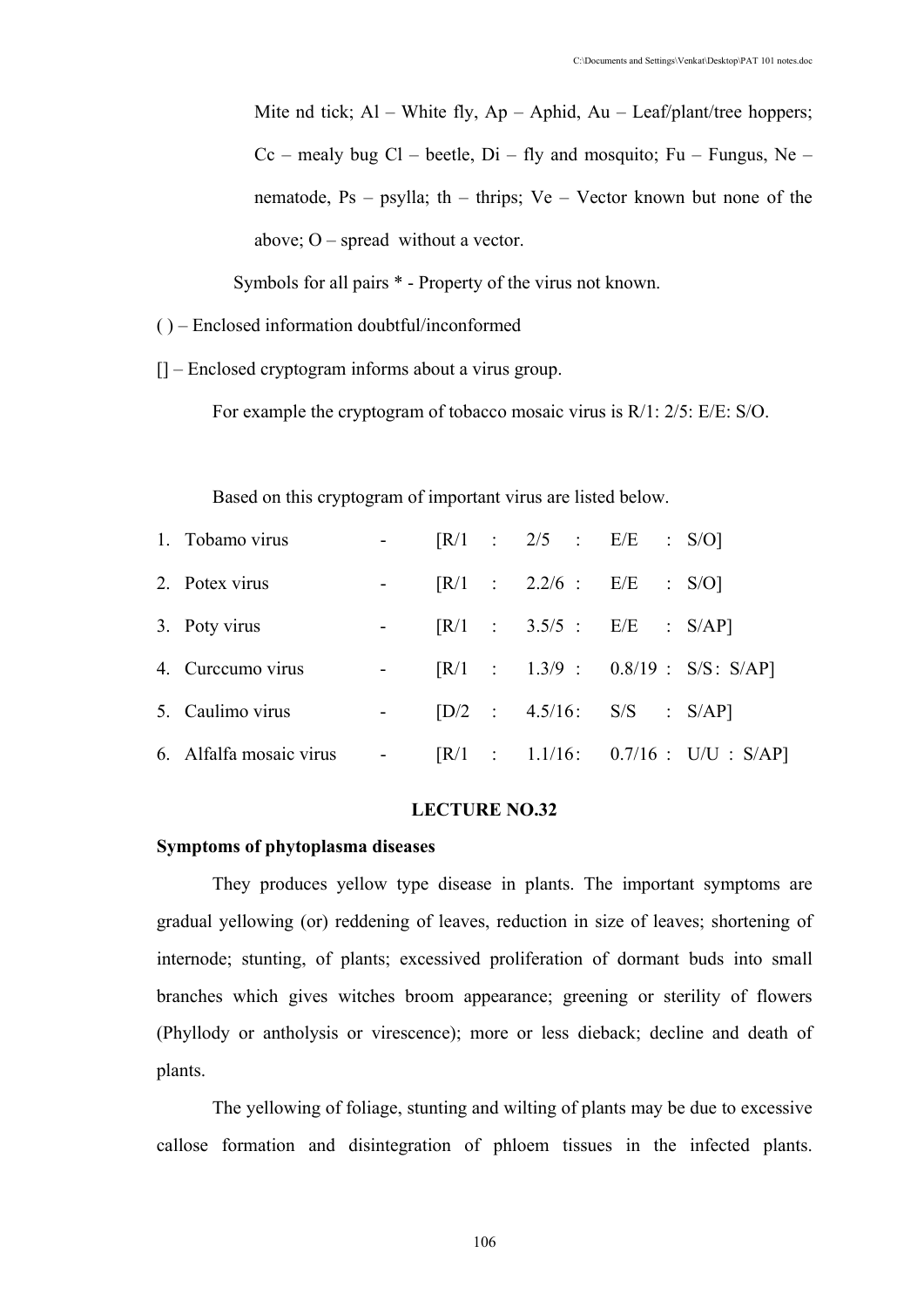Mite nd tick;  $AI - White fly$ ,  $Ap - Aphid$ ,  $Au - Leaf/plant/tree$  hoppers;  $Cc$  – mealy bug  $Cl$  – beetle,  $Di$  – fly and mosquito;  $Fu$  – Fungus, Ne – nematode,  $Ps - ps$  psylla; th – thrips;  $Ve - Vector$  known but none of the above;  $O$  – spread without a vector.

- ( ) Enclosed information doubtful/inconformed
- [] Enclosed cryptogram informs about a virus group.

| $Cc$ – mealy bug Cl – beetle, Di – fly and mosquito; Fu – Fungus, Ne –                |                          |                                    |            |                  |                        |  |  |  |
|---------------------------------------------------------------------------------------|--------------------------|------------------------------------|------------|------------------|------------------------|--|--|--|
| nematode, $Ps - psylla$ ; th – thrips; Ve – Vector known but none of the              |                          |                                    |            |                  |                        |  |  |  |
| above; $O$ – spread without a vector.                                                 |                          |                                    |            |                  |                        |  |  |  |
| Symbols for all pairs * - Property of the virus not known.                            |                          |                                    |            |                  |                        |  |  |  |
| () – Enclosed information doubtful/inconformed                                        |                          |                                    |            |                  |                        |  |  |  |
| $\left[ \right]$ – Enclosed cryptogram informs about a virus group.                   |                          |                                    |            |                  |                        |  |  |  |
| For example the cryptogram of tobacco mosaic virus is $R/1$ : $2/5$ : $E/E$ : $S/O$ . |                          |                                    |            |                  |                        |  |  |  |
|                                                                                       |                          |                                    |            |                  |                        |  |  |  |
| Based on this cryptogram of important virus are listed below.                         |                          |                                    |            |                  |                        |  |  |  |
| 1. Tobamo virus                                                                       | $\overline{\phantom{a}}$ | $\left[\frac{R}{1}\right]$ :       | $2/5$ :    | E/E              | $\therefore$ S/O]      |  |  |  |
| 2. Potex virus                                                                        | $\blacksquare$           | $\left[\frac{R}{1}\right]$ :       | $2.2/6$ :  | E/E              | $\colon$ S/O]          |  |  |  |
| 3. Poty virus                                                                         | $\overline{\phantom{a}}$ | $\lceil R/1 \rceil$<br>$\sim 10^7$ | $3.5/5$ :  | E/E              | $:$ S/AP]              |  |  |  |
| 4. Curccumo virus                                                                     | $\overline{\phantom{a}}$ | $\lceil R/1 \rceil$<br>$\sim 10^6$ | $1.3/9$ :  |                  | $0.8/19$ : S/S: S/AP]  |  |  |  |
| 5. Caulimo virus                                                                      | $\blacksquare$           | [D/2 :                             | $4.5/16$ : | $S/S$ : $S/AP$ ] |                        |  |  |  |
| 6. Alfalfa mosaic virus                                                               | $\overline{\phantom{a}}$ | $\lceil R/1 \rceil$<br>$\sim 10$   | $1.1/16$ : |                  | $0.7/16$ : U/U : S/AP] |  |  |  |
| <b>LECTURE NO.32</b>                                                                  |                          |                                    |            |                  |                        |  |  |  |
| Symptoms of phytoplasma diseases                                                      |                          |                                    |            |                  |                        |  |  |  |

## LECTURE NO.32

#### Symptoms of phytoplasma diseases

They produces yellow type disease in plants. The important symptoms are gradual yellowing (or) reddening of leaves, reduction in size of leaves; shortening of internode; stunting, of plants; excessived proliferation of dormant buds into small branches which gives witches broom appearance; greening or sterility of flowers (Phyllody or antholysis or virescence); more or less dieback; decline and death of plants.

The yellowing of foliage, stunting and wilting of plants may be due to excessive callose formation and disintegration of phloem tissues in the infected plants.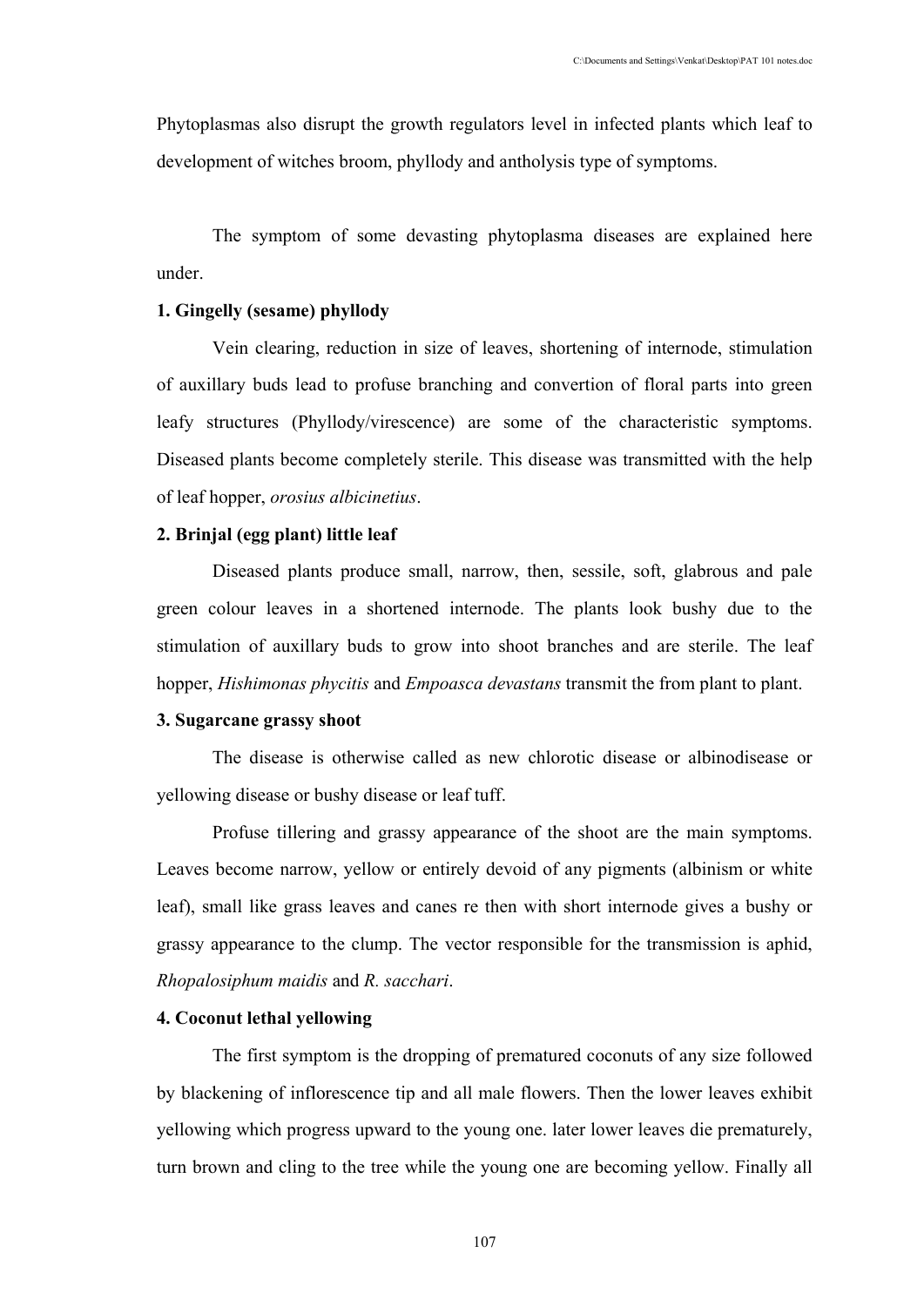Phytoplasmas also disrupt the growth regulators level in infected plants which leaf to CoDocuments and Settings\VenkatDesktop\PAT 101 notes.doc<br>
Dhytoplasmas also disrupt the growth regulators level in infected plants which leaf to<br>
development of witches broom, phyllody and antholysis type of symptoms.<br>
The

The symptom of some devasting phytoplasma diseases are explained here under.

## 1. Gingelly (sesame) phyllody

Vein clearing, reduction in size of leaves, shortening of internode, stimulation of auxillary buds lead to profuse branching and convertion of floral parts into green leafy structures (Phyllody/virescence) are some of the characteristic symptoms. CONSUMERE SIGN CONSULTERT CONSULTERT CONSULTER THE SURVEY ON THE SURVEY OF SURVEY AND SURVEY OF SURVEY THE SURVEY OF SURVEY AND SURVEY THE SURVEY OF SURVEY STEP SURVEY THE SURVEY OF SURVEY STEP SURVEY THE SURVEY OF SURVEY of leaf hopper, orosius albicinetius.

#### 2. Brinjal (egg plant) little leaf

Diseased plants produce small, narrow, then, sessile, soft, glabrous and pale green colour leaves in a shortened internode. The plants look bushy due to the stimulation of auxillary buds to grow into shoot branches and are sterile. The leaf hopper, *Hishimonas phycitis* and *Empoasca devastans* transmit the from plant to plant.

#### 3. Sugarcane grassy shoot

The disease is otherwise called as new chlorotic disease or albinodisease or yellowing disease or bushy disease or leaf tuff.

Profuse tillering and grassy appearance of the shoot are the main symptoms. Leaves become narrow, yellow or entirely devoid of any pigments (albinism or white leaf), small like grass leaves and canes re then with short internode gives a bushy or grassy appearance to the clump. The vector responsible for the transmission is aphid, Rhopalosiphum maidis and R. sacchari.

#### 4. Coconut lethal yellowing

The first symptom is the dropping of prematured coconuts of any size followed by blackening of inflorescence tip and all male flowers. Then the lower leaves exhibit yellowing which progress upward to the young one. later lower leaves die prematurely, turn brown and cling to the tree while the young one are becoming yellow. Finally all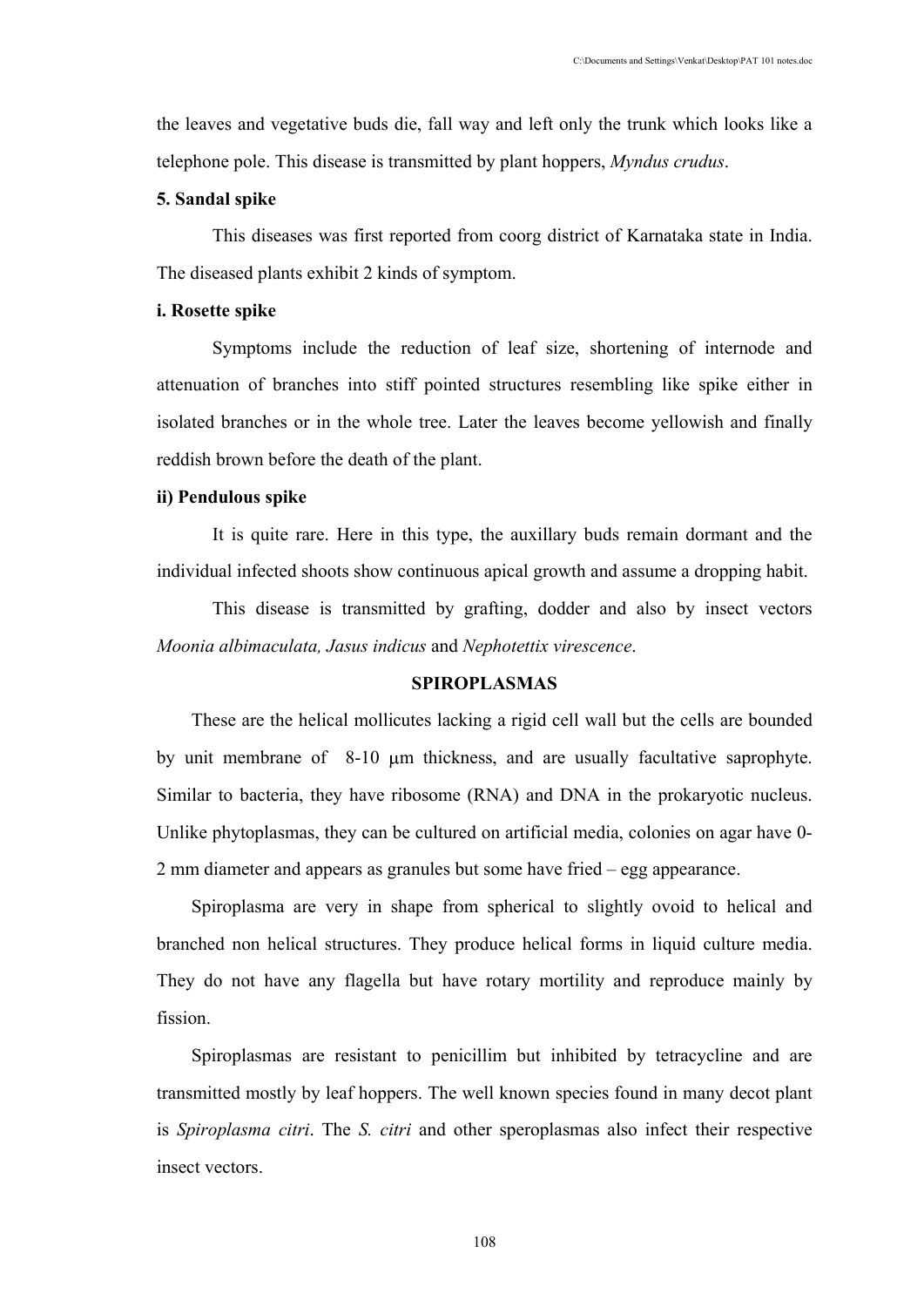the leaves and vegetative buds die, fall way and left only the trunk which looks like a telephone pole. This disease is transmitted by plant hoppers, Myndus crudus.

## 5. Sandal spike

This diseases was first reported from coorg district of Karnataka state in India. The diseased plants exhibit 2 kinds of symptom.

#### i. Rosette spike

Symptoms include the reduction of leaf size, shortening of internode and attenuation of branches into stiff pointed structures resembling like spike either in isolated branches or in the whole tree. Later the leaves become yellowish and finally reddish brown before the death of the plant.

#### ii) Pendulous spike

It is quite rare. Here in this type, the auxillary buds remain dormant and the individual infected shoots show continuous apical growth and assume a dropping habit.

This disease is transmitted by grafting, dodder and also by insect vectors Moonia albimaculata, Jasus indicus and Nephotettix virescence.

#### SPIROPLASMAS

These are the helical mollicutes lacking a rigid cell wall but the cells are bounded by unit membrane of 8-10  $\mu$ m thickness, and are usually facultative saprophyte. isolated branches or in the whole tree. Later the leaves become yellowish and finally reddish brown before the death of the plant.<br> **ii) Pendulous spike**<br> **ii** ii squite rare. Here in this type, the auxillary buds remain d Unlike phytoplasmas, they can be cultured on artificial media, colonies on agar have 0- 2 mm diameter and appears as granules but some have fried – egg appearance.

Spiroplasma are very in shape from spherical to slightly ovoid to helical and branched non helical structures. They produce helical forms in liquid culture media. They do not have any flagella but have rotary mortility and reproduce mainly by fission.

Spiroplasmas are resistant to penicillim but inhibited by tetracycline and are transmitted mostly by leaf hoppers. The well known species found in many decot plant is Spiroplasma citri. The S. citri and other speroplasmas also infect their respective insect vectors.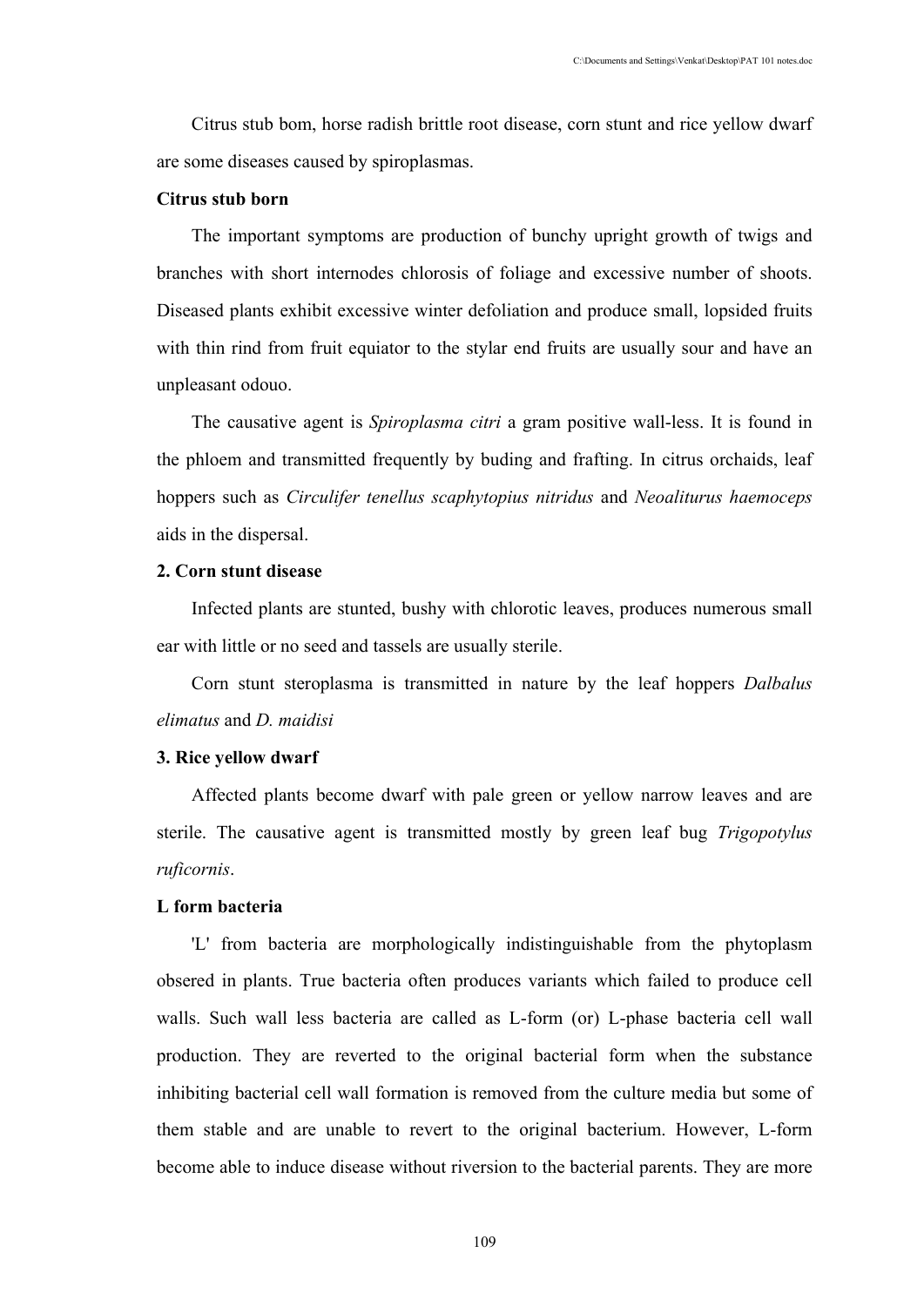Citrus stub bom, horse radish brittle root disease, corn stunt and rice yellow dwarf are some diseases caused by spiroplasmas.

#### Citrus stub born

The important symptoms are production of bunchy upright growth of twigs and branches with short internodes chlorosis of foliage and excessive number of shoots. Diseased plants exhibit excessive winter defoliation and produce small, lopsided fruits with thin rind from fruit equiator to the stylar end fruits are usually sour and have an unpleasant odouo. The important symptoms are production of bunchy upright growth of twigs and<br>ches with short internodes chlorosis of foliage and excessive number of shoots.<br>sased plants exhibit excessive winter defoliation and produce smal

The causative agent is *Spiroplasma citri* a gram positive wall-less. It is found in the phloem and transmitted frequently by buding and frafting. In citrus orchaids, leaf hoppers such as *Circulifer tenellus scaphytopius nitridus* and *Neoaliturus haemoceps* aids in the dispersal.

## 2. Corn stunt disease

ear with little or no seed and tassels are usually sterile.

Corn stunt steroplasma is transmitted in nature by the leaf hoppers Dalbalus elimatus and D. maidisi

#### 3. Rice yellow dwarf

Affected plants become dwarf with pale green or yellow narrow leaves and are sterile. The causative agent is transmitted mostly by green leaf bug *Trigopotylus* ruficornis.

## L form bacteria

'L' from bacteria are morphologically indistinguishable from the phytoplasm obsered in plants. True bacteria often produces variants which failed to produce cell car with little or no seed and tassels are usually sterile.<br>
Corn stunt steroplasma is transmitted in nature by the leaf hoppers *Dalbalus*<br> *elimatus* and *D. maidisi*<br> **3. Rice yellow dwarf**<br> **Affected plants become dwar** production. They are reverted to the original bacterial form when the substance inhibiting bacterial cell wall formation is removed from the culture media but some of them stable and are unable to revert to the original bacterium. However, L-form become able to induce disease without riversion to the bacterial parents. They are more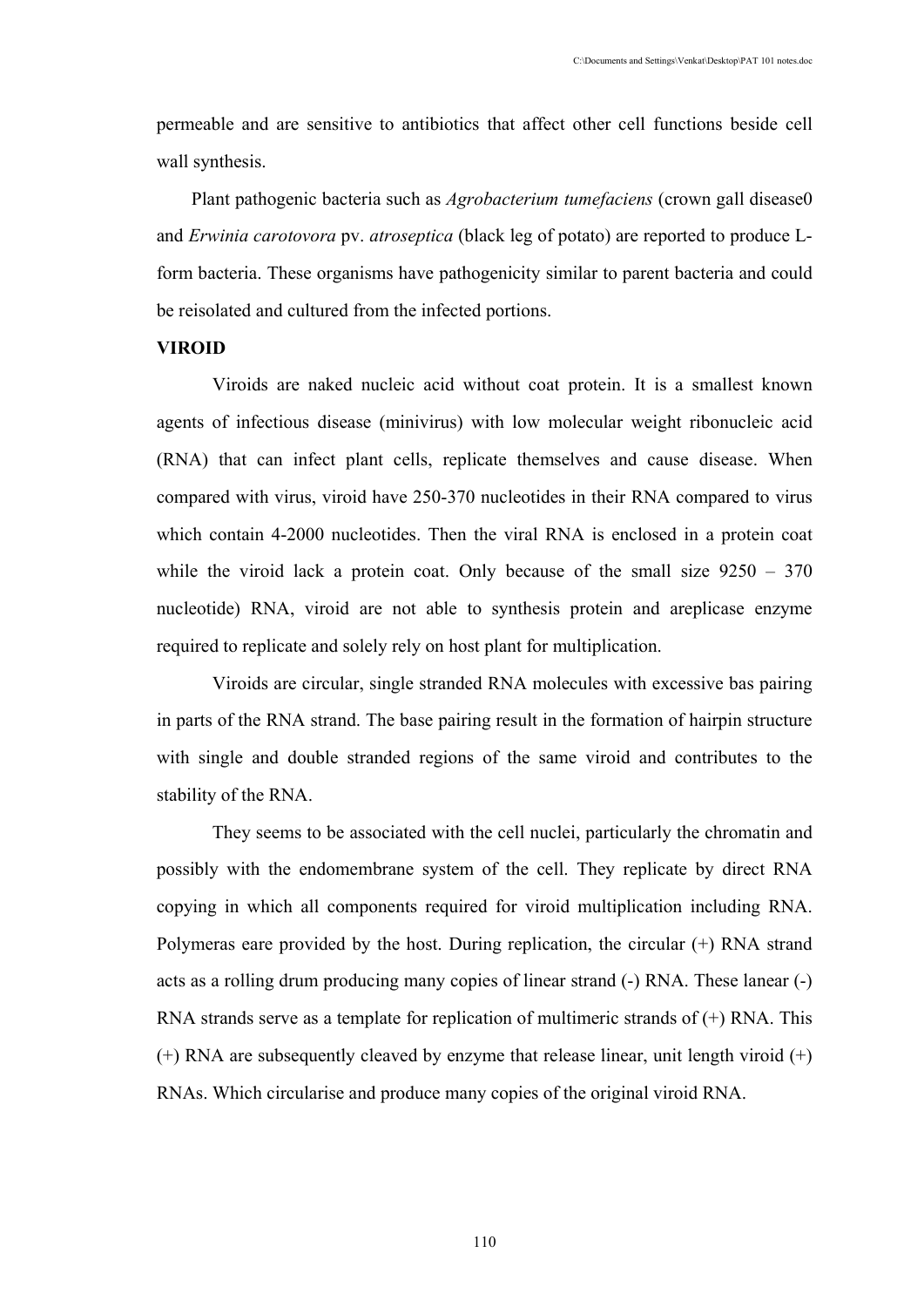permeable and are sensitive to antibiotics that affect other cell functions beside cell wall synthesis.

Plant pathogenic bacteria such as *Agrobacterium tumefaciens* (crown gall disease0 and Erwinia carotovora pv. atroseptica (black leg of potato) are reported to produce Lform bacteria. These organisms have pathogenicity similar to parent bacteria and could be reisolated and cultured from the infected portions.

#### VIROID

Viroids are naked nucleic acid without coat protein. It is a smallest known agents of infectious disease (minivirus) with low molecular weight ribonucleic acid (RNA) that can infect plant cells, replicate themselves and cause disease. When compared with virus, viroid have 250-370 nucleotides in their RNA compared to virus which contain 4-2000 nucleotides. Then the viral RNA is enclosed in a protein coat while the viroid lack a protein coat. Only because of the small size  $9250 - 370$ nucleotide) RNA, viroid are not able to synthesis protein and areplicase enzyme required to replicate and solely rely on host plant for multiplication. blated and cultured from the infected portions.<br> **D**<br>
Viroids are naked nucleic acid without coat protein. It is a smallest known<br>
of infectious disease (minivirus) with low molecular weight ribonucleic acid<br>
that can infe that can infect plant cells, replicate themselves and cause disease. When<br>ed with virus, viroid have 250-370 nucleotides in their RNA compared to virus<br>contain 4-2000 nucleotides. Then the viral RNA is enclosed in a protei

in parts of the RNA strand. The base pairing result in the formation of hairpin structure with single and double stranded regions of the same viroid and contributes to the stability of the RNA.

possibly with the endomembrane system of the cell. They replicate by direct RNA copying in which all components required for viroid multiplication including RNA. Polymeras eare provided by the host. During replication, the circular (+) RNA strand acts as a rolling drum producing many copies of linear strand (-) RNA. These lanear (-) RNA strands serve as a template for replication of multimeric strands of  $(+)$  RNA. This Viroids are circular, single stranded RNA molecules with excessive bas pairing<br>in parts of the RNA strand. The base pairing result in the formation of hairpin structure<br>with single and double stranded regions of the same RNAs. Which circularise and produce many copies of the original viroid RNA.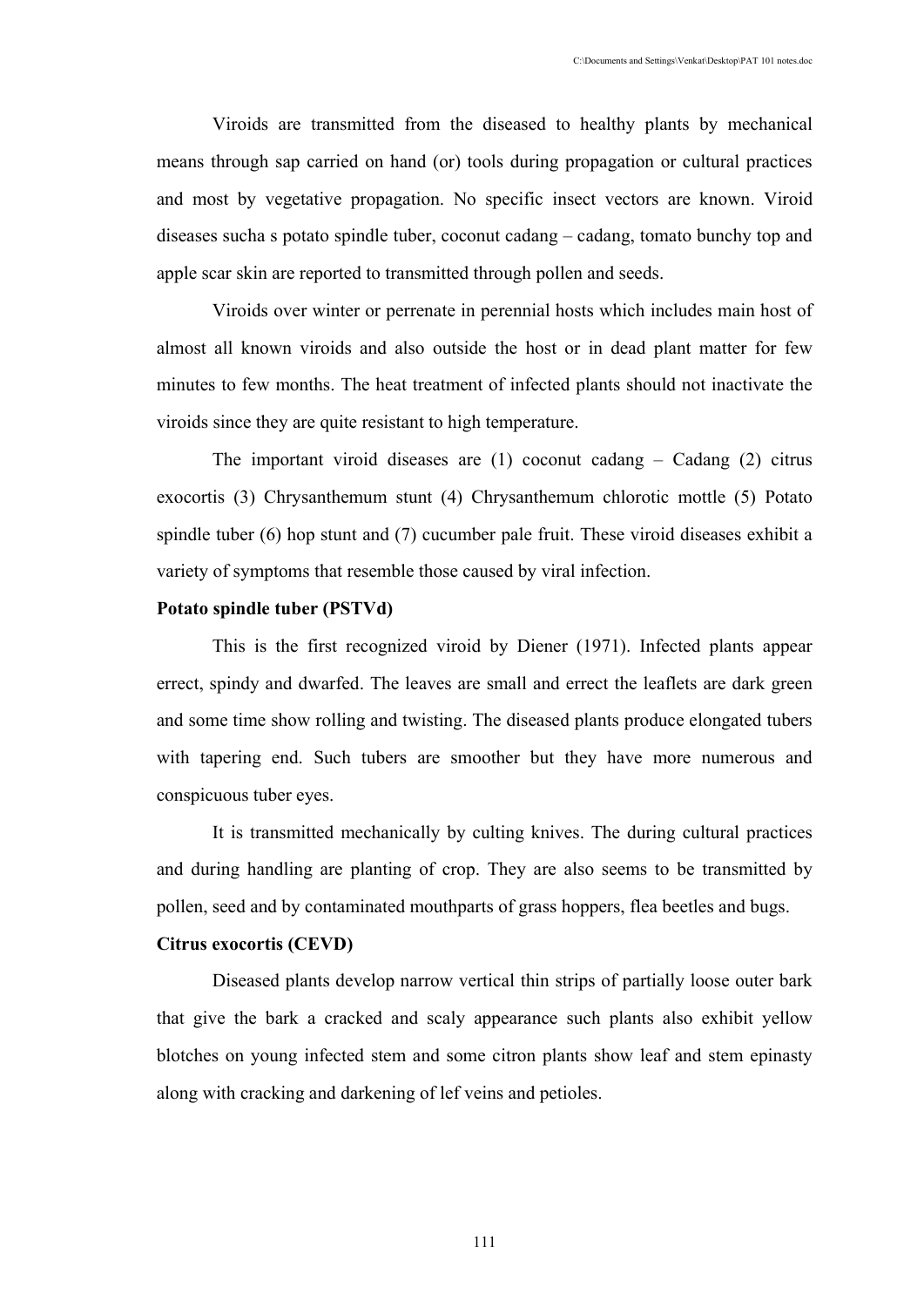Viroids are transmitted from the diseased to healthy plants by mechanical means through sap carried on hand (or) tools during propagation or cultural practices and most by vegetative propagation. No specific insect vectors are known. Viroid diseases sucha s potato spindle tuber, coconut cadang – cadang, tomato bunchy top and apple scar skin are reported to transmitted through pollen and seeds.

Viroids over winter or perrenate in perennial hosts which includes main host of almost all known viroids and also outside the host or in dead plant matter for few minutes to few months. The heat treatment of infected plants should not inactivate the viroids since they are quite resistant to high temperature.

The important viroid diseases are  $(1)$  coconut cadang – Cadang  $(2)$  citrus exocortis (3) Chrysanthemum stunt (4) Chrysanthemum chlorotic mottle (5) Potato spindle tuber (6) hop stunt and (7) cucumber pale fruit. These viroid diseases exhibit a variety of symptoms that resemble those caused by viral infection.

#### Potato spindle tuber (PSTVd)

This is the first recognized viroid by Diener (1971). Infected plants appear errect, spindy and dwarfed. The leaves are small and errect the leaflets are dark green and some time show rolling and twisting. The diseased plants produce elongated tubers with tapering end. Such tubers are smoother but they have more numerous and conspicuous tuber eyes.

It is transmitted mechanically by culting knives. The during cultural practices and during handling are planting of crop. They are also seems to be transmitted by pollen, seed and by contaminated mouthparts of grass hoppers, flea beetles and bugs.

#### Citrus exocortis (CEVD)

Diseased plants develop narrow vertical thin strips of partially loose outer bark that give the bark a cracked and scaly appearance such plants also exhibit yellow blotches on young infected stem and some citron plants show leaf and stem epinasty along with cracking and darkening of lef veins and petioles.

111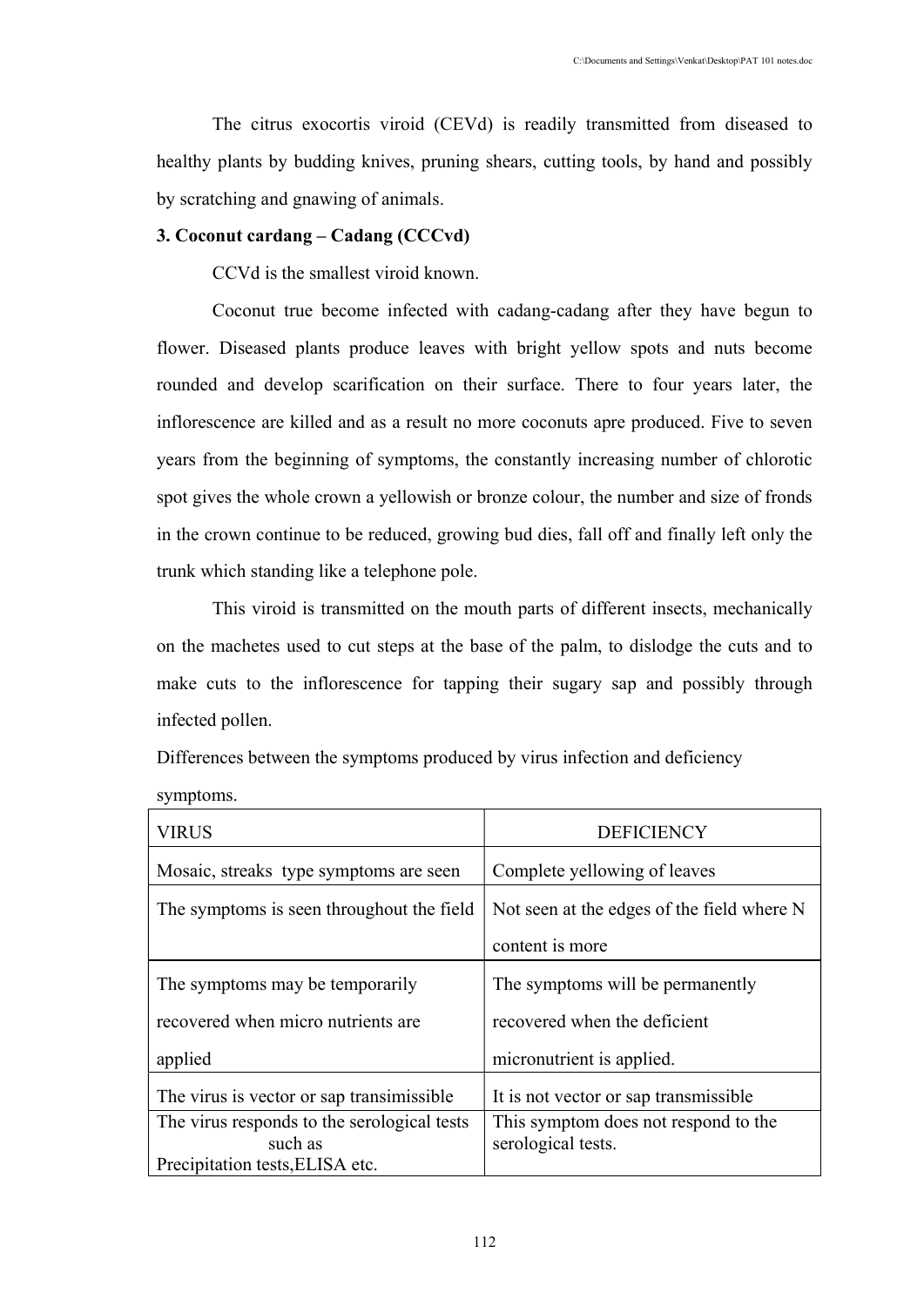The citrus exocortis viroid (CEVd) is readily transmitted from diseased to healthy plants by budding knives, pruning shears, cutting tools, by hand and possibly by scratching and gnawing of animals.

#### 3. Coconut cardang – Cadang (CCCvd)

CCVd is the smallest viroid known.

Coconut true become infected with cadang-cadang after they have begun to flower. Diseased plants produce leaves with bright yellow spots and nuts become rounded and develop scarification on their surface. There to four years later, the inflorescence are killed and as a result no more coconuts apre produced. Five to seven years from the beginning of symptoms, the constantly increasing number of chlorotic spot gives the whole crown a yellowish or bronze colour, the number and size of fronds in the crown continue to be reduced, growing bud dies, fall off and finally left only the trunk which standing like a telephone pole. Fraction the beginning of symptoms, the constantly increasing number of chlorotic<br>spot gives the whole crown a yellowish or bronze colour, the number and size of fronds<br>in the crown continue to be reduced, growing bud dies

| spot gives the whole crown a yellowish or bronze colour, the number and size of fronds<br>trunk which standing like a telephone pole.<br>infected pollen.<br>Differences between the symptoms produced by virus infection and deficiency<br>symptoms.<br><b>VIRUS</b><br><b>DEFICIENCY</b><br>Complete yellowing of leaves<br>Mosaic, streaks type symptoms are seen<br>The symptoms is seen throughout the field<br>Not seen at the edges of the field where N<br>content is more<br>The symptoms may be temporarily<br>The symptoms will be permanently<br>recovered when micro nutrients are<br>recovered when the deficient<br>micronutrient is applied.<br>applied<br>The virus is vector or sap transimissible<br>It is not vector or sap transmissible<br>The virus responds to the serological tests<br>This symptom does not respond to the<br>such as<br>serological tests.<br>Precipitation tests, ELISA etc. |                                                                                           |  |  |
|--------------------------------------------------------------------------------------------------------------------------------------------------------------------------------------------------------------------------------------------------------------------------------------------------------------------------------------------------------------------------------------------------------------------------------------------------------------------------------------------------------------------------------------------------------------------------------------------------------------------------------------------------------------------------------------------------------------------------------------------------------------------------------------------------------------------------------------------------------------------------------------------------------------------------|-------------------------------------------------------------------------------------------|--|--|
|                                                                                                                                                                                                                                                                                                                                                                                                                                                                                                                                                                                                                                                                                                                                                                                                                                                                                                                          |                                                                                           |  |  |
|                                                                                                                                                                                                                                                                                                                                                                                                                                                                                                                                                                                                                                                                                                                                                                                                                                                                                                                          | in the crown continue to be reduced, growing bud dies, fall off and finally left only the |  |  |
|                                                                                                                                                                                                                                                                                                                                                                                                                                                                                                                                                                                                                                                                                                                                                                                                                                                                                                                          |                                                                                           |  |  |
|                                                                                                                                                                                                                                                                                                                                                                                                                                                                                                                                                                                                                                                                                                                                                                                                                                                                                                                          | This viroid is transmitted on the mouth parts of different insects, mechanically          |  |  |
|                                                                                                                                                                                                                                                                                                                                                                                                                                                                                                                                                                                                                                                                                                                                                                                                                                                                                                                          | on the machetes used to cut steps at the base of the palm, to dislodge the cuts and to    |  |  |
|                                                                                                                                                                                                                                                                                                                                                                                                                                                                                                                                                                                                                                                                                                                                                                                                                                                                                                                          | make cuts to the inflorescence for tapping their sugary sap and possibly through          |  |  |
|                                                                                                                                                                                                                                                                                                                                                                                                                                                                                                                                                                                                                                                                                                                                                                                                                                                                                                                          |                                                                                           |  |  |
|                                                                                                                                                                                                                                                                                                                                                                                                                                                                                                                                                                                                                                                                                                                                                                                                                                                                                                                          |                                                                                           |  |  |
|                                                                                                                                                                                                                                                                                                                                                                                                                                                                                                                                                                                                                                                                                                                                                                                                                                                                                                                          |                                                                                           |  |  |
|                                                                                                                                                                                                                                                                                                                                                                                                                                                                                                                                                                                                                                                                                                                                                                                                                                                                                                                          |                                                                                           |  |  |
|                                                                                                                                                                                                                                                                                                                                                                                                                                                                                                                                                                                                                                                                                                                                                                                                                                                                                                                          |                                                                                           |  |  |
|                                                                                                                                                                                                                                                                                                                                                                                                                                                                                                                                                                                                                                                                                                                                                                                                                                                                                                                          |                                                                                           |  |  |
|                                                                                                                                                                                                                                                                                                                                                                                                                                                                                                                                                                                                                                                                                                                                                                                                                                                                                                                          |                                                                                           |  |  |
|                                                                                                                                                                                                                                                                                                                                                                                                                                                                                                                                                                                                                                                                                                                                                                                                                                                                                                                          |                                                                                           |  |  |
|                                                                                                                                                                                                                                                                                                                                                                                                                                                                                                                                                                                                                                                                                                                                                                                                                                                                                                                          |                                                                                           |  |  |
|                                                                                                                                                                                                                                                                                                                                                                                                                                                                                                                                                                                                                                                                                                                                                                                                                                                                                                                          |                                                                                           |  |  |
|                                                                                                                                                                                                                                                                                                                                                                                                                                                                                                                                                                                                                                                                                                                                                                                                                                                                                                                          |                                                                                           |  |  |
|                                                                                                                                                                                                                                                                                                                                                                                                                                                                                                                                                                                                                                                                                                                                                                                                                                                                                                                          |                                                                                           |  |  |
|                                                                                                                                                                                                                                                                                                                                                                                                                                                                                                                                                                                                                                                                                                                                                                                                                                                                                                                          |                                                                                           |  |  |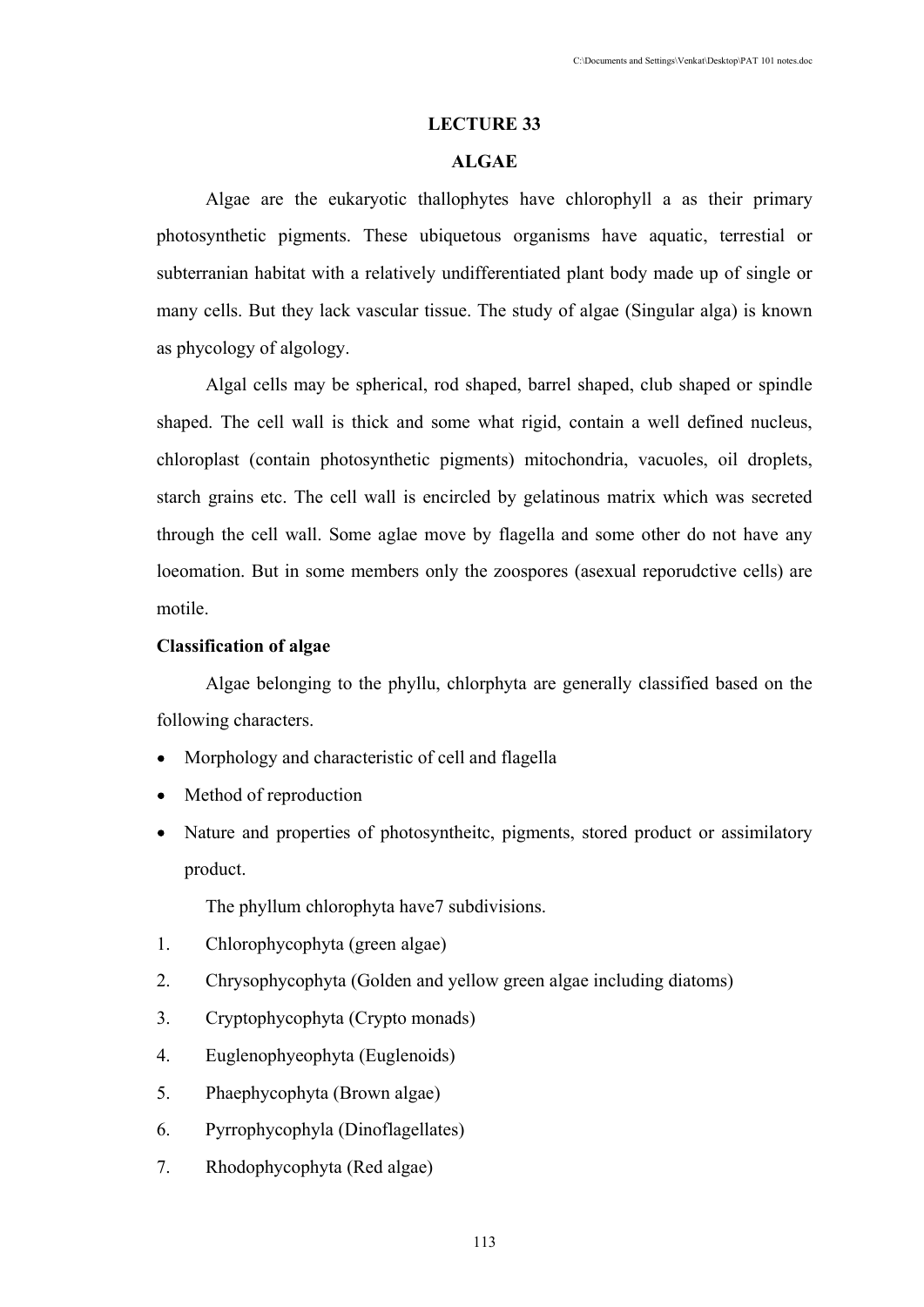#### LECTURE 33

## ALGAE

Algae are the eukaryotic thallophytes have chlorophyll a as their primary photosynthetic pigments. These ubiquetous organisms have aquatic, terrestial or subterranian habitat with a relatively undifferentiated plant body made up of single or many cells. But they lack vascular tissue. The study of algae (Singular alga) is known as phycology of algology.

Algal cells may be spherical, rod shaped, barrel shaped, club shaped or spindle shaped. The cell wall is thick and some what rigid, contain a well defined nucleus, chloroplast (contain photosynthetic pigments) mitochondria, vacuoles, oil droplets, starch grains etc. The cell wall is encircled by gelatinous matrix which was secreted through the cell wall. Some aglae move by flagella and some other do not have any loeomation. But in some members only the zoospores (asexual reporudctive cells) are motile. Theorem and the solution of algae<br>
1. Classification of algae<br>
1. Classification of algae<br>
1. Classification of algae<br>
1. Classification of algae<br>
1. Morphology and characteristic of cell and flagella<br>
1. Method of reprodu

## Classification of algae

Algae belonging to the phyllu, chlorphyta are generally classified based on the following characters. Classification of algae<br>
Algae belonging to the phyllu, chlorphyta are generally classified<br>
following characters.<br>
• Morphology and characteristic of cell and flagella<br>
• Method of reproduction<br>
• Nature and properties of

- Morphology and characteristic of cell and flagella
- Method of reproduction
- Nature and properties of photosyntheitc, pigments, stored product or assimilatory product. 2. Chrysophycophyta (Golden and yellow)<br>
2. Chapten algae belonging to the phyllu, chlorphyta are generally classified based on the<br>
dolowing characters.<br>
2. Morphology and characteristic of cell and flagella<br>
2. Method of 5. Morphology and characteristic of cell and flagella<br>
• Method of reproduction<br>
• Nature and properties of photosyntheitc, pigments, stored product or<br>
product.<br>
The phyllum chlorophyta have7 subdivisions.<br>
1. Chlorophyco • Method of reproduction<br>• Mature and properties of photosyntheitc, pigments, stored product or<br>product.<br>The phyllum chlorophyta have7 subdivisions.<br>1. Chlorophycophyta (green algae)<br>2. Chrysophycophyta (Golden and yellow

The phyllum chlorophyta have7 subdivisions.

- 
- 
- 
- 4. Euglenophyeophyta (Euglenoids)
- 
- 6. Pyrrophycophyla (Dinoflagellates)
-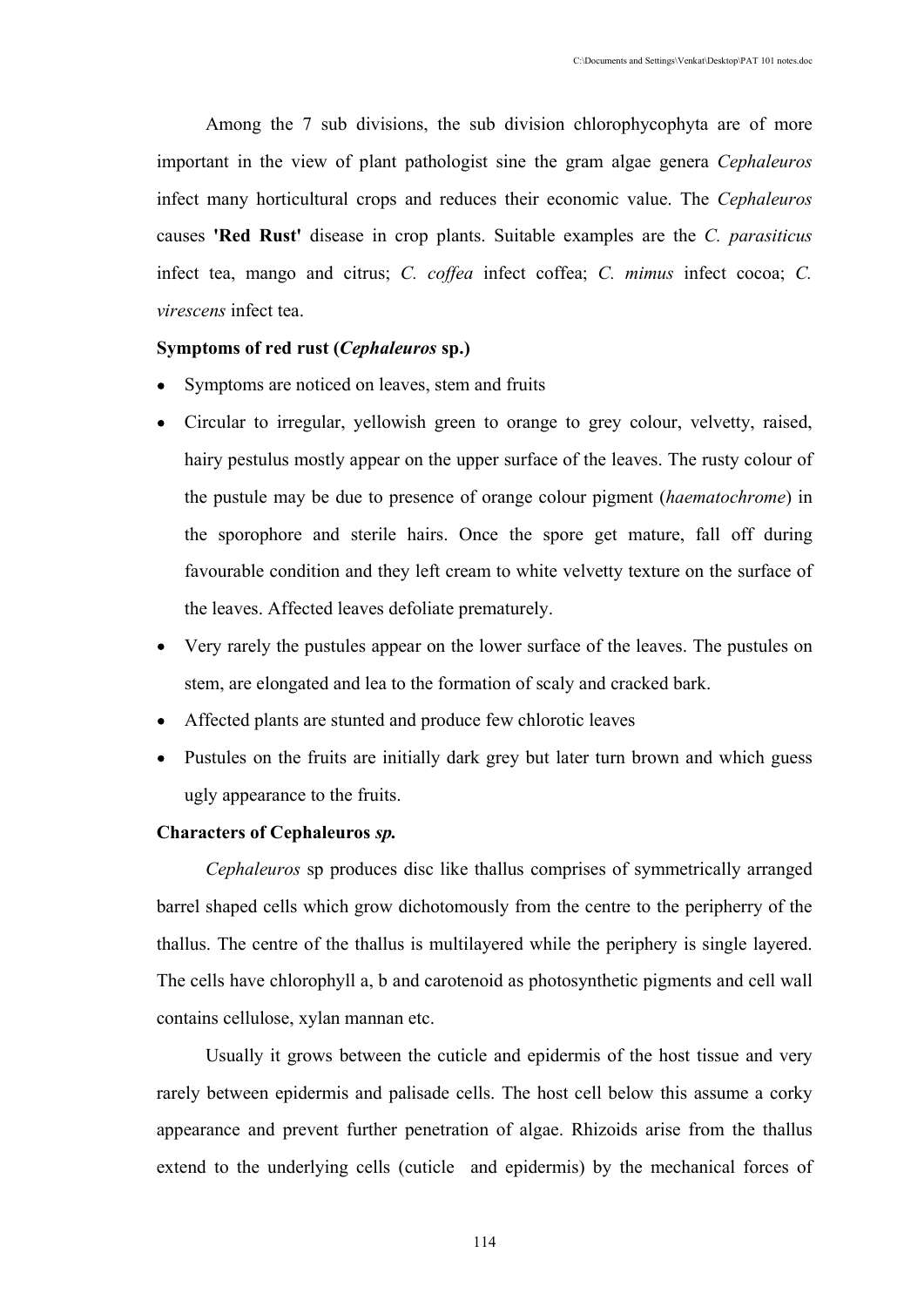Among the 7 sub divisions, the sub division chlorophycophyta are of more important in the view of plant pathologist sine the gram algae genera Cephaleuros infect many horticultural crops and reduces their economic value. The Cephaleuros causes 'Red Rust' disease in crop plants. Suitable examples are the C. parasiticus infect tea, mango and citrus; C. coffea infect coffea; C. mimus infect cocoa; C. virescens infect tea.

### Symptoms of red rust (Cephaleuros sp.)

- Symptoms are noticed on leaves, stem and fruits
- Circular to irregular, yellowish green to orange to grey colour, velvetty, raised, hairy pestulus mostly appear on the upper surface of the leaves. The rusty colour of the pustule may be due to presence of orange colour pigment (haematochrome) in the sporophore and sterile hairs. Once the spore get mature, fall off during favourable condition and they left cream to white velvetty texture on the surface of the leaves. Affected leaves defoliate prematurely. Symptoms are noticed on leaves, stem and fruits<br>Circular to irregular, yellowish green to orange to grey colour, velvetty, raised,<br>hairy pestulus mostly appear on the upper surface of the leaves. The rusty colour of<br>the pu
- Very rarely the pustules appear on the lower surface of the leaves. The pustules on stem, are elongated and lea to the formation of scaly and cracked bark.
- Affected plants are stunted and produce few chlorotic leaves
- ugly appearance to the fruits.

## Characters of Cephaleuros sp.

Cephaleuros sp produces disc like thallus comprises of symmetrically arranged barrel shaped cells which grow dichotomously from the centre to the peripherry of the thallus. The centre of the thallus is multilayered while the periphery is single layered. The cells have chlorophyll a, b and carotenoid as photosynthetic pigments and cell wall contains cellulose, xylan mannan etc.

Usually it grows between the cuticle and epidermis of the host tissue and very rarely between epidermis and palisade cells. The host cell below this assume a corky appearance and prevent further penetration of algae. Rhizoids arise from the thallus extend to the underlying cells (cuticle and epidermis) by the mechanical forces of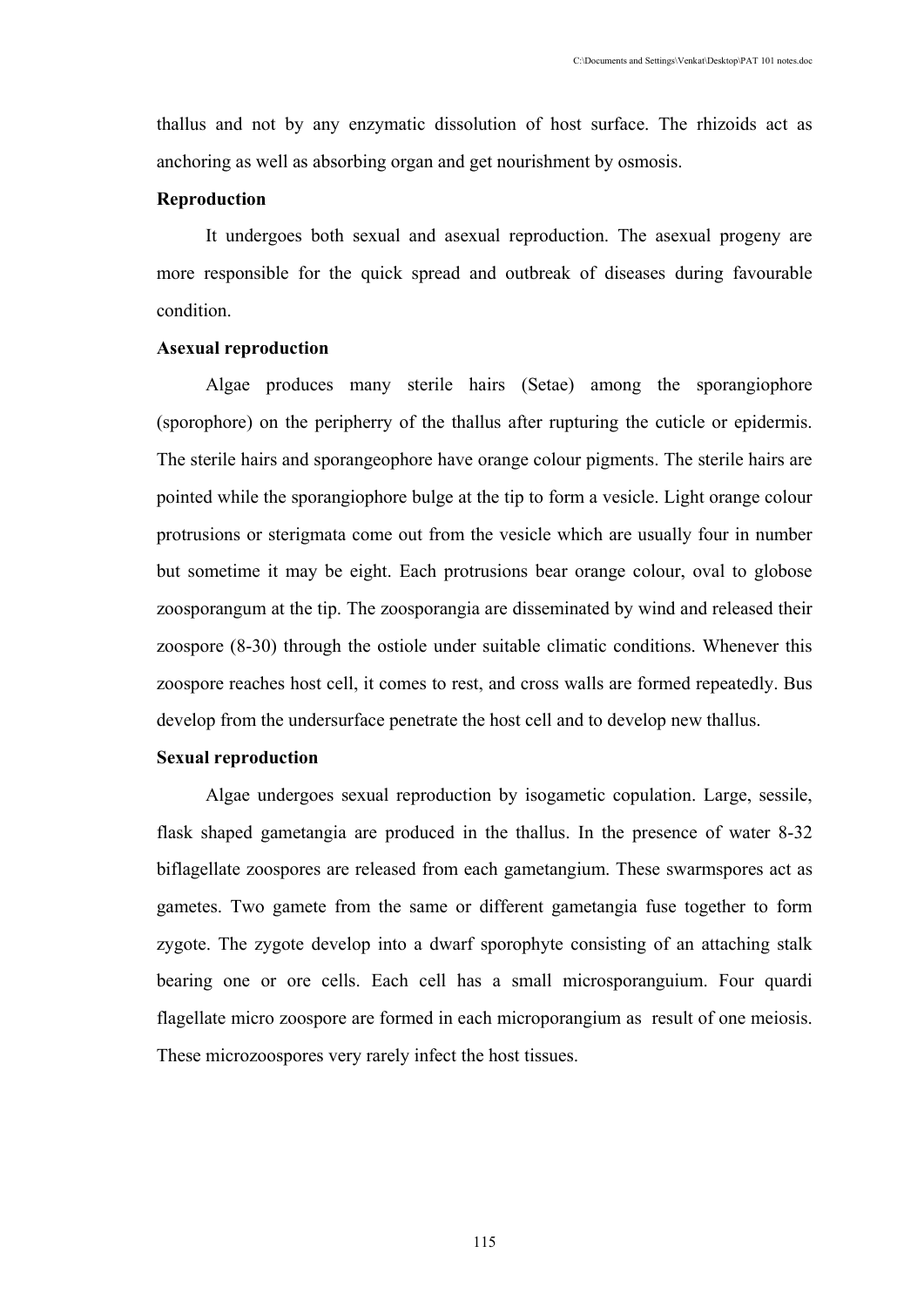thallus and not by any enzymatic dissolution of host surface. The rhizoids act as anchoring as well as absorbing organ and get nourishment by osmosis.

## Reproduction

It undergoes both sexual and asexual reproduction. The asexual progeny are more responsible for the quick spread and outbreak of diseases during favourable condition.

#### Asexual reproduction

Algae produces many sterile hairs (Setae) among the sporangiophore (sporophore) on the peripherry of the thallus after rupturing the cuticle or epidermis. The sterile hairs and sporangeophore have orange colour pigments. The sterile hairs are thellus and not by any enzymatic dissolution of host surface. The rhizoids act as<br>anchoring as well as absorbing organ and get nourishment by osmosis.<br>**Reproduction**<br>It undergoes both sexual and asexual reproduction. The a protrusions or sterigmata come out from the vesicle which are usually four in number but sometime it may be eight. Each protrusions bear orange colour, oval to globose zoosporangum at the tip. The zoosporangia are disseminated by wind and released their zoospore (8-30) through the ostiole under suitable climatic conditions. Whenever this zoospore reaches host cell, it comes to rest, and cross walls are formed repeatedly. Bus develop from the undersurface penetrate the host cell and to develop new thallus. pointed while the sporangiophore bulge at the tip to form a vesicle. Light orange colour<br>protrusions or stcrigmata come out from the vesicle which are usually four in number<br>but sometime it may be eight. Each protrusions b

## Sexual reproduction

Algae undergoes sexual reproduction by isogametic copulation. Large, sessile, flask shaped gametangia are produced in the thallus. In the presence of water 8-32 gametes. Two gamete from the same or different gametangia fuse together to form zygote. The zygote develop into a dwarf sporophyte consisting of an attaching stalk bearing one or ore cells. Each cell has a small microsporanguium. Four quardi flagellate micro zoospore are formed in each microporangium as result of one meiosis. These microzoospores very rarely infect the host tissues.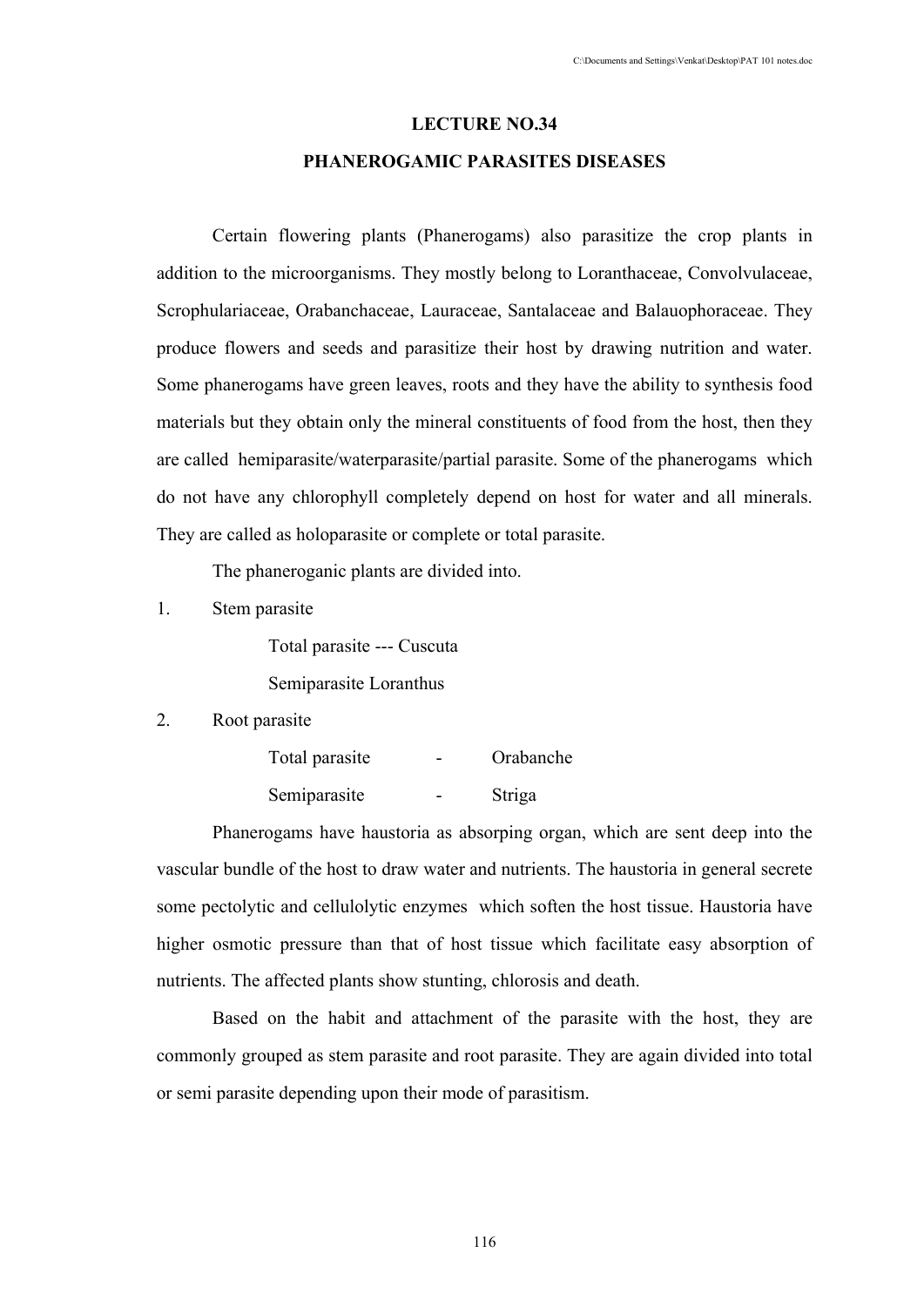# LECTURE NO.34 PHANEROGAMIC PARASITES DISEASES

CeDocuments and SettingalVenkat(DesktopPAT 101 notes,dock<br> **CECTURE NO.34**<br> **PHANEROGAMIC PARASITES DISEASES**<br>
Certain flowering plants (Phanerogams) also parasitize the crop plants in<br>
1 to the microorganisms. They mostly addition to the microorganisms. They mostly belong to Loranthaceae, Convolvulaceae, Scrophulariaceae, Orabanchaceae, Lauraceae, Santalaceae and Balauophoraceae. They produce flowers and seeds and parasitize their host by drawing nutrition and water. Some phanerogams have green leaves, roots and they have the ability to synthesis food **EXECTURE NO.34**<br> **EXECTURE NO.34**<br> **EXECTURE NO.34**<br> **Certain flowering plants (Phanerogams) also parasitize the crop plants in<br>
addition to the microorganisms. They mostly belong to Loranthaceae, Convolvulaceae,<br>
Scrophu** are called hemiparasite/waterparasite/partial parasite. Some of the phanerogams which do not have any chlorophyll completely depend on host for water and all minerals. They are called as holoparasite or complete or total parasite. Certain flowering plants (Phanerogams) also parasitize the crop plantial<br>addition to the microorganisms. They mostly belong to Loranthaceae, Convolvu<br>Scrophulariaceae, Orabanchaceae, Lauraceae, Santalaceae and Balauophorac Serophulariaceae, Orabanchaceae, Lauraceae, Santalaceae and Balauophoraceae. They<br>produce flowers and secds and parasitize their host by drawing nutrition and water.<br>Some phanerogams have green leaves, roots and they have Some phanerogams have green leaves, roots and they have the ability to synthesis food<br>materials but they obtain only the mineral constituents of food from the host, then they<br>are called hemiparasite/waterparasite/partial p materials but they obtain only the mineral constituents of food from the host, then they<br>are called hemiparasite/waterparasite/partial parasite. Some of the phanerogams which<br>do not have any chlorophyll completely depend o

The phaneroganic plants are divided into.

Total parasite --- Cuscuta

## 2. Root parasite

| Total parasite | Orabanche |
|----------------|-----------|
| Semiparasite   | Striga    |

Phanerogams have haustoria as absorping organ, which are sent deep into the vascular bundle of the host to draw water and nutrients. The haustoria in general secrete some pectolytic and cellulolytic enzymes which soften the host tissue. Haustoria have higher osmotic pressure than that of host tissue which facilitate easy absorption of nutrients. The affected plants show stunting, chlorosis and death.

Based on the habit and attachment of the parasite with the host, they are commonly grouped as stem parasite and root parasite. They are again divided into total or semi parasite depending upon their mode of parasitism.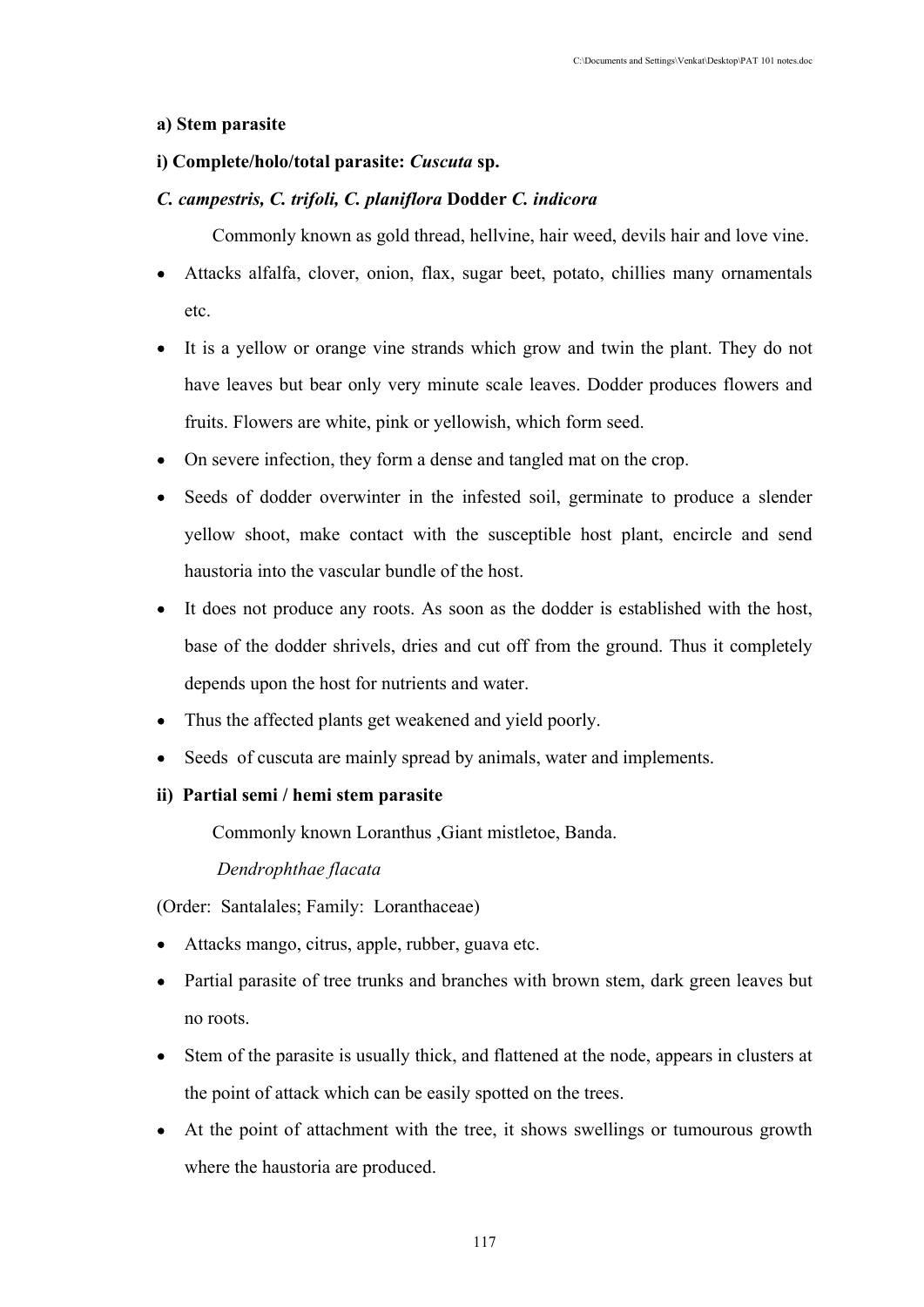## a) Stem parasite

# i) Complete/holo/total parasite: Cuscuta sp.

# C. campestris, C. trifoli, C. planiflora Dodder C. indicora

Commonly known as gold thread, hellvine, hair weed, devils hair and love vine.

- Attacks alfalfa, clover, onion, flax, sugar beet, potato, chillies many ornamentals etc.
- It is a yellow or orange vine strands which grow and twin the plant. They do not have leaves but bear only very minute scale leaves. Dodder produces flowers and fruits. Flowers are white, pink or yellowish, which form seed. CONCINSION SECTION SET CONCIDENT OF SURFACT CONDIDENT OF SURFACT CONDIDENT CONDIDENT CONDIDENT CONDIDENT CONDIDENT CONDIDENT CONDIDENT CONDIDENT CONDIDENT CONDIDENT CONDIDENT CONDIDENT CONDIDENT CONDIDENT CONDIDENT CONDIDE
- $\bullet$
- Seeds of dodder overwinter in the infested soil, germinate to produce a slender yellow shoot, make contact with the susceptible host plant, encircle and send haustoria into the vascular bundle of the host.
- It does not produce any roots. As soon as the dodder is established with the host, base of the dodder shrivels, dries and cut off from the ground. Thus it completely depends upon the host for nutrients and water.
- Thus the affected plants get weakened and yield poorly.
- Seeds of cuscuta are mainly spread by animals, water and implements.

# ii) Partial semi / hemi stem parasite

Commonly known Loranthus ,Giant mistletoe, Banda.

# Dendrophthae flacata

(Order: Santalales; Family: Loranthaceae)

- Attacks mango, citrus, apple, rubber, guava etc.
- Partial parasite of tree trunks and branches with brown stem, dark green leaves but no roots.
- Stem of the parasite is usually thick, and flattened at the node, appears in clusters at  $\bullet$ the point of attack which can be easily spotted on the trees.
- At the point of attachment with the tree, it shows swellings or tumourous growth where the haustoria are produced.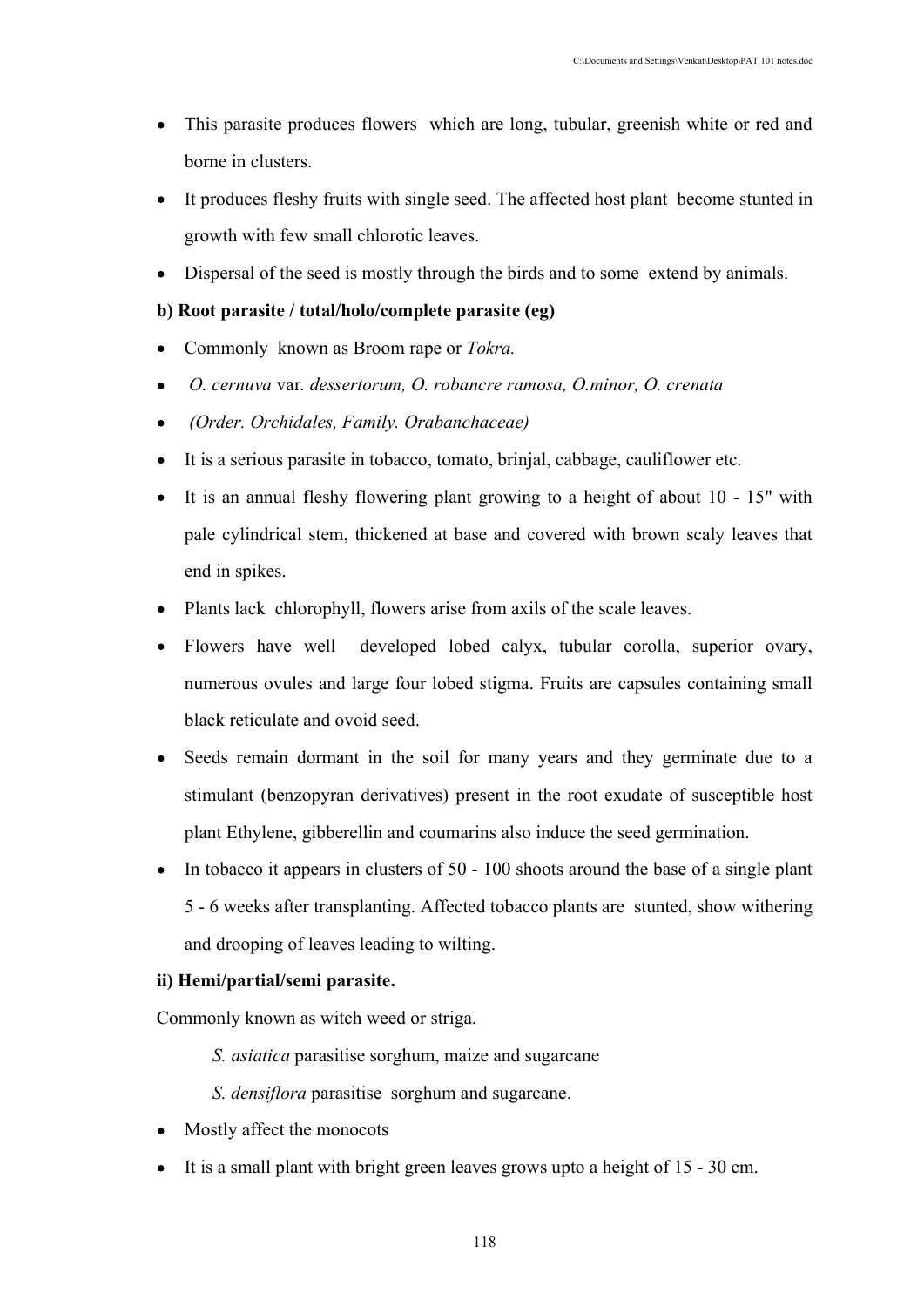- CODENUIREES and Settings WenkarDesktopPAT 101 notes does<br>
It produces fleshy fruits with single seed. The affected host plant become stunted in<br>
growth with few small chlorotic leaves.<br>
Dispersal of the seed is mostly thro Calbecoments and Settings Wentart Dealtop (PAT 101 notes does<br>
Dispersal of the seed is mostly through the birds and to some extend by animals.<br>
Dispersal of the seed is mostly through the birds and to some extend by anima This parasite produces flowers which are long, tubular, greenish white or red and  $\bullet$ borne in clusters.
- $\bullet$ growth with few small chlorotic leaves.
- $\bullet$

# b) Root parasite / total/holo/complete parasite (eg)

- Commonly known as Broom rape or Tokra.
- O. cernuva var. dessertorum, O. robancre ramosa, O.minor, O. crenata
- (Order. Orchidales, Family. Orabanchaceae)
- It is a serious parasite in tobacco, tomato, brinjal, cabbage, cauliflower etc.  $\bullet$
- It is an annual fleshy flowering plant growing to a height of about 10 15" with  $\bullet$ pale cylindrical stem, thickened at base and covered with brown scaly leaves that end in spikes.
- Plants lack chlorophyll, flowers arise from axils of the scale leaves.
- Flowers have well developed lobed calyx, tubular corolla, superior ovary, numerous ovules and large four lobed stigma. Fruits are capsules containing small black reticulate and ovoid seed.
- O. cernuva var. dessertorum, O. robancre ramosa, O.minor, O. crenata<br>(Order. Orchidales, Family. Orabanchaceae)<br>It is a serious parasite in tobacco, tomato, bringil, cabbage, cauliflower etc.<br>It is an annual fleshy floweri pale cylindrical stem, thickened at base and covered with brown sealy leaves that<br>end in spikes.<br>Plants lack chlorophyll, flowers arise from axils of the scale leaves.<br>Flowers have well developed lobed calyx, tubular corol  $\bullet$ stimulant (benzopyran derivatives) present in the root exudate of susceptible host plant Ethylene, gibberellin and coumarins also induce the seed germination.
- In tobacco it appears in clusters of 50 100 shoots around the base of a single plant  $\bullet$ and drooping of leaves leading to wilting.

# ii) Hemi/partial/semi parasite.

Commonly known as witch weed or striga.

- S. asiatica parasitise sorghum, maize and sugarcane
- S. densiflora parasitise sorghum and sugarcane.
- Mostly affect the monocots
- It is a small plant with bright green leaves grows upto a height of 15 30 cm.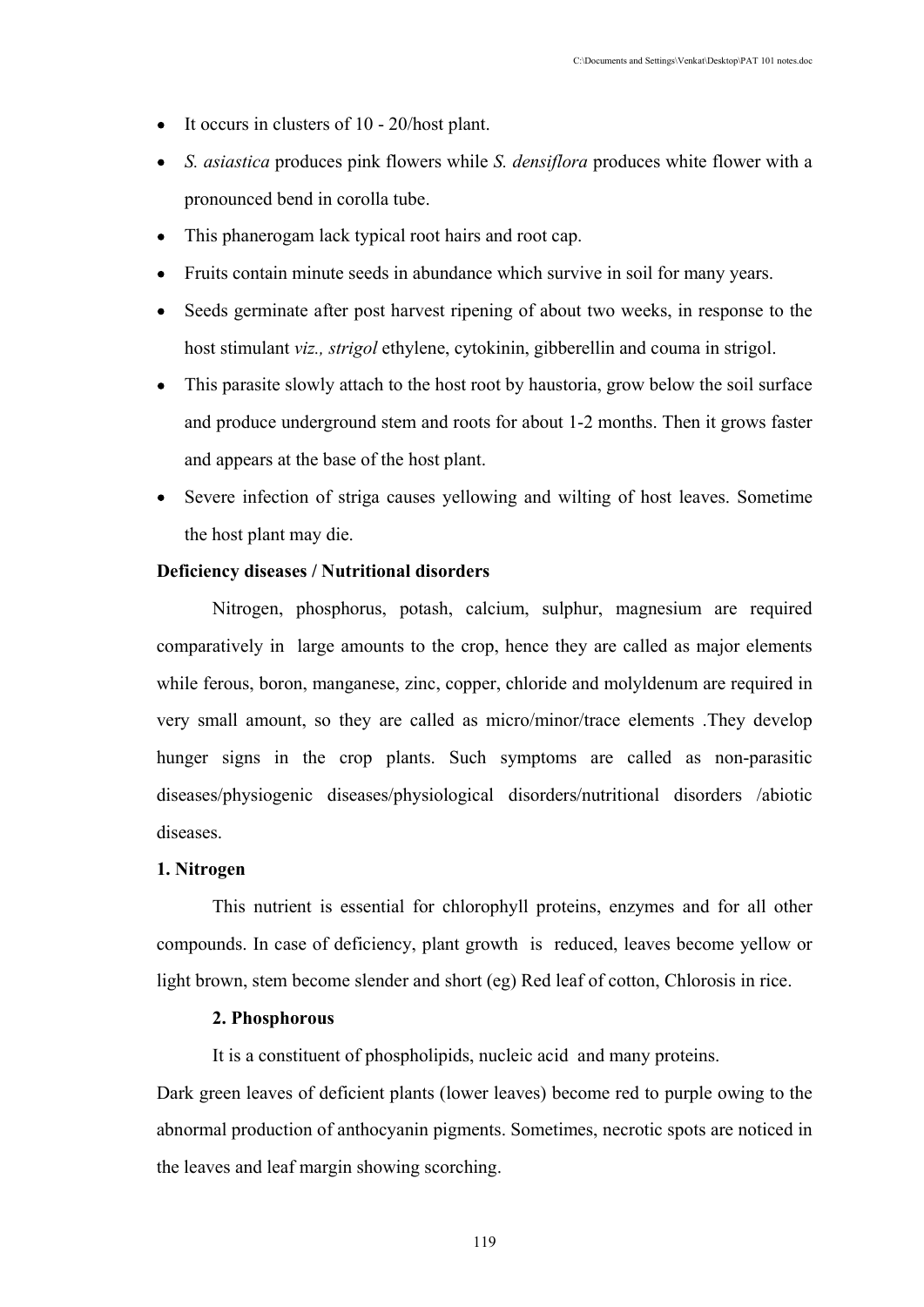- It occurs in clusters of 10 20/host plant.  $\bullet$
- S. asiastica produces pink flowers while S. densiflora produces white flower with a pronounced bend in corolla tube.
- This phanerogam lack typical root hairs and root cap.  $\bullet$
- Fruits contain minute seeds in abundance which survive in soil for many years.
- Seeds germinate after post harvest ripening of about two weeks, in response to the host stimulant viz., strigol ethylene, cytokinin, gibberellin and couma in strigol.
- This parasite slowly attach to the host root by haustoria, grow below the soil surface  $\bullet$ and produce underground stem and roots for about 1-2 months. Then it grows faster and appears at the base of the host plant.
- Severe infection of striga causes yellowing and wilting of host leaves. Sometime  $\bullet$ the host plant may die.

#### Deficiency diseases / Nutritional disorders

Nitrogen, phosphorus, potash, calcium, sulphur, magnesium are required comparatively in large amounts to the crop, hence they are called as major elements while ferous, boron, manganese, zinc, copper, chloride and molyldenum are required in very small amount, so they are called as micro/minor/trace elements .They develop hunger signs in the crop plants. Such symptoms are called as non-parasitic diseases/physiogenic diseases/physiological disorders/nutritional disorders /abiotic diseases. aby the state of phases are called as non-parasitic discases/physiological disorders/nutritional disorders /abiotic discases/physiological disorders/nutritional disorders /abiotic diseases.<br> **1. Nitrogen** This nutrient is

#### 1. Nitrogen

This nutrient is essential for chlorophyll proteins, enzymes and for all other compounds. In case of deficiency, plant growth is reduced, leaves become yellow or light brown, stem become slender and short (eg) Red leaf of cotton, Chlorosis in rice.

## 2. Phosphorous

It is a constituent of phospholipids, nucleic acid and many proteins.

Dark green leaves of deficient plants (lower leaves) become red to purple owing to the the leaves and leaf margin showing scorching.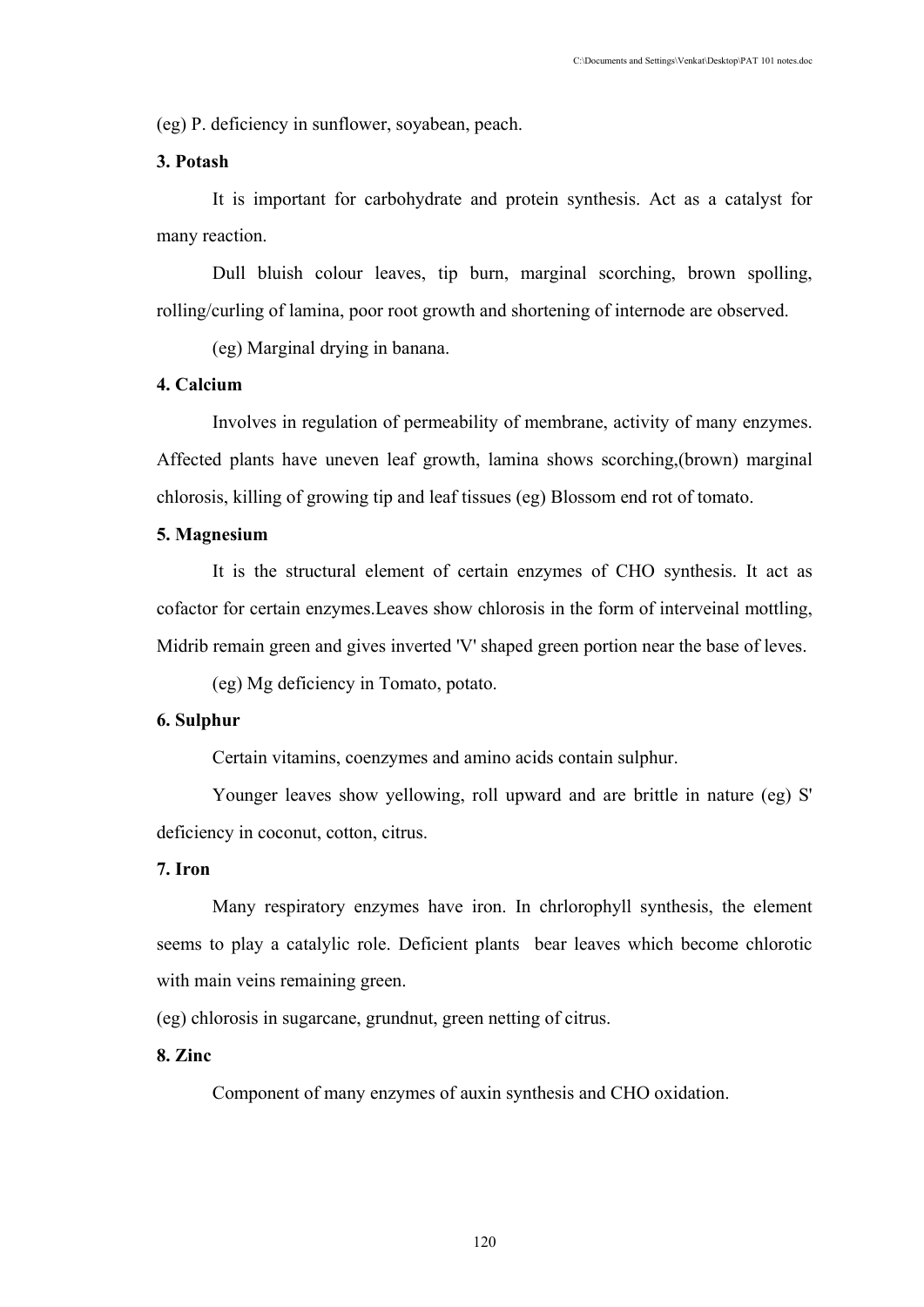(eg) P. deficiency in sunflower, soyabean, peach.

# 3. Potash

It is important for carbohydrate and protein synthesis. Act as a catalyst for many reaction.

Dull bluish colour leaves, tip burn, marginal scorching, brown spolling, rolling/curling of lamina, poor root growth and shortening of internode are observed.

(eg) Marginal drying in banana.

# 4. Calcium

Involves in regulation of permeability of membrane, activity of many enzymes. Affected plants have uneven leaf growth, lamina shows scorching,(brown) marginal chlorosis, killing of growing tip and leaf tissues (eg) Blossom end rot of tomato.

## 5. Magnesium

It is the structural element of certain enzymes of CHO synthesis. It act as cofactor for certain enzymes.Leaves show chlorosis in the form of interveinal mottling, Midrib remain green and gives inverted 'V' shaped green portion near the base of leves.

(eg) Mg deficiency in Tomato, potato.

## 6. Sulphur

Certain vitamins, coenzymes and amino acids contain sulphur.

Younger leaves show yellowing, roll upward and are brittle in nature (eg) S' deficiency in coconut, cotton, citrus.

# 7. Iron

Many respiratory enzymes have iron. In chrlorophyll synthesis, the element seems to play a catalylic role. Deficient plants bear leaves which become chlorotic with main veins remaining green.

(eg) chlorosis in sugarcane, grundnut, green netting of citrus.

# 8. Zinc

Component of many enzymes of auxin synthesis and CHO oxidation.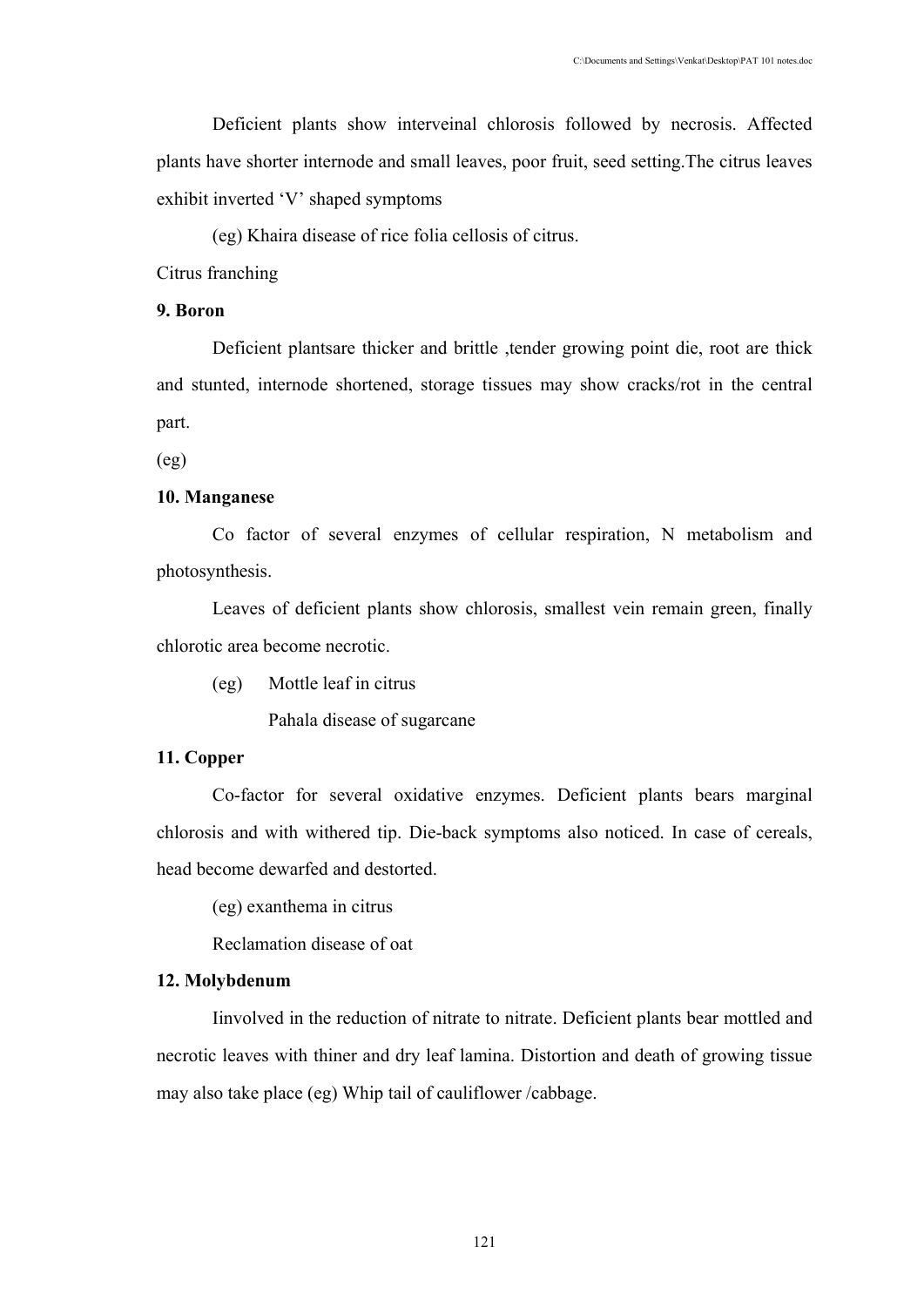Deficient plants show interveinal chlorosis followed by necrosis. Affected plants have shorter internode and small leaves, poor fruit, seed setting.The citrus leaves exhibit inverted 'V' shaped symptoms

(eg) Khaira disease of rice folia cellosis of citrus.

Citrus franching

#### 9. Boron

Deficient plantsare thicker and brittle ,tender growing point die, root are thick and stunted, internode shortened, storage tissues may show cracks/rot in the central part. m<br>
Deficient plantsare thicker and brittle , tender growing point die, root are<br>
nted, internode shortened, storage tissues may show cracks/rot in the co<br>
nganese<br>
Co factor of several enzymes of cellular respiration, N me

(eg)

#### 10. Manganese

Co factor of several enzymes of cellular respiration, N metabolism and photosynthesis.

Leaves of deficient plants show chlorosis, smallest vein remain green, finally chlorotic area become necrotic.

Pahala disease of sugarcane

## 11. Copper

Co-factor for several oxidative enzymes. Deficient plants bears marginal chical Constants and with with the determinism and photosynthesis.<br>
Leaves of deficient plants show chlorosis, smallest vein remain green, finally<br>
chlorotic area become necrotic.<br>
(eg) Mottle leaf in citrus<br>
Pahala diseas head become dewarfed and destorted.

(eg) exanthema in citrus

Reclamation disease of oat

## 12. Molybdenum

Iinvolved in the reduction of nitrate to nitrate. Deficient plants bear mottled and necrotic leaves with thiner and dry leaf lamina. Distortion and death of growing tissue may also take place (eg) Whip tail of cauliflower /cabbage.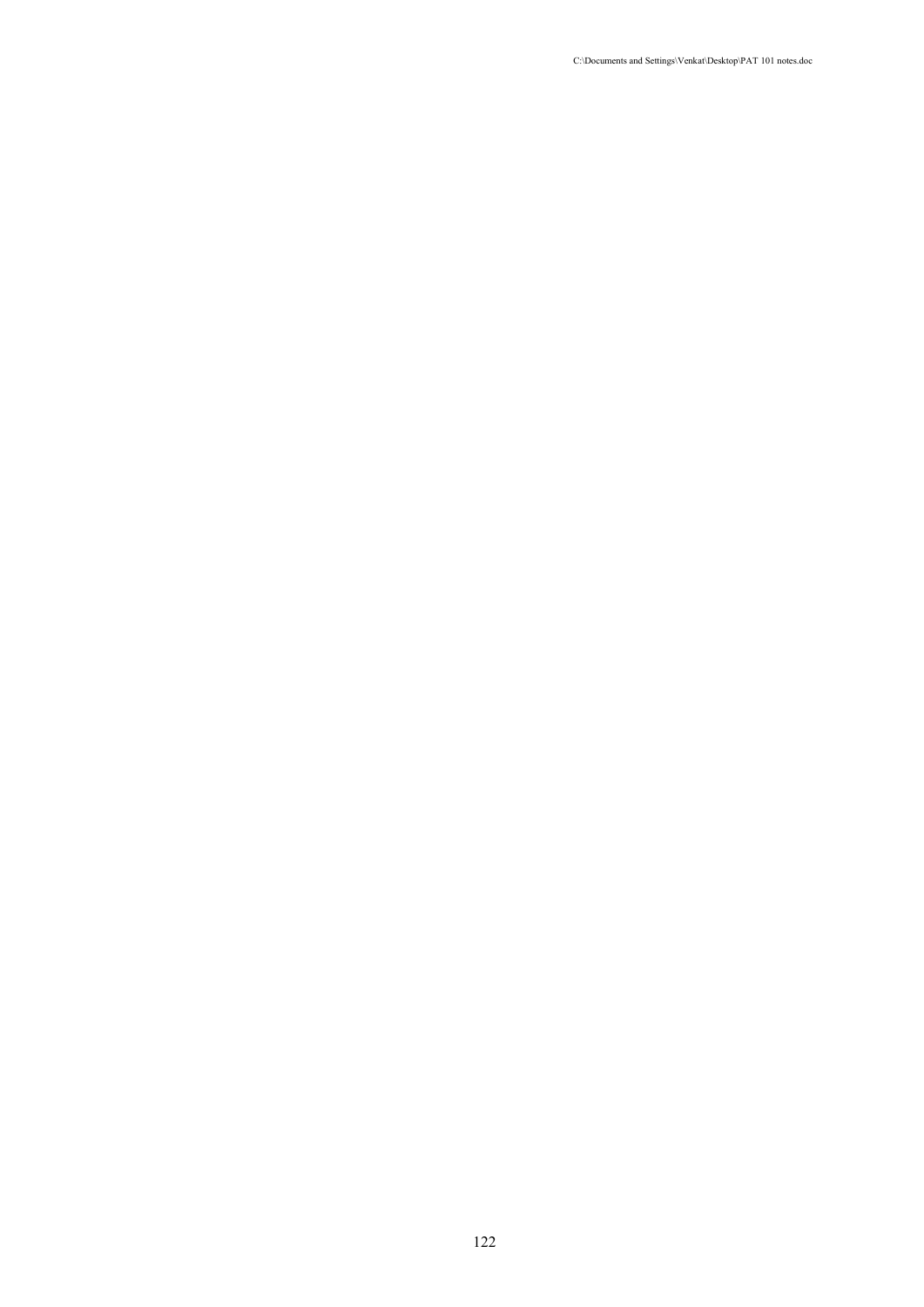C:\Documents and Settings\Venkat\Desktop\PAT 101 notes.doc